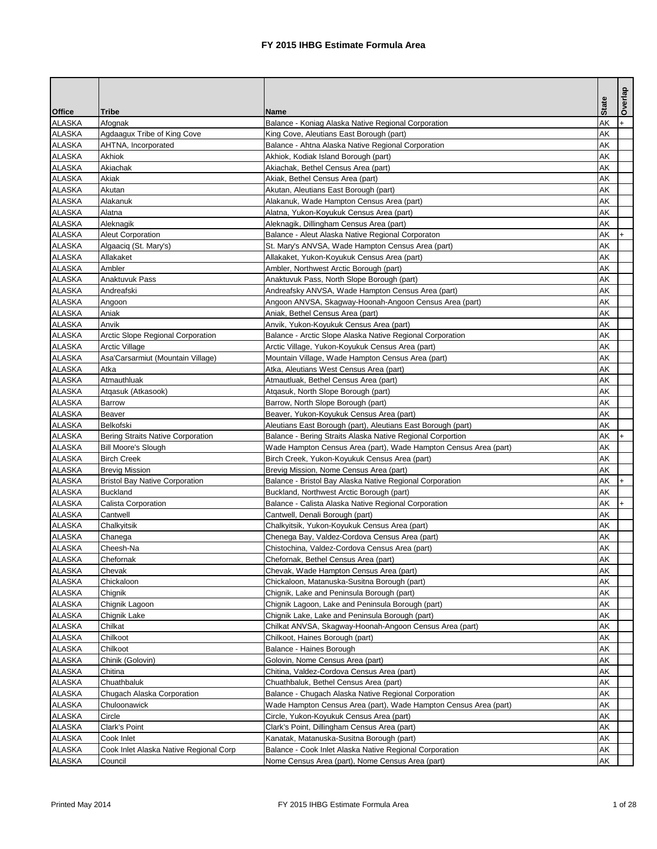| <b>State</b><br><b>Tribe</b><br><b>Name</b><br>AK<br>Afognak<br>Balance - Koniag Alaska Native Regional Corporation<br>AK<br>Agdaagux Tribe of King Cove<br>King Cove, Aleutians East Borough (part)<br>AK<br>AHTNA, Incorporated<br>Balance - Ahtna Alaska Native Regional Corporation<br>Akhiok<br>AK<br>Akhiok, Kodiak Island Borough (part)<br>Akiachak<br>Akiachak, Bethel Census Area (part)<br>AK<br>Akiak<br>Akiak, Bethel Census Area (part)<br>AK<br>AK<br>Akutan<br>Akutan, Aleutians East Borough (part)<br>Alakanuk<br>Alakanuk, Wade Hampton Census Area (part)<br>AK<br>AK<br>Alatna<br>Alatna, Yukon-Koyukuk Census Area (part)<br>Aleknagik<br>Aleknagik, Dillingham Census Area (part)<br>AK<br>AK<br><b>Aleut Corporation</b><br>Balance - Aleut Alaska Native Regional Corporaton<br>AK<br>St. Mary's ANVSA, Wade Hampton Census Area (part)<br>Algaaciq (St. Mary's)<br>Allakaket<br>AK<br>Allakaket, Yukon-Koyukuk Census Area (part)<br>Ambler<br>AK<br>Ambler, Northwest Arctic Borough (part)<br>Anaktuvuk Pass<br>Anaktuvuk Pass, North Slope Borough (part)<br>AK<br>AK<br>Andreafski<br>Andreafsky ANVSA, Wade Hampton Census Area (part)<br>AK<br>Angoon ANVSA, Skagway-Hoonah-Angoon Census Area (part)<br>Angoon<br>Aniak<br>AK<br>Aniak, Bethel Census Area (part)<br>AK<br>Anvik<br>Anvik, Yukon-Koyukuk Census Area (part)<br>AK<br>Arctic Slope Regional Corporation<br>Balance - Arctic Slope Alaska Native Regional Corporation<br>AK<br>Arctic Village, Yukon-Koyukuk Census Area (part)<br>Arctic Village<br>AK<br>Asa'Carsarmiut (Mountain Village)<br>Mountain Village, Wade Hampton Census Area (part)<br>Atka<br>Atka, Aleutians West Census Area (part)<br>AK<br>AK<br>Atmauthluak<br>Atmautluak, Bethel Census Area (part)<br>Atgasuk, North Slope Borough (part)<br>AK<br>Atqasuk (Atkasook)<br>Barrow, North Slope Borough (part)<br>AK<br>Barrow<br>AK<br>Beaver<br>Beaver, Yukon-Koyukuk Census Area (part)<br><b>AK</b><br>Belkofski<br>Aleutians East Borough (part), Aleutians East Borough (part)<br>AK<br><b>Bering Straits Native Corporation</b><br>Balance - Bering Straits Alaska Native Regional Corportion<br>$+$<br>AK<br><b>Bill Moore's Slough</b><br>Wade Hampton Census Area (part), Wade Hampton Census Area (part)<br><b>Birch Creek</b><br>AK<br>Birch Creek, Yukon-Koyukuk Census Area (part)<br>AK<br><b>Brevig Mission</b><br>Brevig Mission, Nome Census Area (part)<br>AK<br><b>ALASKA</b><br><b>Bristol Bay Native Corporation</b><br>Balance - Bristol Bay Alaska Native Regional Corporation<br><b>Buckland</b><br>AK<br>Buckland, Northwest Arctic Borough (part)<br>AK<br>Calista Corporation<br>Balance - Calista Alaska Native Regional Corporation<br>AK<br>Cantwell, Denali Borough (part)<br>Cantwell<br>AK<br>Chalkyitsik<br>Chalkyitsik, Yukon-Koyukuk Census Area (part)<br>AK<br>Chenega Bay, Valdez-Cordova Census Area (part)<br>Chanega<br>Chistochina, Valdez-Cordova Census Area (part)<br>AK<br>Cheesh-Na<br>Chefornak<br>Chefornak, Bethel Census Area (part)<br>AK<br>AK<br>Chevak<br>Chevak, Wade Hampton Census Area (part)<br>AK<br>Chickaloon<br>Chickaloon, Matanuska-Susitna Borough (part)<br>AK<br>Chignik<br>Chignik, Lake and Peninsula Borough (part)<br>AK<br>Chignik Lagoon, Lake and Peninsula Borough (part)<br>Chignik Lagoon<br>AK<br>Chignik Lake<br>Chignik Lake, Lake and Peninsula Borough (part)<br>AK<br>Chilkat<br>Chilkat ANVSA, Skagway-Hoonah-Angoon Census Area (part)<br>Chilkoot<br>Chilkoot, Haines Borough (part)<br>AK<br>AK<br>Chilkoot<br>Balance - Haines Borough<br>AK<br>Chinik (Golovin)<br>Golovin, Nome Census Area (part)<br>AK<br>Chitina<br>Chitina, Valdez-Cordova Census Area (part)<br>Chuathbaluk<br>AK<br>Chuathbaluk, Bethel Census Area (part)<br>AK<br>Balance - Chugach Alaska Native Regional Corporation<br>Chugach Alaska Corporation<br>Chuloonawick<br>AK<br>Wade Hampton Census Area (part), Wade Hampton Census Area (part)<br>Circle<br>AK<br>Circle, Yukon-Koyukuk Census Area (part)<br>AK<br>Clark's Point<br>Clark's Point, Dillingham Census Area (part)<br><b>ALASKA</b><br>Cook Inlet<br>AK<br>Kanatak, Matanuska-Susitna Borough (part)<br>AK<br>Balance - Cook Inlet Alaska Native Regional Corporation<br>Cook Inlet Alaska Native Regional Corp<br>Council<br>Nome Census Area (part), Nome Census Area (part)<br>AK |               |  |  | Overlap |
|---------------------------------------------------------------------------------------------------------------------------------------------------------------------------------------------------------------------------------------------------------------------------------------------------------------------------------------------------------------------------------------------------------------------------------------------------------------------------------------------------------------------------------------------------------------------------------------------------------------------------------------------------------------------------------------------------------------------------------------------------------------------------------------------------------------------------------------------------------------------------------------------------------------------------------------------------------------------------------------------------------------------------------------------------------------------------------------------------------------------------------------------------------------------------------------------------------------------------------------------------------------------------------------------------------------------------------------------------------------------------------------------------------------------------------------------------------------------------------------------------------------------------------------------------------------------------------------------------------------------------------------------------------------------------------------------------------------------------------------------------------------------------------------------------------------------------------------------------------------------------------------------------------------------------------------------------------------------------------------------------------------------------------------------------------------------------------------------------------------------------------------------------------------------------------------------------------------------------------------------------------------------------------------------------------------------------------------------------------------------------------------------------------------------------------------------------------------------------------------------------------------------------------------------------------------------------------------------------------------------------------------------------------------------------------------------------------------------------------------------------------------------------------------------------------------------------------------------------------------------------------------------------------------------------------------------------------------------------------------------------------------------------------------------------------------------------------------------------------------------------------------------------------------------------------------------------------------------------------------------------------------------------------------------------------------------------------------------------------------------------------------------------------------------------------------------------------------------------------------------------------------------------------------------------------------------------------------------------------------------------------------------------------------------------------------------------------------------------------------------------------------------------------------------------------------------------------------------------------------------------------------------------------------------------------------------------------------------------------------------------------------------------------------------------------------------------------------------------------------------------------------------------------------------------------------------------------------------------------------------------------------------------------------------------------------------------------------------------------------------------------------------|---------------|--|--|---------|
|                                                                                                                                                                                                                                                                                                                                                                                                                                                                                                                                                                                                                                                                                                                                                                                                                                                                                                                                                                                                                                                                                                                                                                                                                                                                                                                                                                                                                                                                                                                                                                                                                                                                                                                                                                                                                                                                                                                                                                                                                                                                                                                                                                                                                                                                                                                                                                                                                                                                                                                                                                                                                                                                                                                                                                                                                                                                                                                                                                                                                                                                                                                                                                                                                                                                                                                                                                                                                                                                                                                                                                                                                                                                                                                                                                                                                                                                                                                                                                                                                                                                                                                                                                                                                                                                                                                                                                                             | <b>Office</b> |  |  |         |
|                                                                                                                                                                                                                                                                                                                                                                                                                                                                                                                                                                                                                                                                                                                                                                                                                                                                                                                                                                                                                                                                                                                                                                                                                                                                                                                                                                                                                                                                                                                                                                                                                                                                                                                                                                                                                                                                                                                                                                                                                                                                                                                                                                                                                                                                                                                                                                                                                                                                                                                                                                                                                                                                                                                                                                                                                                                                                                                                                                                                                                                                                                                                                                                                                                                                                                                                                                                                                                                                                                                                                                                                                                                                                                                                                                                                                                                                                                                                                                                                                                                                                                                                                                                                                                                                                                                                                                                             | <b>ALASKA</b> |  |  |         |
|                                                                                                                                                                                                                                                                                                                                                                                                                                                                                                                                                                                                                                                                                                                                                                                                                                                                                                                                                                                                                                                                                                                                                                                                                                                                                                                                                                                                                                                                                                                                                                                                                                                                                                                                                                                                                                                                                                                                                                                                                                                                                                                                                                                                                                                                                                                                                                                                                                                                                                                                                                                                                                                                                                                                                                                                                                                                                                                                                                                                                                                                                                                                                                                                                                                                                                                                                                                                                                                                                                                                                                                                                                                                                                                                                                                                                                                                                                                                                                                                                                                                                                                                                                                                                                                                                                                                                                                             | <b>ALASKA</b> |  |  |         |
|                                                                                                                                                                                                                                                                                                                                                                                                                                                                                                                                                                                                                                                                                                                                                                                                                                                                                                                                                                                                                                                                                                                                                                                                                                                                                                                                                                                                                                                                                                                                                                                                                                                                                                                                                                                                                                                                                                                                                                                                                                                                                                                                                                                                                                                                                                                                                                                                                                                                                                                                                                                                                                                                                                                                                                                                                                                                                                                                                                                                                                                                                                                                                                                                                                                                                                                                                                                                                                                                                                                                                                                                                                                                                                                                                                                                                                                                                                                                                                                                                                                                                                                                                                                                                                                                                                                                                                                             | <b>ALASKA</b> |  |  |         |
|                                                                                                                                                                                                                                                                                                                                                                                                                                                                                                                                                                                                                                                                                                                                                                                                                                                                                                                                                                                                                                                                                                                                                                                                                                                                                                                                                                                                                                                                                                                                                                                                                                                                                                                                                                                                                                                                                                                                                                                                                                                                                                                                                                                                                                                                                                                                                                                                                                                                                                                                                                                                                                                                                                                                                                                                                                                                                                                                                                                                                                                                                                                                                                                                                                                                                                                                                                                                                                                                                                                                                                                                                                                                                                                                                                                                                                                                                                                                                                                                                                                                                                                                                                                                                                                                                                                                                                                             | <b>ALASKA</b> |  |  |         |
|                                                                                                                                                                                                                                                                                                                                                                                                                                                                                                                                                                                                                                                                                                                                                                                                                                                                                                                                                                                                                                                                                                                                                                                                                                                                                                                                                                                                                                                                                                                                                                                                                                                                                                                                                                                                                                                                                                                                                                                                                                                                                                                                                                                                                                                                                                                                                                                                                                                                                                                                                                                                                                                                                                                                                                                                                                                                                                                                                                                                                                                                                                                                                                                                                                                                                                                                                                                                                                                                                                                                                                                                                                                                                                                                                                                                                                                                                                                                                                                                                                                                                                                                                                                                                                                                                                                                                                                             | <b>ALASKA</b> |  |  |         |
|                                                                                                                                                                                                                                                                                                                                                                                                                                                                                                                                                                                                                                                                                                                                                                                                                                                                                                                                                                                                                                                                                                                                                                                                                                                                                                                                                                                                                                                                                                                                                                                                                                                                                                                                                                                                                                                                                                                                                                                                                                                                                                                                                                                                                                                                                                                                                                                                                                                                                                                                                                                                                                                                                                                                                                                                                                                                                                                                                                                                                                                                                                                                                                                                                                                                                                                                                                                                                                                                                                                                                                                                                                                                                                                                                                                                                                                                                                                                                                                                                                                                                                                                                                                                                                                                                                                                                                                             | <b>ALASKA</b> |  |  |         |
|                                                                                                                                                                                                                                                                                                                                                                                                                                                                                                                                                                                                                                                                                                                                                                                                                                                                                                                                                                                                                                                                                                                                                                                                                                                                                                                                                                                                                                                                                                                                                                                                                                                                                                                                                                                                                                                                                                                                                                                                                                                                                                                                                                                                                                                                                                                                                                                                                                                                                                                                                                                                                                                                                                                                                                                                                                                                                                                                                                                                                                                                                                                                                                                                                                                                                                                                                                                                                                                                                                                                                                                                                                                                                                                                                                                                                                                                                                                                                                                                                                                                                                                                                                                                                                                                                                                                                                                             | <b>ALASKA</b> |  |  |         |
|                                                                                                                                                                                                                                                                                                                                                                                                                                                                                                                                                                                                                                                                                                                                                                                                                                                                                                                                                                                                                                                                                                                                                                                                                                                                                                                                                                                                                                                                                                                                                                                                                                                                                                                                                                                                                                                                                                                                                                                                                                                                                                                                                                                                                                                                                                                                                                                                                                                                                                                                                                                                                                                                                                                                                                                                                                                                                                                                                                                                                                                                                                                                                                                                                                                                                                                                                                                                                                                                                                                                                                                                                                                                                                                                                                                                                                                                                                                                                                                                                                                                                                                                                                                                                                                                                                                                                                                             | <b>ALASKA</b> |  |  |         |
|                                                                                                                                                                                                                                                                                                                                                                                                                                                                                                                                                                                                                                                                                                                                                                                                                                                                                                                                                                                                                                                                                                                                                                                                                                                                                                                                                                                                                                                                                                                                                                                                                                                                                                                                                                                                                                                                                                                                                                                                                                                                                                                                                                                                                                                                                                                                                                                                                                                                                                                                                                                                                                                                                                                                                                                                                                                                                                                                                                                                                                                                                                                                                                                                                                                                                                                                                                                                                                                                                                                                                                                                                                                                                                                                                                                                                                                                                                                                                                                                                                                                                                                                                                                                                                                                                                                                                                                             | <b>ALASKA</b> |  |  |         |
|                                                                                                                                                                                                                                                                                                                                                                                                                                                                                                                                                                                                                                                                                                                                                                                                                                                                                                                                                                                                                                                                                                                                                                                                                                                                                                                                                                                                                                                                                                                                                                                                                                                                                                                                                                                                                                                                                                                                                                                                                                                                                                                                                                                                                                                                                                                                                                                                                                                                                                                                                                                                                                                                                                                                                                                                                                                                                                                                                                                                                                                                                                                                                                                                                                                                                                                                                                                                                                                                                                                                                                                                                                                                                                                                                                                                                                                                                                                                                                                                                                                                                                                                                                                                                                                                                                                                                                                             | <b>ALASKA</b> |  |  |         |
|                                                                                                                                                                                                                                                                                                                                                                                                                                                                                                                                                                                                                                                                                                                                                                                                                                                                                                                                                                                                                                                                                                                                                                                                                                                                                                                                                                                                                                                                                                                                                                                                                                                                                                                                                                                                                                                                                                                                                                                                                                                                                                                                                                                                                                                                                                                                                                                                                                                                                                                                                                                                                                                                                                                                                                                                                                                                                                                                                                                                                                                                                                                                                                                                                                                                                                                                                                                                                                                                                                                                                                                                                                                                                                                                                                                                                                                                                                                                                                                                                                                                                                                                                                                                                                                                                                                                                                                             | <b>ALASKA</b> |  |  |         |
|                                                                                                                                                                                                                                                                                                                                                                                                                                                                                                                                                                                                                                                                                                                                                                                                                                                                                                                                                                                                                                                                                                                                                                                                                                                                                                                                                                                                                                                                                                                                                                                                                                                                                                                                                                                                                                                                                                                                                                                                                                                                                                                                                                                                                                                                                                                                                                                                                                                                                                                                                                                                                                                                                                                                                                                                                                                                                                                                                                                                                                                                                                                                                                                                                                                                                                                                                                                                                                                                                                                                                                                                                                                                                                                                                                                                                                                                                                                                                                                                                                                                                                                                                                                                                                                                                                                                                                                             | <b>ALASKA</b> |  |  |         |
|                                                                                                                                                                                                                                                                                                                                                                                                                                                                                                                                                                                                                                                                                                                                                                                                                                                                                                                                                                                                                                                                                                                                                                                                                                                                                                                                                                                                                                                                                                                                                                                                                                                                                                                                                                                                                                                                                                                                                                                                                                                                                                                                                                                                                                                                                                                                                                                                                                                                                                                                                                                                                                                                                                                                                                                                                                                                                                                                                                                                                                                                                                                                                                                                                                                                                                                                                                                                                                                                                                                                                                                                                                                                                                                                                                                                                                                                                                                                                                                                                                                                                                                                                                                                                                                                                                                                                                                             | <b>ALASKA</b> |  |  |         |
|                                                                                                                                                                                                                                                                                                                                                                                                                                                                                                                                                                                                                                                                                                                                                                                                                                                                                                                                                                                                                                                                                                                                                                                                                                                                                                                                                                                                                                                                                                                                                                                                                                                                                                                                                                                                                                                                                                                                                                                                                                                                                                                                                                                                                                                                                                                                                                                                                                                                                                                                                                                                                                                                                                                                                                                                                                                                                                                                                                                                                                                                                                                                                                                                                                                                                                                                                                                                                                                                                                                                                                                                                                                                                                                                                                                                                                                                                                                                                                                                                                                                                                                                                                                                                                                                                                                                                                                             | <b>ALASKA</b> |  |  |         |
|                                                                                                                                                                                                                                                                                                                                                                                                                                                                                                                                                                                                                                                                                                                                                                                                                                                                                                                                                                                                                                                                                                                                                                                                                                                                                                                                                                                                                                                                                                                                                                                                                                                                                                                                                                                                                                                                                                                                                                                                                                                                                                                                                                                                                                                                                                                                                                                                                                                                                                                                                                                                                                                                                                                                                                                                                                                                                                                                                                                                                                                                                                                                                                                                                                                                                                                                                                                                                                                                                                                                                                                                                                                                                                                                                                                                                                                                                                                                                                                                                                                                                                                                                                                                                                                                                                                                                                                             | <b>ALASKA</b> |  |  |         |
|                                                                                                                                                                                                                                                                                                                                                                                                                                                                                                                                                                                                                                                                                                                                                                                                                                                                                                                                                                                                                                                                                                                                                                                                                                                                                                                                                                                                                                                                                                                                                                                                                                                                                                                                                                                                                                                                                                                                                                                                                                                                                                                                                                                                                                                                                                                                                                                                                                                                                                                                                                                                                                                                                                                                                                                                                                                                                                                                                                                                                                                                                                                                                                                                                                                                                                                                                                                                                                                                                                                                                                                                                                                                                                                                                                                                                                                                                                                                                                                                                                                                                                                                                                                                                                                                                                                                                                                             | <b>ALASKA</b> |  |  |         |
|                                                                                                                                                                                                                                                                                                                                                                                                                                                                                                                                                                                                                                                                                                                                                                                                                                                                                                                                                                                                                                                                                                                                                                                                                                                                                                                                                                                                                                                                                                                                                                                                                                                                                                                                                                                                                                                                                                                                                                                                                                                                                                                                                                                                                                                                                                                                                                                                                                                                                                                                                                                                                                                                                                                                                                                                                                                                                                                                                                                                                                                                                                                                                                                                                                                                                                                                                                                                                                                                                                                                                                                                                                                                                                                                                                                                                                                                                                                                                                                                                                                                                                                                                                                                                                                                                                                                                                                             | <b>ALASKA</b> |  |  |         |
|                                                                                                                                                                                                                                                                                                                                                                                                                                                                                                                                                                                                                                                                                                                                                                                                                                                                                                                                                                                                                                                                                                                                                                                                                                                                                                                                                                                                                                                                                                                                                                                                                                                                                                                                                                                                                                                                                                                                                                                                                                                                                                                                                                                                                                                                                                                                                                                                                                                                                                                                                                                                                                                                                                                                                                                                                                                                                                                                                                                                                                                                                                                                                                                                                                                                                                                                                                                                                                                                                                                                                                                                                                                                                                                                                                                                                                                                                                                                                                                                                                                                                                                                                                                                                                                                                                                                                                                             | <b>ALASKA</b> |  |  |         |
|                                                                                                                                                                                                                                                                                                                                                                                                                                                                                                                                                                                                                                                                                                                                                                                                                                                                                                                                                                                                                                                                                                                                                                                                                                                                                                                                                                                                                                                                                                                                                                                                                                                                                                                                                                                                                                                                                                                                                                                                                                                                                                                                                                                                                                                                                                                                                                                                                                                                                                                                                                                                                                                                                                                                                                                                                                                                                                                                                                                                                                                                                                                                                                                                                                                                                                                                                                                                                                                                                                                                                                                                                                                                                                                                                                                                                                                                                                                                                                                                                                                                                                                                                                                                                                                                                                                                                                                             | <b>ALASKA</b> |  |  |         |
|                                                                                                                                                                                                                                                                                                                                                                                                                                                                                                                                                                                                                                                                                                                                                                                                                                                                                                                                                                                                                                                                                                                                                                                                                                                                                                                                                                                                                                                                                                                                                                                                                                                                                                                                                                                                                                                                                                                                                                                                                                                                                                                                                                                                                                                                                                                                                                                                                                                                                                                                                                                                                                                                                                                                                                                                                                                                                                                                                                                                                                                                                                                                                                                                                                                                                                                                                                                                                                                                                                                                                                                                                                                                                                                                                                                                                                                                                                                                                                                                                                                                                                                                                                                                                                                                                                                                                                                             | <b>ALASKA</b> |  |  |         |
|                                                                                                                                                                                                                                                                                                                                                                                                                                                                                                                                                                                                                                                                                                                                                                                                                                                                                                                                                                                                                                                                                                                                                                                                                                                                                                                                                                                                                                                                                                                                                                                                                                                                                                                                                                                                                                                                                                                                                                                                                                                                                                                                                                                                                                                                                                                                                                                                                                                                                                                                                                                                                                                                                                                                                                                                                                                                                                                                                                                                                                                                                                                                                                                                                                                                                                                                                                                                                                                                                                                                                                                                                                                                                                                                                                                                                                                                                                                                                                                                                                                                                                                                                                                                                                                                                                                                                                                             | <b>ALASKA</b> |  |  |         |
|                                                                                                                                                                                                                                                                                                                                                                                                                                                                                                                                                                                                                                                                                                                                                                                                                                                                                                                                                                                                                                                                                                                                                                                                                                                                                                                                                                                                                                                                                                                                                                                                                                                                                                                                                                                                                                                                                                                                                                                                                                                                                                                                                                                                                                                                                                                                                                                                                                                                                                                                                                                                                                                                                                                                                                                                                                                                                                                                                                                                                                                                                                                                                                                                                                                                                                                                                                                                                                                                                                                                                                                                                                                                                                                                                                                                                                                                                                                                                                                                                                                                                                                                                                                                                                                                                                                                                                                             | <b>ALASKA</b> |  |  |         |
|                                                                                                                                                                                                                                                                                                                                                                                                                                                                                                                                                                                                                                                                                                                                                                                                                                                                                                                                                                                                                                                                                                                                                                                                                                                                                                                                                                                                                                                                                                                                                                                                                                                                                                                                                                                                                                                                                                                                                                                                                                                                                                                                                                                                                                                                                                                                                                                                                                                                                                                                                                                                                                                                                                                                                                                                                                                                                                                                                                                                                                                                                                                                                                                                                                                                                                                                                                                                                                                                                                                                                                                                                                                                                                                                                                                                                                                                                                                                                                                                                                                                                                                                                                                                                                                                                                                                                                                             | <b>ALASKA</b> |  |  |         |
|                                                                                                                                                                                                                                                                                                                                                                                                                                                                                                                                                                                                                                                                                                                                                                                                                                                                                                                                                                                                                                                                                                                                                                                                                                                                                                                                                                                                                                                                                                                                                                                                                                                                                                                                                                                                                                                                                                                                                                                                                                                                                                                                                                                                                                                                                                                                                                                                                                                                                                                                                                                                                                                                                                                                                                                                                                                                                                                                                                                                                                                                                                                                                                                                                                                                                                                                                                                                                                                                                                                                                                                                                                                                                                                                                                                                                                                                                                                                                                                                                                                                                                                                                                                                                                                                                                                                                                                             | <b>ALASKA</b> |  |  |         |
|                                                                                                                                                                                                                                                                                                                                                                                                                                                                                                                                                                                                                                                                                                                                                                                                                                                                                                                                                                                                                                                                                                                                                                                                                                                                                                                                                                                                                                                                                                                                                                                                                                                                                                                                                                                                                                                                                                                                                                                                                                                                                                                                                                                                                                                                                                                                                                                                                                                                                                                                                                                                                                                                                                                                                                                                                                                                                                                                                                                                                                                                                                                                                                                                                                                                                                                                                                                                                                                                                                                                                                                                                                                                                                                                                                                                                                                                                                                                                                                                                                                                                                                                                                                                                                                                                                                                                                                             | <b>ALASKA</b> |  |  |         |
|                                                                                                                                                                                                                                                                                                                                                                                                                                                                                                                                                                                                                                                                                                                                                                                                                                                                                                                                                                                                                                                                                                                                                                                                                                                                                                                                                                                                                                                                                                                                                                                                                                                                                                                                                                                                                                                                                                                                                                                                                                                                                                                                                                                                                                                                                                                                                                                                                                                                                                                                                                                                                                                                                                                                                                                                                                                                                                                                                                                                                                                                                                                                                                                                                                                                                                                                                                                                                                                                                                                                                                                                                                                                                                                                                                                                                                                                                                                                                                                                                                                                                                                                                                                                                                                                                                                                                                                             | <b>ALASKA</b> |  |  |         |
|                                                                                                                                                                                                                                                                                                                                                                                                                                                                                                                                                                                                                                                                                                                                                                                                                                                                                                                                                                                                                                                                                                                                                                                                                                                                                                                                                                                                                                                                                                                                                                                                                                                                                                                                                                                                                                                                                                                                                                                                                                                                                                                                                                                                                                                                                                                                                                                                                                                                                                                                                                                                                                                                                                                                                                                                                                                                                                                                                                                                                                                                                                                                                                                                                                                                                                                                                                                                                                                                                                                                                                                                                                                                                                                                                                                                                                                                                                                                                                                                                                                                                                                                                                                                                                                                                                                                                                                             | <b>ALASKA</b> |  |  |         |
|                                                                                                                                                                                                                                                                                                                                                                                                                                                                                                                                                                                                                                                                                                                                                                                                                                                                                                                                                                                                                                                                                                                                                                                                                                                                                                                                                                                                                                                                                                                                                                                                                                                                                                                                                                                                                                                                                                                                                                                                                                                                                                                                                                                                                                                                                                                                                                                                                                                                                                                                                                                                                                                                                                                                                                                                                                                                                                                                                                                                                                                                                                                                                                                                                                                                                                                                                                                                                                                                                                                                                                                                                                                                                                                                                                                                                                                                                                                                                                                                                                                                                                                                                                                                                                                                                                                                                                                             | <b>ALASKA</b> |  |  |         |
|                                                                                                                                                                                                                                                                                                                                                                                                                                                                                                                                                                                                                                                                                                                                                                                                                                                                                                                                                                                                                                                                                                                                                                                                                                                                                                                                                                                                                                                                                                                                                                                                                                                                                                                                                                                                                                                                                                                                                                                                                                                                                                                                                                                                                                                                                                                                                                                                                                                                                                                                                                                                                                                                                                                                                                                                                                                                                                                                                                                                                                                                                                                                                                                                                                                                                                                                                                                                                                                                                                                                                                                                                                                                                                                                                                                                                                                                                                                                                                                                                                                                                                                                                                                                                                                                                                                                                                                             | <b>ALASKA</b> |  |  |         |
|                                                                                                                                                                                                                                                                                                                                                                                                                                                                                                                                                                                                                                                                                                                                                                                                                                                                                                                                                                                                                                                                                                                                                                                                                                                                                                                                                                                                                                                                                                                                                                                                                                                                                                                                                                                                                                                                                                                                                                                                                                                                                                                                                                                                                                                                                                                                                                                                                                                                                                                                                                                                                                                                                                                                                                                                                                                                                                                                                                                                                                                                                                                                                                                                                                                                                                                                                                                                                                                                                                                                                                                                                                                                                                                                                                                                                                                                                                                                                                                                                                                                                                                                                                                                                                                                                                                                                                                             | <b>ALASKA</b> |  |  |         |
|                                                                                                                                                                                                                                                                                                                                                                                                                                                                                                                                                                                                                                                                                                                                                                                                                                                                                                                                                                                                                                                                                                                                                                                                                                                                                                                                                                                                                                                                                                                                                                                                                                                                                                                                                                                                                                                                                                                                                                                                                                                                                                                                                                                                                                                                                                                                                                                                                                                                                                                                                                                                                                                                                                                                                                                                                                                                                                                                                                                                                                                                                                                                                                                                                                                                                                                                                                                                                                                                                                                                                                                                                                                                                                                                                                                                                                                                                                                                                                                                                                                                                                                                                                                                                                                                                                                                                                                             | <b>ALASKA</b> |  |  |         |
|                                                                                                                                                                                                                                                                                                                                                                                                                                                                                                                                                                                                                                                                                                                                                                                                                                                                                                                                                                                                                                                                                                                                                                                                                                                                                                                                                                                                                                                                                                                                                                                                                                                                                                                                                                                                                                                                                                                                                                                                                                                                                                                                                                                                                                                                                                                                                                                                                                                                                                                                                                                                                                                                                                                                                                                                                                                                                                                                                                                                                                                                                                                                                                                                                                                                                                                                                                                                                                                                                                                                                                                                                                                                                                                                                                                                                                                                                                                                                                                                                                                                                                                                                                                                                                                                                                                                                                                             | <b>ALASKA</b> |  |  |         |
|                                                                                                                                                                                                                                                                                                                                                                                                                                                                                                                                                                                                                                                                                                                                                                                                                                                                                                                                                                                                                                                                                                                                                                                                                                                                                                                                                                                                                                                                                                                                                                                                                                                                                                                                                                                                                                                                                                                                                                                                                                                                                                                                                                                                                                                                                                                                                                                                                                                                                                                                                                                                                                                                                                                                                                                                                                                                                                                                                                                                                                                                                                                                                                                                                                                                                                                                                                                                                                                                                                                                                                                                                                                                                                                                                                                                                                                                                                                                                                                                                                                                                                                                                                                                                                                                                                                                                                                             |               |  |  |         |
|                                                                                                                                                                                                                                                                                                                                                                                                                                                                                                                                                                                                                                                                                                                                                                                                                                                                                                                                                                                                                                                                                                                                                                                                                                                                                                                                                                                                                                                                                                                                                                                                                                                                                                                                                                                                                                                                                                                                                                                                                                                                                                                                                                                                                                                                                                                                                                                                                                                                                                                                                                                                                                                                                                                                                                                                                                                                                                                                                                                                                                                                                                                                                                                                                                                                                                                                                                                                                                                                                                                                                                                                                                                                                                                                                                                                                                                                                                                                                                                                                                                                                                                                                                                                                                                                                                                                                                                             | <b>ALASKA</b> |  |  |         |
|                                                                                                                                                                                                                                                                                                                                                                                                                                                                                                                                                                                                                                                                                                                                                                                                                                                                                                                                                                                                                                                                                                                                                                                                                                                                                                                                                                                                                                                                                                                                                                                                                                                                                                                                                                                                                                                                                                                                                                                                                                                                                                                                                                                                                                                                                                                                                                                                                                                                                                                                                                                                                                                                                                                                                                                                                                                                                                                                                                                                                                                                                                                                                                                                                                                                                                                                                                                                                                                                                                                                                                                                                                                                                                                                                                                                                                                                                                                                                                                                                                                                                                                                                                                                                                                                                                                                                                                             | <b>ALASKA</b> |  |  |         |
|                                                                                                                                                                                                                                                                                                                                                                                                                                                                                                                                                                                                                                                                                                                                                                                                                                                                                                                                                                                                                                                                                                                                                                                                                                                                                                                                                                                                                                                                                                                                                                                                                                                                                                                                                                                                                                                                                                                                                                                                                                                                                                                                                                                                                                                                                                                                                                                                                                                                                                                                                                                                                                                                                                                                                                                                                                                                                                                                                                                                                                                                                                                                                                                                                                                                                                                                                                                                                                                                                                                                                                                                                                                                                                                                                                                                                                                                                                                                                                                                                                                                                                                                                                                                                                                                                                                                                                                             | <b>ALASKA</b> |  |  |         |
|                                                                                                                                                                                                                                                                                                                                                                                                                                                                                                                                                                                                                                                                                                                                                                                                                                                                                                                                                                                                                                                                                                                                                                                                                                                                                                                                                                                                                                                                                                                                                                                                                                                                                                                                                                                                                                                                                                                                                                                                                                                                                                                                                                                                                                                                                                                                                                                                                                                                                                                                                                                                                                                                                                                                                                                                                                                                                                                                                                                                                                                                                                                                                                                                                                                                                                                                                                                                                                                                                                                                                                                                                                                                                                                                                                                                                                                                                                                                                                                                                                                                                                                                                                                                                                                                                                                                                                                             | <b>ALASKA</b> |  |  |         |
|                                                                                                                                                                                                                                                                                                                                                                                                                                                                                                                                                                                                                                                                                                                                                                                                                                                                                                                                                                                                                                                                                                                                                                                                                                                                                                                                                                                                                                                                                                                                                                                                                                                                                                                                                                                                                                                                                                                                                                                                                                                                                                                                                                                                                                                                                                                                                                                                                                                                                                                                                                                                                                                                                                                                                                                                                                                                                                                                                                                                                                                                                                                                                                                                                                                                                                                                                                                                                                                                                                                                                                                                                                                                                                                                                                                                                                                                                                                                                                                                                                                                                                                                                                                                                                                                                                                                                                                             | <b>ALASKA</b> |  |  |         |
|                                                                                                                                                                                                                                                                                                                                                                                                                                                                                                                                                                                                                                                                                                                                                                                                                                                                                                                                                                                                                                                                                                                                                                                                                                                                                                                                                                                                                                                                                                                                                                                                                                                                                                                                                                                                                                                                                                                                                                                                                                                                                                                                                                                                                                                                                                                                                                                                                                                                                                                                                                                                                                                                                                                                                                                                                                                                                                                                                                                                                                                                                                                                                                                                                                                                                                                                                                                                                                                                                                                                                                                                                                                                                                                                                                                                                                                                                                                                                                                                                                                                                                                                                                                                                                                                                                                                                                                             | <b>ALASKA</b> |  |  |         |
|                                                                                                                                                                                                                                                                                                                                                                                                                                                                                                                                                                                                                                                                                                                                                                                                                                                                                                                                                                                                                                                                                                                                                                                                                                                                                                                                                                                                                                                                                                                                                                                                                                                                                                                                                                                                                                                                                                                                                                                                                                                                                                                                                                                                                                                                                                                                                                                                                                                                                                                                                                                                                                                                                                                                                                                                                                                                                                                                                                                                                                                                                                                                                                                                                                                                                                                                                                                                                                                                                                                                                                                                                                                                                                                                                                                                                                                                                                                                                                                                                                                                                                                                                                                                                                                                                                                                                                                             | <b>ALASKA</b> |  |  |         |
|                                                                                                                                                                                                                                                                                                                                                                                                                                                                                                                                                                                                                                                                                                                                                                                                                                                                                                                                                                                                                                                                                                                                                                                                                                                                                                                                                                                                                                                                                                                                                                                                                                                                                                                                                                                                                                                                                                                                                                                                                                                                                                                                                                                                                                                                                                                                                                                                                                                                                                                                                                                                                                                                                                                                                                                                                                                                                                                                                                                                                                                                                                                                                                                                                                                                                                                                                                                                                                                                                                                                                                                                                                                                                                                                                                                                                                                                                                                                                                                                                                                                                                                                                                                                                                                                                                                                                                                             | <b>ALASKA</b> |  |  |         |
|                                                                                                                                                                                                                                                                                                                                                                                                                                                                                                                                                                                                                                                                                                                                                                                                                                                                                                                                                                                                                                                                                                                                                                                                                                                                                                                                                                                                                                                                                                                                                                                                                                                                                                                                                                                                                                                                                                                                                                                                                                                                                                                                                                                                                                                                                                                                                                                                                                                                                                                                                                                                                                                                                                                                                                                                                                                                                                                                                                                                                                                                                                                                                                                                                                                                                                                                                                                                                                                                                                                                                                                                                                                                                                                                                                                                                                                                                                                                                                                                                                                                                                                                                                                                                                                                                                                                                                                             | <b>ALASKA</b> |  |  |         |
|                                                                                                                                                                                                                                                                                                                                                                                                                                                                                                                                                                                                                                                                                                                                                                                                                                                                                                                                                                                                                                                                                                                                                                                                                                                                                                                                                                                                                                                                                                                                                                                                                                                                                                                                                                                                                                                                                                                                                                                                                                                                                                                                                                                                                                                                                                                                                                                                                                                                                                                                                                                                                                                                                                                                                                                                                                                                                                                                                                                                                                                                                                                                                                                                                                                                                                                                                                                                                                                                                                                                                                                                                                                                                                                                                                                                                                                                                                                                                                                                                                                                                                                                                                                                                                                                                                                                                                                             | <b>ALASKA</b> |  |  |         |
|                                                                                                                                                                                                                                                                                                                                                                                                                                                                                                                                                                                                                                                                                                                                                                                                                                                                                                                                                                                                                                                                                                                                                                                                                                                                                                                                                                                                                                                                                                                                                                                                                                                                                                                                                                                                                                                                                                                                                                                                                                                                                                                                                                                                                                                                                                                                                                                                                                                                                                                                                                                                                                                                                                                                                                                                                                                                                                                                                                                                                                                                                                                                                                                                                                                                                                                                                                                                                                                                                                                                                                                                                                                                                                                                                                                                                                                                                                                                                                                                                                                                                                                                                                                                                                                                                                                                                                                             | <b>ALASKA</b> |  |  |         |
|                                                                                                                                                                                                                                                                                                                                                                                                                                                                                                                                                                                                                                                                                                                                                                                                                                                                                                                                                                                                                                                                                                                                                                                                                                                                                                                                                                                                                                                                                                                                                                                                                                                                                                                                                                                                                                                                                                                                                                                                                                                                                                                                                                                                                                                                                                                                                                                                                                                                                                                                                                                                                                                                                                                                                                                                                                                                                                                                                                                                                                                                                                                                                                                                                                                                                                                                                                                                                                                                                                                                                                                                                                                                                                                                                                                                                                                                                                                                                                                                                                                                                                                                                                                                                                                                                                                                                                                             | <b>ALASKA</b> |  |  |         |
|                                                                                                                                                                                                                                                                                                                                                                                                                                                                                                                                                                                                                                                                                                                                                                                                                                                                                                                                                                                                                                                                                                                                                                                                                                                                                                                                                                                                                                                                                                                                                                                                                                                                                                                                                                                                                                                                                                                                                                                                                                                                                                                                                                                                                                                                                                                                                                                                                                                                                                                                                                                                                                                                                                                                                                                                                                                                                                                                                                                                                                                                                                                                                                                                                                                                                                                                                                                                                                                                                                                                                                                                                                                                                                                                                                                                                                                                                                                                                                                                                                                                                                                                                                                                                                                                                                                                                                                             | <b>ALASKA</b> |  |  |         |
|                                                                                                                                                                                                                                                                                                                                                                                                                                                                                                                                                                                                                                                                                                                                                                                                                                                                                                                                                                                                                                                                                                                                                                                                                                                                                                                                                                                                                                                                                                                                                                                                                                                                                                                                                                                                                                                                                                                                                                                                                                                                                                                                                                                                                                                                                                                                                                                                                                                                                                                                                                                                                                                                                                                                                                                                                                                                                                                                                                                                                                                                                                                                                                                                                                                                                                                                                                                                                                                                                                                                                                                                                                                                                                                                                                                                                                                                                                                                                                                                                                                                                                                                                                                                                                                                                                                                                                                             | <b>ALASKA</b> |  |  |         |
|                                                                                                                                                                                                                                                                                                                                                                                                                                                                                                                                                                                                                                                                                                                                                                                                                                                                                                                                                                                                                                                                                                                                                                                                                                                                                                                                                                                                                                                                                                                                                                                                                                                                                                                                                                                                                                                                                                                                                                                                                                                                                                                                                                                                                                                                                                                                                                                                                                                                                                                                                                                                                                                                                                                                                                                                                                                                                                                                                                                                                                                                                                                                                                                                                                                                                                                                                                                                                                                                                                                                                                                                                                                                                                                                                                                                                                                                                                                                                                                                                                                                                                                                                                                                                                                                                                                                                                                             | <b>ALASKA</b> |  |  |         |
|                                                                                                                                                                                                                                                                                                                                                                                                                                                                                                                                                                                                                                                                                                                                                                                                                                                                                                                                                                                                                                                                                                                                                                                                                                                                                                                                                                                                                                                                                                                                                                                                                                                                                                                                                                                                                                                                                                                                                                                                                                                                                                                                                                                                                                                                                                                                                                                                                                                                                                                                                                                                                                                                                                                                                                                                                                                                                                                                                                                                                                                                                                                                                                                                                                                                                                                                                                                                                                                                                                                                                                                                                                                                                                                                                                                                                                                                                                                                                                                                                                                                                                                                                                                                                                                                                                                                                                                             | <b>ALASKA</b> |  |  |         |
|                                                                                                                                                                                                                                                                                                                                                                                                                                                                                                                                                                                                                                                                                                                                                                                                                                                                                                                                                                                                                                                                                                                                                                                                                                                                                                                                                                                                                                                                                                                                                                                                                                                                                                                                                                                                                                                                                                                                                                                                                                                                                                                                                                                                                                                                                                                                                                                                                                                                                                                                                                                                                                                                                                                                                                                                                                                                                                                                                                                                                                                                                                                                                                                                                                                                                                                                                                                                                                                                                                                                                                                                                                                                                                                                                                                                                                                                                                                                                                                                                                                                                                                                                                                                                                                                                                                                                                                             | <b>ALASKA</b> |  |  |         |
|                                                                                                                                                                                                                                                                                                                                                                                                                                                                                                                                                                                                                                                                                                                                                                                                                                                                                                                                                                                                                                                                                                                                                                                                                                                                                                                                                                                                                                                                                                                                                                                                                                                                                                                                                                                                                                                                                                                                                                                                                                                                                                                                                                                                                                                                                                                                                                                                                                                                                                                                                                                                                                                                                                                                                                                                                                                                                                                                                                                                                                                                                                                                                                                                                                                                                                                                                                                                                                                                                                                                                                                                                                                                                                                                                                                                                                                                                                                                                                                                                                                                                                                                                                                                                                                                                                                                                                                             | <b>ALASKA</b> |  |  |         |
|                                                                                                                                                                                                                                                                                                                                                                                                                                                                                                                                                                                                                                                                                                                                                                                                                                                                                                                                                                                                                                                                                                                                                                                                                                                                                                                                                                                                                                                                                                                                                                                                                                                                                                                                                                                                                                                                                                                                                                                                                                                                                                                                                                                                                                                                                                                                                                                                                                                                                                                                                                                                                                                                                                                                                                                                                                                                                                                                                                                                                                                                                                                                                                                                                                                                                                                                                                                                                                                                                                                                                                                                                                                                                                                                                                                                                                                                                                                                                                                                                                                                                                                                                                                                                                                                                                                                                                                             | <b>ALASKA</b> |  |  |         |
|                                                                                                                                                                                                                                                                                                                                                                                                                                                                                                                                                                                                                                                                                                                                                                                                                                                                                                                                                                                                                                                                                                                                                                                                                                                                                                                                                                                                                                                                                                                                                                                                                                                                                                                                                                                                                                                                                                                                                                                                                                                                                                                                                                                                                                                                                                                                                                                                                                                                                                                                                                                                                                                                                                                                                                                                                                                                                                                                                                                                                                                                                                                                                                                                                                                                                                                                                                                                                                                                                                                                                                                                                                                                                                                                                                                                                                                                                                                                                                                                                                                                                                                                                                                                                                                                                                                                                                                             | <b>ALASKA</b> |  |  |         |
|                                                                                                                                                                                                                                                                                                                                                                                                                                                                                                                                                                                                                                                                                                                                                                                                                                                                                                                                                                                                                                                                                                                                                                                                                                                                                                                                                                                                                                                                                                                                                                                                                                                                                                                                                                                                                                                                                                                                                                                                                                                                                                                                                                                                                                                                                                                                                                                                                                                                                                                                                                                                                                                                                                                                                                                                                                                                                                                                                                                                                                                                                                                                                                                                                                                                                                                                                                                                                                                                                                                                                                                                                                                                                                                                                                                                                                                                                                                                                                                                                                                                                                                                                                                                                                                                                                                                                                                             | <b>ALASKA</b> |  |  |         |
|                                                                                                                                                                                                                                                                                                                                                                                                                                                                                                                                                                                                                                                                                                                                                                                                                                                                                                                                                                                                                                                                                                                                                                                                                                                                                                                                                                                                                                                                                                                                                                                                                                                                                                                                                                                                                                                                                                                                                                                                                                                                                                                                                                                                                                                                                                                                                                                                                                                                                                                                                                                                                                                                                                                                                                                                                                                                                                                                                                                                                                                                                                                                                                                                                                                                                                                                                                                                                                                                                                                                                                                                                                                                                                                                                                                                                                                                                                                                                                                                                                                                                                                                                                                                                                                                                                                                                                                             | <b>ALASKA</b> |  |  |         |
|                                                                                                                                                                                                                                                                                                                                                                                                                                                                                                                                                                                                                                                                                                                                                                                                                                                                                                                                                                                                                                                                                                                                                                                                                                                                                                                                                                                                                                                                                                                                                                                                                                                                                                                                                                                                                                                                                                                                                                                                                                                                                                                                                                                                                                                                                                                                                                                                                                                                                                                                                                                                                                                                                                                                                                                                                                                                                                                                                                                                                                                                                                                                                                                                                                                                                                                                                                                                                                                                                                                                                                                                                                                                                                                                                                                                                                                                                                                                                                                                                                                                                                                                                                                                                                                                                                                                                                                             |               |  |  |         |
|                                                                                                                                                                                                                                                                                                                                                                                                                                                                                                                                                                                                                                                                                                                                                                                                                                                                                                                                                                                                                                                                                                                                                                                                                                                                                                                                                                                                                                                                                                                                                                                                                                                                                                                                                                                                                                                                                                                                                                                                                                                                                                                                                                                                                                                                                                                                                                                                                                                                                                                                                                                                                                                                                                                                                                                                                                                                                                                                                                                                                                                                                                                                                                                                                                                                                                                                                                                                                                                                                                                                                                                                                                                                                                                                                                                                                                                                                                                                                                                                                                                                                                                                                                                                                                                                                                                                                                                             | <b>ALASKA</b> |  |  |         |
|                                                                                                                                                                                                                                                                                                                                                                                                                                                                                                                                                                                                                                                                                                                                                                                                                                                                                                                                                                                                                                                                                                                                                                                                                                                                                                                                                                                                                                                                                                                                                                                                                                                                                                                                                                                                                                                                                                                                                                                                                                                                                                                                                                                                                                                                                                                                                                                                                                                                                                                                                                                                                                                                                                                                                                                                                                                                                                                                                                                                                                                                                                                                                                                                                                                                                                                                                                                                                                                                                                                                                                                                                                                                                                                                                                                                                                                                                                                                                                                                                                                                                                                                                                                                                                                                                                                                                                                             | <b>ALASKA</b> |  |  |         |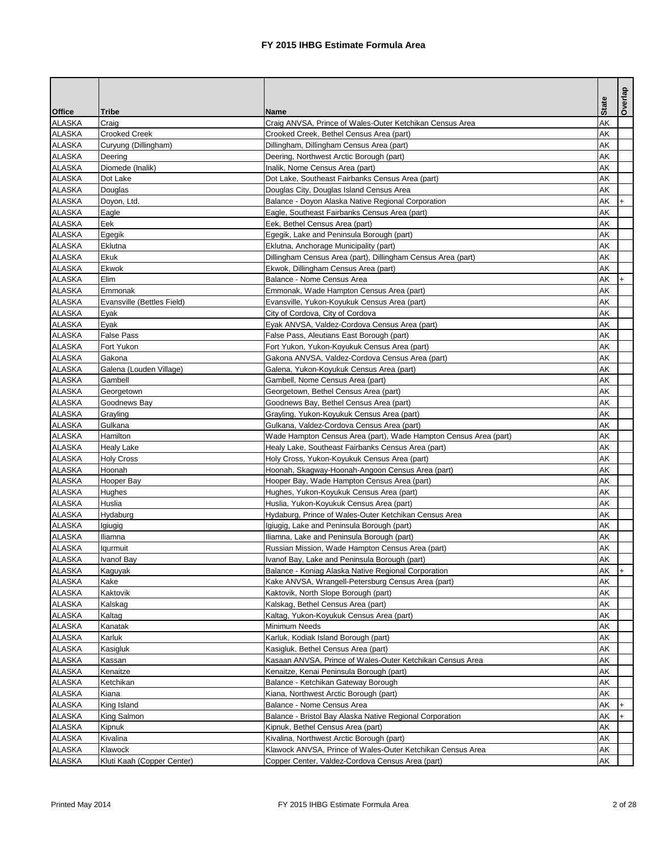|               |                            |                                                                  |              | Overlap |
|---------------|----------------------------|------------------------------------------------------------------|--------------|---------|
| <b>Office</b> | <b>Tribe</b>               | <b>Name</b>                                                      | <b>State</b> |         |
| <b>ALASKA</b> | Craig                      | Craig ANVSA, Prince of Wales-Outer Ketchikan Census Area         | AK           |         |
| <b>ALASKA</b> | <b>Crooked Creek</b>       | Crooked Creek, Bethel Census Area (part)                         | AK           |         |
| <b>ALASKA</b> | Curyung (Dillingham)       | Dillingham, Dillingham Census Area (part)                        | AK           |         |
| <b>ALASKA</b> | Deering                    | Deering, Northwest Arctic Borough (part)                         | AK           |         |
| <b>ALASKA</b> | Diomede (Inalik)           | Inalik, Nome Census Area (part)                                  | AK           |         |
| <b>ALASKA</b> | Dot Lake                   | Dot Lake, Southeast Fairbanks Census Area (part)                 | AK           |         |
| <b>ALASKA</b> | Douglas                    | Douglas City, Douglas Island Census Area                         | AK           |         |
| <b>ALASKA</b> | Doyon, Ltd.                | Balance - Doyon Alaska Native Regional Corporation               | AK           |         |
| <b>ALASKA</b> | Eagle                      | Eagle, Southeast Fairbanks Census Area (part)                    | AK           |         |
| <b>ALASKA</b> | Eek                        | Eek, Bethel Census Area (part)                                   | AK           |         |
| <b>ALASKA</b> | Egegik                     | Egegik, Lake and Peninsula Borough (part)                        | AK           |         |
| <b>ALASKA</b> | Eklutna                    | Eklutna, Anchorage Municipality (part)                           | AK           |         |
| <b>ALASKA</b> | <b>Ekuk</b>                | Dillingham Census Area (part), Dillingham Census Area (part)     | AK           |         |
| <b>ALASKA</b> | Ekwok                      | Ekwok, Dillingham Census Area (part)                             | AK           |         |
| <b>ALASKA</b> | <b>Elim</b>                | Balance - Nome Census Area                                       | AK           |         |
| <b>ALASKA</b> | Emmonak                    | Emmonak, Wade Hampton Census Area (part)                         | AK           |         |
| <b>ALASKA</b> | Evansville (Bettles Field) | Evansville, Yukon-Koyukuk Census Area (part)                     | AK           |         |
| <b>ALASKA</b> | Eyak                       | City of Cordova, City of Cordova                                 | AK           |         |
| <b>ALASKA</b> | Eyak                       | Eyak ANVSA, Valdez-Cordova Census Area (part)                    | AK           |         |
| <b>ALASKA</b> | <b>False Pass</b>          | False Pass, Aleutians East Borough (part)                        | AK           |         |
| <b>ALASKA</b> | Fort Yukon                 | Fort Yukon, Yukon-Koyukuk Census Area (part)                     | AK           |         |
| <b>ALASKA</b> | Gakona                     | Gakona ANVSA, Valdez-Cordova Census Area (part)                  | AK           |         |
| <b>ALASKA</b> | Galena (Louden Village)    | Galena, Yukon-Koyukuk Census Area (part)                         | AK           |         |
| <b>ALASKA</b> | Gambell                    | Gambell, Nome Census Area (part)                                 | AK           |         |
| <b>ALASKA</b> | Georgetown                 | Georgetown, Bethel Census Area (part)                            | AK           |         |
| <b>ALASKA</b> | Goodnews Bay               | Goodnews Bay, Bethel Census Area (part)                          | AK           |         |
| <b>ALASKA</b> | Grayling                   | Grayling, Yukon-Koyukuk Census Area (part)                       | AK           |         |
| ALASKA        | Gulkana                    | Gulkana, Valdez-Cordova Census Area (part)                       | AK           |         |
| <b>ALASKA</b> | Hamilton                   | Wade Hampton Census Area (part), Wade Hampton Census Area (part) | AK           |         |
| <b>ALASKA</b> | <b>Healy Lake</b>          | Healy Lake, Southeast Fairbanks Census Area (part)               | AK           |         |
| <b>ALASKA</b> | <b>Holy Cross</b>          | Holy Cross, Yukon-Koyukuk Census Area (part)                     | AK           |         |
| <b>ALASKA</b> | Hoonah                     | Hoonah, Skagway-Hoonah-Angoon Census Area (part)                 | AK           |         |
| <b>ALASKA</b> | Hooper Bay                 | Hooper Bay, Wade Hampton Census Area (part)                      | AK           |         |
| <b>ALASKA</b> | Hughes                     | Hughes, Yukon-Koyukuk Census Area (part)                         | AK           |         |
| <b>ALASKA</b> | Huslia                     | Huslia, Yukon-Koyukuk Census Area (part)                         | AK           |         |
| <b>ALASKA</b> | Hydaburg                   | Hydaburg, Prince of Wales-Outer Ketchikan Census Area            | AK           |         |
| <b>ALASKA</b> | Igiugig                    | Igiugig, Lake and Peninsula Borough (part)                       | AK           |         |
| <b>ALASKA</b> | Iliamna                    | Iliamna, Lake and Peninsula Borough (part)                       | AK           |         |
| <b>ALASKA</b> | lqurmuit                   | Russian Mission, Wade Hampton Census Area (part)                 | AK           |         |
| <b>ALASKA</b> | Ivanof Bay                 | Ivanof Bay, Lake and Peninsula Borough (part)                    | AK           |         |
| <b>ALASKA</b> | Kaguyak                    | Balance - Koniag Alaska Native Regional Corporation              | AK           |         |
| <b>ALASKA</b> | Kake                       | Kake ANVSA, Wrangell-Petersburg Census Area (part)               | AK           |         |
| <b>ALASKA</b> | Kaktovik                   | Kaktovik, North Slope Borough (part)                             | AK           |         |
| <b>ALASKA</b> | Kalskag                    | Kalskag, Bethel Census Area (part)                               | AK           |         |
| <b>ALASKA</b> | Kaltag                     | Kaltag, Yukon-Koyukuk Census Area (part)                         | AK           |         |
| <b>ALASKA</b> | Kanatak                    | Minimum Needs                                                    | AK           |         |
| <b>ALASKA</b> | Karluk                     | Karluk, Kodiak Island Borough (part)                             | AK           |         |
| <b>ALASKA</b> | Kasigluk                   | Kasigluk, Bethel Census Area (part)                              | AK           |         |
| <b>ALASKA</b> | Kassan                     | Kasaan ANVSA, Prince of Wales-Outer Ketchikan Census Area        | AK           |         |
| <b>ALASKA</b> | Kenaitze                   | Kenaitze, Kenai Peninsula Borough (part)                         | AK           |         |
| <b>ALASKA</b> | Ketchikan                  | Balance - Ketchikan Gateway Borough                              | AK           |         |
| <b>ALASKA</b> | Kiana                      | Kiana, Northwest Arctic Borough (part)                           | AK           |         |
| <b>ALASKA</b> | King Island                | Balance - Nome Census Area                                       | AK           |         |
| <b>ALASKA</b> | King Salmon                | Balance - Bristol Bay Alaska Native Regional Corporation         | AK           |         |
| <b>ALASKA</b> | Kipnuk                     | Kipnuk, Bethel Census Area (part)                                | AK           |         |
| <b>ALASKA</b> | Kivalina                   | Kivalina, Northwest Arctic Borough (part)                        | AK           |         |
| <b>ALASKA</b> | Klawock                    | Klawock ANVSA, Prince of Wales-Outer Ketchikan Census Area       | AK           |         |
| <b>ALASKA</b> | Kluti Kaah (Copper Center) | Copper Center, Valdez-Cordova Census Area (part)                 | AK           |         |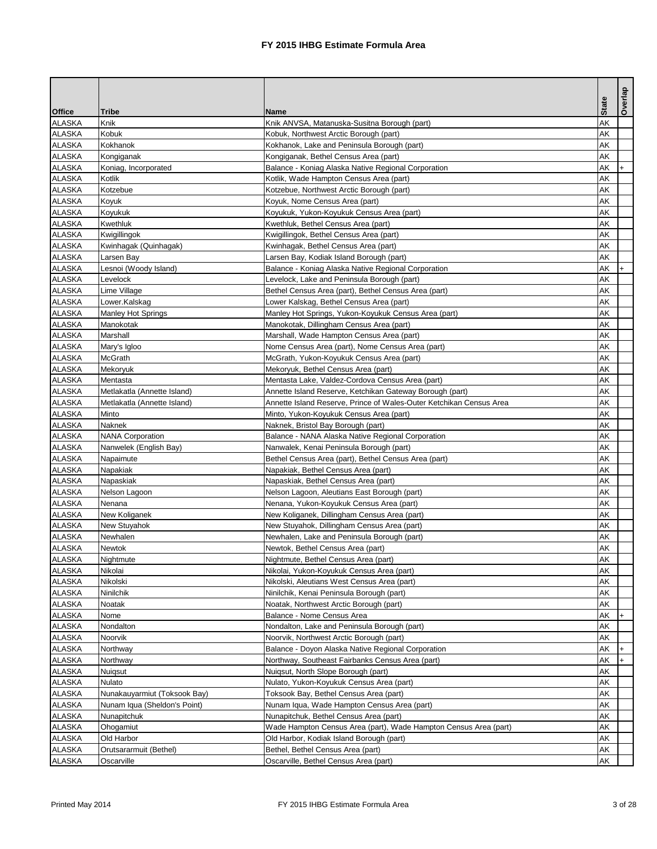|               |                              |                                                                     |              | Overlap |
|---------------|------------------------------|---------------------------------------------------------------------|--------------|---------|
| <b>Office</b> | <b>Tribe</b>                 | <b>Name</b>                                                         | <b>State</b> |         |
| <b>ALASKA</b> | Knik                         | Knik ANVSA, Matanuska-Susitna Borough (part)                        | AK           |         |
| <b>ALASKA</b> | Kobuk                        | Kobuk, Northwest Arctic Borough (part)                              | AK           |         |
| <b>ALASKA</b> | Kokhanok                     | Kokhanok, Lake and Peninsula Borough (part)                         | AK           |         |
| <b>ALASKA</b> | Kongiganak                   | Kongiganak, Bethel Census Area (part)                               | AK           |         |
| <b>ALASKA</b> | Koniag, Incorporated         | Balance - Koniag Alaska Native Regional Corporation                 | AK           | $+$     |
| <b>ALASKA</b> | Kotlik                       | Kotlik, Wade Hampton Census Area (part)                             | AK           |         |
| <b>ALASKA</b> | Kotzebue                     | Kotzebue, Northwest Arctic Borough (part)                           | AK           |         |
| <b>ALASKA</b> | Koyuk                        | Koyuk, Nome Census Area (part)                                      | AK           |         |
| <b>ALASKA</b> | Koyukuk                      | Koyukuk, Yukon-Koyukuk Census Area (part)                           | AK           |         |
| <b>ALASKA</b> | <b>Kwethluk</b>              | Kwethluk, Bethel Census Area (part)                                 | AK           |         |
| <b>ALASKA</b> | Kwigillingok                 | Kwigillingok, Bethel Census Area (part)                             | AK           |         |
| <b>ALASKA</b> | Kwinhagak (Quinhagak)        | Kwinhagak, Bethel Census Area (part)                                | AK           |         |
| <b>ALASKA</b> | Larsen Bay                   | Larsen Bay, Kodiak Island Borough (part)                            | AK           |         |
| <b>ALASKA</b> | Lesnoi (Woody Island)        | Balance - Koniag Alaska Native Regional Corporation                 | AK           |         |
| <b>ALASKA</b> | Levelock                     | Levelock, Lake and Peninsula Borough (part)                         | AK           |         |
| <b>ALASKA</b> | Lime Village                 | Bethel Census Area (part), Bethel Census Area (part)                | AK           |         |
| <b>ALASKA</b> | Lower.Kalskag                | Lower Kalskag, Bethel Census Area (part)                            | AK           |         |
| <b>ALASKA</b> | <b>Manley Hot Springs</b>    | Manley Hot Springs, Yukon-Koyukuk Census Area (part)                | AK           |         |
| <b>ALASKA</b> | Manokotak                    | Manokotak, Dillingham Census Area (part)                            | AK           |         |
| <b>ALASKA</b> | Marshall                     | Marshall, Wade Hampton Census Area (part)                           | AK           |         |
| <b>ALASKA</b> | Mary's Igloo                 | Nome Census Area (part), Nome Census Area (part)                    | AK           |         |
| <b>ALASKA</b> | <b>McGrath</b>               | McGrath, Yukon-Koyukuk Census Area (part)                           | AK           |         |
| <b>ALASKA</b> | Mekoryuk                     | Mekoryuk, Bethel Census Area (part)                                 | AK           |         |
| <b>ALASKA</b> | Mentasta                     | Mentasta Lake, Valdez-Cordova Census Area (part)                    | AK           |         |
| <b>ALASKA</b> | Metlakatla (Annette Island)  | Annette Island Reserve, Ketchikan Gateway Borough (part)            | AK           |         |
| <b>ALASKA</b> | Metlakatla (Annette Island)  | Annette Island Reserve, Prince of Wales-Outer Ketchikan Census Area | AK           |         |
| <b>ALASKA</b> | Minto                        | Minto, Yukon-Koyukuk Census Area (part)                             | AK           |         |
| ALASKA        | Naknek                       | Naknek, Bristol Bay Borough (part)                                  | AK           |         |
| <b>ALASKA</b> | <b>NANA Corporation</b>      | Balance - NANA Alaska Native Regional Corporation                   | AK           |         |
| <b>ALASKA</b> | Nanwelek (English Bay)       | Nanwalek, Kenai Peninsula Borough (part)                            | AK           |         |
| <b>ALASKA</b> | Napaimute                    | Bethel Census Area (part), Bethel Census Area (part)                | AK           |         |
| <b>ALASKA</b> | Napakiak                     | Napakiak, Bethel Census Area (part)                                 | AK           |         |
| <b>ALASKA</b> | Napaskiak                    | Napaskiak, Bethel Census Area (part)                                | AK           |         |
| <b>ALASKA</b> | Nelson Lagoon                | Nelson Lagoon, Aleutians East Borough (part)                        | AK           |         |
| <b>ALASKA</b> | Nenana                       | Nenana, Yukon-Koyukuk Census Area (part)                            | AK           |         |
| <b>ALASKA</b> | New Koliganek                | New Koliganek, Dillingham Census Area (part)                        | AK           |         |
| <b>ALASKA</b> | New Stuyahok                 | New Stuyahok, Dillingham Census Area (part)                         | AK           |         |
| <b>ALASKA</b> | Newhalen                     | Newhalen, Lake and Peninsula Borough (part)                         | AK           |         |
| <b>ALASKA</b> | Newtok                       | Newtok, Bethel Census Area (part)                                   | AK           |         |
| <b>ALASKA</b> | Nightmute                    | Nightmute, Bethel Census Area (part)                                | AK           |         |
| <b>ALASKA</b> | Nikolai                      | Nikolai, Yukon-Koyukuk Census Area (part)                           | AK           |         |
| <b>ALASKA</b> | Nikolski                     | Nikolski, Aleutians West Census Area (part)                         | AK           |         |
| <b>ALASKA</b> | <b>Ninilchik</b>             | Ninilchik, Kenai Peninsula Borough (part)                           | AK           |         |
| <b>ALASKA</b> | Noatak                       | Noatak, Northwest Arctic Borough (part)                             | AK           |         |
| <b>ALASKA</b> | Nome                         | Balance - Nome Census Area                                          | AK           |         |
| <b>ALASKA</b> | Nondalton                    | Nondalton, Lake and Peninsula Borough (part)                        | AK           |         |
| <b>ALASKA</b> | Noorvik                      | Noorvik, Northwest Arctic Borough (part)                            | AK           |         |
| <b>ALASKA</b> | Northway                     | Balance - Doyon Alaska Native Regional Corporation                  | AK           |         |
| <b>ALASKA</b> | Northway                     | Northway, Southeast Fairbanks Census Area (part)                    | AK           |         |
| <b>ALASKA</b> | Nuigsut                      | Nuiqsut, North Slope Borough (part)                                 | AK           |         |
| <b>ALASKA</b> | Nulato                       | Nulato, Yukon-Koyukuk Census Area (part)                            | AK           |         |
| <b>ALASKA</b> | Nunakauyarmiut (Toksook Bay) | Toksook Bay, Bethel Census Area (part)                              | AK           |         |
| <b>ALASKA</b> | Nunam Iqua (Sheldon's Point) | Nunam Iqua, Wade Hampton Census Area (part)                         | AK           |         |
| <b>ALASKA</b> | Nunapitchuk                  | Nunapitchuk, Bethel Census Area (part)                              | AK           |         |
| <b>ALASKA</b> | Ohogamiut                    | Wade Hampton Census Area (part), Wade Hampton Census Area (part)    | AK           |         |
| <b>ALASKA</b> | Old Harbor                   | Old Harbor, Kodiak Island Borough (part)                            | AK           |         |
| <b>ALASKA</b> | Orutsararmuit (Bethel)       | Bethel, Bethel Census Area (part)                                   | AK           |         |
| <b>ALASKA</b> | Oscarville                   | Oscarville, Bethel Census Area (part)                               | AK           |         |
|               |                              |                                                                     |              |         |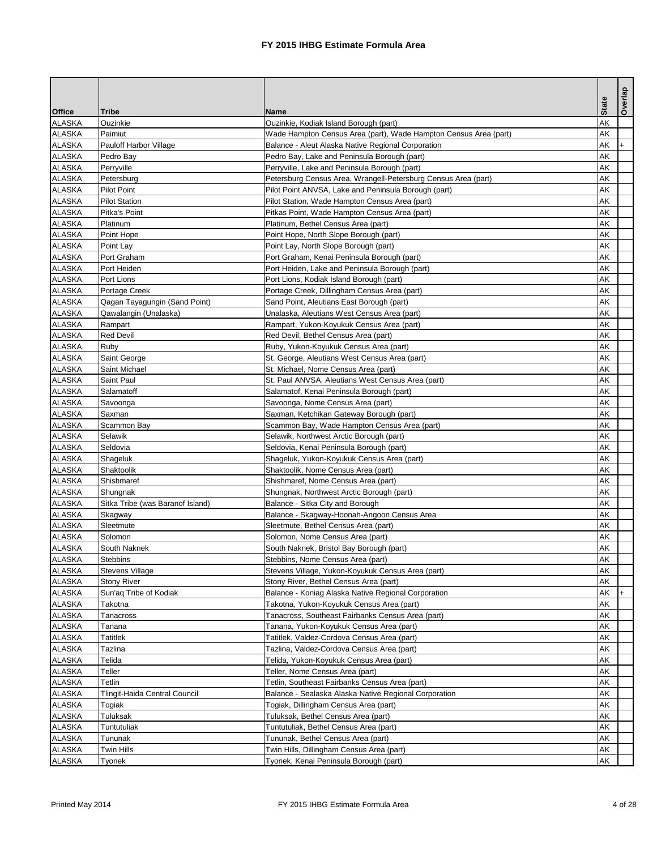| <b>State</b><br><b>Office</b><br>Tribe<br><b>Name</b><br>Ouzinkie<br>AK<br><b>ALASKA</b><br>Ouzinkie, Kodiak Island Borough (part)<br>AK<br><b>ALASKA</b><br>Paimiut<br>Wade Hampton Census Area (part), Wade Hampton Census Area (part)<br><b>ALASKA</b><br>AK<br>Pauloff Harbor Village<br>Balance - Aleut Alaska Native Regional Corporation<br>I+<br><b>ALASKA</b><br>AK<br>Pedro Bay<br>Pedro Bay, Lake and Peninsula Borough (part)<br><b>ALASKA</b><br>AK<br>Perryville<br>Perryville, Lake and Peninsula Borough (part)<br><b>ALASKA</b><br>Petersburg Census Area, Wrangell-Petersburg Census Area (part)<br>AK<br>Petersburg<br>AK<br><b>ALASKA</b><br>Pilot Point ANVSA, Lake and Peninsula Borough (part)<br><b>Pilot Point</b><br><b>ALASKA</b><br>AK<br><b>Pilot Station</b><br>Pilot Station, Wade Hampton Census Area (part)<br><b>ALASKA</b><br>AK<br>Pitka's Point<br>Pitkas Point, Wade Hampton Census Area (part)<br><b>ALASKA</b><br>Platinum<br>Platinum, Bethel Census Area (part)<br>AK<br><b>ALASKA</b><br>AK<br>Point Hope<br>Point Hope, North Slope Borough (part)<br><b>ALASKA</b><br>AK<br>Point Lay<br>Point Lay, North Slope Borough (part)<br><b>ALASKA</b><br>AK<br>Port Graham<br>Port Graham, Kenai Peninsula Borough (part)<br><b>ALASKA</b><br>AK<br>Port Heiden<br>Port Heiden, Lake and Peninsula Borough (part)<br><b>ALASKA</b><br>AK<br>Port Lions<br>Port Lions, Kodiak Island Borough (part)<br>AK<br><b>ALASKA</b><br>Portage Creek<br>Portage Creek, Dillingham Census Area (part)<br><b>ALASKA</b><br>AK<br>Qagan Tayagungin (Sand Point)<br>Sand Point, Aleutians East Borough (part)<br><b>ALASKA</b><br>Qawalangin (Unalaska)<br>AK<br>Unalaska, Aleutians West Census Area (part)<br><b>ALASKA</b><br>AK<br>Rampart<br>Rampart, Yukon-Koyukuk Census Area (part)<br><b>ALASKA</b><br>AK<br>Red Devil, Bethel Census Area (part)<br><b>Red Devil</b><br><b>ALASKA</b><br>AK<br>Ruby<br>Ruby, Yukon-Koyukuk Census Area (part)<br>AK<br><b>ALASKA</b><br>St. George, Aleutians West Census Area (part)<br>Saint George<br><b>ALASKA</b><br>AK<br>Saint Michael<br>St. Michael, Nome Census Area (part)<br><b>ALASKA</b><br>Saint Paul<br>St. Paul ANVSA, Aleutians West Census Area (part)<br>AK<br>AK<br><b>ALASKA</b><br>Salamatoff<br>Salamatof, Kenai Peninsula Borough (part)<br><b>ALASKA</b><br>AK<br>Savoonga, Nome Census Area (part)<br>Savoonga<br><b>ALASKA</b><br>Saxman, Ketchikan Gateway Borough (part)<br>AK<br>Saxman<br><b>ALASKA</b><br>Scammon Bay, Wade Hampton Census Area (part)<br>AK<br>Scammon Bay<br><b>ALASKA</b><br>AK<br>Selawik<br>Selawik, Northwest Arctic Borough (part)<br><b>ALASKA</b><br>Seldovia<br>AK<br>Seldovia, Kenai Peninsula Borough (part)<br>AK<br><b>ALASKA</b><br>Shageluk<br>Shageluk, Yukon-Koyukuk Census Area (part)<br><b>ALASKA</b><br>AK<br>Shaktoolik<br>Shaktoolik, Nome Census Area (part)<br><b>ALASKA</b><br>Shishmaref<br>Shishmaref, Nome Census Area (part)<br>AK<br>AK<br><b>ALASKA</b><br>Shungnak, Northwest Arctic Borough (part)<br>Shungnak<br><b>ALASKA</b><br>AK<br>Sitka Tribe (was Baranof Island)<br>Balance - Sitka City and Borough<br><b>ALASKA</b><br>Balance - Skagway-Hoonah-Angoon Census Area<br>AK<br>Skagway<br>AK<br><b>ALASKA</b><br>Sleetmute<br>Sleetmute, Bethel Census Area (part)<br>AK<br><b>ALASKA</b><br>Solomon<br>Solomon, Nome Census Area (part)<br><b>ALASKA</b><br>South Naknek<br>South Naknek, Bristol Bay Borough (part)<br>AK<br>AK<br><b>ALASKA</b><br><b>Stebbins</b><br>Stebbins, Nome Census Area (part)<br><b>ALASKA</b><br>Stevens Village<br>AK<br>Stevens Village, Yukon-Koyukuk Census Area (part)<br><b>ALASKA</b><br>AK<br><b>Stony River</b><br>Stony River, Bethel Census Area (part)<br><b>ALASKA</b><br>AK<br>Sun'aq Tribe of Kodiak<br>Balance - Koniag Alaska Native Regional Corporation<br>$+$<br><b>ALASKA</b><br>AK<br>Takotna, Yukon-Koyukuk Census Area (part)<br>Takotna<br><b>ALASKA</b><br>Tanacross, Southeast Fairbanks Census Area (part)<br>AK<br>Tanacross<br>AK<br><b>ALASKA</b><br>Tanana, Yukon-Koyukuk Census Area (part)<br>Tanana<br>AK<br><b>ALASKA</b><br><b>Tatitlek</b><br>Tatitlek, Valdez-Cordova Census Area (part)<br><b>ALASKA</b><br>Tazlina, Valdez-Cordova Census Area (part)<br>AK<br>Tazlina<br>AK<br><b>ALASKA</b><br>Telida<br>Telida, Yukon-Koyukuk Census Area (part)<br>AK<br><b>ALASKA</b><br><b>Teller, Nome Census Area (part)</b><br>Teller<br><b>ALASKA</b><br>AK<br>Tetlin<br>Tetlin, Southeast Fairbanks Census Area (part)<br>AK<br><b>ALASKA</b><br>Balance - Sealaska Alaska Native Regional Corporation<br>Tlingit-Haida Central Council<br><b>ALASKA</b><br>AK<br>Togiak<br>Togiak, Dillingham Census Area (part)<br><b>ALASKA</b><br>Tuluksak<br>AK<br>Tuluksak, Bethel Census Area (part)<br><b>ALASKA</b><br>Tuntutuliak, Bethel Census Area (part)<br>AK<br><b>Tuntutuliak</b><br><b>ALASKA</b><br>Tununak, Bethel Census Area (part)<br>AK<br>Tununak<br><b>ALASKA</b><br>Twin Hills<br>AK<br>Twin Hills, Dillingham Census Area (part)<br>AK<br><b>ALASKA</b><br>Tyonek, Kenai Peninsula Borough (part)<br>Tyonek |  |  | Overlap |
|----------------------------------------------------------------------------------------------------------------------------------------------------------------------------------------------------------------------------------------------------------------------------------------------------------------------------------------------------------------------------------------------------------------------------------------------------------------------------------------------------------------------------------------------------------------------------------------------------------------------------------------------------------------------------------------------------------------------------------------------------------------------------------------------------------------------------------------------------------------------------------------------------------------------------------------------------------------------------------------------------------------------------------------------------------------------------------------------------------------------------------------------------------------------------------------------------------------------------------------------------------------------------------------------------------------------------------------------------------------------------------------------------------------------------------------------------------------------------------------------------------------------------------------------------------------------------------------------------------------------------------------------------------------------------------------------------------------------------------------------------------------------------------------------------------------------------------------------------------------------------------------------------------------------------------------------------------------------------------------------------------------------------------------------------------------------------------------------------------------------------------------------------------------------------------------------------------------------------------------------------------------------------------------------------------------------------------------------------------------------------------------------------------------------------------------------------------------------------------------------------------------------------------------------------------------------------------------------------------------------------------------------------------------------------------------------------------------------------------------------------------------------------------------------------------------------------------------------------------------------------------------------------------------------------------------------------------------------------------------------------------------------------------------------------------------------------------------------------------------------------------------------------------------------------------------------------------------------------------------------------------------------------------------------------------------------------------------------------------------------------------------------------------------------------------------------------------------------------------------------------------------------------------------------------------------------------------------------------------------------------------------------------------------------------------------------------------------------------------------------------------------------------------------------------------------------------------------------------------------------------------------------------------------------------------------------------------------------------------------------------------------------------------------------------------------------------------------------------------------------------------------------------------------------------------------------------------------------------------------------------------------------------------------------------------------------------------------------------------------------------------------------------------------------------------------------------------------------------------------------------------------------------------------------------------------------------------------------------------------------------------------------------------------------------------------------------------------------------------------------------------------------------------------------------------------------------------------------------------------------------------------------------------------------------------------------------------------------------------------------------------------------------------------------------------------------------------------------------------------------------------------------------------|--|--|---------|
|                                                                                                                                                                                                                                                                                                                                                                                                                                                                                                                                                                                                                                                                                                                                                                                                                                                                                                                                                                                                                                                                                                                                                                                                                                                                                                                                                                                                                                                                                                                                                                                                                                                                                                                                                                                                                                                                                                                                                                                                                                                                                                                                                                                                                                                                                                                                                                                                                                                                                                                                                                                                                                                                                                                                                                                                                                                                                                                                                                                                                                                                                                                                                                                                                                                                                                                                                                                                                                                                                                                                                                                                                                                                                                                                                                                                                                                                                                                                                                                                                                                                                                                                                                                                                                                                                                                                                                                                                                                                                                                                                                                                                                                                                                                                                                                                                                                                                                                                                                                                                                                                                                                                                          |  |  |         |
|                                                                                                                                                                                                                                                                                                                                                                                                                                                                                                                                                                                                                                                                                                                                                                                                                                                                                                                                                                                                                                                                                                                                                                                                                                                                                                                                                                                                                                                                                                                                                                                                                                                                                                                                                                                                                                                                                                                                                                                                                                                                                                                                                                                                                                                                                                                                                                                                                                                                                                                                                                                                                                                                                                                                                                                                                                                                                                                                                                                                                                                                                                                                                                                                                                                                                                                                                                                                                                                                                                                                                                                                                                                                                                                                                                                                                                                                                                                                                                                                                                                                                                                                                                                                                                                                                                                                                                                                                                                                                                                                                                                                                                                                                                                                                                                                                                                                                                                                                                                                                                                                                                                                                          |  |  |         |
|                                                                                                                                                                                                                                                                                                                                                                                                                                                                                                                                                                                                                                                                                                                                                                                                                                                                                                                                                                                                                                                                                                                                                                                                                                                                                                                                                                                                                                                                                                                                                                                                                                                                                                                                                                                                                                                                                                                                                                                                                                                                                                                                                                                                                                                                                                                                                                                                                                                                                                                                                                                                                                                                                                                                                                                                                                                                                                                                                                                                                                                                                                                                                                                                                                                                                                                                                                                                                                                                                                                                                                                                                                                                                                                                                                                                                                                                                                                                                                                                                                                                                                                                                                                                                                                                                                                                                                                                                                                                                                                                                                                                                                                                                                                                                                                                                                                                                                                                                                                                                                                                                                                                                          |  |  |         |
|                                                                                                                                                                                                                                                                                                                                                                                                                                                                                                                                                                                                                                                                                                                                                                                                                                                                                                                                                                                                                                                                                                                                                                                                                                                                                                                                                                                                                                                                                                                                                                                                                                                                                                                                                                                                                                                                                                                                                                                                                                                                                                                                                                                                                                                                                                                                                                                                                                                                                                                                                                                                                                                                                                                                                                                                                                                                                                                                                                                                                                                                                                                                                                                                                                                                                                                                                                                                                                                                                                                                                                                                                                                                                                                                                                                                                                                                                                                                                                                                                                                                                                                                                                                                                                                                                                                                                                                                                                                                                                                                                                                                                                                                                                                                                                                                                                                                                                                                                                                                                                                                                                                                                          |  |  |         |
|                                                                                                                                                                                                                                                                                                                                                                                                                                                                                                                                                                                                                                                                                                                                                                                                                                                                                                                                                                                                                                                                                                                                                                                                                                                                                                                                                                                                                                                                                                                                                                                                                                                                                                                                                                                                                                                                                                                                                                                                                                                                                                                                                                                                                                                                                                                                                                                                                                                                                                                                                                                                                                                                                                                                                                                                                                                                                                                                                                                                                                                                                                                                                                                                                                                                                                                                                                                                                                                                                                                                                                                                                                                                                                                                                                                                                                                                                                                                                                                                                                                                                                                                                                                                                                                                                                                                                                                                                                                                                                                                                                                                                                                                                                                                                                                                                                                                                                                                                                                                                                                                                                                                                          |  |  |         |
|                                                                                                                                                                                                                                                                                                                                                                                                                                                                                                                                                                                                                                                                                                                                                                                                                                                                                                                                                                                                                                                                                                                                                                                                                                                                                                                                                                                                                                                                                                                                                                                                                                                                                                                                                                                                                                                                                                                                                                                                                                                                                                                                                                                                                                                                                                                                                                                                                                                                                                                                                                                                                                                                                                                                                                                                                                                                                                                                                                                                                                                                                                                                                                                                                                                                                                                                                                                                                                                                                                                                                                                                                                                                                                                                                                                                                                                                                                                                                                                                                                                                                                                                                                                                                                                                                                                                                                                                                                                                                                                                                                                                                                                                                                                                                                                                                                                                                                                                                                                                                                                                                                                                                          |  |  |         |
|                                                                                                                                                                                                                                                                                                                                                                                                                                                                                                                                                                                                                                                                                                                                                                                                                                                                                                                                                                                                                                                                                                                                                                                                                                                                                                                                                                                                                                                                                                                                                                                                                                                                                                                                                                                                                                                                                                                                                                                                                                                                                                                                                                                                                                                                                                                                                                                                                                                                                                                                                                                                                                                                                                                                                                                                                                                                                                                                                                                                                                                                                                                                                                                                                                                                                                                                                                                                                                                                                                                                                                                                                                                                                                                                                                                                                                                                                                                                                                                                                                                                                                                                                                                                                                                                                                                                                                                                                                                                                                                                                                                                                                                                                                                                                                                                                                                                                                                                                                                                                                                                                                                                                          |  |  |         |
|                                                                                                                                                                                                                                                                                                                                                                                                                                                                                                                                                                                                                                                                                                                                                                                                                                                                                                                                                                                                                                                                                                                                                                                                                                                                                                                                                                                                                                                                                                                                                                                                                                                                                                                                                                                                                                                                                                                                                                                                                                                                                                                                                                                                                                                                                                                                                                                                                                                                                                                                                                                                                                                                                                                                                                                                                                                                                                                                                                                                                                                                                                                                                                                                                                                                                                                                                                                                                                                                                                                                                                                                                                                                                                                                                                                                                                                                                                                                                                                                                                                                                                                                                                                                                                                                                                                                                                                                                                                                                                                                                                                                                                                                                                                                                                                                                                                                                                                                                                                                                                                                                                                                                          |  |  |         |
|                                                                                                                                                                                                                                                                                                                                                                                                                                                                                                                                                                                                                                                                                                                                                                                                                                                                                                                                                                                                                                                                                                                                                                                                                                                                                                                                                                                                                                                                                                                                                                                                                                                                                                                                                                                                                                                                                                                                                                                                                                                                                                                                                                                                                                                                                                                                                                                                                                                                                                                                                                                                                                                                                                                                                                                                                                                                                                                                                                                                                                                                                                                                                                                                                                                                                                                                                                                                                                                                                                                                                                                                                                                                                                                                                                                                                                                                                                                                                                                                                                                                                                                                                                                                                                                                                                                                                                                                                                                                                                                                                                                                                                                                                                                                                                                                                                                                                                                                                                                                                                                                                                                                                          |  |  |         |
|                                                                                                                                                                                                                                                                                                                                                                                                                                                                                                                                                                                                                                                                                                                                                                                                                                                                                                                                                                                                                                                                                                                                                                                                                                                                                                                                                                                                                                                                                                                                                                                                                                                                                                                                                                                                                                                                                                                                                                                                                                                                                                                                                                                                                                                                                                                                                                                                                                                                                                                                                                                                                                                                                                                                                                                                                                                                                                                                                                                                                                                                                                                                                                                                                                                                                                                                                                                                                                                                                                                                                                                                                                                                                                                                                                                                                                                                                                                                                                                                                                                                                                                                                                                                                                                                                                                                                                                                                                                                                                                                                                                                                                                                                                                                                                                                                                                                                                                                                                                                                                                                                                                                                          |  |  |         |
|                                                                                                                                                                                                                                                                                                                                                                                                                                                                                                                                                                                                                                                                                                                                                                                                                                                                                                                                                                                                                                                                                                                                                                                                                                                                                                                                                                                                                                                                                                                                                                                                                                                                                                                                                                                                                                                                                                                                                                                                                                                                                                                                                                                                                                                                                                                                                                                                                                                                                                                                                                                                                                                                                                                                                                                                                                                                                                                                                                                                                                                                                                                                                                                                                                                                                                                                                                                                                                                                                                                                                                                                                                                                                                                                                                                                                                                                                                                                                                                                                                                                                                                                                                                                                                                                                                                                                                                                                                                                                                                                                                                                                                                                                                                                                                                                                                                                                                                                                                                                                                                                                                                                                          |  |  |         |
|                                                                                                                                                                                                                                                                                                                                                                                                                                                                                                                                                                                                                                                                                                                                                                                                                                                                                                                                                                                                                                                                                                                                                                                                                                                                                                                                                                                                                                                                                                                                                                                                                                                                                                                                                                                                                                                                                                                                                                                                                                                                                                                                                                                                                                                                                                                                                                                                                                                                                                                                                                                                                                                                                                                                                                                                                                                                                                                                                                                                                                                                                                                                                                                                                                                                                                                                                                                                                                                                                                                                                                                                                                                                                                                                                                                                                                                                                                                                                                                                                                                                                                                                                                                                                                                                                                                                                                                                                                                                                                                                                                                                                                                                                                                                                                                                                                                                                                                                                                                                                                                                                                                                                          |  |  |         |
|                                                                                                                                                                                                                                                                                                                                                                                                                                                                                                                                                                                                                                                                                                                                                                                                                                                                                                                                                                                                                                                                                                                                                                                                                                                                                                                                                                                                                                                                                                                                                                                                                                                                                                                                                                                                                                                                                                                                                                                                                                                                                                                                                                                                                                                                                                                                                                                                                                                                                                                                                                                                                                                                                                                                                                                                                                                                                                                                                                                                                                                                                                                                                                                                                                                                                                                                                                                                                                                                                                                                                                                                                                                                                                                                                                                                                                                                                                                                                                                                                                                                                                                                                                                                                                                                                                                                                                                                                                                                                                                                                                                                                                                                                                                                                                                                                                                                                                                                                                                                                                                                                                                                                          |  |  |         |
|                                                                                                                                                                                                                                                                                                                                                                                                                                                                                                                                                                                                                                                                                                                                                                                                                                                                                                                                                                                                                                                                                                                                                                                                                                                                                                                                                                                                                                                                                                                                                                                                                                                                                                                                                                                                                                                                                                                                                                                                                                                                                                                                                                                                                                                                                                                                                                                                                                                                                                                                                                                                                                                                                                                                                                                                                                                                                                                                                                                                                                                                                                                                                                                                                                                                                                                                                                                                                                                                                                                                                                                                                                                                                                                                                                                                                                                                                                                                                                                                                                                                                                                                                                                                                                                                                                                                                                                                                                                                                                                                                                                                                                                                                                                                                                                                                                                                                                                                                                                                                                                                                                                                                          |  |  |         |
|                                                                                                                                                                                                                                                                                                                                                                                                                                                                                                                                                                                                                                                                                                                                                                                                                                                                                                                                                                                                                                                                                                                                                                                                                                                                                                                                                                                                                                                                                                                                                                                                                                                                                                                                                                                                                                                                                                                                                                                                                                                                                                                                                                                                                                                                                                                                                                                                                                                                                                                                                                                                                                                                                                                                                                                                                                                                                                                                                                                                                                                                                                                                                                                                                                                                                                                                                                                                                                                                                                                                                                                                                                                                                                                                                                                                                                                                                                                                                                                                                                                                                                                                                                                                                                                                                                                                                                                                                                                                                                                                                                                                                                                                                                                                                                                                                                                                                                                                                                                                                                                                                                                                                          |  |  |         |
|                                                                                                                                                                                                                                                                                                                                                                                                                                                                                                                                                                                                                                                                                                                                                                                                                                                                                                                                                                                                                                                                                                                                                                                                                                                                                                                                                                                                                                                                                                                                                                                                                                                                                                                                                                                                                                                                                                                                                                                                                                                                                                                                                                                                                                                                                                                                                                                                                                                                                                                                                                                                                                                                                                                                                                                                                                                                                                                                                                                                                                                                                                                                                                                                                                                                                                                                                                                                                                                                                                                                                                                                                                                                                                                                                                                                                                                                                                                                                                                                                                                                                                                                                                                                                                                                                                                                                                                                                                                                                                                                                                                                                                                                                                                                                                                                                                                                                                                                                                                                                                                                                                                                                          |  |  |         |
|                                                                                                                                                                                                                                                                                                                                                                                                                                                                                                                                                                                                                                                                                                                                                                                                                                                                                                                                                                                                                                                                                                                                                                                                                                                                                                                                                                                                                                                                                                                                                                                                                                                                                                                                                                                                                                                                                                                                                                                                                                                                                                                                                                                                                                                                                                                                                                                                                                                                                                                                                                                                                                                                                                                                                                                                                                                                                                                                                                                                                                                                                                                                                                                                                                                                                                                                                                                                                                                                                                                                                                                                                                                                                                                                                                                                                                                                                                                                                                                                                                                                                                                                                                                                                                                                                                                                                                                                                                                                                                                                                                                                                                                                                                                                                                                                                                                                                                                                                                                                                                                                                                                                                          |  |  |         |
|                                                                                                                                                                                                                                                                                                                                                                                                                                                                                                                                                                                                                                                                                                                                                                                                                                                                                                                                                                                                                                                                                                                                                                                                                                                                                                                                                                                                                                                                                                                                                                                                                                                                                                                                                                                                                                                                                                                                                                                                                                                                                                                                                                                                                                                                                                                                                                                                                                                                                                                                                                                                                                                                                                                                                                                                                                                                                                                                                                                                                                                                                                                                                                                                                                                                                                                                                                                                                                                                                                                                                                                                                                                                                                                                                                                                                                                                                                                                                                                                                                                                                                                                                                                                                                                                                                                                                                                                                                                                                                                                                                                                                                                                                                                                                                                                                                                                                                                                                                                                                                                                                                                                                          |  |  |         |
|                                                                                                                                                                                                                                                                                                                                                                                                                                                                                                                                                                                                                                                                                                                                                                                                                                                                                                                                                                                                                                                                                                                                                                                                                                                                                                                                                                                                                                                                                                                                                                                                                                                                                                                                                                                                                                                                                                                                                                                                                                                                                                                                                                                                                                                                                                                                                                                                                                                                                                                                                                                                                                                                                                                                                                                                                                                                                                                                                                                                                                                                                                                                                                                                                                                                                                                                                                                                                                                                                                                                                                                                                                                                                                                                                                                                                                                                                                                                                                                                                                                                                                                                                                                                                                                                                                                                                                                                                                                                                                                                                                                                                                                                                                                                                                                                                                                                                                                                                                                                                                                                                                                                                          |  |  |         |
|                                                                                                                                                                                                                                                                                                                                                                                                                                                                                                                                                                                                                                                                                                                                                                                                                                                                                                                                                                                                                                                                                                                                                                                                                                                                                                                                                                                                                                                                                                                                                                                                                                                                                                                                                                                                                                                                                                                                                                                                                                                                                                                                                                                                                                                                                                                                                                                                                                                                                                                                                                                                                                                                                                                                                                                                                                                                                                                                                                                                                                                                                                                                                                                                                                                                                                                                                                                                                                                                                                                                                                                                                                                                                                                                                                                                                                                                                                                                                                                                                                                                                                                                                                                                                                                                                                                                                                                                                                                                                                                                                                                                                                                                                                                                                                                                                                                                                                                                                                                                                                                                                                                                                          |  |  |         |
|                                                                                                                                                                                                                                                                                                                                                                                                                                                                                                                                                                                                                                                                                                                                                                                                                                                                                                                                                                                                                                                                                                                                                                                                                                                                                                                                                                                                                                                                                                                                                                                                                                                                                                                                                                                                                                                                                                                                                                                                                                                                                                                                                                                                                                                                                                                                                                                                                                                                                                                                                                                                                                                                                                                                                                                                                                                                                                                                                                                                                                                                                                                                                                                                                                                                                                                                                                                                                                                                                                                                                                                                                                                                                                                                                                                                                                                                                                                                                                                                                                                                                                                                                                                                                                                                                                                                                                                                                                                                                                                                                                                                                                                                                                                                                                                                                                                                                                                                                                                                                                                                                                                                                          |  |  |         |
|                                                                                                                                                                                                                                                                                                                                                                                                                                                                                                                                                                                                                                                                                                                                                                                                                                                                                                                                                                                                                                                                                                                                                                                                                                                                                                                                                                                                                                                                                                                                                                                                                                                                                                                                                                                                                                                                                                                                                                                                                                                                                                                                                                                                                                                                                                                                                                                                                                                                                                                                                                                                                                                                                                                                                                                                                                                                                                                                                                                                                                                                                                                                                                                                                                                                                                                                                                                                                                                                                                                                                                                                                                                                                                                                                                                                                                                                                                                                                                                                                                                                                                                                                                                                                                                                                                                                                                                                                                                                                                                                                                                                                                                                                                                                                                                                                                                                                                                                                                                                                                                                                                                                                          |  |  |         |
|                                                                                                                                                                                                                                                                                                                                                                                                                                                                                                                                                                                                                                                                                                                                                                                                                                                                                                                                                                                                                                                                                                                                                                                                                                                                                                                                                                                                                                                                                                                                                                                                                                                                                                                                                                                                                                                                                                                                                                                                                                                                                                                                                                                                                                                                                                                                                                                                                                                                                                                                                                                                                                                                                                                                                                                                                                                                                                                                                                                                                                                                                                                                                                                                                                                                                                                                                                                                                                                                                                                                                                                                                                                                                                                                                                                                                                                                                                                                                                                                                                                                                                                                                                                                                                                                                                                                                                                                                                                                                                                                                                                                                                                                                                                                                                                                                                                                                                                                                                                                                                                                                                                                                          |  |  |         |
|                                                                                                                                                                                                                                                                                                                                                                                                                                                                                                                                                                                                                                                                                                                                                                                                                                                                                                                                                                                                                                                                                                                                                                                                                                                                                                                                                                                                                                                                                                                                                                                                                                                                                                                                                                                                                                                                                                                                                                                                                                                                                                                                                                                                                                                                                                                                                                                                                                                                                                                                                                                                                                                                                                                                                                                                                                                                                                                                                                                                                                                                                                                                                                                                                                                                                                                                                                                                                                                                                                                                                                                                                                                                                                                                                                                                                                                                                                                                                                                                                                                                                                                                                                                                                                                                                                                                                                                                                                                                                                                                                                                                                                                                                                                                                                                                                                                                                                                                                                                                                                                                                                                                                          |  |  |         |
|                                                                                                                                                                                                                                                                                                                                                                                                                                                                                                                                                                                                                                                                                                                                                                                                                                                                                                                                                                                                                                                                                                                                                                                                                                                                                                                                                                                                                                                                                                                                                                                                                                                                                                                                                                                                                                                                                                                                                                                                                                                                                                                                                                                                                                                                                                                                                                                                                                                                                                                                                                                                                                                                                                                                                                                                                                                                                                                                                                                                                                                                                                                                                                                                                                                                                                                                                                                                                                                                                                                                                                                                                                                                                                                                                                                                                                                                                                                                                                                                                                                                                                                                                                                                                                                                                                                                                                                                                                                                                                                                                                                                                                                                                                                                                                                                                                                                                                                                                                                                                                                                                                                                                          |  |  |         |
|                                                                                                                                                                                                                                                                                                                                                                                                                                                                                                                                                                                                                                                                                                                                                                                                                                                                                                                                                                                                                                                                                                                                                                                                                                                                                                                                                                                                                                                                                                                                                                                                                                                                                                                                                                                                                                                                                                                                                                                                                                                                                                                                                                                                                                                                                                                                                                                                                                                                                                                                                                                                                                                                                                                                                                                                                                                                                                                                                                                                                                                                                                                                                                                                                                                                                                                                                                                                                                                                                                                                                                                                                                                                                                                                                                                                                                                                                                                                                                                                                                                                                                                                                                                                                                                                                                                                                                                                                                                                                                                                                                                                                                                                                                                                                                                                                                                                                                                                                                                                                                                                                                                                                          |  |  |         |
|                                                                                                                                                                                                                                                                                                                                                                                                                                                                                                                                                                                                                                                                                                                                                                                                                                                                                                                                                                                                                                                                                                                                                                                                                                                                                                                                                                                                                                                                                                                                                                                                                                                                                                                                                                                                                                                                                                                                                                                                                                                                                                                                                                                                                                                                                                                                                                                                                                                                                                                                                                                                                                                                                                                                                                                                                                                                                                                                                                                                                                                                                                                                                                                                                                                                                                                                                                                                                                                                                                                                                                                                                                                                                                                                                                                                                                                                                                                                                                                                                                                                                                                                                                                                                                                                                                                                                                                                                                                                                                                                                                                                                                                                                                                                                                                                                                                                                                                                                                                                                                                                                                                                                          |  |  |         |
|                                                                                                                                                                                                                                                                                                                                                                                                                                                                                                                                                                                                                                                                                                                                                                                                                                                                                                                                                                                                                                                                                                                                                                                                                                                                                                                                                                                                                                                                                                                                                                                                                                                                                                                                                                                                                                                                                                                                                                                                                                                                                                                                                                                                                                                                                                                                                                                                                                                                                                                                                                                                                                                                                                                                                                                                                                                                                                                                                                                                                                                                                                                                                                                                                                                                                                                                                                                                                                                                                                                                                                                                                                                                                                                                                                                                                                                                                                                                                                                                                                                                                                                                                                                                                                                                                                                                                                                                                                                                                                                                                                                                                                                                                                                                                                                                                                                                                                                                                                                                                                                                                                                                                          |  |  |         |
|                                                                                                                                                                                                                                                                                                                                                                                                                                                                                                                                                                                                                                                                                                                                                                                                                                                                                                                                                                                                                                                                                                                                                                                                                                                                                                                                                                                                                                                                                                                                                                                                                                                                                                                                                                                                                                                                                                                                                                                                                                                                                                                                                                                                                                                                                                                                                                                                                                                                                                                                                                                                                                                                                                                                                                                                                                                                                                                                                                                                                                                                                                                                                                                                                                                                                                                                                                                                                                                                                                                                                                                                                                                                                                                                                                                                                                                                                                                                                                                                                                                                                                                                                                                                                                                                                                                                                                                                                                                                                                                                                                                                                                                                                                                                                                                                                                                                                                                                                                                                                                                                                                                                                          |  |  |         |
|                                                                                                                                                                                                                                                                                                                                                                                                                                                                                                                                                                                                                                                                                                                                                                                                                                                                                                                                                                                                                                                                                                                                                                                                                                                                                                                                                                                                                                                                                                                                                                                                                                                                                                                                                                                                                                                                                                                                                                                                                                                                                                                                                                                                                                                                                                                                                                                                                                                                                                                                                                                                                                                                                                                                                                                                                                                                                                                                                                                                                                                                                                                                                                                                                                                                                                                                                                                                                                                                                                                                                                                                                                                                                                                                                                                                                                                                                                                                                                                                                                                                                                                                                                                                                                                                                                                                                                                                                                                                                                                                                                                                                                                                                                                                                                                                                                                                                                                                                                                                                                                                                                                                                          |  |  |         |
|                                                                                                                                                                                                                                                                                                                                                                                                                                                                                                                                                                                                                                                                                                                                                                                                                                                                                                                                                                                                                                                                                                                                                                                                                                                                                                                                                                                                                                                                                                                                                                                                                                                                                                                                                                                                                                                                                                                                                                                                                                                                                                                                                                                                                                                                                                                                                                                                                                                                                                                                                                                                                                                                                                                                                                                                                                                                                                                                                                                                                                                                                                                                                                                                                                                                                                                                                                                                                                                                                                                                                                                                                                                                                                                                                                                                                                                                                                                                                                                                                                                                                                                                                                                                                                                                                                                                                                                                                                                                                                                                                                                                                                                                                                                                                                                                                                                                                                                                                                                                                                                                                                                                                          |  |  |         |
|                                                                                                                                                                                                                                                                                                                                                                                                                                                                                                                                                                                                                                                                                                                                                                                                                                                                                                                                                                                                                                                                                                                                                                                                                                                                                                                                                                                                                                                                                                                                                                                                                                                                                                                                                                                                                                                                                                                                                                                                                                                                                                                                                                                                                                                                                                                                                                                                                                                                                                                                                                                                                                                                                                                                                                                                                                                                                                                                                                                                                                                                                                                                                                                                                                                                                                                                                                                                                                                                                                                                                                                                                                                                                                                                                                                                                                                                                                                                                                                                                                                                                                                                                                                                                                                                                                                                                                                                                                                                                                                                                                                                                                                                                                                                                                                                                                                                                                                                                                                                                                                                                                                                                          |  |  |         |
|                                                                                                                                                                                                                                                                                                                                                                                                                                                                                                                                                                                                                                                                                                                                                                                                                                                                                                                                                                                                                                                                                                                                                                                                                                                                                                                                                                                                                                                                                                                                                                                                                                                                                                                                                                                                                                                                                                                                                                                                                                                                                                                                                                                                                                                                                                                                                                                                                                                                                                                                                                                                                                                                                                                                                                                                                                                                                                                                                                                                                                                                                                                                                                                                                                                                                                                                                                                                                                                                                                                                                                                                                                                                                                                                                                                                                                                                                                                                                                                                                                                                                                                                                                                                                                                                                                                                                                                                                                                                                                                                                                                                                                                                                                                                                                                                                                                                                                                                                                                                                                                                                                                                                          |  |  |         |
|                                                                                                                                                                                                                                                                                                                                                                                                                                                                                                                                                                                                                                                                                                                                                                                                                                                                                                                                                                                                                                                                                                                                                                                                                                                                                                                                                                                                                                                                                                                                                                                                                                                                                                                                                                                                                                                                                                                                                                                                                                                                                                                                                                                                                                                                                                                                                                                                                                                                                                                                                                                                                                                                                                                                                                                                                                                                                                                                                                                                                                                                                                                                                                                                                                                                                                                                                                                                                                                                                                                                                                                                                                                                                                                                                                                                                                                                                                                                                                                                                                                                                                                                                                                                                                                                                                                                                                                                                                                                                                                                                                                                                                                                                                                                                                                                                                                                                                                                                                                                                                                                                                                                                          |  |  |         |
|                                                                                                                                                                                                                                                                                                                                                                                                                                                                                                                                                                                                                                                                                                                                                                                                                                                                                                                                                                                                                                                                                                                                                                                                                                                                                                                                                                                                                                                                                                                                                                                                                                                                                                                                                                                                                                                                                                                                                                                                                                                                                                                                                                                                                                                                                                                                                                                                                                                                                                                                                                                                                                                                                                                                                                                                                                                                                                                                                                                                                                                                                                                                                                                                                                                                                                                                                                                                                                                                                                                                                                                                                                                                                                                                                                                                                                                                                                                                                                                                                                                                                                                                                                                                                                                                                                                                                                                                                                                                                                                                                                                                                                                                                                                                                                                                                                                                                                                                                                                                                                                                                                                                                          |  |  |         |
|                                                                                                                                                                                                                                                                                                                                                                                                                                                                                                                                                                                                                                                                                                                                                                                                                                                                                                                                                                                                                                                                                                                                                                                                                                                                                                                                                                                                                                                                                                                                                                                                                                                                                                                                                                                                                                                                                                                                                                                                                                                                                                                                                                                                                                                                                                                                                                                                                                                                                                                                                                                                                                                                                                                                                                                                                                                                                                                                                                                                                                                                                                                                                                                                                                                                                                                                                                                                                                                                                                                                                                                                                                                                                                                                                                                                                                                                                                                                                                                                                                                                                                                                                                                                                                                                                                                                                                                                                                                                                                                                                                                                                                                                                                                                                                                                                                                                                                                                                                                                                                                                                                                                                          |  |  |         |
|                                                                                                                                                                                                                                                                                                                                                                                                                                                                                                                                                                                                                                                                                                                                                                                                                                                                                                                                                                                                                                                                                                                                                                                                                                                                                                                                                                                                                                                                                                                                                                                                                                                                                                                                                                                                                                                                                                                                                                                                                                                                                                                                                                                                                                                                                                                                                                                                                                                                                                                                                                                                                                                                                                                                                                                                                                                                                                                                                                                                                                                                                                                                                                                                                                                                                                                                                                                                                                                                                                                                                                                                                                                                                                                                                                                                                                                                                                                                                                                                                                                                                                                                                                                                                                                                                                                                                                                                                                                                                                                                                                                                                                                                                                                                                                                                                                                                                                                                                                                                                                                                                                                                                          |  |  |         |
|                                                                                                                                                                                                                                                                                                                                                                                                                                                                                                                                                                                                                                                                                                                                                                                                                                                                                                                                                                                                                                                                                                                                                                                                                                                                                                                                                                                                                                                                                                                                                                                                                                                                                                                                                                                                                                                                                                                                                                                                                                                                                                                                                                                                                                                                                                                                                                                                                                                                                                                                                                                                                                                                                                                                                                                                                                                                                                                                                                                                                                                                                                                                                                                                                                                                                                                                                                                                                                                                                                                                                                                                                                                                                                                                                                                                                                                                                                                                                                                                                                                                                                                                                                                                                                                                                                                                                                                                                                                                                                                                                                                                                                                                                                                                                                                                                                                                                                                                                                                                                                                                                                                                                          |  |  |         |
|                                                                                                                                                                                                                                                                                                                                                                                                                                                                                                                                                                                                                                                                                                                                                                                                                                                                                                                                                                                                                                                                                                                                                                                                                                                                                                                                                                                                                                                                                                                                                                                                                                                                                                                                                                                                                                                                                                                                                                                                                                                                                                                                                                                                                                                                                                                                                                                                                                                                                                                                                                                                                                                                                                                                                                                                                                                                                                                                                                                                                                                                                                                                                                                                                                                                                                                                                                                                                                                                                                                                                                                                                                                                                                                                                                                                                                                                                                                                                                                                                                                                                                                                                                                                                                                                                                                                                                                                                                                                                                                                                                                                                                                                                                                                                                                                                                                                                                                                                                                                                                                                                                                                                          |  |  |         |
|                                                                                                                                                                                                                                                                                                                                                                                                                                                                                                                                                                                                                                                                                                                                                                                                                                                                                                                                                                                                                                                                                                                                                                                                                                                                                                                                                                                                                                                                                                                                                                                                                                                                                                                                                                                                                                                                                                                                                                                                                                                                                                                                                                                                                                                                                                                                                                                                                                                                                                                                                                                                                                                                                                                                                                                                                                                                                                                                                                                                                                                                                                                                                                                                                                                                                                                                                                                                                                                                                                                                                                                                                                                                                                                                                                                                                                                                                                                                                                                                                                                                                                                                                                                                                                                                                                                                                                                                                                                                                                                                                                                                                                                                                                                                                                                                                                                                                                                                                                                                                                                                                                                                                          |  |  |         |
|                                                                                                                                                                                                                                                                                                                                                                                                                                                                                                                                                                                                                                                                                                                                                                                                                                                                                                                                                                                                                                                                                                                                                                                                                                                                                                                                                                                                                                                                                                                                                                                                                                                                                                                                                                                                                                                                                                                                                                                                                                                                                                                                                                                                                                                                                                                                                                                                                                                                                                                                                                                                                                                                                                                                                                                                                                                                                                                                                                                                                                                                                                                                                                                                                                                                                                                                                                                                                                                                                                                                                                                                                                                                                                                                                                                                                                                                                                                                                                                                                                                                                                                                                                                                                                                                                                                                                                                                                                                                                                                                                                                                                                                                                                                                                                                                                                                                                                                                                                                                                                                                                                                                                          |  |  |         |
|                                                                                                                                                                                                                                                                                                                                                                                                                                                                                                                                                                                                                                                                                                                                                                                                                                                                                                                                                                                                                                                                                                                                                                                                                                                                                                                                                                                                                                                                                                                                                                                                                                                                                                                                                                                                                                                                                                                                                                                                                                                                                                                                                                                                                                                                                                                                                                                                                                                                                                                                                                                                                                                                                                                                                                                                                                                                                                                                                                                                                                                                                                                                                                                                                                                                                                                                                                                                                                                                                                                                                                                                                                                                                                                                                                                                                                                                                                                                                                                                                                                                                                                                                                                                                                                                                                                                                                                                                                                                                                                                                                                                                                                                                                                                                                                                                                                                                                                                                                                                                                                                                                                                                          |  |  |         |
|                                                                                                                                                                                                                                                                                                                                                                                                                                                                                                                                                                                                                                                                                                                                                                                                                                                                                                                                                                                                                                                                                                                                                                                                                                                                                                                                                                                                                                                                                                                                                                                                                                                                                                                                                                                                                                                                                                                                                                                                                                                                                                                                                                                                                                                                                                                                                                                                                                                                                                                                                                                                                                                                                                                                                                                                                                                                                                                                                                                                                                                                                                                                                                                                                                                                                                                                                                                                                                                                                                                                                                                                                                                                                                                                                                                                                                                                                                                                                                                                                                                                                                                                                                                                                                                                                                                                                                                                                                                                                                                                                                                                                                                                                                                                                                                                                                                                                                                                                                                                                                                                                                                                                          |  |  |         |
|                                                                                                                                                                                                                                                                                                                                                                                                                                                                                                                                                                                                                                                                                                                                                                                                                                                                                                                                                                                                                                                                                                                                                                                                                                                                                                                                                                                                                                                                                                                                                                                                                                                                                                                                                                                                                                                                                                                                                                                                                                                                                                                                                                                                                                                                                                                                                                                                                                                                                                                                                                                                                                                                                                                                                                                                                                                                                                                                                                                                                                                                                                                                                                                                                                                                                                                                                                                                                                                                                                                                                                                                                                                                                                                                                                                                                                                                                                                                                                                                                                                                                                                                                                                                                                                                                                                                                                                                                                                                                                                                                                                                                                                                                                                                                                                                                                                                                                                                                                                                                                                                                                                                                          |  |  |         |
|                                                                                                                                                                                                                                                                                                                                                                                                                                                                                                                                                                                                                                                                                                                                                                                                                                                                                                                                                                                                                                                                                                                                                                                                                                                                                                                                                                                                                                                                                                                                                                                                                                                                                                                                                                                                                                                                                                                                                                                                                                                                                                                                                                                                                                                                                                                                                                                                                                                                                                                                                                                                                                                                                                                                                                                                                                                                                                                                                                                                                                                                                                                                                                                                                                                                                                                                                                                                                                                                                                                                                                                                                                                                                                                                                                                                                                                                                                                                                                                                                                                                                                                                                                                                                                                                                                                                                                                                                                                                                                                                                                                                                                                                                                                                                                                                                                                                                                                                                                                                                                                                                                                                                          |  |  |         |
|                                                                                                                                                                                                                                                                                                                                                                                                                                                                                                                                                                                                                                                                                                                                                                                                                                                                                                                                                                                                                                                                                                                                                                                                                                                                                                                                                                                                                                                                                                                                                                                                                                                                                                                                                                                                                                                                                                                                                                                                                                                                                                                                                                                                                                                                                                                                                                                                                                                                                                                                                                                                                                                                                                                                                                                                                                                                                                                                                                                                                                                                                                                                                                                                                                                                                                                                                                                                                                                                                                                                                                                                                                                                                                                                                                                                                                                                                                                                                                                                                                                                                                                                                                                                                                                                                                                                                                                                                                                                                                                                                                                                                                                                                                                                                                                                                                                                                                                                                                                                                                                                                                                                                          |  |  |         |
|                                                                                                                                                                                                                                                                                                                                                                                                                                                                                                                                                                                                                                                                                                                                                                                                                                                                                                                                                                                                                                                                                                                                                                                                                                                                                                                                                                                                                                                                                                                                                                                                                                                                                                                                                                                                                                                                                                                                                                                                                                                                                                                                                                                                                                                                                                                                                                                                                                                                                                                                                                                                                                                                                                                                                                                                                                                                                                                                                                                                                                                                                                                                                                                                                                                                                                                                                                                                                                                                                                                                                                                                                                                                                                                                                                                                                                                                                                                                                                                                                                                                                                                                                                                                                                                                                                                                                                                                                                                                                                                                                                                                                                                                                                                                                                                                                                                                                                                                                                                                                                                                                                                                                          |  |  |         |
|                                                                                                                                                                                                                                                                                                                                                                                                                                                                                                                                                                                                                                                                                                                                                                                                                                                                                                                                                                                                                                                                                                                                                                                                                                                                                                                                                                                                                                                                                                                                                                                                                                                                                                                                                                                                                                                                                                                                                                                                                                                                                                                                                                                                                                                                                                                                                                                                                                                                                                                                                                                                                                                                                                                                                                                                                                                                                                                                                                                                                                                                                                                                                                                                                                                                                                                                                                                                                                                                                                                                                                                                                                                                                                                                                                                                                                                                                                                                                                                                                                                                                                                                                                                                                                                                                                                                                                                                                                                                                                                                                                                                                                                                                                                                                                                                                                                                                                                                                                                                                                                                                                                                                          |  |  |         |
|                                                                                                                                                                                                                                                                                                                                                                                                                                                                                                                                                                                                                                                                                                                                                                                                                                                                                                                                                                                                                                                                                                                                                                                                                                                                                                                                                                                                                                                                                                                                                                                                                                                                                                                                                                                                                                                                                                                                                                                                                                                                                                                                                                                                                                                                                                                                                                                                                                                                                                                                                                                                                                                                                                                                                                                                                                                                                                                                                                                                                                                                                                                                                                                                                                                                                                                                                                                                                                                                                                                                                                                                                                                                                                                                                                                                                                                                                                                                                                                                                                                                                                                                                                                                                                                                                                                                                                                                                                                                                                                                                                                                                                                                                                                                                                                                                                                                                                                                                                                                                                                                                                                                                          |  |  |         |
|                                                                                                                                                                                                                                                                                                                                                                                                                                                                                                                                                                                                                                                                                                                                                                                                                                                                                                                                                                                                                                                                                                                                                                                                                                                                                                                                                                                                                                                                                                                                                                                                                                                                                                                                                                                                                                                                                                                                                                                                                                                                                                                                                                                                                                                                                                                                                                                                                                                                                                                                                                                                                                                                                                                                                                                                                                                                                                                                                                                                                                                                                                                                                                                                                                                                                                                                                                                                                                                                                                                                                                                                                                                                                                                                                                                                                                                                                                                                                                                                                                                                                                                                                                                                                                                                                                                                                                                                                                                                                                                                                                                                                                                                                                                                                                                                                                                                                                                                                                                                                                                                                                                                                          |  |  |         |
|                                                                                                                                                                                                                                                                                                                                                                                                                                                                                                                                                                                                                                                                                                                                                                                                                                                                                                                                                                                                                                                                                                                                                                                                                                                                                                                                                                                                                                                                                                                                                                                                                                                                                                                                                                                                                                                                                                                                                                                                                                                                                                                                                                                                                                                                                                                                                                                                                                                                                                                                                                                                                                                                                                                                                                                                                                                                                                                                                                                                                                                                                                                                                                                                                                                                                                                                                                                                                                                                                                                                                                                                                                                                                                                                                                                                                                                                                                                                                                                                                                                                                                                                                                                                                                                                                                                                                                                                                                                                                                                                                                                                                                                                                                                                                                                                                                                                                                                                                                                                                                                                                                                                                          |  |  |         |
|                                                                                                                                                                                                                                                                                                                                                                                                                                                                                                                                                                                                                                                                                                                                                                                                                                                                                                                                                                                                                                                                                                                                                                                                                                                                                                                                                                                                                                                                                                                                                                                                                                                                                                                                                                                                                                                                                                                                                                                                                                                                                                                                                                                                                                                                                                                                                                                                                                                                                                                                                                                                                                                                                                                                                                                                                                                                                                                                                                                                                                                                                                                                                                                                                                                                                                                                                                                                                                                                                                                                                                                                                                                                                                                                                                                                                                                                                                                                                                                                                                                                                                                                                                                                                                                                                                                                                                                                                                                                                                                                                                                                                                                                                                                                                                                                                                                                                                                                                                                                                                                                                                                                                          |  |  |         |
|                                                                                                                                                                                                                                                                                                                                                                                                                                                                                                                                                                                                                                                                                                                                                                                                                                                                                                                                                                                                                                                                                                                                                                                                                                                                                                                                                                                                                                                                                                                                                                                                                                                                                                                                                                                                                                                                                                                                                                                                                                                                                                                                                                                                                                                                                                                                                                                                                                                                                                                                                                                                                                                                                                                                                                                                                                                                                                                                                                                                                                                                                                                                                                                                                                                                                                                                                                                                                                                                                                                                                                                                                                                                                                                                                                                                                                                                                                                                                                                                                                                                                                                                                                                                                                                                                                                                                                                                                                                                                                                                                                                                                                                                                                                                                                                                                                                                                                                                                                                                                                                                                                                                                          |  |  |         |
|                                                                                                                                                                                                                                                                                                                                                                                                                                                                                                                                                                                                                                                                                                                                                                                                                                                                                                                                                                                                                                                                                                                                                                                                                                                                                                                                                                                                                                                                                                                                                                                                                                                                                                                                                                                                                                                                                                                                                                                                                                                                                                                                                                                                                                                                                                                                                                                                                                                                                                                                                                                                                                                                                                                                                                                                                                                                                                                                                                                                                                                                                                                                                                                                                                                                                                                                                                                                                                                                                                                                                                                                                                                                                                                                                                                                                                                                                                                                                                                                                                                                                                                                                                                                                                                                                                                                                                                                                                                                                                                                                                                                                                                                                                                                                                                                                                                                                                                                                                                                                                                                                                                                                          |  |  |         |
|                                                                                                                                                                                                                                                                                                                                                                                                                                                                                                                                                                                                                                                                                                                                                                                                                                                                                                                                                                                                                                                                                                                                                                                                                                                                                                                                                                                                                                                                                                                                                                                                                                                                                                                                                                                                                                                                                                                                                                                                                                                                                                                                                                                                                                                                                                                                                                                                                                                                                                                                                                                                                                                                                                                                                                                                                                                                                                                                                                                                                                                                                                                                                                                                                                                                                                                                                                                                                                                                                                                                                                                                                                                                                                                                                                                                                                                                                                                                                                                                                                                                                                                                                                                                                                                                                                                                                                                                                                                                                                                                                                                                                                                                                                                                                                                                                                                                                                                                                                                                                                                                                                                                                          |  |  |         |
|                                                                                                                                                                                                                                                                                                                                                                                                                                                                                                                                                                                                                                                                                                                                                                                                                                                                                                                                                                                                                                                                                                                                                                                                                                                                                                                                                                                                                                                                                                                                                                                                                                                                                                                                                                                                                                                                                                                                                                                                                                                                                                                                                                                                                                                                                                                                                                                                                                                                                                                                                                                                                                                                                                                                                                                                                                                                                                                                                                                                                                                                                                                                                                                                                                                                                                                                                                                                                                                                                                                                                                                                                                                                                                                                                                                                                                                                                                                                                                                                                                                                                                                                                                                                                                                                                                                                                                                                                                                                                                                                                                                                                                                                                                                                                                                                                                                                                                                                                                                                                                                                                                                                                          |  |  |         |
|                                                                                                                                                                                                                                                                                                                                                                                                                                                                                                                                                                                                                                                                                                                                                                                                                                                                                                                                                                                                                                                                                                                                                                                                                                                                                                                                                                                                                                                                                                                                                                                                                                                                                                                                                                                                                                                                                                                                                                                                                                                                                                                                                                                                                                                                                                                                                                                                                                                                                                                                                                                                                                                                                                                                                                                                                                                                                                                                                                                                                                                                                                                                                                                                                                                                                                                                                                                                                                                                                                                                                                                                                                                                                                                                                                                                                                                                                                                                                                                                                                                                                                                                                                                                                                                                                                                                                                                                                                                                                                                                                                                                                                                                                                                                                                                                                                                                                                                                                                                                                                                                                                                                                          |  |  |         |
|                                                                                                                                                                                                                                                                                                                                                                                                                                                                                                                                                                                                                                                                                                                                                                                                                                                                                                                                                                                                                                                                                                                                                                                                                                                                                                                                                                                                                                                                                                                                                                                                                                                                                                                                                                                                                                                                                                                                                                                                                                                                                                                                                                                                                                                                                                                                                                                                                                                                                                                                                                                                                                                                                                                                                                                                                                                                                                                                                                                                                                                                                                                                                                                                                                                                                                                                                                                                                                                                                                                                                                                                                                                                                                                                                                                                                                                                                                                                                                                                                                                                                                                                                                                                                                                                                                                                                                                                                                                                                                                                                                                                                                                                                                                                                                                                                                                                                                                                                                                                                                                                                                                                                          |  |  |         |
|                                                                                                                                                                                                                                                                                                                                                                                                                                                                                                                                                                                                                                                                                                                                                                                                                                                                                                                                                                                                                                                                                                                                                                                                                                                                                                                                                                                                                                                                                                                                                                                                                                                                                                                                                                                                                                                                                                                                                                                                                                                                                                                                                                                                                                                                                                                                                                                                                                                                                                                                                                                                                                                                                                                                                                                                                                                                                                                                                                                                                                                                                                                                                                                                                                                                                                                                                                                                                                                                                                                                                                                                                                                                                                                                                                                                                                                                                                                                                                                                                                                                                                                                                                                                                                                                                                                                                                                                                                                                                                                                                                                                                                                                                                                                                                                                                                                                                                                                                                                                                                                                                                                                                          |  |  |         |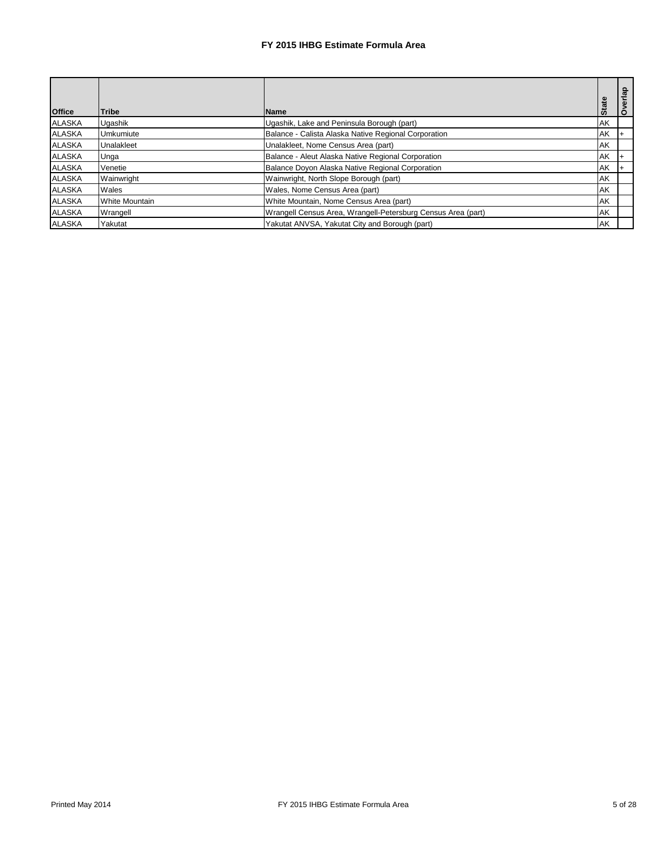| <b>Office</b> | <b>Tribe</b>   | <b>Name</b>                                                  | <b>State</b> | Overlap |
|---------------|----------------|--------------------------------------------------------------|--------------|---------|
| <b>ALASKA</b> | Ugashik        | Ugashik, Lake and Peninsula Borough (part)                   | AK           |         |
| <b>ALASKA</b> | Umkumiute      | Balance - Calista Alaska Native Regional Corporation         | AK           |         |
| <b>ALASKA</b> | Unalakleet     | Unalakleet, Nome Census Area (part)                          | AK           |         |
| <b>ALASKA</b> | Unga           | Balance - Aleut Alaska Native Regional Corporation           | AK           |         |
| <b>ALASKA</b> | Venetie        | Balance Doyon Alaska Native Regional Corporation             | AK           |         |
| <b>ALASKA</b> | Wainwright     | Wainwright, North Slope Borough (part)                       | AK           |         |
| <b>ALASKA</b> | Wales          | Wales, Nome Census Area (part)                               | <b>AK</b>    |         |
| <b>ALASKA</b> | White Mountain | White Mountain, Nome Census Area (part)                      | <b>AK</b>    |         |
| <b>ALASKA</b> | Wrangell       | Wrangell Census Area, Wrangell-Petersburg Census Area (part) | AK           |         |
| <b>ALASKA</b> | Yakutat        | Yakutat ANVSA, Yakutat City and Borough (part)               | AK           |         |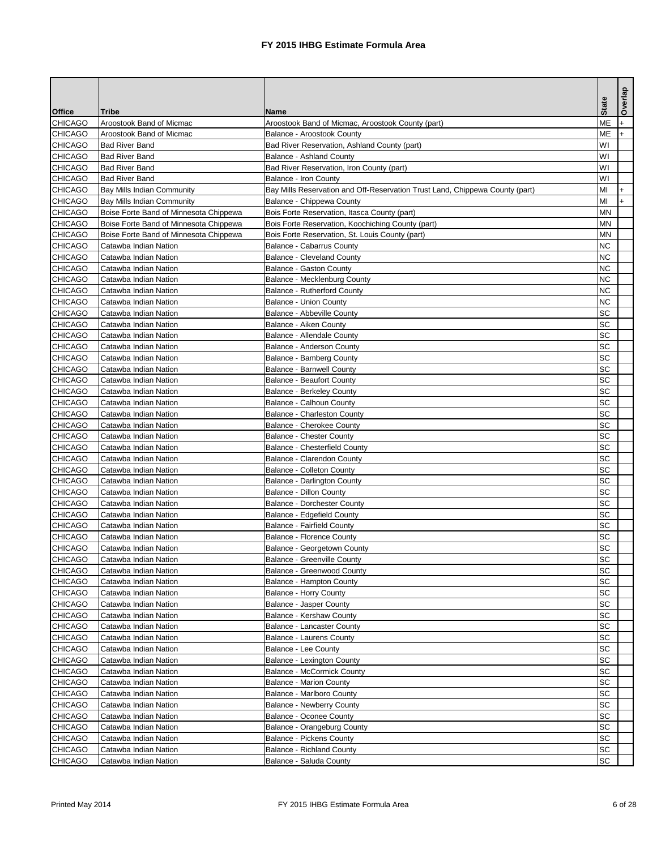|                                  |                                                |                                                                              | <b>State</b>    | Overlap |
|----------------------------------|------------------------------------------------|------------------------------------------------------------------------------|-----------------|---------|
| <b>Office</b>                    | <b>Tribe</b>                                   | <b>Name</b>                                                                  |                 |         |
| <b>CHICAGO</b>                   | Aroostook Band of Micmac                       | Aroostook Band of Micmac, Aroostook County (part)                            | <b>ME</b>       |         |
| <b>CHICAGO</b>                   | Aroostook Band of Micmac                       | <b>Balance - Aroostook County</b>                                            | <b>ME</b>       |         |
| <b>CHICAGO</b>                   | <b>Bad River Band</b>                          | Bad River Reservation, Ashland County (part)                                 | WI              |         |
| <b>CHICAGO</b>                   | <b>Bad River Band</b>                          | <b>Balance - Ashland County</b>                                              | WI              |         |
| <b>CHICAGO</b>                   | <b>Bad River Band</b>                          | Bad River Reservation, Iron County (part)                                    | WI              |         |
| <b>CHICAGO</b>                   | <b>Bad River Band</b>                          | <b>Balance - Iron County</b>                                                 | WI              |         |
| CHICAGO                          | <b>Bay Mills Indian Community</b>              | Bay Mills Reservation and Off-Reservation Trust Land, Chippewa County (part) | MI              |         |
| <b>CHICAGO</b>                   | <b>Bay Mills Indian Community</b>              | Balance - Chippewa County                                                    | MI              |         |
| <b>CHICAGO</b>                   | Boise Forte Band of Minnesota Chippewa         | Bois Forte Reservation, Itasca County (part)                                 | <b>MN</b>       |         |
| <b>CHICAGO</b>                   | Boise Forte Band of Minnesota Chippewa         | Bois Forte Reservation, Koochiching County (part)                            | <b>MN</b>       |         |
| <b>CHICAGO</b>                   | Boise Forte Band of Minnesota Chippewa         | Bois Forte Reservation, St. Louis County (part)                              | <b>MN</b>       |         |
| <b>CHICAGO</b>                   | Catawba Indian Nation                          | <b>Balance - Cabarrus County</b>                                             | <b>NC</b>       |         |
| <b>CHICAGO</b>                   | Catawba Indian Nation                          | <b>Balance - Cleveland County</b>                                            | <b>NC</b>       |         |
| <b>CHICAGO</b>                   | Catawba Indian Nation                          | <b>Balance - Gaston County</b>                                               | <b>NC</b>       |         |
| <b>CHICAGO</b>                   | Catawba Indian Nation                          | Balance - Mecklenburg County                                                 | <b>NC</b>       |         |
| <b>CHICAGO</b>                   | Catawba Indian Nation                          | <b>Balance - Rutherford County</b>                                           | <b>NC</b>       |         |
| <b>CHICAGO</b>                   | Catawba Indian Nation                          | <b>Balance - Union County</b>                                                | <b>NC</b>       |         |
| <b>CHICAGO</b>                   | Catawba Indian Nation                          | <b>Balance - Abbeville County</b>                                            | <b>SC</b>       |         |
| <b>CHICAGO</b>                   | Catawba Indian Nation                          | <b>Balance - Aiken County</b>                                                | <b>SC</b>       |         |
| <b>CHICAGO</b>                   | Catawba Indian Nation                          | <b>Balance - Allendale County</b>                                            | SC              |         |
| <b>CHICAGO</b>                   | Catawba Indian Nation                          | <b>Balance - Anderson County</b>                                             | <b>SC</b>       |         |
| <b>CHICAGO</b>                   | Catawba Indian Nation                          | <b>Balance - Bamberg County</b>                                              | <b>SC</b>       |         |
| <b>CHICAGO</b>                   | Catawba Indian Nation                          | <b>Balance - Barnwell County</b>                                             | <b>SC</b>       |         |
| <b>CHICAGO</b>                   | Catawba Indian Nation                          | <b>Balance - Beaufort County</b>                                             | <b>SC</b>       |         |
| <b>CHICAGO</b>                   | Catawba Indian Nation                          | <b>Balance - Berkeley County</b>                                             | <b>SC</b>       |         |
| <b>CHICAGO</b>                   | Catawba Indian Nation                          | <b>Balance - Calhoun County</b>                                              | <b>SC</b>       |         |
| <b>CHICAGO</b>                   | Catawba Indian Nation                          | <b>Balance - Charleston County</b>                                           | SC              |         |
| <b>CHICAGO</b>                   | Catawba Indian Nation                          | <b>Balance - Cherokee County</b>                                             | SC<br><b>SC</b> |         |
| <b>CHICAGO</b>                   | Catawba Indian Nation                          | <b>Balance - Chester County</b><br><b>Balance - Chesterfield County</b>      | <b>SC</b>       |         |
| <b>CHICAGO</b>                   | Catawba Indian Nation                          |                                                                              | <b>SC</b>       |         |
| <b>CHICAGO</b><br><b>CHICAGO</b> | Catawba Indian Nation<br>Catawba Indian Nation | <b>Balance - Clarendon County</b><br><b>Balance - Colleton County</b>        | SC              |         |
| <b>CHICAGO</b>                   | Catawba Indian Nation                          |                                                                              | <b>SC</b>       |         |
| <b>CHICAGO</b>                   | Catawba Indian Nation                          | <b>Balance - Darlington County</b><br><b>Balance - Dillon County</b>         | <b>SC</b>       |         |
| <b>CHICAGO</b>                   | Catawba Indian Nation                          | <b>Balance - Dorchester County</b>                                           | SC              |         |
| <b>CHICAGO</b>                   | Catawba Indian Nation                          | Balance - Edgefield County                                                   | <b>SC</b>       |         |
| <b>CHICAGO</b>                   | Catawba Indian Nation                          | <b>Balance - Fairfield County</b>                                            | SC              |         |
| <b>CHICAGO</b>                   | Catawba Indian Nation                          | <b>Balance - Florence County</b>                                             | <b>SC</b>       |         |
| <b>CHICAGO</b>                   | Catawba Indian Nation                          | Balance - Georgetown County                                                  | <b>SC</b>       |         |
| <b>CHICAGO</b>                   | Catawba Indian Nation                          | <b>Balance - Greenville County</b>                                           | <b>SC</b>       |         |
| <b>CHICAGO</b>                   | Catawba Indian Nation                          | <b>Balance - Greenwood County</b>                                            | <b>SC</b>       |         |
| <b>CHICAGO</b>                   | Catawba Indian Nation                          | Balance - Hampton County                                                     | <b>SC</b>       |         |
| <b>CHICAGO</b>                   | Catawba Indian Nation                          | <b>Balance - Horry County</b>                                                | <b>SC</b>       |         |
| <b>CHICAGO</b>                   | Catawba Indian Nation                          | <b>Balance - Jasper County</b>                                               | SC              |         |
| <b>CHICAGO</b>                   | Catawba Indian Nation                          | <b>Balance - Kershaw County</b>                                              | <b>SC</b>       |         |
| <b>CHICAGO</b>                   | Catawba Indian Nation                          | <b>Balance - Lancaster County</b>                                            | <b>SC</b>       |         |
| <b>CHICAGO</b>                   | Catawba Indian Nation                          | <b>Balance - Laurens County</b>                                              | <b>SC</b>       |         |
| <b>CHICAGO</b>                   | Catawba Indian Nation                          | <b>Balance - Lee County</b>                                                  | <b>SC</b>       |         |
| <b>CHICAGO</b>                   | Catawba Indian Nation                          | <b>Balance - Lexington County</b>                                            | SC              |         |
| <b>CHICAGO</b>                   | Catawba Indian Nation                          | <b>Balance - McCormick County</b>                                            | <b>SC</b>       |         |
| <b>CHICAGO</b>                   | Catawba Indian Nation                          | <b>Balance - Marion County</b>                                               | <b>SC</b>       |         |
| <b>CHICAGO</b>                   | Catawba Indian Nation                          | <b>Balance - Marlboro County</b>                                             | <b>SC</b>       |         |
| <b>CHICAGO</b>                   | Catawba Indian Nation                          | <b>Balance - Newberry County</b>                                             | <b>SC</b>       |         |
| <b>CHICAGO</b>                   | Catawba Indian Nation                          | <b>Balance - Oconee County</b>                                               | SC              |         |
| <b>CHICAGO</b>                   | Catawba Indian Nation                          | Balance - Orangeburg County                                                  | <b>SC</b>       |         |
| <b>CHICAGO</b>                   | Catawba Indian Nation                          | <b>Balance - Pickens County</b>                                              | <b>SC</b>       |         |
| <b>CHICAGO</b>                   | Catawba Indian Nation                          | <b>Balance - Richland County</b>                                             | <b>SC</b>       |         |
| <b>CHICAGO</b>                   | Catawba Indian Nation                          | Balance - Saluda County                                                      | <b>SC</b>       |         |
|                                  |                                                |                                                                              |                 |         |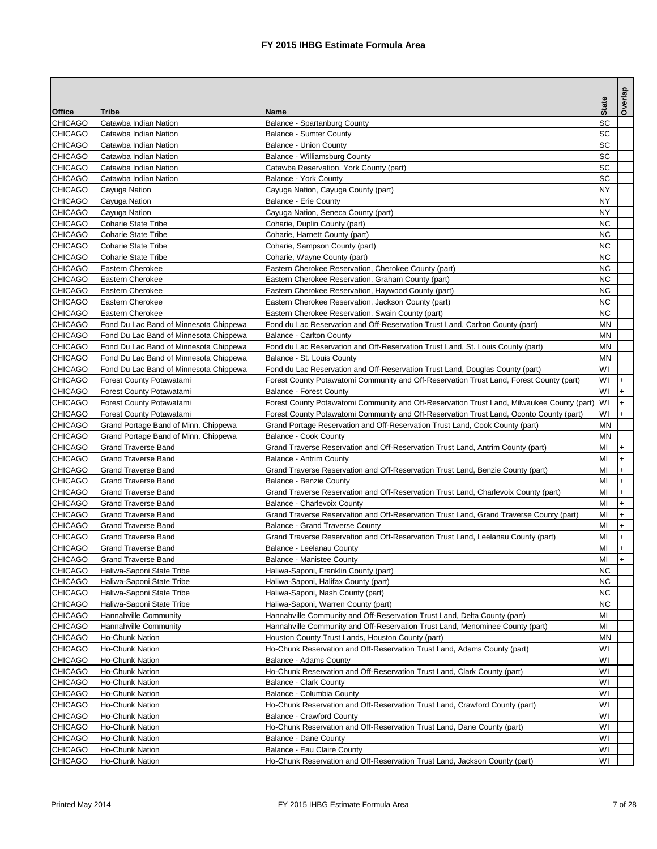|                                 |                                        |                                                                                                           | <b>State</b> | Overlap |
|---------------------------------|----------------------------------------|-----------------------------------------------------------------------------------------------------------|--------------|---------|
| <b>Office</b><br><b>CHICAGO</b> | <b>Tribe</b><br>Catawba Indian Nation  | <b>Name</b>                                                                                               | <b>SC</b>    |         |
| <b>CHICAGO</b>                  | Catawba Indian Nation                  | Balance - Spartanburg County<br><b>Balance - Sumter County</b>                                            | <b>SC</b>    |         |
| <b>CHICAGO</b>                  | Catawba Indian Nation                  | <b>Balance - Union County</b>                                                                             | <b>SC</b>    |         |
| <b>CHICAGO</b>                  | Catawba Indian Nation                  | Balance - Williamsburg County                                                                             | <b>SC</b>    |         |
| <b>CHICAGO</b>                  | Catawba Indian Nation                  | Catawba Reservation, York County (part)                                                                   | <b>SC</b>    |         |
| <b>CHICAGO</b>                  | Catawba Indian Nation                  | <b>Balance - York County</b>                                                                              | SC           |         |
| <b>CHICAGO</b>                  | Cayuga Nation                          | Cayuga Nation, Cayuga County (part)                                                                       | <b>NY</b>    |         |
| <b>CHICAGO</b>                  | Cayuga Nation                          | <b>Balance - Erie County</b>                                                                              | <b>NY</b>    |         |
| <b>CHICAGO</b>                  | Cayuga Nation                          | Cayuga Nation, Seneca County (part)                                                                       | <b>NY</b>    |         |
| <b>CHICAGO</b>                  | <b>Coharie State Tribe</b>             | Coharie, Duplin County (part)                                                                             | <b>NC</b>    |         |
| <b>CHICAGO</b>                  | <b>Coharie State Tribe</b>             | Coharie, Harnett County (part)                                                                            | <b>NC</b>    |         |
| <b>CHICAGO</b>                  | <b>Coharie State Tribe</b>             | Coharie, Sampson County (part)                                                                            | <b>NC</b>    |         |
| <b>CHICAGO</b>                  | <b>Coharie State Tribe</b>             | Coharie, Wayne County (part)                                                                              | <b>NC</b>    |         |
| <b>CHICAGO</b>                  | Eastern Cherokee                       | Eastern Cherokee Reservation, Cherokee County (part)                                                      | NC           |         |
| <b>CHICAGO</b>                  | Eastern Cherokee                       | Eastern Cherokee Reservation, Graham County (part)                                                        | NC           |         |
| <b>CHICAGO</b>                  | <b>Eastern Cherokee</b>                | Eastern Cherokee Reservation, Haywood County (part)                                                       | <b>NC</b>    |         |
| <b>CHICAGO</b>                  | Eastern Cherokee                       | Eastern Cherokee Reservation, Jackson County (part)                                                       | <b>NC</b>    |         |
| <b>CHICAGO</b>                  | Eastern Cherokee                       | Eastern Cherokee Reservation, Swain County (part)                                                         | <b>NC</b>    |         |
| <b>CHICAGO</b>                  | Fond Du Lac Band of Minnesota Chippewa | Fond du Lac Reservation and Off-Reservation Trust Land, Carlton County (part)                             | <b>MN</b>    |         |
| <b>CHICAGO</b>                  | Fond Du Lac Band of Minnesota Chippewa | <b>Balance - Carlton County</b>                                                                           | <b>MN</b>    |         |
| <b>CHICAGO</b>                  | Fond Du Lac Band of Minnesota Chippewa | Fond du Lac Reservation and Off-Reservation Trust Land, St. Louis County (part)                           | <b>MN</b>    |         |
| <b>CHICAGO</b>                  | Fond Du Lac Band of Minnesota Chippewa | Balance - St. Louis County                                                                                | <b>MN</b>    |         |
| <b>CHICAGO</b>                  | Fond Du Lac Band of Minnesota Chippewa | Fond du Lac Reservation and Off-Reservation Trust Land, Douglas County (part)                             | WI           |         |
| <b>CHICAGO</b>                  | Forest County Potawatami               | Forest County Potawatomi Community and Off-Reservation Trust Land, Forest County (part)                   | WI           |         |
| <b>CHICAGO</b>                  | Forest County Potawatami               | <b>Balance - Forest County</b>                                                                            | WI           |         |
| <b>CHICAGO</b>                  | Forest County Potawatami               | Forest County Potawatomi Community and Off-Reservation Trust Land, Milwaukee County (part)                | WI           |         |
| <b>CHICAGO</b>                  | Forest County Potawatami               | Forest County Potawatomi Community and Off-Reservation Trust Land, Oconto County (part)                   | WI           | $+$     |
| <b>CHICAGO</b>                  | Grand Portage Band of Minn. Chippewa   | Grand Portage Reservation and Off-Reservation Trust Land, Cook County (part)                              | MN           |         |
| <b>CHICAGO</b>                  | Grand Portage Band of Minn. Chippewa   | <b>Balance - Cook County</b>                                                                              | <b>MN</b>    |         |
| <b>CHICAGO</b>                  | <b>Grand Traverse Band</b>             | Grand Traverse Reservation and Off-Reservation Trust Land, Antrim County (part)                           | MI           | +       |
| <b>CHICAGO</b>                  | <b>Grand Traverse Band</b>             | <b>Balance - Antrim County</b>                                                                            | MI           |         |
| <b>CHICAGO</b>                  | <b>Grand Traverse Band</b>             | Grand Traverse Reservation and Off-Reservation Trust Land, Benzie County (part)                           | MI           |         |
| <b>CHICAGO</b>                  | <b>Grand Traverse Band</b>             | <b>Balance - Benzie County</b>                                                                            | MI           |         |
| <b>CHICAGO</b>                  | <b>Grand Traverse Band</b>             | Grand Traverse Reservation and Off-Reservation Trust Land, Charlevoix County (part)                       | MI           |         |
| <b>CHICAGO</b>                  | <b>Grand Traverse Band</b>             | <b>Balance - Charlevoix County</b>                                                                        | MI           |         |
| <b>CHICAGO</b>                  | <b>Grand Traverse Band</b>             | Grand Traverse Reservation and Off-Reservation Trust Land, Grand Traverse County (part)                   | MI           |         |
| <b>CHICAGO</b>                  | <b>Grand Traverse Band</b>             | <b>Balance - Grand Traverse County</b>                                                                    | MI           |         |
| <b>CHICAGO</b>                  | <b>Grand Traverse Band</b>             | Grand Traverse Reservation and Off-Reservation Trust Land, Leelanau County (part)                         | MI           |         |
| <b>CHICAGO</b>                  | <b>Grand Traverse Band</b>             | Balance - Leelanau County                                                                                 | MI           |         |
| <b>CHICAGO</b>                  | <b>Grand Traverse Band</b>             | <b>Balance - Manistee County</b>                                                                          | MI           |         |
| <b>CHICAGO</b>                  | Haliwa-Saponi State Tribe              | Haliwa-Saponi, Franklin County (part)                                                                     | <b>NC</b>    |         |
| <b>CHICAGO</b>                  | Haliwa-Saponi State Tribe              | Haliwa-Saponi, Halifax County (part)                                                                      | <b>NC</b>    |         |
| <b>CHICAGO</b>                  | Haliwa-Saponi State Tribe              | Haliwa-Saponi, Nash County (part)                                                                         | <b>NC</b>    |         |
| <b>CHICAGO</b>                  | Haliwa-Saponi State Tribe              | Haliwa-Saponi, Warren County (part)                                                                       | <b>NC</b>    |         |
| <b>CHICAGO</b>                  | Hannahville Community                  | Hannahville Community and Off-Reservation Trust Land, Delta County (part)                                 | MI           |         |
| <b>CHICAGO</b>                  | Hannahville Community                  | Hannahville Community and Off-Reservation Trust Land, Menominee County (part)                             | MI           |         |
| <b>CHICAGO</b>                  | Ho-Chunk Nation                        | Houston County Trust Lands, Houston County (part)                                                         | <b>MN</b>    |         |
| <b>CHICAGO</b>                  | Ho-Chunk Nation                        | Ho-Chunk Reservation and Off-Reservation Trust Land, Adams County (part)                                  | WI           |         |
| <b>CHICAGO</b>                  | Ho-Chunk Nation                        | <b>Balance - Adams County</b>                                                                             | WI           |         |
| <b>CHICAGO</b>                  | Ho-Chunk Nation                        | Ho-Chunk Reservation and Off-Reservation Trust Land, Clark County (part)                                  | WI           |         |
| <b>CHICAGO</b>                  | Ho-Chunk Nation                        | <b>Balance - Clark County</b>                                                                             | WI           |         |
| <b>CHICAGO</b>                  | Ho-Chunk Nation                        | Balance - Columbia County                                                                                 | WI           |         |
| <b>CHICAGO</b>                  | Ho-Chunk Nation                        | Ho-Chunk Reservation and Off-Reservation Trust Land, Crawford County (part)                               | WI           |         |
| <b>CHICAGO</b>                  | Ho-Chunk Nation                        | <b>Balance - Crawford County</b>                                                                          | WI           |         |
| <b>CHICAGO</b>                  | Ho-Chunk Nation                        | Ho-Chunk Reservation and Off-Reservation Trust Land, Dane County (part)                                   | WI           |         |
| <b>CHICAGO</b>                  |                                        |                                                                                                           |              |         |
|                                 | Ho-Chunk Nation                        | <b>Balance - Dane County</b>                                                                              | WI           |         |
| <b>CHICAGO</b>                  | Ho-Chunk Nation                        | Balance - Eau Claire County<br>Ho-Chunk Reservation and Off-Reservation Trust Land, Jackson County (part) | WI<br>WI     |         |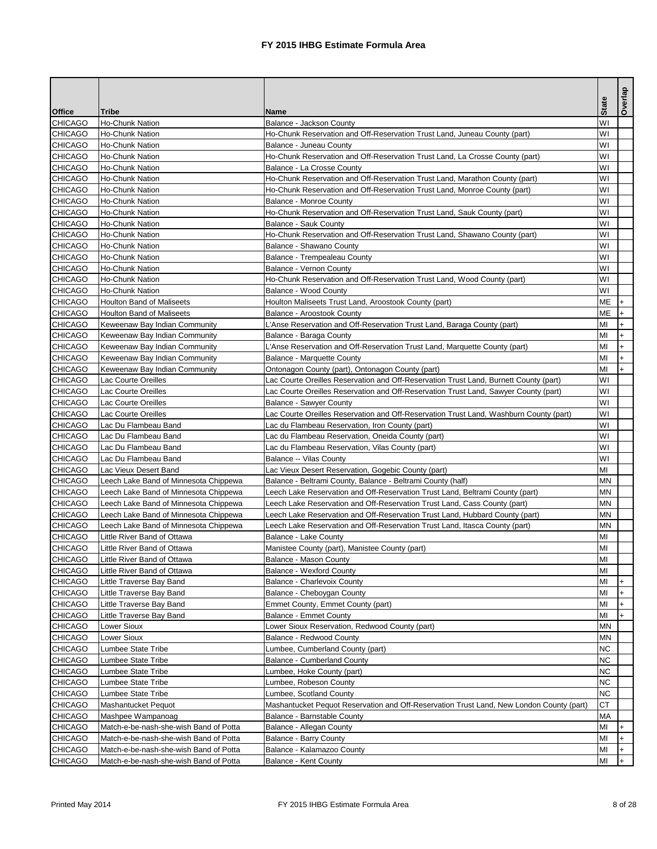| <b>Office</b><br><b>Tribe</b><br><b>Name</b><br><b>CHICAGO</b><br>Ho-Chunk Nation<br>WI<br>Balance - Jackson County<br><b>CHICAGO</b><br>WI<br>Ho-Chunk Nation<br>Ho-Chunk Reservation and Off-Reservation Trust Land, Juneau County (part)<br><b>CHICAGO</b><br>WI<br><b>Ho-Chunk Nation</b><br><b>Balance - Juneau County</b><br><b>CHICAGO</b><br>WI<br><b>Ho-Chunk Nation</b><br>Ho-Chunk Reservation and Off-Reservation Trust Land, La Crosse County (part)<br><b>CHICAGO</b><br>WI<br><b>Ho-Chunk Nation</b><br>Balance - La Crosse County<br><b>CHICAGO</b><br>Ho-Chunk Reservation and Off-Reservation Trust Land, Marathon County (part)<br>WI<br>Ho-Chunk Nation<br>WI<br><b>CHICAGO</b><br>Ho-Chunk Nation<br>Ho-Chunk Reservation and Off-Reservation Trust Land, Monroe County (part)<br><b>CHICAGO</b><br>WI<br>Ho-Chunk Nation<br><b>Balance - Monroe County</b><br><b>CHICAGO</b><br>WI<br>Ho-Chunk Nation<br>Ho-Chunk Reservation and Off-Reservation Trust Land, Sauk County (part)<br><b>CHICAGO</b><br>WI<br><b>Ho-Chunk Nation</b><br><b>Balance - Sauk County</b><br><b>CHICAGO</b><br>WI<br><b>Ho-Chunk Nation</b><br>Ho-Chunk Reservation and Off-Reservation Trust Land, Shawano County (part)<br>WI<br><b>CHICAGO</b><br><b>Ho-Chunk Nation</b><br>Balance - Shawano County<br><b>CHICAGO</b><br><b>Ho-Chunk Nation</b><br>WI<br>Balance - Trempealeau County<br><b>CHICAGO</b><br>WI<br>Ho-Chunk Nation<br><b>Balance - Vernon County</b><br>WI<br><b>CHICAGO</b><br>Ho-Chunk Nation<br>Ho-Chunk Reservation and Off-Reservation Trust Land, Wood County (part)<br>WI<br><b>CHICAGO</b><br>Ho-Chunk Nation<br><b>Balance - Wood County</b><br><b>CHICAGO</b><br><b>ME</b><br><b>Houlton Band of Maliseets</b><br>Houlton Maliseets Trust Land, Aroostook County (part)<br>$+$<br><b>CHICAGO</b><br><b>ME</b><br><b>Houlton Band of Maliseets</b><br>Balance - Aroostook County<br><b>CHICAGO</b><br>MI<br>Keweenaw Bay Indian Community<br>L'Anse Reservation and Off-Reservation Trust Land, Baraga County (part)<br><b>CHICAGO</b><br>MI<br>Keweenaw Bay Indian Community<br>Balance - Baraga County<br><b>CHICAGO</b><br>Keweenaw Bay Indian Community<br>L'Anse Reservation and Off-Reservation Trust Land, Marquette County (part)<br>MI<br><b>CHICAGO</b><br>Keweenaw Bay Indian Community<br><b>Balance - Marquette County</b><br>MI<br><b>CHICAGO</b><br>Keweenaw Bay Indian Community<br>Ontonagon County (part), Ontonagon County (part)<br>MI<br><b>CHICAGO</b><br>Lac Courte Oreilles<br>Lac Courte Oreilles Reservation and Off-Reservation Trust Land, Burnett County (part)<br>WI<br><b>CHICAGO</b><br>WI<br>Lac Courte Oreilles Reservation and Off-Reservation Trust Land, Sawyer County (part)<br>Lac Courte Oreilles<br><b>CHICAGO</b><br>Lac Courte Oreilles<br>WI<br><b>Balance - Sawyer County</b><br><b>CHICAGO</b><br>WI<br>Lac Courte Oreilles<br>Lac Courte Oreilles Reservation and Off-Reservation Trust Land, Washburn County (part)<br>CHICAGO<br>WI<br>Lac Du Flambeau Band<br>Lac du Flambeau Reservation, Iron County (part)<br>WI<br><b>CHICAGO</b><br>Lac Du Flambeau Band<br>Lac du Flambeau Reservation, Oneida County (part)<br><b>CHICAGO</b><br>WI<br>Lac Du Flambeau Band<br>Lac du Flambeau Reservation, Vilas County (part)<br><b>CHICAGO</b><br>WI<br>Lac Du Flambeau Band<br><b>Balance -- Vilas County</b><br><b>CHICAGO</b><br>MI<br>Lac Vieux Desert Band<br>Lac Vieux Desert Reservation, Gogebic County (part)<br><b>CHICAGO</b><br><b>MN</b><br>Leech Lake Band of Minnesota Chippewa<br>Balance - Beltrami County, Balance - Beltrami County (half)<br><b>CHICAGO</b><br><b>MN</b><br>Leech Lake Band of Minnesota Chippewa<br>Leech Lake Reservation and Off-Reservation Trust Land, Beltrami County (part)<br><b>CHICAGO</b><br><b>MN</b><br>Leech Lake Band of Minnesota Chippewa<br>Leech Lake Reservation and Off-Reservation Trust Land, Cass County (part)<br><b>CHICAGO</b><br>Leech Lake Band of Minnesota Chippewa<br>Leech Lake Reservation and Off-Reservation Trust Land, Hubbard County (part)<br><b>MN</b><br><b>CHICAGO</b><br><b>MN</b><br>Leech Lake Band of Minnesota Chippewa<br>Leech Lake Reservation and Off-Reservation Trust Land, Itasca County (part)<br><b>CHICAGO</b><br>MI<br>Little River Band of Ottawa<br><b>Balance - Lake County</b><br><b>CHICAGO</b><br>Little River Band of Ottawa<br>MI<br>Manistee County (part), Manistee County (part)<br><b>CHICAGO</b><br><b>Balance - Mason County</b><br>MI<br>Little River Band of Ottawa<br><b>CHICAGO</b><br>MI<br>Little River Band of Ottawa<br><b>Balance - Wexford County</b><br><b>CHICAGO</b><br>MI<br>Little Traverse Bay Band<br><b>Balance - Charlevoix County</b><br><b>CHICAGO</b><br>Little Traverse Bay Band<br>Balance - Cheboygan County<br>MI<br><b>CHICAGO</b><br>MI<br>Little Traverse Bay Band<br>Emmet County, Emmet County (part)<br><b>CHICAGO</b><br>MI<br>Little Traverse Bay Band<br><b>Balance - Emmet County</b><br><b>CHICAGO</b><br>Lower Sioux<br>Lower Sioux Reservation, Redwood County (part)<br><b>MN</b><br><b>CHICAGO</b><br><b>MN</b><br>Lower Sioux<br><b>Balance - Redwood County</b><br><b>NC</b><br><b>CHICAGO</b><br>Lumbee State Tribe<br>Lumbee, Cumberland County (part)<br><b>CHICAGO</b><br><b>NC</b><br><b>Balance - Cumberland County</b><br>Lumbee State Tribe<br><b>NC</b><br><b>CHICAGO</b><br>Lumbee State Tribe<br>Lumbee, Hoke County (part)<br><b>CHICAGO</b><br><b>NC</b><br><b>Lumbee State Tribe</b><br>Lumbee, Robeson County<br><b>NC</b><br><b>CHICAGO</b><br><b>Lumbee State Tribe</b><br>Lumbee, Scotland County<br><b>CT</b><br><b>CHICAGO</b><br>Mashantucket Pequot<br>Mashantucket Pequot Reservation and Off-Reservation Trust Land, New London County (part)<br><b>MA</b><br><b>CHICAGO</b><br>Balance - Barnstable County<br>Mashpee Wampanoag<br><b>CHICAGO</b><br>Match-e-be-nash-she-wish Band of Potta<br>MI<br>Balance - Allegan County<br>$\pm$<br><b>CHICAGO</b><br>MI<br>Match-e-be-nash-she-wish Band of Potta<br><b>Balance - Barry County</b><br><b>CHICAGO</b><br>Match-e-be-nash-she-wish Band of Potta<br>Balance - Kalamazoo County<br>MI<br><b>CHICAGO</b><br>MI<br>Match-e-be-nash-she-wish Band of Potta<br>Balance - Kent County |  | <b>State</b> | Overlap |
|---------------------------------------------------------------------------------------------------------------------------------------------------------------------------------------------------------------------------------------------------------------------------------------------------------------------------------------------------------------------------------------------------------------------------------------------------------------------------------------------------------------------------------------------------------------------------------------------------------------------------------------------------------------------------------------------------------------------------------------------------------------------------------------------------------------------------------------------------------------------------------------------------------------------------------------------------------------------------------------------------------------------------------------------------------------------------------------------------------------------------------------------------------------------------------------------------------------------------------------------------------------------------------------------------------------------------------------------------------------------------------------------------------------------------------------------------------------------------------------------------------------------------------------------------------------------------------------------------------------------------------------------------------------------------------------------------------------------------------------------------------------------------------------------------------------------------------------------------------------------------------------------------------------------------------------------------------------------------------------------------------------------------------------------------------------------------------------------------------------------------------------------------------------------------------------------------------------------------------------------------------------------------------------------------------------------------------------------------------------------------------------------------------------------------------------------------------------------------------------------------------------------------------------------------------------------------------------------------------------------------------------------------------------------------------------------------------------------------------------------------------------------------------------------------------------------------------------------------------------------------------------------------------------------------------------------------------------------------------------------------------------------------------------------------------------------------------------------------------------------------------------------------------------------------------------------------------------------------------------------------------------------------------------------------------------------------------------------------------------------------------------------------------------------------------------------------------------------------------------------------------------------------------------------------------------------------------------------------------------------------------------------------------------------------------------------------------------------------------------------------------------------------------------------------------------------------------------------------------------------------------------------------------------------------------------------------------------------------------------------------------------------------------------------------------------------------------------------------------------------------------------------------------------------------------------------------------------------------------------------------------------------------------------------------------------------------------------------------------------------------------------------------------------------------------------------------------------------------------------------------------------------------------------------------------------------------------------------------------------------------------------------------------------------------------------------------------------------------------------------------------------------------------------------------------------------------------------------------------------------------------------------------------------------------------------------------------------------------------------------------------------------------------------------------------------------------------------------------------------------------------------------------------------------------------------------------------------------------------------------------------------------------------------------------------------------------------------------------------------------------------------------------------------------------------------------------------------------------------------------------------------------------------------------------------------------------------------------------------------------------------------------------------------------------------------------------------------------------------------------------------------------------------------------------------------------------------------------------------------------------------------------------------------------------------------------------------------------------------------------------------------------------------------------------------------------------------------------------------------------------------------------------------------------------------------------------------------------------------------------------------------------------------------------|--|--------------|---------|
|                                                                                                                                                                                                                                                                                                                                                                                                                                                                                                                                                                                                                                                                                                                                                                                                                                                                                                                                                                                                                                                                                                                                                                                                                                                                                                                                                                                                                                                                                                                                                                                                                                                                                                                                                                                                                                                                                                                                                                                                                                                                                                                                                                                                                                                                                                                                                                                                                                                                                                                                                                                                                                                                                                                                                                                                                                                                                                                                                                                                                                                                                                                                                                                                                                                                                                                                                                                                                                                                                                                                                                                                                                                                                                                                                                                                                                                                                                                                                                                                                                                                                                                                                                                                                                                                                                                                                                                                                                                                                                                                                                                                                                                                                                                                                                                                                                                                                                                                                                                                                                                                                                                                                                                                                                                                                                                                                                                                                                                                                                                                                                                                                                                                                                                                                                                                                                                                                                                                                                                                                                                                                                                                                                                                                                                                                             |  |              |         |
|                                                                                                                                                                                                                                                                                                                                                                                                                                                                                                                                                                                                                                                                                                                                                                                                                                                                                                                                                                                                                                                                                                                                                                                                                                                                                                                                                                                                                                                                                                                                                                                                                                                                                                                                                                                                                                                                                                                                                                                                                                                                                                                                                                                                                                                                                                                                                                                                                                                                                                                                                                                                                                                                                                                                                                                                                                                                                                                                                                                                                                                                                                                                                                                                                                                                                                                                                                                                                                                                                                                                                                                                                                                                                                                                                                                                                                                                                                                                                                                                                                                                                                                                                                                                                                                                                                                                                                                                                                                                                                                                                                                                                                                                                                                                                                                                                                                                                                                                                                                                                                                                                                                                                                                                                                                                                                                                                                                                                                                                                                                                                                                                                                                                                                                                                                                                                                                                                                                                                                                                                                                                                                                                                                                                                                                                                             |  |              |         |
|                                                                                                                                                                                                                                                                                                                                                                                                                                                                                                                                                                                                                                                                                                                                                                                                                                                                                                                                                                                                                                                                                                                                                                                                                                                                                                                                                                                                                                                                                                                                                                                                                                                                                                                                                                                                                                                                                                                                                                                                                                                                                                                                                                                                                                                                                                                                                                                                                                                                                                                                                                                                                                                                                                                                                                                                                                                                                                                                                                                                                                                                                                                                                                                                                                                                                                                                                                                                                                                                                                                                                                                                                                                                                                                                                                                                                                                                                                                                                                                                                                                                                                                                                                                                                                                                                                                                                                                                                                                                                                                                                                                                                                                                                                                                                                                                                                                                                                                                                                                                                                                                                                                                                                                                                                                                                                                                                                                                                                                                                                                                                                                                                                                                                                                                                                                                                                                                                                                                                                                                                                                                                                                                                                                                                                                                                             |  |              |         |
|                                                                                                                                                                                                                                                                                                                                                                                                                                                                                                                                                                                                                                                                                                                                                                                                                                                                                                                                                                                                                                                                                                                                                                                                                                                                                                                                                                                                                                                                                                                                                                                                                                                                                                                                                                                                                                                                                                                                                                                                                                                                                                                                                                                                                                                                                                                                                                                                                                                                                                                                                                                                                                                                                                                                                                                                                                                                                                                                                                                                                                                                                                                                                                                                                                                                                                                                                                                                                                                                                                                                                                                                                                                                                                                                                                                                                                                                                                                                                                                                                                                                                                                                                                                                                                                                                                                                                                                                                                                                                                                                                                                                                                                                                                                                                                                                                                                                                                                                                                                                                                                                                                                                                                                                                                                                                                                                                                                                                                                                                                                                                                                                                                                                                                                                                                                                                                                                                                                                                                                                                                                                                                                                                                                                                                                                                             |  |              |         |
|                                                                                                                                                                                                                                                                                                                                                                                                                                                                                                                                                                                                                                                                                                                                                                                                                                                                                                                                                                                                                                                                                                                                                                                                                                                                                                                                                                                                                                                                                                                                                                                                                                                                                                                                                                                                                                                                                                                                                                                                                                                                                                                                                                                                                                                                                                                                                                                                                                                                                                                                                                                                                                                                                                                                                                                                                                                                                                                                                                                                                                                                                                                                                                                                                                                                                                                                                                                                                                                                                                                                                                                                                                                                                                                                                                                                                                                                                                                                                                                                                                                                                                                                                                                                                                                                                                                                                                                                                                                                                                                                                                                                                                                                                                                                                                                                                                                                                                                                                                                                                                                                                                                                                                                                                                                                                                                                                                                                                                                                                                                                                                                                                                                                                                                                                                                                                                                                                                                                                                                                                                                                                                                                                                                                                                                                                             |  |              |         |
|                                                                                                                                                                                                                                                                                                                                                                                                                                                                                                                                                                                                                                                                                                                                                                                                                                                                                                                                                                                                                                                                                                                                                                                                                                                                                                                                                                                                                                                                                                                                                                                                                                                                                                                                                                                                                                                                                                                                                                                                                                                                                                                                                                                                                                                                                                                                                                                                                                                                                                                                                                                                                                                                                                                                                                                                                                                                                                                                                                                                                                                                                                                                                                                                                                                                                                                                                                                                                                                                                                                                                                                                                                                                                                                                                                                                                                                                                                                                                                                                                                                                                                                                                                                                                                                                                                                                                                                                                                                                                                                                                                                                                                                                                                                                                                                                                                                                                                                                                                                                                                                                                                                                                                                                                                                                                                                                                                                                                                                                                                                                                                                                                                                                                                                                                                                                                                                                                                                                                                                                                                                                                                                                                                                                                                                                                             |  |              |         |
|                                                                                                                                                                                                                                                                                                                                                                                                                                                                                                                                                                                                                                                                                                                                                                                                                                                                                                                                                                                                                                                                                                                                                                                                                                                                                                                                                                                                                                                                                                                                                                                                                                                                                                                                                                                                                                                                                                                                                                                                                                                                                                                                                                                                                                                                                                                                                                                                                                                                                                                                                                                                                                                                                                                                                                                                                                                                                                                                                                                                                                                                                                                                                                                                                                                                                                                                                                                                                                                                                                                                                                                                                                                                                                                                                                                                                                                                                                                                                                                                                                                                                                                                                                                                                                                                                                                                                                                                                                                                                                                                                                                                                                                                                                                                                                                                                                                                                                                                                                                                                                                                                                                                                                                                                                                                                                                                                                                                                                                                                                                                                                                                                                                                                                                                                                                                                                                                                                                                                                                                                                                                                                                                                                                                                                                                                             |  |              |         |
|                                                                                                                                                                                                                                                                                                                                                                                                                                                                                                                                                                                                                                                                                                                                                                                                                                                                                                                                                                                                                                                                                                                                                                                                                                                                                                                                                                                                                                                                                                                                                                                                                                                                                                                                                                                                                                                                                                                                                                                                                                                                                                                                                                                                                                                                                                                                                                                                                                                                                                                                                                                                                                                                                                                                                                                                                                                                                                                                                                                                                                                                                                                                                                                                                                                                                                                                                                                                                                                                                                                                                                                                                                                                                                                                                                                                                                                                                                                                                                                                                                                                                                                                                                                                                                                                                                                                                                                                                                                                                                                                                                                                                                                                                                                                                                                                                                                                                                                                                                                                                                                                                                                                                                                                                                                                                                                                                                                                                                                                                                                                                                                                                                                                                                                                                                                                                                                                                                                                                                                                                                                                                                                                                                                                                                                                                             |  |              |         |
|                                                                                                                                                                                                                                                                                                                                                                                                                                                                                                                                                                                                                                                                                                                                                                                                                                                                                                                                                                                                                                                                                                                                                                                                                                                                                                                                                                                                                                                                                                                                                                                                                                                                                                                                                                                                                                                                                                                                                                                                                                                                                                                                                                                                                                                                                                                                                                                                                                                                                                                                                                                                                                                                                                                                                                                                                                                                                                                                                                                                                                                                                                                                                                                                                                                                                                                                                                                                                                                                                                                                                                                                                                                                                                                                                                                                                                                                                                                                                                                                                                                                                                                                                                                                                                                                                                                                                                                                                                                                                                                                                                                                                                                                                                                                                                                                                                                                                                                                                                                                                                                                                                                                                                                                                                                                                                                                                                                                                                                                                                                                                                                                                                                                                                                                                                                                                                                                                                                                                                                                                                                                                                                                                                                                                                                                                             |  |              |         |
|                                                                                                                                                                                                                                                                                                                                                                                                                                                                                                                                                                                                                                                                                                                                                                                                                                                                                                                                                                                                                                                                                                                                                                                                                                                                                                                                                                                                                                                                                                                                                                                                                                                                                                                                                                                                                                                                                                                                                                                                                                                                                                                                                                                                                                                                                                                                                                                                                                                                                                                                                                                                                                                                                                                                                                                                                                                                                                                                                                                                                                                                                                                                                                                                                                                                                                                                                                                                                                                                                                                                                                                                                                                                                                                                                                                                                                                                                                                                                                                                                                                                                                                                                                                                                                                                                                                                                                                                                                                                                                                                                                                                                                                                                                                                                                                                                                                                                                                                                                                                                                                                                                                                                                                                                                                                                                                                                                                                                                                                                                                                                                                                                                                                                                                                                                                                                                                                                                                                                                                                                                                                                                                                                                                                                                                                                             |  |              |         |
|                                                                                                                                                                                                                                                                                                                                                                                                                                                                                                                                                                                                                                                                                                                                                                                                                                                                                                                                                                                                                                                                                                                                                                                                                                                                                                                                                                                                                                                                                                                                                                                                                                                                                                                                                                                                                                                                                                                                                                                                                                                                                                                                                                                                                                                                                                                                                                                                                                                                                                                                                                                                                                                                                                                                                                                                                                                                                                                                                                                                                                                                                                                                                                                                                                                                                                                                                                                                                                                                                                                                                                                                                                                                                                                                                                                                                                                                                                                                                                                                                                                                                                                                                                                                                                                                                                                                                                                                                                                                                                                                                                                                                                                                                                                                                                                                                                                                                                                                                                                                                                                                                                                                                                                                                                                                                                                                                                                                                                                                                                                                                                                                                                                                                                                                                                                                                                                                                                                                                                                                                                                                                                                                                                                                                                                                                             |  |              |         |
|                                                                                                                                                                                                                                                                                                                                                                                                                                                                                                                                                                                                                                                                                                                                                                                                                                                                                                                                                                                                                                                                                                                                                                                                                                                                                                                                                                                                                                                                                                                                                                                                                                                                                                                                                                                                                                                                                                                                                                                                                                                                                                                                                                                                                                                                                                                                                                                                                                                                                                                                                                                                                                                                                                                                                                                                                                                                                                                                                                                                                                                                                                                                                                                                                                                                                                                                                                                                                                                                                                                                                                                                                                                                                                                                                                                                                                                                                                                                                                                                                                                                                                                                                                                                                                                                                                                                                                                                                                                                                                                                                                                                                                                                                                                                                                                                                                                                                                                                                                                                                                                                                                                                                                                                                                                                                                                                                                                                                                                                                                                                                                                                                                                                                                                                                                                                                                                                                                                                                                                                                                                                                                                                                                                                                                                                                             |  |              |         |
|                                                                                                                                                                                                                                                                                                                                                                                                                                                                                                                                                                                                                                                                                                                                                                                                                                                                                                                                                                                                                                                                                                                                                                                                                                                                                                                                                                                                                                                                                                                                                                                                                                                                                                                                                                                                                                                                                                                                                                                                                                                                                                                                                                                                                                                                                                                                                                                                                                                                                                                                                                                                                                                                                                                                                                                                                                                                                                                                                                                                                                                                                                                                                                                                                                                                                                                                                                                                                                                                                                                                                                                                                                                                                                                                                                                                                                                                                                                                                                                                                                                                                                                                                                                                                                                                                                                                                                                                                                                                                                                                                                                                                                                                                                                                                                                                                                                                                                                                                                                                                                                                                                                                                                                                                                                                                                                                                                                                                                                                                                                                                                                                                                                                                                                                                                                                                                                                                                                                                                                                                                                                                                                                                                                                                                                                                             |  |              |         |
|                                                                                                                                                                                                                                                                                                                                                                                                                                                                                                                                                                                                                                                                                                                                                                                                                                                                                                                                                                                                                                                                                                                                                                                                                                                                                                                                                                                                                                                                                                                                                                                                                                                                                                                                                                                                                                                                                                                                                                                                                                                                                                                                                                                                                                                                                                                                                                                                                                                                                                                                                                                                                                                                                                                                                                                                                                                                                                                                                                                                                                                                                                                                                                                                                                                                                                                                                                                                                                                                                                                                                                                                                                                                                                                                                                                                                                                                                                                                                                                                                                                                                                                                                                                                                                                                                                                                                                                                                                                                                                                                                                                                                                                                                                                                                                                                                                                                                                                                                                                                                                                                                                                                                                                                                                                                                                                                                                                                                                                                                                                                                                                                                                                                                                                                                                                                                                                                                                                                                                                                                                                                                                                                                                                                                                                                                             |  |              |         |
|                                                                                                                                                                                                                                                                                                                                                                                                                                                                                                                                                                                                                                                                                                                                                                                                                                                                                                                                                                                                                                                                                                                                                                                                                                                                                                                                                                                                                                                                                                                                                                                                                                                                                                                                                                                                                                                                                                                                                                                                                                                                                                                                                                                                                                                                                                                                                                                                                                                                                                                                                                                                                                                                                                                                                                                                                                                                                                                                                                                                                                                                                                                                                                                                                                                                                                                                                                                                                                                                                                                                                                                                                                                                                                                                                                                                                                                                                                                                                                                                                                                                                                                                                                                                                                                                                                                                                                                                                                                                                                                                                                                                                                                                                                                                                                                                                                                                                                                                                                                                                                                                                                                                                                                                                                                                                                                                                                                                                                                                                                                                                                                                                                                                                                                                                                                                                                                                                                                                                                                                                                                                                                                                                                                                                                                                                             |  |              |         |
|                                                                                                                                                                                                                                                                                                                                                                                                                                                                                                                                                                                                                                                                                                                                                                                                                                                                                                                                                                                                                                                                                                                                                                                                                                                                                                                                                                                                                                                                                                                                                                                                                                                                                                                                                                                                                                                                                                                                                                                                                                                                                                                                                                                                                                                                                                                                                                                                                                                                                                                                                                                                                                                                                                                                                                                                                                                                                                                                                                                                                                                                                                                                                                                                                                                                                                                                                                                                                                                                                                                                                                                                                                                                                                                                                                                                                                                                                                                                                                                                                                                                                                                                                                                                                                                                                                                                                                                                                                                                                                                                                                                                                                                                                                                                                                                                                                                                                                                                                                                                                                                                                                                                                                                                                                                                                                                                                                                                                                                                                                                                                                                                                                                                                                                                                                                                                                                                                                                                                                                                                                                                                                                                                                                                                                                                                             |  |              |         |
|                                                                                                                                                                                                                                                                                                                                                                                                                                                                                                                                                                                                                                                                                                                                                                                                                                                                                                                                                                                                                                                                                                                                                                                                                                                                                                                                                                                                                                                                                                                                                                                                                                                                                                                                                                                                                                                                                                                                                                                                                                                                                                                                                                                                                                                                                                                                                                                                                                                                                                                                                                                                                                                                                                                                                                                                                                                                                                                                                                                                                                                                                                                                                                                                                                                                                                                                                                                                                                                                                                                                                                                                                                                                                                                                                                                                                                                                                                                                                                                                                                                                                                                                                                                                                                                                                                                                                                                                                                                                                                                                                                                                                                                                                                                                                                                                                                                                                                                                                                                                                                                                                                                                                                                                                                                                                                                                                                                                                                                                                                                                                                                                                                                                                                                                                                                                                                                                                                                                                                                                                                                                                                                                                                                                                                                                                             |  |              |         |
|                                                                                                                                                                                                                                                                                                                                                                                                                                                                                                                                                                                                                                                                                                                                                                                                                                                                                                                                                                                                                                                                                                                                                                                                                                                                                                                                                                                                                                                                                                                                                                                                                                                                                                                                                                                                                                                                                                                                                                                                                                                                                                                                                                                                                                                                                                                                                                                                                                                                                                                                                                                                                                                                                                                                                                                                                                                                                                                                                                                                                                                                                                                                                                                                                                                                                                                                                                                                                                                                                                                                                                                                                                                                                                                                                                                                                                                                                                                                                                                                                                                                                                                                                                                                                                                                                                                                                                                                                                                                                                                                                                                                                                                                                                                                                                                                                                                                                                                                                                                                                                                                                                                                                                                                                                                                                                                                                                                                                                                                                                                                                                                                                                                                                                                                                                                                                                                                                                                                                                                                                                                                                                                                                                                                                                                                                             |  |              |         |
|                                                                                                                                                                                                                                                                                                                                                                                                                                                                                                                                                                                                                                                                                                                                                                                                                                                                                                                                                                                                                                                                                                                                                                                                                                                                                                                                                                                                                                                                                                                                                                                                                                                                                                                                                                                                                                                                                                                                                                                                                                                                                                                                                                                                                                                                                                                                                                                                                                                                                                                                                                                                                                                                                                                                                                                                                                                                                                                                                                                                                                                                                                                                                                                                                                                                                                                                                                                                                                                                                                                                                                                                                                                                                                                                                                                                                                                                                                                                                                                                                                                                                                                                                                                                                                                                                                                                                                                                                                                                                                                                                                                                                                                                                                                                                                                                                                                                                                                                                                                                                                                                                                                                                                                                                                                                                                                                                                                                                                                                                                                                                                                                                                                                                                                                                                                                                                                                                                                                                                                                                                                                                                                                                                                                                                                                                             |  |              |         |
|                                                                                                                                                                                                                                                                                                                                                                                                                                                                                                                                                                                                                                                                                                                                                                                                                                                                                                                                                                                                                                                                                                                                                                                                                                                                                                                                                                                                                                                                                                                                                                                                                                                                                                                                                                                                                                                                                                                                                                                                                                                                                                                                                                                                                                                                                                                                                                                                                                                                                                                                                                                                                                                                                                                                                                                                                                                                                                                                                                                                                                                                                                                                                                                                                                                                                                                                                                                                                                                                                                                                                                                                                                                                                                                                                                                                                                                                                                                                                                                                                                                                                                                                                                                                                                                                                                                                                                                                                                                                                                                                                                                                                                                                                                                                                                                                                                                                                                                                                                                                                                                                                                                                                                                                                                                                                                                                                                                                                                                                                                                                                                                                                                                                                                                                                                                                                                                                                                                                                                                                                                                                                                                                                                                                                                                                                             |  |              |         |
|                                                                                                                                                                                                                                                                                                                                                                                                                                                                                                                                                                                                                                                                                                                                                                                                                                                                                                                                                                                                                                                                                                                                                                                                                                                                                                                                                                                                                                                                                                                                                                                                                                                                                                                                                                                                                                                                                                                                                                                                                                                                                                                                                                                                                                                                                                                                                                                                                                                                                                                                                                                                                                                                                                                                                                                                                                                                                                                                                                                                                                                                                                                                                                                                                                                                                                                                                                                                                                                                                                                                                                                                                                                                                                                                                                                                                                                                                                                                                                                                                                                                                                                                                                                                                                                                                                                                                                                                                                                                                                                                                                                                                                                                                                                                                                                                                                                                                                                                                                                                                                                                                                                                                                                                                                                                                                                                                                                                                                                                                                                                                                                                                                                                                                                                                                                                                                                                                                                                                                                                                                                                                                                                                                                                                                                                                             |  |              |         |
|                                                                                                                                                                                                                                                                                                                                                                                                                                                                                                                                                                                                                                                                                                                                                                                                                                                                                                                                                                                                                                                                                                                                                                                                                                                                                                                                                                                                                                                                                                                                                                                                                                                                                                                                                                                                                                                                                                                                                                                                                                                                                                                                                                                                                                                                                                                                                                                                                                                                                                                                                                                                                                                                                                                                                                                                                                                                                                                                                                                                                                                                                                                                                                                                                                                                                                                                                                                                                                                                                                                                                                                                                                                                                                                                                                                                                                                                                                                                                                                                                                                                                                                                                                                                                                                                                                                                                                                                                                                                                                                                                                                                                                                                                                                                                                                                                                                                                                                                                                                                                                                                                                                                                                                                                                                                                                                                                                                                                                                                                                                                                                                                                                                                                                                                                                                                                                                                                                                                                                                                                                                                                                                                                                                                                                                                                             |  |              |         |
|                                                                                                                                                                                                                                                                                                                                                                                                                                                                                                                                                                                                                                                                                                                                                                                                                                                                                                                                                                                                                                                                                                                                                                                                                                                                                                                                                                                                                                                                                                                                                                                                                                                                                                                                                                                                                                                                                                                                                                                                                                                                                                                                                                                                                                                                                                                                                                                                                                                                                                                                                                                                                                                                                                                                                                                                                                                                                                                                                                                                                                                                                                                                                                                                                                                                                                                                                                                                                                                                                                                                                                                                                                                                                                                                                                                                                                                                                                                                                                                                                                                                                                                                                                                                                                                                                                                                                                                                                                                                                                                                                                                                                                                                                                                                                                                                                                                                                                                                                                                                                                                                                                                                                                                                                                                                                                                                                                                                                                                                                                                                                                                                                                                                                                                                                                                                                                                                                                                                                                                                                                                                                                                                                                                                                                                                                             |  |              |         |
|                                                                                                                                                                                                                                                                                                                                                                                                                                                                                                                                                                                                                                                                                                                                                                                                                                                                                                                                                                                                                                                                                                                                                                                                                                                                                                                                                                                                                                                                                                                                                                                                                                                                                                                                                                                                                                                                                                                                                                                                                                                                                                                                                                                                                                                                                                                                                                                                                                                                                                                                                                                                                                                                                                                                                                                                                                                                                                                                                                                                                                                                                                                                                                                                                                                                                                                                                                                                                                                                                                                                                                                                                                                                                                                                                                                                                                                                                                                                                                                                                                                                                                                                                                                                                                                                                                                                                                                                                                                                                                                                                                                                                                                                                                                                                                                                                                                                                                                                                                                                                                                                                                                                                                                                                                                                                                                                                                                                                                                                                                                                                                                                                                                                                                                                                                                                                                                                                                                                                                                                                                                                                                                                                                                                                                                                                             |  |              |         |
|                                                                                                                                                                                                                                                                                                                                                                                                                                                                                                                                                                                                                                                                                                                                                                                                                                                                                                                                                                                                                                                                                                                                                                                                                                                                                                                                                                                                                                                                                                                                                                                                                                                                                                                                                                                                                                                                                                                                                                                                                                                                                                                                                                                                                                                                                                                                                                                                                                                                                                                                                                                                                                                                                                                                                                                                                                                                                                                                                                                                                                                                                                                                                                                                                                                                                                                                                                                                                                                                                                                                                                                                                                                                                                                                                                                                                                                                                                                                                                                                                                                                                                                                                                                                                                                                                                                                                                                                                                                                                                                                                                                                                                                                                                                                                                                                                                                                                                                                                                                                                                                                                                                                                                                                                                                                                                                                                                                                                                                                                                                                                                                                                                                                                                                                                                                                                                                                                                                                                                                                                                                                                                                                                                                                                                                                                             |  |              |         |
|                                                                                                                                                                                                                                                                                                                                                                                                                                                                                                                                                                                                                                                                                                                                                                                                                                                                                                                                                                                                                                                                                                                                                                                                                                                                                                                                                                                                                                                                                                                                                                                                                                                                                                                                                                                                                                                                                                                                                                                                                                                                                                                                                                                                                                                                                                                                                                                                                                                                                                                                                                                                                                                                                                                                                                                                                                                                                                                                                                                                                                                                                                                                                                                                                                                                                                                                                                                                                                                                                                                                                                                                                                                                                                                                                                                                                                                                                                                                                                                                                                                                                                                                                                                                                                                                                                                                                                                                                                                                                                                                                                                                                                                                                                                                                                                                                                                                                                                                                                                                                                                                                                                                                                                                                                                                                                                                                                                                                                                                                                                                                                                                                                                                                                                                                                                                                                                                                                                                                                                                                                                                                                                                                                                                                                                                                             |  |              |         |
|                                                                                                                                                                                                                                                                                                                                                                                                                                                                                                                                                                                                                                                                                                                                                                                                                                                                                                                                                                                                                                                                                                                                                                                                                                                                                                                                                                                                                                                                                                                                                                                                                                                                                                                                                                                                                                                                                                                                                                                                                                                                                                                                                                                                                                                                                                                                                                                                                                                                                                                                                                                                                                                                                                                                                                                                                                                                                                                                                                                                                                                                                                                                                                                                                                                                                                                                                                                                                                                                                                                                                                                                                                                                                                                                                                                                                                                                                                                                                                                                                                                                                                                                                                                                                                                                                                                                                                                                                                                                                                                                                                                                                                                                                                                                                                                                                                                                                                                                                                                                                                                                                                                                                                                                                                                                                                                                                                                                                                                                                                                                                                                                                                                                                                                                                                                                                                                                                                                                                                                                                                                                                                                                                                                                                                                                                             |  |              |         |
|                                                                                                                                                                                                                                                                                                                                                                                                                                                                                                                                                                                                                                                                                                                                                                                                                                                                                                                                                                                                                                                                                                                                                                                                                                                                                                                                                                                                                                                                                                                                                                                                                                                                                                                                                                                                                                                                                                                                                                                                                                                                                                                                                                                                                                                                                                                                                                                                                                                                                                                                                                                                                                                                                                                                                                                                                                                                                                                                                                                                                                                                                                                                                                                                                                                                                                                                                                                                                                                                                                                                                                                                                                                                                                                                                                                                                                                                                                                                                                                                                                                                                                                                                                                                                                                                                                                                                                                                                                                                                                                                                                                                                                                                                                                                                                                                                                                                                                                                                                                                                                                                                                                                                                                                                                                                                                                                                                                                                                                                                                                                                                                                                                                                                                                                                                                                                                                                                                                                                                                                                                                                                                                                                                                                                                                                                             |  |              |         |
|                                                                                                                                                                                                                                                                                                                                                                                                                                                                                                                                                                                                                                                                                                                                                                                                                                                                                                                                                                                                                                                                                                                                                                                                                                                                                                                                                                                                                                                                                                                                                                                                                                                                                                                                                                                                                                                                                                                                                                                                                                                                                                                                                                                                                                                                                                                                                                                                                                                                                                                                                                                                                                                                                                                                                                                                                                                                                                                                                                                                                                                                                                                                                                                                                                                                                                                                                                                                                                                                                                                                                                                                                                                                                                                                                                                                                                                                                                                                                                                                                                                                                                                                                                                                                                                                                                                                                                                                                                                                                                                                                                                                                                                                                                                                                                                                                                                                                                                                                                                                                                                                                                                                                                                                                                                                                                                                                                                                                                                                                                                                                                                                                                                                                                                                                                                                                                                                                                                                                                                                                                                                                                                                                                                                                                                                                             |  |              |         |
|                                                                                                                                                                                                                                                                                                                                                                                                                                                                                                                                                                                                                                                                                                                                                                                                                                                                                                                                                                                                                                                                                                                                                                                                                                                                                                                                                                                                                                                                                                                                                                                                                                                                                                                                                                                                                                                                                                                                                                                                                                                                                                                                                                                                                                                                                                                                                                                                                                                                                                                                                                                                                                                                                                                                                                                                                                                                                                                                                                                                                                                                                                                                                                                                                                                                                                                                                                                                                                                                                                                                                                                                                                                                                                                                                                                                                                                                                                                                                                                                                                                                                                                                                                                                                                                                                                                                                                                                                                                                                                                                                                                                                                                                                                                                                                                                                                                                                                                                                                                                                                                                                                                                                                                                                                                                                                                                                                                                                                                                                                                                                                                                                                                                                                                                                                                                                                                                                                                                                                                                                                                                                                                                                                                                                                                                                             |  |              |         |
|                                                                                                                                                                                                                                                                                                                                                                                                                                                                                                                                                                                                                                                                                                                                                                                                                                                                                                                                                                                                                                                                                                                                                                                                                                                                                                                                                                                                                                                                                                                                                                                                                                                                                                                                                                                                                                                                                                                                                                                                                                                                                                                                                                                                                                                                                                                                                                                                                                                                                                                                                                                                                                                                                                                                                                                                                                                                                                                                                                                                                                                                                                                                                                                                                                                                                                                                                                                                                                                                                                                                                                                                                                                                                                                                                                                                                                                                                                                                                                                                                                                                                                                                                                                                                                                                                                                                                                                                                                                                                                                                                                                                                                                                                                                                                                                                                                                                                                                                                                                                                                                                                                                                                                                                                                                                                                                                                                                                                                                                                                                                                                                                                                                                                                                                                                                                                                                                                                                                                                                                                                                                                                                                                                                                                                                                                             |  |              |         |
|                                                                                                                                                                                                                                                                                                                                                                                                                                                                                                                                                                                                                                                                                                                                                                                                                                                                                                                                                                                                                                                                                                                                                                                                                                                                                                                                                                                                                                                                                                                                                                                                                                                                                                                                                                                                                                                                                                                                                                                                                                                                                                                                                                                                                                                                                                                                                                                                                                                                                                                                                                                                                                                                                                                                                                                                                                                                                                                                                                                                                                                                                                                                                                                                                                                                                                                                                                                                                                                                                                                                                                                                                                                                                                                                                                                                                                                                                                                                                                                                                                                                                                                                                                                                                                                                                                                                                                                                                                                                                                                                                                                                                                                                                                                                                                                                                                                                                                                                                                                                                                                                                                                                                                                                                                                                                                                                                                                                                                                                                                                                                                                                                                                                                                                                                                                                                                                                                                                                                                                                                                                                                                                                                                                                                                                                                             |  |              |         |
|                                                                                                                                                                                                                                                                                                                                                                                                                                                                                                                                                                                                                                                                                                                                                                                                                                                                                                                                                                                                                                                                                                                                                                                                                                                                                                                                                                                                                                                                                                                                                                                                                                                                                                                                                                                                                                                                                                                                                                                                                                                                                                                                                                                                                                                                                                                                                                                                                                                                                                                                                                                                                                                                                                                                                                                                                                                                                                                                                                                                                                                                                                                                                                                                                                                                                                                                                                                                                                                                                                                                                                                                                                                                                                                                                                                                                                                                                                                                                                                                                                                                                                                                                                                                                                                                                                                                                                                                                                                                                                                                                                                                                                                                                                                                                                                                                                                                                                                                                                                                                                                                                                                                                                                                                                                                                                                                                                                                                                                                                                                                                                                                                                                                                                                                                                                                                                                                                                                                                                                                                                                                                                                                                                                                                                                                                             |  |              |         |
|                                                                                                                                                                                                                                                                                                                                                                                                                                                                                                                                                                                                                                                                                                                                                                                                                                                                                                                                                                                                                                                                                                                                                                                                                                                                                                                                                                                                                                                                                                                                                                                                                                                                                                                                                                                                                                                                                                                                                                                                                                                                                                                                                                                                                                                                                                                                                                                                                                                                                                                                                                                                                                                                                                                                                                                                                                                                                                                                                                                                                                                                                                                                                                                                                                                                                                                                                                                                                                                                                                                                                                                                                                                                                                                                                                                                                                                                                                                                                                                                                                                                                                                                                                                                                                                                                                                                                                                                                                                                                                                                                                                                                                                                                                                                                                                                                                                                                                                                                                                                                                                                                                                                                                                                                                                                                                                                                                                                                                                                                                                                                                                                                                                                                                                                                                                                                                                                                                                                                                                                                                                                                                                                                                                                                                                                                             |  |              |         |
|                                                                                                                                                                                                                                                                                                                                                                                                                                                                                                                                                                                                                                                                                                                                                                                                                                                                                                                                                                                                                                                                                                                                                                                                                                                                                                                                                                                                                                                                                                                                                                                                                                                                                                                                                                                                                                                                                                                                                                                                                                                                                                                                                                                                                                                                                                                                                                                                                                                                                                                                                                                                                                                                                                                                                                                                                                                                                                                                                                                                                                                                                                                                                                                                                                                                                                                                                                                                                                                                                                                                                                                                                                                                                                                                                                                                                                                                                                                                                                                                                                                                                                                                                                                                                                                                                                                                                                                                                                                                                                                                                                                                                                                                                                                                                                                                                                                                                                                                                                                                                                                                                                                                                                                                                                                                                                                                                                                                                                                                                                                                                                                                                                                                                                                                                                                                                                                                                                                                                                                                                                                                                                                                                                                                                                                                                             |  |              |         |
|                                                                                                                                                                                                                                                                                                                                                                                                                                                                                                                                                                                                                                                                                                                                                                                                                                                                                                                                                                                                                                                                                                                                                                                                                                                                                                                                                                                                                                                                                                                                                                                                                                                                                                                                                                                                                                                                                                                                                                                                                                                                                                                                                                                                                                                                                                                                                                                                                                                                                                                                                                                                                                                                                                                                                                                                                                                                                                                                                                                                                                                                                                                                                                                                                                                                                                                                                                                                                                                                                                                                                                                                                                                                                                                                                                                                                                                                                                                                                                                                                                                                                                                                                                                                                                                                                                                                                                                                                                                                                                                                                                                                                                                                                                                                                                                                                                                                                                                                                                                                                                                                                                                                                                                                                                                                                                                                                                                                                                                                                                                                                                                                                                                                                                                                                                                                                                                                                                                                                                                                                                                                                                                                                                                                                                                                                             |  |              |         |
|                                                                                                                                                                                                                                                                                                                                                                                                                                                                                                                                                                                                                                                                                                                                                                                                                                                                                                                                                                                                                                                                                                                                                                                                                                                                                                                                                                                                                                                                                                                                                                                                                                                                                                                                                                                                                                                                                                                                                                                                                                                                                                                                                                                                                                                                                                                                                                                                                                                                                                                                                                                                                                                                                                                                                                                                                                                                                                                                                                                                                                                                                                                                                                                                                                                                                                                                                                                                                                                                                                                                                                                                                                                                                                                                                                                                                                                                                                                                                                                                                                                                                                                                                                                                                                                                                                                                                                                                                                                                                                                                                                                                                                                                                                                                                                                                                                                                                                                                                                                                                                                                                                                                                                                                                                                                                                                                                                                                                                                                                                                                                                                                                                                                                                                                                                                                                                                                                                                                                                                                                                                                                                                                                                                                                                                                                             |  |              |         |
|                                                                                                                                                                                                                                                                                                                                                                                                                                                                                                                                                                                                                                                                                                                                                                                                                                                                                                                                                                                                                                                                                                                                                                                                                                                                                                                                                                                                                                                                                                                                                                                                                                                                                                                                                                                                                                                                                                                                                                                                                                                                                                                                                                                                                                                                                                                                                                                                                                                                                                                                                                                                                                                                                                                                                                                                                                                                                                                                                                                                                                                                                                                                                                                                                                                                                                                                                                                                                                                                                                                                                                                                                                                                                                                                                                                                                                                                                                                                                                                                                                                                                                                                                                                                                                                                                                                                                                                                                                                                                                                                                                                                                                                                                                                                                                                                                                                                                                                                                                                                                                                                                                                                                                                                                                                                                                                                                                                                                                                                                                                                                                                                                                                                                                                                                                                                                                                                                                                                                                                                                                                                                                                                                                                                                                                                                             |  |              |         |
|                                                                                                                                                                                                                                                                                                                                                                                                                                                                                                                                                                                                                                                                                                                                                                                                                                                                                                                                                                                                                                                                                                                                                                                                                                                                                                                                                                                                                                                                                                                                                                                                                                                                                                                                                                                                                                                                                                                                                                                                                                                                                                                                                                                                                                                                                                                                                                                                                                                                                                                                                                                                                                                                                                                                                                                                                                                                                                                                                                                                                                                                                                                                                                                                                                                                                                                                                                                                                                                                                                                                                                                                                                                                                                                                                                                                                                                                                                                                                                                                                                                                                                                                                                                                                                                                                                                                                                                                                                                                                                                                                                                                                                                                                                                                                                                                                                                                                                                                                                                                                                                                                                                                                                                                                                                                                                                                                                                                                                                                                                                                                                                                                                                                                                                                                                                                                                                                                                                                                                                                                                                                                                                                                                                                                                                                                             |  |              |         |
|                                                                                                                                                                                                                                                                                                                                                                                                                                                                                                                                                                                                                                                                                                                                                                                                                                                                                                                                                                                                                                                                                                                                                                                                                                                                                                                                                                                                                                                                                                                                                                                                                                                                                                                                                                                                                                                                                                                                                                                                                                                                                                                                                                                                                                                                                                                                                                                                                                                                                                                                                                                                                                                                                                                                                                                                                                                                                                                                                                                                                                                                                                                                                                                                                                                                                                                                                                                                                                                                                                                                                                                                                                                                                                                                                                                                                                                                                                                                                                                                                                                                                                                                                                                                                                                                                                                                                                                                                                                                                                                                                                                                                                                                                                                                                                                                                                                                                                                                                                                                                                                                                                                                                                                                                                                                                                                                                                                                                                                                                                                                                                                                                                                                                                                                                                                                                                                                                                                                                                                                                                                                                                                                                                                                                                                                                             |  |              |         |
|                                                                                                                                                                                                                                                                                                                                                                                                                                                                                                                                                                                                                                                                                                                                                                                                                                                                                                                                                                                                                                                                                                                                                                                                                                                                                                                                                                                                                                                                                                                                                                                                                                                                                                                                                                                                                                                                                                                                                                                                                                                                                                                                                                                                                                                                                                                                                                                                                                                                                                                                                                                                                                                                                                                                                                                                                                                                                                                                                                                                                                                                                                                                                                                                                                                                                                                                                                                                                                                                                                                                                                                                                                                                                                                                                                                                                                                                                                                                                                                                                                                                                                                                                                                                                                                                                                                                                                                                                                                                                                                                                                                                                                                                                                                                                                                                                                                                                                                                                                                                                                                                                                                                                                                                                                                                                                                                                                                                                                                                                                                                                                                                                                                                                                                                                                                                                                                                                                                                                                                                                                                                                                                                                                                                                                                                                             |  |              |         |
|                                                                                                                                                                                                                                                                                                                                                                                                                                                                                                                                                                                                                                                                                                                                                                                                                                                                                                                                                                                                                                                                                                                                                                                                                                                                                                                                                                                                                                                                                                                                                                                                                                                                                                                                                                                                                                                                                                                                                                                                                                                                                                                                                                                                                                                                                                                                                                                                                                                                                                                                                                                                                                                                                                                                                                                                                                                                                                                                                                                                                                                                                                                                                                                                                                                                                                                                                                                                                                                                                                                                                                                                                                                                                                                                                                                                                                                                                                                                                                                                                                                                                                                                                                                                                                                                                                                                                                                                                                                                                                                                                                                                                                                                                                                                                                                                                                                                                                                                                                                                                                                                                                                                                                                                                                                                                                                                                                                                                                                                                                                                                                                                                                                                                                                                                                                                                                                                                                                                                                                                                                                                                                                                                                                                                                                                                             |  |              |         |
|                                                                                                                                                                                                                                                                                                                                                                                                                                                                                                                                                                                                                                                                                                                                                                                                                                                                                                                                                                                                                                                                                                                                                                                                                                                                                                                                                                                                                                                                                                                                                                                                                                                                                                                                                                                                                                                                                                                                                                                                                                                                                                                                                                                                                                                                                                                                                                                                                                                                                                                                                                                                                                                                                                                                                                                                                                                                                                                                                                                                                                                                                                                                                                                                                                                                                                                                                                                                                                                                                                                                                                                                                                                                                                                                                                                                                                                                                                                                                                                                                                                                                                                                                                                                                                                                                                                                                                                                                                                                                                                                                                                                                                                                                                                                                                                                                                                                                                                                                                                                                                                                                                                                                                                                                                                                                                                                                                                                                                                                                                                                                                                                                                                                                                                                                                                                                                                                                                                                                                                                                                                                                                                                                                                                                                                                                             |  |              |         |
|                                                                                                                                                                                                                                                                                                                                                                                                                                                                                                                                                                                                                                                                                                                                                                                                                                                                                                                                                                                                                                                                                                                                                                                                                                                                                                                                                                                                                                                                                                                                                                                                                                                                                                                                                                                                                                                                                                                                                                                                                                                                                                                                                                                                                                                                                                                                                                                                                                                                                                                                                                                                                                                                                                                                                                                                                                                                                                                                                                                                                                                                                                                                                                                                                                                                                                                                                                                                                                                                                                                                                                                                                                                                                                                                                                                                                                                                                                                                                                                                                                                                                                                                                                                                                                                                                                                                                                                                                                                                                                                                                                                                                                                                                                                                                                                                                                                                                                                                                                                                                                                                                                                                                                                                                                                                                                                                                                                                                                                                                                                                                                                                                                                                                                                                                                                                                                                                                                                                                                                                                                                                                                                                                                                                                                                                                             |  |              |         |
|                                                                                                                                                                                                                                                                                                                                                                                                                                                                                                                                                                                                                                                                                                                                                                                                                                                                                                                                                                                                                                                                                                                                                                                                                                                                                                                                                                                                                                                                                                                                                                                                                                                                                                                                                                                                                                                                                                                                                                                                                                                                                                                                                                                                                                                                                                                                                                                                                                                                                                                                                                                                                                                                                                                                                                                                                                                                                                                                                                                                                                                                                                                                                                                                                                                                                                                                                                                                                                                                                                                                                                                                                                                                                                                                                                                                                                                                                                                                                                                                                                                                                                                                                                                                                                                                                                                                                                                                                                                                                                                                                                                                                                                                                                                                                                                                                                                                                                                                                                                                                                                                                                                                                                                                                                                                                                                                                                                                                                                                                                                                                                                                                                                                                                                                                                                                                                                                                                                                                                                                                                                                                                                                                                                                                                                                                             |  |              |         |
|                                                                                                                                                                                                                                                                                                                                                                                                                                                                                                                                                                                                                                                                                                                                                                                                                                                                                                                                                                                                                                                                                                                                                                                                                                                                                                                                                                                                                                                                                                                                                                                                                                                                                                                                                                                                                                                                                                                                                                                                                                                                                                                                                                                                                                                                                                                                                                                                                                                                                                                                                                                                                                                                                                                                                                                                                                                                                                                                                                                                                                                                                                                                                                                                                                                                                                                                                                                                                                                                                                                                                                                                                                                                                                                                                                                                                                                                                                                                                                                                                                                                                                                                                                                                                                                                                                                                                                                                                                                                                                                                                                                                                                                                                                                                                                                                                                                                                                                                                                                                                                                                                                                                                                                                                                                                                                                                                                                                                                                                                                                                                                                                                                                                                                                                                                                                                                                                                                                                                                                                                                                                                                                                                                                                                                                                                             |  |              |         |
|                                                                                                                                                                                                                                                                                                                                                                                                                                                                                                                                                                                                                                                                                                                                                                                                                                                                                                                                                                                                                                                                                                                                                                                                                                                                                                                                                                                                                                                                                                                                                                                                                                                                                                                                                                                                                                                                                                                                                                                                                                                                                                                                                                                                                                                                                                                                                                                                                                                                                                                                                                                                                                                                                                                                                                                                                                                                                                                                                                                                                                                                                                                                                                                                                                                                                                                                                                                                                                                                                                                                                                                                                                                                                                                                                                                                                                                                                                                                                                                                                                                                                                                                                                                                                                                                                                                                                                                                                                                                                                                                                                                                                                                                                                                                                                                                                                                                                                                                                                                                                                                                                                                                                                                                                                                                                                                                                                                                                                                                                                                                                                                                                                                                                                                                                                                                                                                                                                                                                                                                                                                                                                                                                                                                                                                                                             |  |              |         |
|                                                                                                                                                                                                                                                                                                                                                                                                                                                                                                                                                                                                                                                                                                                                                                                                                                                                                                                                                                                                                                                                                                                                                                                                                                                                                                                                                                                                                                                                                                                                                                                                                                                                                                                                                                                                                                                                                                                                                                                                                                                                                                                                                                                                                                                                                                                                                                                                                                                                                                                                                                                                                                                                                                                                                                                                                                                                                                                                                                                                                                                                                                                                                                                                                                                                                                                                                                                                                                                                                                                                                                                                                                                                                                                                                                                                                                                                                                                                                                                                                                                                                                                                                                                                                                                                                                                                                                                                                                                                                                                                                                                                                                                                                                                                                                                                                                                                                                                                                                                                                                                                                                                                                                                                                                                                                                                                                                                                                                                                                                                                                                                                                                                                                                                                                                                                                                                                                                                                                                                                                                                                                                                                                                                                                                                                                             |  |              |         |
|                                                                                                                                                                                                                                                                                                                                                                                                                                                                                                                                                                                                                                                                                                                                                                                                                                                                                                                                                                                                                                                                                                                                                                                                                                                                                                                                                                                                                                                                                                                                                                                                                                                                                                                                                                                                                                                                                                                                                                                                                                                                                                                                                                                                                                                                                                                                                                                                                                                                                                                                                                                                                                                                                                                                                                                                                                                                                                                                                                                                                                                                                                                                                                                                                                                                                                                                                                                                                                                                                                                                                                                                                                                                                                                                                                                                                                                                                                                                                                                                                                                                                                                                                                                                                                                                                                                                                                                                                                                                                                                                                                                                                                                                                                                                                                                                                                                                                                                                                                                                                                                                                                                                                                                                                                                                                                                                                                                                                                                                                                                                                                                                                                                                                                                                                                                                                                                                                                                                                                                                                                                                                                                                                                                                                                                                                             |  |              |         |
|                                                                                                                                                                                                                                                                                                                                                                                                                                                                                                                                                                                                                                                                                                                                                                                                                                                                                                                                                                                                                                                                                                                                                                                                                                                                                                                                                                                                                                                                                                                                                                                                                                                                                                                                                                                                                                                                                                                                                                                                                                                                                                                                                                                                                                                                                                                                                                                                                                                                                                                                                                                                                                                                                                                                                                                                                                                                                                                                                                                                                                                                                                                                                                                                                                                                                                                                                                                                                                                                                                                                                                                                                                                                                                                                                                                                                                                                                                                                                                                                                                                                                                                                                                                                                                                                                                                                                                                                                                                                                                                                                                                                                                                                                                                                                                                                                                                                                                                                                                                                                                                                                                                                                                                                                                                                                                                                                                                                                                                                                                                                                                                                                                                                                                                                                                                                                                                                                                                                                                                                                                                                                                                                                                                                                                                                                             |  |              |         |
|                                                                                                                                                                                                                                                                                                                                                                                                                                                                                                                                                                                                                                                                                                                                                                                                                                                                                                                                                                                                                                                                                                                                                                                                                                                                                                                                                                                                                                                                                                                                                                                                                                                                                                                                                                                                                                                                                                                                                                                                                                                                                                                                                                                                                                                                                                                                                                                                                                                                                                                                                                                                                                                                                                                                                                                                                                                                                                                                                                                                                                                                                                                                                                                                                                                                                                                                                                                                                                                                                                                                                                                                                                                                                                                                                                                                                                                                                                                                                                                                                                                                                                                                                                                                                                                                                                                                                                                                                                                                                                                                                                                                                                                                                                                                                                                                                                                                                                                                                                                                                                                                                                                                                                                                                                                                                                                                                                                                                                                                                                                                                                                                                                                                                                                                                                                                                                                                                                                                                                                                                                                                                                                                                                                                                                                                                             |  |              |         |
|                                                                                                                                                                                                                                                                                                                                                                                                                                                                                                                                                                                                                                                                                                                                                                                                                                                                                                                                                                                                                                                                                                                                                                                                                                                                                                                                                                                                                                                                                                                                                                                                                                                                                                                                                                                                                                                                                                                                                                                                                                                                                                                                                                                                                                                                                                                                                                                                                                                                                                                                                                                                                                                                                                                                                                                                                                                                                                                                                                                                                                                                                                                                                                                                                                                                                                                                                                                                                                                                                                                                                                                                                                                                                                                                                                                                                                                                                                                                                                                                                                                                                                                                                                                                                                                                                                                                                                                                                                                                                                                                                                                                                                                                                                                                                                                                                                                                                                                                                                                                                                                                                                                                                                                                                                                                                                                                                                                                                                                                                                                                                                                                                                                                                                                                                                                                                                                                                                                                                                                                                                                                                                                                                                                                                                                                                             |  |              |         |
|                                                                                                                                                                                                                                                                                                                                                                                                                                                                                                                                                                                                                                                                                                                                                                                                                                                                                                                                                                                                                                                                                                                                                                                                                                                                                                                                                                                                                                                                                                                                                                                                                                                                                                                                                                                                                                                                                                                                                                                                                                                                                                                                                                                                                                                                                                                                                                                                                                                                                                                                                                                                                                                                                                                                                                                                                                                                                                                                                                                                                                                                                                                                                                                                                                                                                                                                                                                                                                                                                                                                                                                                                                                                                                                                                                                                                                                                                                                                                                                                                                                                                                                                                                                                                                                                                                                                                                                                                                                                                                                                                                                                                                                                                                                                                                                                                                                                                                                                                                                                                                                                                                                                                                                                                                                                                                                                                                                                                                                                                                                                                                                                                                                                                                                                                                                                                                                                                                                                                                                                                                                                                                                                                                                                                                                                                             |  |              |         |
|                                                                                                                                                                                                                                                                                                                                                                                                                                                                                                                                                                                                                                                                                                                                                                                                                                                                                                                                                                                                                                                                                                                                                                                                                                                                                                                                                                                                                                                                                                                                                                                                                                                                                                                                                                                                                                                                                                                                                                                                                                                                                                                                                                                                                                                                                                                                                                                                                                                                                                                                                                                                                                                                                                                                                                                                                                                                                                                                                                                                                                                                                                                                                                                                                                                                                                                                                                                                                                                                                                                                                                                                                                                                                                                                                                                                                                                                                                                                                                                                                                                                                                                                                                                                                                                                                                                                                                                                                                                                                                                                                                                                                                                                                                                                                                                                                                                                                                                                                                                                                                                                                                                                                                                                                                                                                                                                                                                                                                                                                                                                                                                                                                                                                                                                                                                                                                                                                                                                                                                                                                                                                                                                                                                                                                                                                             |  |              |         |
|                                                                                                                                                                                                                                                                                                                                                                                                                                                                                                                                                                                                                                                                                                                                                                                                                                                                                                                                                                                                                                                                                                                                                                                                                                                                                                                                                                                                                                                                                                                                                                                                                                                                                                                                                                                                                                                                                                                                                                                                                                                                                                                                                                                                                                                                                                                                                                                                                                                                                                                                                                                                                                                                                                                                                                                                                                                                                                                                                                                                                                                                                                                                                                                                                                                                                                                                                                                                                                                                                                                                                                                                                                                                                                                                                                                                                                                                                                                                                                                                                                                                                                                                                                                                                                                                                                                                                                                                                                                                                                                                                                                                                                                                                                                                                                                                                                                                                                                                                                                                                                                                                                                                                                                                                                                                                                                                                                                                                                                                                                                                                                                                                                                                                                                                                                                                                                                                                                                                                                                                                                                                                                                                                                                                                                                                                             |  |              |         |
|                                                                                                                                                                                                                                                                                                                                                                                                                                                                                                                                                                                                                                                                                                                                                                                                                                                                                                                                                                                                                                                                                                                                                                                                                                                                                                                                                                                                                                                                                                                                                                                                                                                                                                                                                                                                                                                                                                                                                                                                                                                                                                                                                                                                                                                                                                                                                                                                                                                                                                                                                                                                                                                                                                                                                                                                                                                                                                                                                                                                                                                                                                                                                                                                                                                                                                                                                                                                                                                                                                                                                                                                                                                                                                                                                                                                                                                                                                                                                                                                                                                                                                                                                                                                                                                                                                                                                                                                                                                                                                                                                                                                                                                                                                                                                                                                                                                                                                                                                                                                                                                                                                                                                                                                                                                                                                                                                                                                                                                                                                                                                                                                                                                                                                                                                                                                                                                                                                                                                                                                                                                                                                                                                                                                                                                                                             |  |              |         |
|                                                                                                                                                                                                                                                                                                                                                                                                                                                                                                                                                                                                                                                                                                                                                                                                                                                                                                                                                                                                                                                                                                                                                                                                                                                                                                                                                                                                                                                                                                                                                                                                                                                                                                                                                                                                                                                                                                                                                                                                                                                                                                                                                                                                                                                                                                                                                                                                                                                                                                                                                                                                                                                                                                                                                                                                                                                                                                                                                                                                                                                                                                                                                                                                                                                                                                                                                                                                                                                                                                                                                                                                                                                                                                                                                                                                                                                                                                                                                                                                                                                                                                                                                                                                                                                                                                                                                                                                                                                                                                                                                                                                                                                                                                                                                                                                                                                                                                                                                                                                                                                                                                                                                                                                                                                                                                                                                                                                                                                                                                                                                                                                                                                                                                                                                                                                                                                                                                                                                                                                                                                                                                                                                                                                                                                                                             |  |              |         |
|                                                                                                                                                                                                                                                                                                                                                                                                                                                                                                                                                                                                                                                                                                                                                                                                                                                                                                                                                                                                                                                                                                                                                                                                                                                                                                                                                                                                                                                                                                                                                                                                                                                                                                                                                                                                                                                                                                                                                                                                                                                                                                                                                                                                                                                                                                                                                                                                                                                                                                                                                                                                                                                                                                                                                                                                                                                                                                                                                                                                                                                                                                                                                                                                                                                                                                                                                                                                                                                                                                                                                                                                                                                                                                                                                                                                                                                                                                                                                                                                                                                                                                                                                                                                                                                                                                                                                                                                                                                                                                                                                                                                                                                                                                                                                                                                                                                                                                                                                                                                                                                                                                                                                                                                                                                                                                                                                                                                                                                                                                                                                                                                                                                                                                                                                                                                                                                                                                                                                                                                                                                                                                                                                                                                                                                                                             |  |              |         |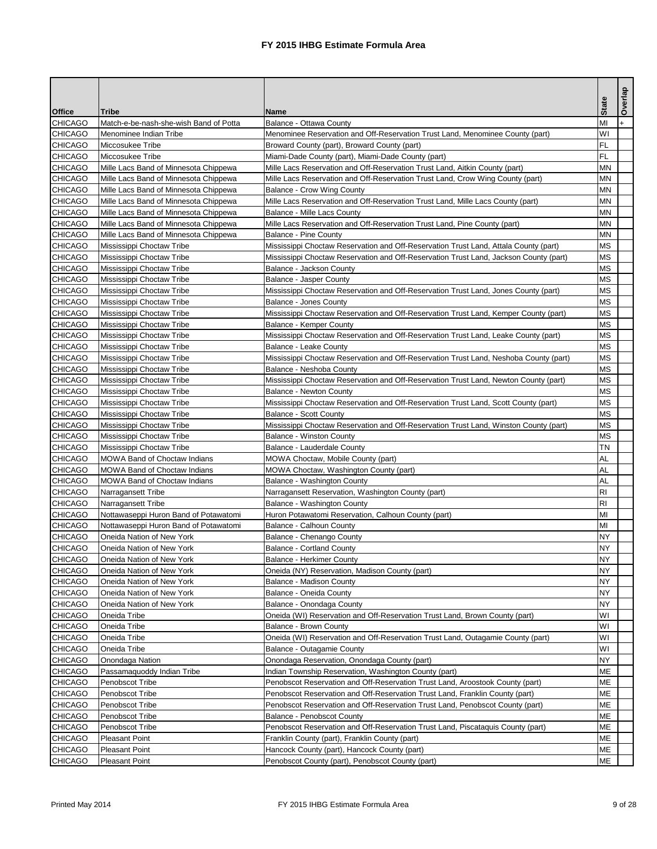|                                  |                                                                                |                                                                                                                 | <b>State</b>           | Overlap |
|----------------------------------|--------------------------------------------------------------------------------|-----------------------------------------------------------------------------------------------------------------|------------------------|---------|
| <b>Office</b>                    | <b>Tribe</b>                                                                   | <b>Name</b>                                                                                                     |                        |         |
| <b>CHICAGO</b>                   | Match-e-be-nash-she-wish Band of Potta                                         | Balance - Ottawa County                                                                                         | MI                     |         |
| <b>CHICAGO</b>                   | Menominee Indian Tribe                                                         | Menominee Reservation and Off-Reservation Trust Land, Menominee County (part)                                   | WI                     |         |
| <b>CHICAGO</b>                   | Miccosukee Tribe                                                               | Broward County (part), Broward County (part)                                                                    | <b>FL</b>              |         |
| <b>CHICAGO</b>                   | Miccosukee Tribe                                                               | Miami-Dade County (part), Miami-Dade County (part)                                                              | <b>FL</b>              |         |
| <b>CHICAGO</b>                   | Mille Lacs Band of Minnesota Chippewa                                          | Mille Lacs Reservation and Off-Reservation Trust Land, Aitkin County (part)                                     | <b>MN</b>              |         |
| <b>CHICAGO</b>                   | Mille Lacs Band of Minnesota Chippewa                                          | Mille Lacs Reservation and Off-Reservation Trust Land, Crow Wing County (part)                                  | <b>MN</b><br><b>MN</b> |         |
| <b>CHICAGO</b><br><b>CHICAGO</b> | Mille Lacs Band of Minnesota Chippewa<br>Mille Lacs Band of Minnesota Chippewa | <b>Balance - Crow Wing County</b>                                                                               | <b>MN</b>              |         |
|                                  |                                                                                | Mille Lacs Reservation and Off-Reservation Trust Land, Mille Lacs County (part)                                 | <b>MN</b>              |         |
| <b>CHICAGO</b><br><b>CHICAGO</b> | Mille Lacs Band of Minnesota Chippewa<br>Mille Lacs Band of Minnesota Chippewa | <b>Balance - Mille Lacs County</b><br>Mille Lacs Reservation and Off-Reservation Trust Land, Pine County (part) | <b>MN</b>              |         |
| <b>CHICAGO</b>                   | Mille Lacs Band of Minnesota Chippewa                                          | <b>Balance - Pine County</b>                                                                                    | <b>MN</b>              |         |
| <b>CHICAGO</b>                   | Mississippi Choctaw Tribe                                                      | Mississippi Choctaw Reservation and Off-Reservation Trust Land, Attala County (part)                            | <b>MS</b>              |         |
| <b>CHICAGO</b>                   | Mississippi Choctaw Tribe                                                      | Mississippi Choctaw Reservation and Off-Reservation Trust Land, Jackson County (part)                           | <b>MS</b>              |         |
| <b>CHICAGO</b>                   | Mississippi Choctaw Tribe                                                      | Balance - Jackson County                                                                                        | <b>MS</b>              |         |
| <b>CHICAGO</b>                   | Mississippi Choctaw Tribe                                                      | <b>Balance - Jasper County</b>                                                                                  | <b>MS</b>              |         |
| <b>CHICAGO</b>                   | Mississippi Choctaw Tribe                                                      | Mississippi Choctaw Reservation and Off-Reservation Trust Land, Jones County (part)                             | <b>MS</b>              |         |
| <b>CHICAGO</b>                   | Mississippi Choctaw Tribe                                                      | <b>Balance - Jones County</b>                                                                                   | <b>MS</b>              |         |
| <b>CHICAGO</b>                   | Mississippi Choctaw Tribe                                                      | Mississippi Choctaw Reservation and Off-Reservation Trust Land, Kemper County (part)                            | <b>MS</b>              |         |
| <b>CHICAGO</b>                   | Mississippi Choctaw Tribe                                                      | <b>Balance - Kemper County</b>                                                                                  | <b>MS</b>              |         |
| <b>CHICAGO</b>                   | Mississippi Choctaw Tribe                                                      | Mississippi Choctaw Reservation and Off-Reservation Trust Land, Leake County (part)                             | <b>MS</b>              |         |
| <b>CHICAGO</b>                   | Mississippi Choctaw Tribe                                                      | <b>Balance - Leake County</b>                                                                                   | <b>MS</b>              |         |
| <b>CHICAGO</b>                   | Mississippi Choctaw Tribe                                                      | Mississippi Choctaw Reservation and Off-Reservation Trust Land, Neshoba County (part)                           | <b>MS</b>              |         |
| <b>CHICAGO</b>                   | Mississippi Choctaw Tribe                                                      | Balance - Neshoba County                                                                                        | <b>MS</b>              |         |
| <b>CHICAGO</b>                   | Mississippi Choctaw Tribe                                                      | Mississippi Choctaw Reservation and Off-Reservation Trust Land, Newton County (part)                            | <b>MS</b>              |         |
| <b>CHICAGO</b>                   | Mississippi Choctaw Tribe                                                      | <b>Balance - Newton County</b>                                                                                  | <b>MS</b>              |         |
| <b>CHICAGO</b>                   | Mississippi Choctaw Tribe                                                      | Mississippi Choctaw Reservation and Off-Reservation Trust Land, Scott County (part)                             | <b>MS</b>              |         |
| <b>CHICAGO</b>                   | Mississippi Choctaw Tribe                                                      | <b>Balance - Scott County</b>                                                                                   | <b>MS</b>              |         |
| <b>CHICAGO</b>                   | Mississippi Choctaw Tribe                                                      | Mississippi Choctaw Reservation and Off-Reservation Trust Land, Winston County (part)                           | <b>MS</b>              |         |
| <b>CHICAGO</b>                   | Mississippi Choctaw Tribe                                                      | <b>Balance - Winston County</b>                                                                                 | <b>MS</b>              |         |
| <b>CHICAGO</b>                   | Mississippi Choctaw Tribe                                                      | <b>Balance - Lauderdale County</b>                                                                              | <b>TN</b>              |         |
| <b>CHICAGO</b>                   | <b>MOWA Band of Choctaw Indians</b>                                            | MOWA Choctaw, Mobile County (part)                                                                              | <b>AL</b>              |         |
| <b>CHICAGO</b>                   | <b>MOWA Band of Choctaw Indians</b>                                            | MOWA Choctaw, Washington County (part)                                                                          | <b>AL</b>              |         |
| <b>CHICAGO</b>                   | <b>MOWA Band of Choctaw Indians</b>                                            | Balance - Washington County                                                                                     | <b>AL</b>              |         |
| <b>CHICAGO</b>                   | Narragansett Tribe                                                             | Narragansett Reservation, Washington County (part)                                                              | R <sub>l</sub>         |         |
| <b>CHICAGO</b>                   | Narragansett Tribe                                                             | Balance - Washington County                                                                                     | R <sub>l</sub>         |         |
| <b>CHICAGO</b>                   | Nottawaseppi Huron Band of Potawatomi                                          | Huron Potawatomi Reservation, Calhoun County (part)                                                             | MI                     |         |
| <b>CHICAGO</b>                   | Nottawaseppi Huron Band of Potawatomi                                          | <b>Balance - Calhoun County</b>                                                                                 | MI                     |         |
| <b>CHICAGO</b>                   | Oneida Nation of New York                                                      | Balance - Chenango County                                                                                       | <b>NY</b>              |         |
| <b>CHICAGO</b>                   | Oneida Nation of New York                                                      | <b>Balance - Cortland County</b>                                                                                | <b>NY</b>              |         |
| <b>CHICAGO</b>                   | Oneida Nation of New York                                                      | <b>Balance - Herkimer County</b>                                                                                | <b>NY</b>              |         |
| <b>CHICAGO</b>                   | Oneida Nation of New York                                                      | Oneida (NY) Reservation, Madison County (part)                                                                  | <b>NY</b>              |         |
| <b>CHICAGO</b>                   | Oneida Nation of New York                                                      | <b>Balance - Madison County</b>                                                                                 | <b>NY</b>              |         |
| <b>CHICAGO</b>                   | Oneida Nation of New York                                                      | Balance - Oneida County                                                                                         | <b>NY</b>              |         |
| <b>CHICAGO</b>                   | Oneida Nation of New York                                                      | Balance - Onondaga County                                                                                       | <b>NY</b>              |         |
| <b>CHICAGO</b>                   | Oneida Tribe                                                                   | Oneida (WI) Reservation and Off-Reservation Trust Land, Brown County (part)                                     | WI                     |         |
| <b>CHICAGO</b>                   | Oneida Tribe                                                                   | <b>Balance - Brown County</b>                                                                                   | WI                     |         |
| <b>CHICAGO</b>                   | Oneida Tribe                                                                   | Oneida (WI) Reservation and Off-Reservation Trust Land, Outagamie County (part)                                 | WI                     |         |
| <b>CHICAGO</b>                   | Oneida Tribe                                                                   | Balance - Outagamie County                                                                                      | WI                     |         |
| <b>CHICAGO</b>                   | Onondaga Nation                                                                | Onondaga Reservation, Onondaga County (part)                                                                    | <b>NY</b>              |         |
| <b>CHICAGO</b>                   | Passamaquoddy Indian Tribe                                                     | Indian Township Reservation, Washington County (part)                                                           | <b>ME</b>              |         |
| <b>CHICAGO</b>                   | Penobscot Tribe                                                                | Penobscot Reservation and Off-Reservation Trust Land, Aroostook County (part)                                   | <b>ME</b>              |         |
| <b>CHICAGO</b>                   | Penobscot Tribe                                                                | Penobscot Reservation and Off-Reservation Trust Land, Franklin County (part)                                    | <b>ME</b>              |         |
| <b>CHICAGO</b>                   | Penobscot Tribe                                                                | Penobscot Reservation and Off-Reservation Trust Land, Penobscot County (part)                                   | <b>ME</b>              |         |
| <b>CHICAGO</b>                   | Penobscot Tribe                                                                | <b>Balance - Penobscot County</b>                                                                               | <b>ME</b>              |         |
| <b>CHICAGO</b>                   | Penobscot Tribe                                                                | Penobscot Reservation and Off-Reservation Trust Land, Piscataquis County (part)                                 | <b>ME</b>              |         |
| <b>CHICAGO</b>                   | <b>Pleasant Point</b>                                                          | Franklin County (part), Franklin County (part)                                                                  | <b>ME</b>              |         |
| <b>CHICAGO</b>                   | <b>Pleasant Point</b>                                                          | Hancock County (part), Hancock County (part)                                                                    | <b>ME</b>              |         |
| <b>CHICAGO</b>                   | <b>Pleasant Point</b>                                                          | Penobscot County (part), Penobscot County (part)                                                                | <b>ME</b>              |         |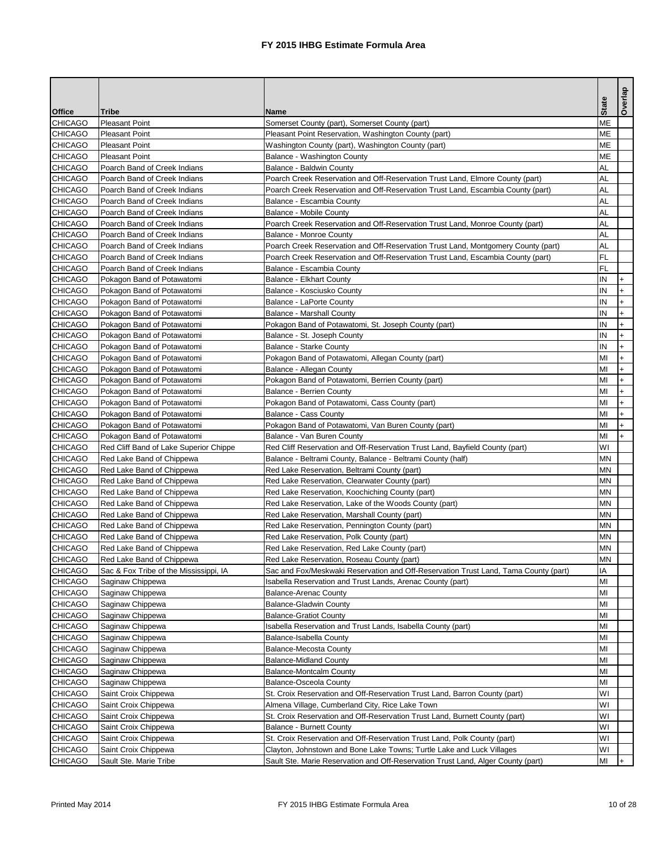|                |                                        |                                                                                     | <b>State</b> | Overlap |
|----------------|----------------------------------------|-------------------------------------------------------------------------------------|--------------|---------|
| <b>Office</b>  | <b>Tribe</b>                           | <b>Name</b>                                                                         |              |         |
| <b>CHICAGO</b> | <b>Pleasant Point</b>                  | Somerset County (part), Somerset County (part)                                      | <b>ME</b>    |         |
| <b>CHICAGO</b> | <b>Pleasant Point</b>                  | Pleasant Point Reservation, Washington County (part)                                | <b>ME</b>    |         |
| <b>CHICAGO</b> | <b>Pleasant Point</b>                  | Washington County (part), Washington County (part)                                  | <b>ME</b>    |         |
| <b>CHICAGO</b> | <b>Pleasant Point</b>                  | Balance - Washington County                                                         | <b>ME</b>    |         |
| <b>CHICAGO</b> | Poarch Band of Creek Indians           | <b>Balance - Baldwin County</b>                                                     | <b>AL</b>    |         |
| <b>CHICAGO</b> | Poarch Band of Creek Indians           | Poarch Creek Reservation and Off-Reservation Trust Land, Elmore County (part)       | <b>AL</b>    |         |
| <b>CHICAGO</b> | Poarch Band of Creek Indians           | Poarch Creek Reservation and Off-Reservation Trust Land, Escambia County (part)     | <b>AL</b>    |         |
| <b>CHICAGO</b> | Poarch Band of Creek Indians           | Balance - Escambia County                                                           | <b>AL</b>    |         |
| <b>CHICAGO</b> | Poarch Band of Creek Indians           | <b>Balance - Mobile County</b>                                                      | <b>AL</b>    |         |
| <b>CHICAGO</b> | Poarch Band of Creek Indians           | Poarch Creek Reservation and Off-Reservation Trust Land, Monroe County (part)       | <b>AL</b>    |         |
| <b>CHICAGO</b> | Poarch Band of Creek Indians           | <b>Balance - Monroe County</b>                                                      | <b>AL</b>    |         |
| <b>CHICAGO</b> | Poarch Band of Creek Indians           | Poarch Creek Reservation and Off-Reservation Trust Land, Montgomery County (part)   | <b>AL</b>    |         |
| <b>CHICAGO</b> | Poarch Band of Creek Indians           | Poarch Creek Reservation and Off-Reservation Trust Land, Escambia County (part)     | FL.          |         |
| <b>CHICAGO</b> | Poarch Band of Creek Indians           | Balance - Escambia County                                                           | <b>FL</b>    |         |
| <b>CHICAGO</b> | Pokagon Band of Potawatomi             | <b>Balance - Elkhart County</b>                                                     | IN           |         |
| <b>CHICAGO</b> | Pokagon Band of Potawatomi             | Balance - Kosciusko County                                                          | IN           |         |
| <b>CHICAGO</b> | Pokagon Band of Potawatomi             | <b>Balance - LaPorte County</b>                                                     | IN           |         |
| <b>CHICAGO</b> | Pokagon Band of Potawatomi             | <b>Balance - Marshall County</b>                                                    | IN           |         |
| <b>CHICAGO</b> | Pokagon Band of Potawatomi             | Pokagon Band of Potawatomi, St. Joseph County (part)                                | IN           |         |
| <b>CHICAGO</b> | Pokagon Band of Potawatomi             | Balance - St. Joseph County                                                         | IN           |         |
| <b>CHICAGO</b> | Pokagon Band of Potawatomi             | <b>Balance - Starke County</b>                                                      | IN           |         |
| <b>CHICAGO</b> | Pokagon Band of Potawatomi             | Pokagon Band of Potawatomi, Allegan County (part)                                   | MI           |         |
| <b>CHICAGO</b> | Pokagon Band of Potawatomi             | Balance - Allegan County                                                            | MI           |         |
| <b>CHICAGO</b> | Pokagon Band of Potawatomi             | Pokagon Band of Potawatomi, Berrien County (part)                                   | MI           |         |
| <b>CHICAGO</b> | Pokagon Band of Potawatomi             | <b>Balance - Berrien County</b>                                                     | MI           |         |
| <b>CHICAGO</b> | Pokagon Band of Potawatomi             | Pokagon Band of Potawatomi, Cass County (part)                                      | MI           |         |
| <b>CHICAGO</b> | Pokagon Band of Potawatomi             | <b>Balance - Cass County</b>                                                        | MI           |         |
| <b>CHICAGO</b> | Pokagon Band of Potawatomi             | Pokagon Band of Potawatomi, Van Buren County (part)                                 | MI           |         |
| <b>CHICAGO</b> | Pokagon Band of Potawatomi             | Balance - Van Buren County                                                          | MI           | $+$     |
| <b>CHICAGO</b> | Red Cliff Band of Lake Superior Chippe | Red Cliff Reservation and Off-Reservation Trust Land, Bayfield County (part)        | WI           |         |
| <b>CHICAGO</b> | Red Lake Band of Chippewa              | Balance - Beltrami County, Balance - Beltrami County (half)                         | <b>MN</b>    |         |
| <b>CHICAGO</b> | Red Lake Band of Chippewa              | Red Lake Reservation, Beltrami County (part)                                        | <b>MN</b>    |         |
| <b>CHICAGO</b> | Red Lake Band of Chippewa              | Red Lake Reservation, Clearwater County (part)                                      | <b>MN</b>    |         |
| <b>CHICAGO</b> | Red Lake Band of Chippewa              | Red Lake Reservation, Koochiching County (part)                                     | <b>MN</b>    |         |
| <b>CHICAGO</b> | Red Lake Band of Chippewa              | Red Lake Reservation, Lake of the Woods County (part)                               | <b>MN</b>    |         |
| <b>CHICAGO</b> | Red Lake Band of Chippewa              | Red Lake Reservation, Marshall County (part)                                        | <b>MN</b>    |         |
| <b>CHICAGO</b> | Red Lake Band of Chippewa              | Red Lake Reservation, Pennington County (part)                                      | <b>MN</b>    |         |
| <b>CHICAGO</b> | Red Lake Band of Chippewa              | Red Lake Reservation, Polk County (part)                                            | <b>MN</b>    |         |
| <b>CHICAGO</b> | Red Lake Band of Chippewa              | Red Lake Reservation, Red Lake County (part)                                        | <b>MN</b>    |         |
| <b>CHICAGO</b> | Red Lake Band of Chippewa              | Red Lake Reservation, Roseau County (part)                                          | <b>MN</b>    |         |
| <b>CHICAGO</b> | Sac & Fox Tribe of the Mississippi, IA | Sac and Fox/Meskwaki Reservation and Off-Reservation Trust Land, Tama County (part) | IA           |         |
| <b>CHICAGO</b> | Saginaw Chippewa                       | Isabella Reservation and Trust Lands, Arenac County (part)                          | MI           |         |
| <b>CHICAGO</b> | Saginaw Chippewa                       | <b>Balance-Arenac County</b>                                                        | MI           |         |
| <b>CHICAGO</b> | Saginaw Chippewa                       | <b>Balance-Gladwin County</b>                                                       | MI           |         |
| <b>CHICAGO</b> | Saginaw Chippewa                       | <b>Balance-Gratiot County</b>                                                       | MI           |         |
| <b>CHICAGO</b> | Saginaw Chippewa                       | Isabella Reservation and Trust Lands, Isabella County (part)                        | MI           |         |
| <b>CHICAGO</b> | Saginaw Chippewa                       | Balance-Isabella County                                                             | MI           |         |
| <b>CHICAGO</b> | Saginaw Chippewa                       | <b>Balance-Mecosta County</b>                                                       | MI           |         |
| <b>CHICAGO</b> | Saginaw Chippewa                       | <b>Balance-Midland County</b>                                                       | MI           |         |
| <b>CHICAGO</b> | Saginaw Chippewa                       | <b>Balance-Montcalm County</b>                                                      | MI           |         |
| <b>CHICAGO</b> | Saginaw Chippewa                       | <b>Balance-Osceola County</b>                                                       | MI           |         |
| <b>CHICAGO</b> | Saint Croix Chippewa                   | St. Croix Reservation and Off-Reservation Trust Land, Barron County (part)          | WI           |         |
| <b>CHICAGO</b> | Saint Croix Chippewa                   | Almena Village, Cumberland City, Rice Lake Town                                     | WI           |         |
| <b>CHICAGO</b> | Saint Croix Chippewa                   | St. Croix Reservation and Off-Reservation Trust Land, Burnett County (part)         | WI           |         |
| <b>CHICAGO</b> | Saint Croix Chippewa                   | <b>Balance - Burnett County</b>                                                     | WI           |         |
| <b>CHICAGO</b> | Saint Croix Chippewa                   | St. Croix Reservation and Off-Reservation Trust Land, Polk County (part)            | WI           |         |
| <b>CHICAGO</b> | Saint Croix Chippewa                   | Clayton, Johnstown and Bone Lake Towns; Turtle Lake and Luck Villages               | WI           |         |
| <b>CHICAGO</b> | Sault Ste. Marie Tribe                 | Sault Ste. Marie Reservation and Off-Reservation Trust Land, Alger County (part)    | MI           |         |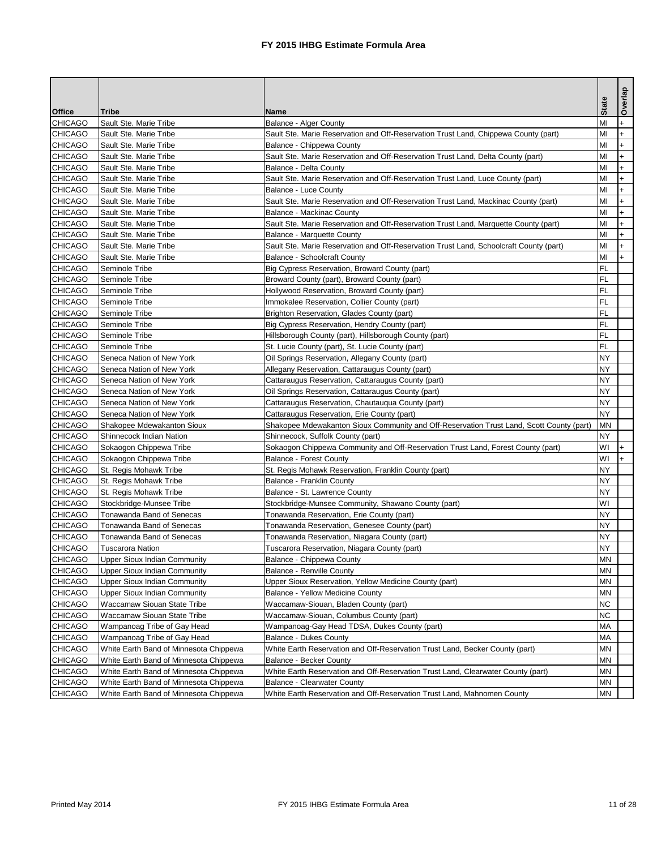| <b>State</b><br><b>Office</b><br><b>Tribe</b><br><b>Name</b><br>MI<br><b>CHICAGO</b><br>Sault Ste. Marie Tribe<br><b>Balance - Alger County</b><br><b>CHICAGO</b><br>MI<br>Sault Ste. Marie Tribe<br>Sault Ste. Marie Reservation and Off-Reservation Trust Land, Chippewa County (part)<br><b>CHICAGO</b><br>MI<br>Sault Ste. Marie Tribe<br>Balance - Chippewa County<br><b>CHICAGO</b><br>MI<br>Sault Ste. Marie Tribe<br>Sault Ste. Marie Reservation and Off-Reservation Trust Land, Delta County (part)<br><b>CHICAGO</b><br>MI<br>Sault Ste. Marie Tribe<br>Balance - Delta County<br><b>CHICAGO</b><br>MI<br>Sault Ste. Marie Tribe<br>Sault Ste. Marie Reservation and Off-Reservation Trust Land, Luce County (part)<br><b>CHICAGO</b><br>MI<br>Sault Ste. Marie Tribe<br><b>Balance - Luce County</b><br><b>CHICAGO</b><br>MI<br>Sault Ste. Marie Tribe<br>Sault Ste. Marie Reservation and Off-Reservation Trust Land, Mackinac County (part)<br><b>CHICAGO</b><br>MI<br>Sault Ste. Marie Tribe<br><b>Balance - Mackinac County</b><br>MI<br><b>CHICAGO</b><br>Sault Ste. Marie Reservation and Off-Reservation Trust Land, Marquette County (part)<br>Sault Ste. Marie Tribe<br><b>CHICAGO</b><br>MI<br>Sault Ste. Marie Tribe<br><b>Balance - Marquette County</b><br><b>CHICAGO</b><br>MI<br>Sault Ste. Marie Tribe<br>Sault Ste. Marie Reservation and Off-Reservation Trust Land, Schoolcraft County (part) | Overlap   |
|------------------------------------------------------------------------------------------------------------------------------------------------------------------------------------------------------------------------------------------------------------------------------------------------------------------------------------------------------------------------------------------------------------------------------------------------------------------------------------------------------------------------------------------------------------------------------------------------------------------------------------------------------------------------------------------------------------------------------------------------------------------------------------------------------------------------------------------------------------------------------------------------------------------------------------------------------------------------------------------------------------------------------------------------------------------------------------------------------------------------------------------------------------------------------------------------------------------------------------------------------------------------------------------------------------------------------------------------------------------------------------------------------------------------------|-----------|
|                                                                                                                                                                                                                                                                                                                                                                                                                                                                                                                                                                                                                                                                                                                                                                                                                                                                                                                                                                                                                                                                                                                                                                                                                                                                                                                                                                                                                              |           |
|                                                                                                                                                                                                                                                                                                                                                                                                                                                                                                                                                                                                                                                                                                                                                                                                                                                                                                                                                                                                                                                                                                                                                                                                                                                                                                                                                                                                                              | $\ddot{}$ |
|                                                                                                                                                                                                                                                                                                                                                                                                                                                                                                                                                                                                                                                                                                                                                                                                                                                                                                                                                                                                                                                                                                                                                                                                                                                                                                                                                                                                                              |           |
|                                                                                                                                                                                                                                                                                                                                                                                                                                                                                                                                                                                                                                                                                                                                                                                                                                                                                                                                                                                                                                                                                                                                                                                                                                                                                                                                                                                                                              | $\ddot{}$ |
|                                                                                                                                                                                                                                                                                                                                                                                                                                                                                                                                                                                                                                                                                                                                                                                                                                                                                                                                                                                                                                                                                                                                                                                                                                                                                                                                                                                                                              |           |
|                                                                                                                                                                                                                                                                                                                                                                                                                                                                                                                                                                                                                                                                                                                                                                                                                                                                                                                                                                                                                                                                                                                                                                                                                                                                                                                                                                                                                              |           |
|                                                                                                                                                                                                                                                                                                                                                                                                                                                                                                                                                                                                                                                                                                                                                                                                                                                                                                                                                                                                                                                                                                                                                                                                                                                                                                                                                                                                                              | $+$       |
|                                                                                                                                                                                                                                                                                                                                                                                                                                                                                                                                                                                                                                                                                                                                                                                                                                                                                                                                                                                                                                                                                                                                                                                                                                                                                                                                                                                                                              | $+$       |
|                                                                                                                                                                                                                                                                                                                                                                                                                                                                                                                                                                                                                                                                                                                                                                                                                                                                                                                                                                                                                                                                                                                                                                                                                                                                                                                                                                                                                              | $\ddot{}$ |
|                                                                                                                                                                                                                                                                                                                                                                                                                                                                                                                                                                                                                                                                                                                                                                                                                                                                                                                                                                                                                                                                                                                                                                                                                                                                                                                                                                                                                              |           |
|                                                                                                                                                                                                                                                                                                                                                                                                                                                                                                                                                                                                                                                                                                                                                                                                                                                                                                                                                                                                                                                                                                                                                                                                                                                                                                                                                                                                                              |           |
|                                                                                                                                                                                                                                                                                                                                                                                                                                                                                                                                                                                                                                                                                                                                                                                                                                                                                                                                                                                                                                                                                                                                                                                                                                                                                                                                                                                                                              |           |
|                                                                                                                                                                                                                                                                                                                                                                                                                                                                                                                                                                                                                                                                                                                                                                                                                                                                                                                                                                                                                                                                                                                                                                                                                                                                                                                                                                                                                              |           |
| <b>CHICAGO</b><br>MI<br>Sault Ste. Marie Tribe<br><b>Balance - Schoolcraft County</b>                                                                                                                                                                                                                                                                                                                                                                                                                                                                                                                                                                                                                                                                                                                                                                                                                                                                                                                                                                                                                                                                                                                                                                                                                                                                                                                                        | $+$       |
| FL<br><b>CHICAGO</b><br>Seminole Tribe<br>Big Cypress Reservation, Broward County (part)                                                                                                                                                                                                                                                                                                                                                                                                                                                                                                                                                                                                                                                                                                                                                                                                                                                                                                                                                                                                                                                                                                                                                                                                                                                                                                                                     |           |
| <b>FL</b><br><b>CHICAGO</b><br>Seminole Tribe<br>Broward County (part), Broward County (part)                                                                                                                                                                                                                                                                                                                                                                                                                                                                                                                                                                                                                                                                                                                                                                                                                                                                                                                                                                                                                                                                                                                                                                                                                                                                                                                                |           |
| <b>FL</b><br><b>CHICAGO</b><br>Hollywood Reservation, Broward County (part)<br>Seminole Tribe                                                                                                                                                                                                                                                                                                                                                                                                                                                                                                                                                                                                                                                                                                                                                                                                                                                                                                                                                                                                                                                                                                                                                                                                                                                                                                                                |           |
| FL<br><b>CHICAGO</b><br>Seminole Tribe<br>Immokalee Reservation, Collier County (part)                                                                                                                                                                                                                                                                                                                                                                                                                                                                                                                                                                                                                                                                                                                                                                                                                                                                                                                                                                                                                                                                                                                                                                                                                                                                                                                                       |           |
| <b>FL</b><br><b>CHICAGO</b><br>Seminole Tribe<br>Brighton Reservation, Glades County (part)                                                                                                                                                                                                                                                                                                                                                                                                                                                                                                                                                                                                                                                                                                                                                                                                                                                                                                                                                                                                                                                                                                                                                                                                                                                                                                                                  |           |
| <b>FL</b><br><b>CHICAGO</b><br>Seminole Tribe<br>Big Cypress Reservation, Hendry County (part)                                                                                                                                                                                                                                                                                                                                                                                                                                                                                                                                                                                                                                                                                                                                                                                                                                                                                                                                                                                                                                                                                                                                                                                                                                                                                                                               |           |
| <b>FL</b><br><b>CHICAGO</b><br>Seminole Tribe<br>Hillsborough County (part), Hillsborough County (part)                                                                                                                                                                                                                                                                                                                                                                                                                                                                                                                                                                                                                                                                                                                                                                                                                                                                                                                                                                                                                                                                                                                                                                                                                                                                                                                      |           |
| <b>FL</b><br><b>CHICAGO</b><br>Seminole Tribe<br>St. Lucie County (part), St. Lucie County (part)                                                                                                                                                                                                                                                                                                                                                                                                                                                                                                                                                                                                                                                                                                                                                                                                                                                                                                                                                                                                                                                                                                                                                                                                                                                                                                                            |           |
| <b>NY</b><br><b>CHICAGO</b><br>Seneca Nation of New York<br>Oil Springs Reservation, Allegany County (part)                                                                                                                                                                                                                                                                                                                                                                                                                                                                                                                                                                                                                                                                                                                                                                                                                                                                                                                                                                                                                                                                                                                                                                                                                                                                                                                  |           |
| <b>CHICAGO</b><br><b>NY</b><br>Seneca Nation of New York<br>Allegany Reservation, Cattaraugus County (part)                                                                                                                                                                                                                                                                                                                                                                                                                                                                                                                                                                                                                                                                                                                                                                                                                                                                                                                                                                                                                                                                                                                                                                                                                                                                                                                  |           |
| <b>CHICAGO</b><br><b>NY</b><br>Seneca Nation of New York<br>Cattaraugus Reservation, Cattaraugus County (part)                                                                                                                                                                                                                                                                                                                                                                                                                                                                                                                                                                                                                                                                                                                                                                                                                                                                                                                                                                                                                                                                                                                                                                                                                                                                                                               |           |
| <b>CHICAGO</b><br><b>NY</b><br>Seneca Nation of New York<br>Oil Springs Reservation, Cattaraugus County (part)                                                                                                                                                                                                                                                                                                                                                                                                                                                                                                                                                                                                                                                                                                                                                                                                                                                                                                                                                                                                                                                                                                                                                                                                                                                                                                               |           |
| <b>CHICAGO</b><br><b>NY</b><br>Seneca Nation of New York<br>Cattaraugus Reservation, Chautauqua County (part)                                                                                                                                                                                                                                                                                                                                                                                                                                                                                                                                                                                                                                                                                                                                                                                                                                                                                                                                                                                                                                                                                                                                                                                                                                                                                                                |           |
| <b>CHICAGO</b><br>Seneca Nation of New York<br>Cattaraugus Reservation, Erie County (part)<br><b>NY</b>                                                                                                                                                                                                                                                                                                                                                                                                                                                                                                                                                                                                                                                                                                                                                                                                                                                                                                                                                                                                                                                                                                                                                                                                                                                                                                                      |           |
| <b>CHICAGO</b><br>Shakopee Mdewakanton Sioux<br>Shakopee Mdewakanton Sioux Community and Off-Reservation Trust Land, Scott County (part)<br><b>MN</b>                                                                                                                                                                                                                                                                                                                                                                                                                                                                                                                                                                                                                                                                                                                                                                                                                                                                                                                                                                                                                                                                                                                                                                                                                                                                        |           |
| <b>CHICAGO</b><br><b>NY</b><br>Shinnecock Indian Nation<br>Shinnecock, Suffolk County (part)                                                                                                                                                                                                                                                                                                                                                                                                                                                                                                                                                                                                                                                                                                                                                                                                                                                                                                                                                                                                                                                                                                                                                                                                                                                                                                                                 |           |
| <b>CHICAGO</b><br>Sokaogon Chippewa Tribe<br>Sokaogon Chippewa Community and Off-Reservation Trust Land, Forest County (part)<br>WI                                                                                                                                                                                                                                                                                                                                                                                                                                                                                                                                                                                                                                                                                                                                                                                                                                                                                                                                                                                                                                                                                                                                                                                                                                                                                          | $+$       |
| <b>CHICAGO</b><br>Sokaogon Chippewa Tribe<br><b>Balance - Forest County</b><br>WI                                                                                                                                                                                                                                                                                                                                                                                                                                                                                                                                                                                                                                                                                                                                                                                                                                                                                                                                                                                                                                                                                                                                                                                                                                                                                                                                            |           |
| <b>CHICAGO</b><br><b>NY</b><br>St. Regis Mohawk Tribe<br>St. Regis Mohawk Reservation, Franklin County (part)                                                                                                                                                                                                                                                                                                                                                                                                                                                                                                                                                                                                                                                                                                                                                                                                                                                                                                                                                                                                                                                                                                                                                                                                                                                                                                                |           |
| <b>CHICAGO</b><br><b>NY</b><br>St. Regis Mohawk Tribe<br><b>Balance - Franklin County</b>                                                                                                                                                                                                                                                                                                                                                                                                                                                                                                                                                                                                                                                                                                                                                                                                                                                                                                                                                                                                                                                                                                                                                                                                                                                                                                                                    |           |
| <b>CHICAGO</b><br>St. Regis Mohawk Tribe<br>Balance - St. Lawrence County<br><b>NY</b>                                                                                                                                                                                                                                                                                                                                                                                                                                                                                                                                                                                                                                                                                                                                                                                                                                                                                                                                                                                                                                                                                                                                                                                                                                                                                                                                       |           |
| <b>CHICAGO</b><br>WI<br>Stockbridge-Munsee Tribe<br>Stockbridge-Munsee Community, Shawano County (part)                                                                                                                                                                                                                                                                                                                                                                                                                                                                                                                                                                                                                                                                                                                                                                                                                                                                                                                                                                                                                                                                                                                                                                                                                                                                                                                      |           |
| <b>NY</b><br><b>CHICAGO</b><br><b>Tonawanda Band of Senecas</b><br>Tonawanda Reservation, Erie County (part)                                                                                                                                                                                                                                                                                                                                                                                                                                                                                                                                                                                                                                                                                                                                                                                                                                                                                                                                                                                                                                                                                                                                                                                                                                                                                                                 |           |
| <b>NY</b><br><b>CHICAGO</b><br>Tonawanda Band of Senecas<br>Tonawanda Reservation, Genesee County (part)                                                                                                                                                                                                                                                                                                                                                                                                                                                                                                                                                                                                                                                                                                                                                                                                                                                                                                                                                                                                                                                                                                                                                                                                                                                                                                                     |           |
| <b>CHICAGO</b><br><b>NY</b><br>Tonawanda Band of Senecas<br>Tonawanda Reservation, Niagara County (part)                                                                                                                                                                                                                                                                                                                                                                                                                                                                                                                                                                                                                                                                                                                                                                                                                                                                                                                                                                                                                                                                                                                                                                                                                                                                                                                     |           |
| <b>CHICAGO</b><br><b>NY</b><br><b>Tuscarora Nation</b><br>Tuscarora Reservation, Niagara County (part)                                                                                                                                                                                                                                                                                                                                                                                                                                                                                                                                                                                                                                                                                                                                                                                                                                                                                                                                                                                                                                                                                                                                                                                                                                                                                                                       |           |
| <b>CHICAGO</b><br><b>MN</b><br><b>Upper Sioux Indian Community</b><br>Balance - Chippewa County                                                                                                                                                                                                                                                                                                                                                                                                                                                                                                                                                                                                                                                                                                                                                                                                                                                                                                                                                                                                                                                                                                                                                                                                                                                                                                                              |           |
| <b>CHICAGO</b><br><b>Upper Sioux Indian Community</b><br><b>MN</b><br><b>Balance - Renville County</b>                                                                                                                                                                                                                                                                                                                                                                                                                                                                                                                                                                                                                                                                                                                                                                                                                                                                                                                                                                                                                                                                                                                                                                                                                                                                                                                       |           |
| <b>CHICAGO</b><br><b>MN</b><br><b>Upper Sioux Indian Community</b><br>Upper Sioux Reservation, Yellow Medicine County (part)                                                                                                                                                                                                                                                                                                                                                                                                                                                                                                                                                                                                                                                                                                                                                                                                                                                                                                                                                                                                                                                                                                                                                                                                                                                                                                 |           |
| <b>CHICAGO</b><br><b>MN</b><br><b>Upper Sioux Indian Community</b><br><b>Balance - Yellow Medicine County</b>                                                                                                                                                                                                                                                                                                                                                                                                                                                                                                                                                                                                                                                                                                                                                                                                                                                                                                                                                                                                                                                                                                                                                                                                                                                                                                                |           |
| <b>NC</b><br><b>CHICAGO</b><br>Waccamaw Siouan State Tribe<br>Waccamaw-Siouan, Bladen County (part)                                                                                                                                                                                                                                                                                                                                                                                                                                                                                                                                                                                                                                                                                                                                                                                                                                                                                                                                                                                                                                                                                                                                                                                                                                                                                                                          |           |
| <b>CHICAGO</b><br><b>NC</b><br>Waccamaw Siouan State Tribe<br>Waccamaw-Siouan, Columbus County (part)                                                                                                                                                                                                                                                                                                                                                                                                                                                                                                                                                                                                                                                                                                                                                                                                                                                                                                                                                                                                                                                                                                                                                                                                                                                                                                                        |           |
| <b>CHICAGO</b><br><b>MA</b><br>Wampanoag Tribe of Gay Head<br>Wampanoag-Gay Head TDSA, Dukes County (part)                                                                                                                                                                                                                                                                                                                                                                                                                                                                                                                                                                                                                                                                                                                                                                                                                                                                                                                                                                                                                                                                                                                                                                                                                                                                                                                   |           |
| <b>Balance - Dukes County</b><br><b>MA</b><br><b>CHICAGO</b><br>Wampanoag Tribe of Gay Head                                                                                                                                                                                                                                                                                                                                                                                                                                                                                                                                                                                                                                                                                                                                                                                                                                                                                                                                                                                                                                                                                                                                                                                                                                                                                                                                  |           |
| <b>CHICAGO</b><br>White Earth Band of Minnesota Chippewa<br>White Earth Reservation and Off-Reservation Trust Land, Becker County (part)<br><b>MN</b>                                                                                                                                                                                                                                                                                                                                                                                                                                                                                                                                                                                                                                                                                                                                                                                                                                                                                                                                                                                                                                                                                                                                                                                                                                                                        |           |
| <b>CHICAGO</b><br><b>MN</b><br>White Earth Band of Minnesota Chippewa<br><b>Balance - Becker County</b>                                                                                                                                                                                                                                                                                                                                                                                                                                                                                                                                                                                                                                                                                                                                                                                                                                                                                                                                                                                                                                                                                                                                                                                                                                                                                                                      |           |
| <b>CHICAGO</b><br>White Earth Reservation and Off-Reservation Trust Land, Clearwater County (part)<br><b>MN</b><br>White Earth Band of Minnesota Chippewa                                                                                                                                                                                                                                                                                                                                                                                                                                                                                                                                                                                                                                                                                                                                                                                                                                                                                                                                                                                                                                                                                                                                                                                                                                                                    |           |
| <b>CHICAGO</b><br><b>MN</b><br>White Earth Band of Minnesota Chippewa<br><b>Balance - Clearwater County</b>                                                                                                                                                                                                                                                                                                                                                                                                                                                                                                                                                                                                                                                                                                                                                                                                                                                                                                                                                                                                                                                                                                                                                                                                                                                                                                                  |           |
| <b>CHICAGO</b><br>White Earth Reservation and Off-Reservation Trust Land, Mahnomen County<br><b>MN</b><br>White Earth Band of Minnesota Chippewa                                                                                                                                                                                                                                                                                                                                                                                                                                                                                                                                                                                                                                                                                                                                                                                                                                                                                                                                                                                                                                                                                                                                                                                                                                                                             |           |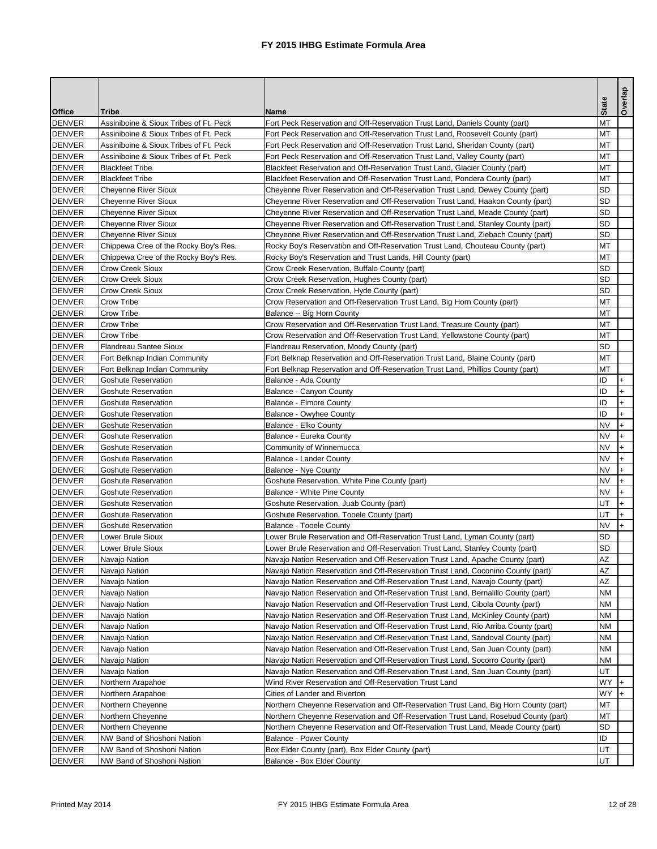|                                |                                                                |                                                                                                                                                                    | <b>State</b>           | delaoo       |
|--------------------------------|----------------------------------------------------------------|--------------------------------------------------------------------------------------------------------------------------------------------------------------------|------------------------|--------------|
| <b>Office</b>                  | <b>Tribe</b>                                                   | <b>Name</b>                                                                                                                                                        |                        |              |
| <b>DENVER</b>                  | Assiniboine & Sioux Tribes of Ft. Peck                         | Fort Peck Reservation and Off-Reservation Trust Land, Daniels County (part)                                                                                        | <b>MT</b>              |              |
| <b>DENVER</b>                  | Assiniboine & Sioux Tribes of Ft. Peck                         | Fort Peck Reservation and Off-Reservation Trust Land, Roosevelt County (part)                                                                                      | <b>MT</b>              |              |
| DENVER                         | Assiniboine & Sioux Tribes of Ft. Peck                         | Fort Peck Reservation and Off-Reservation Trust Land, Sheridan County (part)                                                                                       | <b>MT</b>              |              |
| DENVER                         | Assiniboine & Sioux Tribes of Ft. Peck                         | Fort Peck Reservation and Off-Reservation Trust Land, Valley County (part)                                                                                         | <b>MT</b>              |              |
| <b>DENVER</b>                  | <b>Blackfeet Tribe</b>                                         | Blackfeet Reservation and Off-Reservation Trust Land, Glacier County (part)                                                                                        | <b>MT</b>              |              |
| <b>DENVER</b><br><b>DENVER</b> | <b>Blackfeet Tribe</b>                                         | Blackfeet Reservation and Off-Reservation Trust Land, Pondera County (part)                                                                                        | <b>MT</b><br><b>SD</b> |              |
| DENVER                         | <b>Cheyenne River Sioux</b><br><b>Cheyenne River Sioux</b>     | Cheyenne River Reservation and Off-Reservation Trust Land, Dewey County (part)<br>Cheyenne River Reservation and Off-Reservation Trust Land, Haakon County (part)  | <b>SD</b>              |              |
| <b>DENVER</b>                  |                                                                |                                                                                                                                                                    | <b>SD</b>              |              |
| DENVER                         | <b>Cheyenne River Sioux</b><br><b>Cheyenne River Sioux</b>     | Cheyenne River Reservation and Off-Reservation Trust Land, Meade County (part)<br>Cheyenne River Reservation and Off-Reservation Trust Land, Stanley County (part) | <b>SD</b>              |              |
| <b>DENVER</b>                  | <b>Cheyenne River Sioux</b>                                    | Cheyenne River Reservation and Off-Reservation Trust Land, Ziebach County (part)                                                                                   | <b>SD</b>              |              |
| <b>DENVER</b>                  | Chippewa Cree of the Rocky Boy's Res.                          | Rocky Boy's Reservation and Off-Reservation Trust Land, Chouteau County (part)                                                                                     | <b>MT</b>              |              |
| DENVER                         | Chippewa Cree of the Rocky Boy's Res.                          | Rocky Boy's Reservation and Trust Lands, Hill County (part)                                                                                                        | <b>MT</b>              |              |
| <b>DENVER</b>                  | <b>Crow Creek Sioux</b>                                        | Crow Creek Reservation, Buffalo County (part)                                                                                                                      | <b>SD</b>              |              |
| DENVER                         | <b>Crow Creek Sioux</b>                                        | Crow Creek Reservation, Hughes County (part)                                                                                                                       | <b>SD</b>              |              |
| <b>DENVER</b>                  | <b>Crow Creek Sioux</b>                                        | Crow Creek Reservation, Hyde County (part)                                                                                                                         | <b>SD</b>              |              |
| DENVER                         | <b>Crow Tribe</b>                                              | Crow Reservation and Off-Reservation Trust Land, Big Horn County (part)                                                                                            | <b>MT</b>              |              |
| <b>DENVER</b>                  | <b>Crow Tribe</b>                                              | Balance -- Big Horn County                                                                                                                                         | <b>MT</b>              |              |
| <b>DENVER</b>                  | <b>Crow Tribe</b>                                              | Crow Reservation and Off-Reservation Trust Land, Treasure County (part)                                                                                            | <b>MT</b>              |              |
| DENVER                         | Crow Tribe                                                     | Crow Reservation and Off-Reservation Trust Land, Yellowstone County (part)                                                                                         | <b>MT</b>              |              |
| <b>DENVER</b>                  | <b>Flandreau Santee Sioux</b>                                  | Flandreau Reservation, Moody County (part)                                                                                                                         | <b>SD</b>              |              |
| DENVER                         |                                                                | Fort Belknap Reservation and Off-Reservation Trust Land, Blaine County (part)                                                                                      | <b>MT</b>              |              |
| DENVER                         | Fort Belknap Indian Community<br>Fort Belknap Indian Community | Fort Belknap Reservation and Off-Reservation Trust Land, Phillips County (part)                                                                                    | <b>MT</b>              |              |
| <b>DENVER</b>                  | <b>Goshute Reservation</b>                                     | Balance - Ada County                                                                                                                                               | ID                     |              |
| DENVER                         | <b>Goshute Reservation</b>                                     | <b>Balance - Canyon County</b>                                                                                                                                     | ID                     |              |
| DENVER                         | <b>Goshute Reservation</b>                                     | <b>Balance - Elmore County</b>                                                                                                                                     | ID                     |              |
| DENVER                         | <b>Goshute Reservation</b>                                     | <b>Balance - Owyhee County</b>                                                                                                                                     | ID                     |              |
| <b>DENVER</b>                  | Goshute Reservation                                            | Balance - Elko County                                                                                                                                              | <b>NV</b>              |              |
| <b>DENVER</b>                  | <b>Goshute Reservation</b>                                     | Balance - Eureka County                                                                                                                                            | <b>NV</b>              | $\mathsf{H}$ |
| <b>DENVER</b>                  | <b>Goshute Reservation</b>                                     | Community of Winnemucca                                                                                                                                            | <b>NV</b>              |              |
| <b>DENVER</b>                  | <b>Goshute Reservation</b>                                     | <b>Balance - Lander County</b>                                                                                                                                     | <b>NV</b>              |              |
| <b>DENVER</b>                  | <b>Goshute Reservation</b>                                     | Balance - Nye County                                                                                                                                               | <b>NV</b>              |              |
| <b>DENVER</b>                  | <b>Goshute Reservation</b>                                     | Goshute Reservation, White Pine County (part)                                                                                                                      | <b>NV</b>              |              |
| <b>DENVER</b>                  | <b>Goshute Reservation</b>                                     | <b>Balance - White Pine County</b>                                                                                                                                 | <b>NV</b>              |              |
| DENVER                         | <b>Goshute Reservation</b>                                     | Goshute Reservation, Juab County (part)                                                                                                                            | UT                     |              |
| <b>DENVER</b>                  | <b>Goshute Reservation</b>                                     | Goshute Reservation, Tooele County (part)                                                                                                                          | UT                     |              |
| <b>DENVER</b>                  | <b>Goshute Reservation</b>                                     | <b>Balance - Tooele County</b>                                                                                                                                     | <b>NV</b>              |              |
| <b>DENVER</b>                  | Lower Brule Sioux                                              | Lower Brule Reservation and Off-Reservation Trust Land, Lyman County (part)                                                                                        | <b>SD</b>              |              |
| <b>DENVER</b>                  | Lower Brule Sioux                                              | Lower Brule Reservation and Off-Reservation Trust Land, Stanley County (part)                                                                                      | <b>SD</b>              |              |
| <b>DENVER</b>                  | Navajo Nation                                                  | Navajo Nation Reservation and Off-Reservation Trust Land, Apache County (part)                                                                                     | <b>AZ</b>              |              |
| DENVER                         | Navajo Nation                                                  | Navajo Nation Reservation and Off-Reservation Trust Land, Coconino County (part)                                                                                   | AΖ                     |              |
| <b>DENVER</b>                  | Navajo Nation                                                  | Navajo Nation Reservation and Off-Reservation Trust Land, Navajo County (part)                                                                                     | AZ                     |              |
| <b>DENVER</b>                  | Navajo Nation                                                  | Navajo Nation Reservation and Off-Reservation Trust Land, Bernalillo County (part)                                                                                 | <b>NM</b>              |              |
| <b>DENVER</b>                  | Navajo Nation                                                  | Navajo Nation Reservation and Off-Reservation Trust Land, Cibola County (part)                                                                                     | <b>NM</b>              |              |
| <b>DENVER</b>                  | Navajo Nation                                                  | Navajo Nation Reservation and Off-Reservation Trust Land, McKinley County (part)                                                                                   | <b>NM</b>              |              |
| <b>DENVER</b>                  | Navajo Nation                                                  | Navajo Nation Reservation and Off-Reservation Trust Land, Rio Arriba County (part)                                                                                 | <b>NM</b>              |              |
| <b>DENVER</b>                  | Navajo Nation                                                  | Navajo Nation Reservation and Off-Reservation Trust Land, Sandoval County (part)                                                                                   | <b>NM</b>              |              |
| <b>DENVER</b>                  | Navajo Nation                                                  | Navajo Nation Reservation and Off-Reservation Trust Land, San Juan County (part)                                                                                   | <b>NM</b>              |              |
| <b>DENVER</b>                  | Navajo Nation                                                  | Navajo Nation Reservation and Off-Reservation Trust Land, Socorro County (part)                                                                                    | <b>NM</b>              |              |
| <b>DENVER</b>                  | Navajo Nation                                                  | Navajo Nation Reservation and Off-Reservation Trust Land, San Juan County (part)                                                                                   | UT                     |              |
| <b>DENVER</b>                  | Northern Arapahoe                                              | Wind River Reservation and Off-Reservation Trust Land                                                                                                              | <b>WY</b>              |              |
| <b>DENVER</b>                  | Northern Arapahoe                                              | Cities of Lander and Riverton                                                                                                                                      | <b>WY</b>              |              |
| <b>DENVER</b>                  | Northern Cheyenne                                              | Northern Cheyenne Reservation and Off-Reservation Trust Land, Big Horn County (part)                                                                               | <b>MT</b>              |              |
| <b>DENVER</b>                  | Northern Cheyenne                                              | Northern Cheyenne Reservation and Off-Reservation Trust Land, Rosebud County (part)                                                                                | <b>MT</b>              |              |
| <b>DENVER</b>                  | Northern Cheyenne                                              | Northern Cheyenne Reservation and Off-Reservation Trust Land, Meade County (part)                                                                                  | SD                     |              |
| DENVER                         | NW Band of Shoshoni Nation                                     | <b>Balance - Power County</b>                                                                                                                                      | ID                     |              |
| <b>DENVER</b>                  | NW Band of Shoshoni Nation                                     | Box Elder County (part), Box Elder County (part)                                                                                                                   | UT                     |              |
| DENVER                         | NW Band of Shoshoni Nation                                     | Balance - Box Elder County                                                                                                                                         | UT                     |              |
|                                |                                                                |                                                                                                                                                                    |                        |              |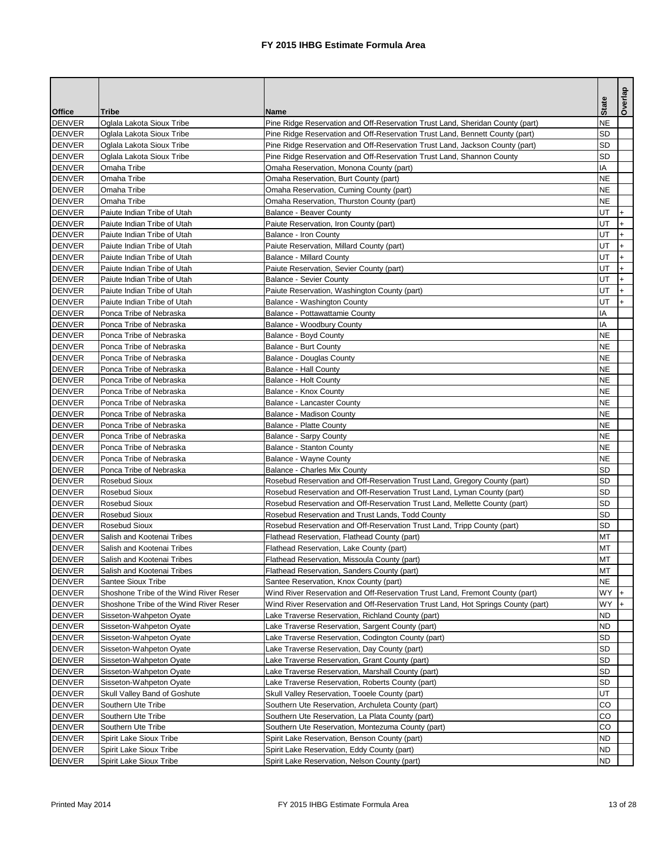|               |                                        |                                                                                  |              | Overlap |
|---------------|----------------------------------------|----------------------------------------------------------------------------------|--------------|---------|
| <b>Office</b> | <b>Tribe</b>                           | <b>Name</b>                                                                      | <b>State</b> |         |
| <b>DENVER</b> | Oglala Lakota Sioux Tribe              | Pine Ridge Reservation and Off-Reservation Trust Land, Sheridan County (part)    | <b>NE</b>    |         |
| <b>DENVER</b> | Oglala Lakota Sioux Tribe              | Pine Ridge Reservation and Off-Reservation Trust Land, Bennett County (part)     | <b>SD</b>    |         |
| <b>DENVER</b> | Oglala Lakota Sioux Tribe              | Pine Ridge Reservation and Off-Reservation Trust Land, Jackson County (part)     | <b>SD</b>    |         |
| <b>DENVER</b> | Oglala Lakota Sioux Tribe              | Pine Ridge Reservation and Off-Reservation Trust Land, Shannon County            | <b>SD</b>    |         |
| <b>DENVER</b> | Omaha Tribe                            | Omaha Reservation, Monona County (part)                                          | IA           |         |
| <b>DENVER</b> | Omaha Tribe                            | Omaha Reservation, Burt County (part)                                            | <b>NE</b>    |         |
| <b>DENVER</b> | Omaha Tribe                            | Omaha Reservation, Cuming County (part)                                          | <b>NE</b>    |         |
| <b>DENVER</b> | Omaha Tribe                            | Omaha Reservation, Thurston County (part)                                        | <b>NE</b>    |         |
| <b>DENVER</b> | Paiute Indian Tribe of Utah            | <b>Balance - Beaver County</b>                                                   | UT           |         |
| <b>DENVER</b> | Paiute Indian Tribe of Utah            | Paiute Reservation, Iron County (part)                                           | UT           |         |
| <b>DENVER</b> | Paiute Indian Tribe of Utah            | <b>Balance - Iron County</b>                                                     | UT           |         |
| <b>DENVER</b> | Paiute Indian Tribe of Utah            | Paiute Reservation, Millard County (part)                                        | UT           |         |
| <b>DENVER</b> | Paiute Indian Tribe of Utah            | <b>Balance - Millard County</b>                                                  | UT           |         |
| <b>DENVER</b> | Paiute Indian Tribe of Utah            | Paiute Reservation, Sevier County (part)                                         | UT           |         |
| DENVER        | Paiute Indian Tribe of Utah            | <b>Balance - Sevier County</b>                                                   | UT           |         |
| <b>DENVER</b> | Paiute Indian Tribe of Utah            | Paiute Reservation, Washington County (part)                                     | UT           |         |
| <b>DENVER</b> | Paiute Indian Tribe of Utah            | Balance - Washington County                                                      | UT           | $+$     |
| <b>DENVER</b> | Ponca Tribe of Nebraska                | Balance - Pottawattamie County                                                   | IA           |         |
| <b>DENVER</b> | Ponca Tribe of Nebraska                | Balance - Woodbury County                                                        | IA           |         |
| <b>DENVER</b> | Ponca Tribe of Nebraska                | <b>Balance - Boyd County</b>                                                     | <b>NE</b>    |         |
| <b>DENVER</b> | Ponca Tribe of Nebraska                | <b>Balance - Burt County</b>                                                     | <b>NE</b>    |         |
| <b>DENVER</b> | Ponca Tribe of Nebraska                | <b>Balance - Douglas County</b>                                                  | <b>NE</b>    |         |
| <b>DENVER</b> | Ponca Tribe of Nebraska                | <b>Balance - Hall County</b>                                                     | <b>NE</b>    |         |
| DENVER        | Ponca Tribe of Nebraska                | <b>Balance - Holt County</b>                                                     | <b>NE</b>    |         |
| <b>DENVER</b> | Ponca Tribe of Nebraska                | <b>Balance - Knox County</b>                                                     | <b>NE</b>    |         |
| <b>DENVER</b> | Ponca Tribe of Nebraska                | <b>Balance - Lancaster County</b>                                                | <b>NE</b>    |         |
| <b>DENVER</b> | Ponca Tribe of Nebraska                | <b>Balance - Madison County</b>                                                  | <b>NE</b>    |         |
| <b>DENVER</b> | Ponca Tribe of Nebraska                | <b>Balance - Platte County</b>                                                   | <b>NE</b>    |         |
| <b>DENVER</b> | Ponca Tribe of Nebraska                | <b>Balance - Sarpy County</b>                                                    | <b>NE</b>    |         |
| <b>DENVER</b> | Ponca Tribe of Nebraska                | <b>Balance - Stanton County</b>                                                  | <b>NE</b>    |         |
| <b>DENVER</b> | Ponca Tribe of Nebraska                | <b>Balance - Wayne County</b>                                                    | <b>NE</b>    |         |
| <b>DENVER</b> | Ponca Tribe of Nebraska                | <b>Balance - Charles Mix County</b>                                              | <b>SD</b>    |         |
| <b>DENVER</b> | Rosebud Sioux                          | Rosebud Reservation and Off-Reservation Trust Land, Gregory County (part)        | <b>SD</b>    |         |
| <b>DENVER</b> | <b>Rosebud Sioux</b>                   | Rosebud Reservation and Off-Reservation Trust Land, Lyman County (part)          | <b>SD</b>    |         |
| <b>DENVER</b> | <b>Rosebud Sioux</b>                   | Rosebud Reservation and Off-Reservation Trust Land, Mellette County (part)       | <b>SD</b>    |         |
| <b>DENVER</b> | <b>Rosebud Sioux</b>                   | Rosebud Reservation and Trust Lands, Todd County                                 | <b>SD</b>    |         |
| <b>DENVER</b> | <b>Rosebud Sioux</b>                   | Rosebud Reservation and Off-Reservation Trust Land, Tripp County (part)          | <b>SD</b>    |         |
| <b>DENVER</b> | Salish and Kootenai Tribes             | Flathead Reservation, Flathead County (part)                                     | <b>MT</b>    |         |
| <b>DENVER</b> | Salish and Kootenai Tribes             | Flathead Reservation, Lake County (part)                                         | <b>MT</b>    |         |
| <b>DENVER</b> | Salish and Kootenai Tribes             | Flathead Reservation, Missoula County (part)                                     | <b>MT</b>    |         |
| <b>DENVER</b> | Salish and Kootenai Tribes             | Flathead Reservation, Sanders County (part)                                      | MT           |         |
| <b>DENVER</b> | <b>Santee Sioux Tribe</b>              | Santee Reservation, Knox County (part)                                           | <b>NE</b>    |         |
| <b>DENVER</b> | Shoshone Tribe of the Wind River Reser | Wind River Reservation and Off-Reservation Trust Land, Fremont County (part)     | <b>WY</b>    |         |
| <b>DENVER</b> | Shoshone Tribe of the Wind River Reser | Wind River Reservation and Off-Reservation Trust Land, Hot Springs County (part) | <b>WY</b>    |         |
| <b>DENVER</b> | Sisseton-Wahpeton Oyate                | Lake Traverse Reservation, Richland County (part)                                | <b>ND</b>    |         |
| <b>DENVER</b> | Sisseton-Wahpeton Oyate                | Lake Traverse Reservation, Sargent County (part)                                 | <b>ND</b>    |         |
| <b>DENVER</b> | Sisseton-Wahpeton Oyate                | Lake Traverse Reservation, Codington County (part)                               | <b>SD</b>    |         |
| <b>DENVER</b> | Sisseton-Wahpeton Oyate                | Lake Traverse Reservation, Day County (part)                                     | <b>SD</b>    |         |
| <b>DENVER</b> | Sisseton-Wahpeton Oyate                | Lake Traverse Reservation, Grant County (part)                                   | <b>SD</b>    |         |
| <b>DENVER</b> | Sisseton-Wahpeton Oyate                | Lake Traverse Reservation, Marshall County (part)                                | <b>SD</b>    |         |
| <b>DENVER</b> | Sisseton-Wahpeton Oyate                | Lake Traverse Reservation, Roberts County (part)                                 | <b>SD</b>    |         |
| <b>DENVER</b> | Skull Valley Band of Goshute           | Skull Valley Reservation, Tooele County (part)                                   | UT           |         |
| <b>DENVER</b> | Southern Ute Tribe                     | Southern Ute Reservation, Archuleta County (part)                                | CO           |         |
| <b>DENVER</b> | Southern Ute Tribe                     | Southern Ute Reservation, La Plata County (part)                                 | CO           |         |
| <b>DENVER</b> | Southern Ute Tribe                     | Southern Ute Reservation, Montezuma County (part)                                | CO           |         |
| <b>DENVER</b> | Spirit Lake Sioux Tribe                | Spirit Lake Reservation, Benson County (part)                                    | <b>ND</b>    |         |
| <b>DENVER</b> | Spirit Lake Sioux Tribe                | Spirit Lake Reservation, Eddy County (part)                                      | <b>ND</b>    |         |
| DENVER        | Spirit Lake Sioux Tribe                | Spirit Lake Reservation, Nelson County (part)                                    | <b>ND</b>    |         |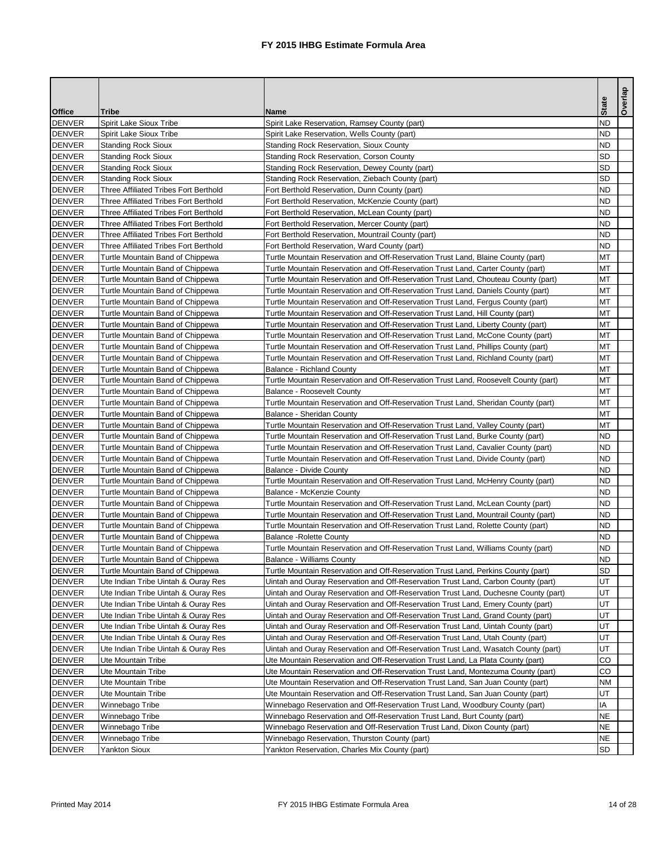|               |                                              |                                                                                     | <b>State</b> | Overlap |
|---------------|----------------------------------------------|-------------------------------------------------------------------------------------|--------------|---------|
| <b>Office</b> | <b>Tribe</b>                                 | <b>Name</b>                                                                         |              |         |
| <b>DENVER</b> | <b>Spirit Lake Sioux Tribe</b>               | Spirit Lake Reservation, Ramsey County (part)                                       | <b>ND</b>    |         |
| <b>DENVER</b> | <b>Spirit Lake Sioux Tribe</b>               | Spirit Lake Reservation, Wells County (part)                                        | <b>ND</b>    |         |
| <b>DENVER</b> | <b>Standing Rock Sioux</b>                   | <b>Standing Rock Reservation, Sioux County</b>                                      | <b>ND</b>    |         |
| <b>DENVER</b> | <b>Standing Rock Sioux</b>                   | <b>Standing Rock Reservation, Corson County</b>                                     | <b>SD</b>    |         |
| <b>DENVER</b> | <b>Standing Rock Sioux</b>                   | Standing Rock Reservation, Dewey County (part)                                      | <b>SD</b>    |         |
| <b>DENVER</b> | <b>Standing Rock Sioux</b>                   | Standing Rock Reservation, Ziebach County (part)                                    | <b>SD</b>    |         |
| <b>DENVER</b> | <b>Three Affiliated Tribes Fort Berthold</b> | Fort Berthold Reservation, Dunn County (part)                                       | <b>ND</b>    |         |
| <b>DENVER</b> | <b>Three Affiliated Tribes Fort Berthold</b> | Fort Berthold Reservation, McKenzie County (part)                                   | <b>ND</b>    |         |
| <b>DENVER</b> | Three Affiliated Tribes Fort Berthold        | Fort Berthold Reservation, McLean County (part)                                     | <b>ND</b>    |         |
| <b>DENVER</b> | Three Affiliated Tribes Fort Berthold        | Fort Berthold Reservation, Mercer County (part)                                     | <b>ND</b>    |         |
| <b>DENVER</b> | <b>Three Affiliated Tribes Fort Berthold</b> | Fort Berthold Reservation, Mountrail County (part)                                  | <b>ND</b>    |         |
| <b>DENVER</b> | Three Affiliated Tribes Fort Berthold        | Fort Berthold Reservation, Ward County (part)                                       | <b>ND</b>    |         |
| <b>DENVER</b> | Turtle Mountain Band of Chippewa             | Turtle Mountain Reservation and Off-Reservation Trust Land, Blaine County (part)    | <b>MT</b>    |         |
| <b>DENVER</b> | Turtle Mountain Band of Chippewa             | Turtle Mountain Reservation and Off-Reservation Trust Land, Carter County (part)    | MT           |         |
| DENVER        | Turtle Mountain Band of Chippewa             | Turtle Mountain Reservation and Off-Reservation Trust Land, Chouteau County (part)  | MT           |         |
| <b>DENVER</b> | Turtle Mountain Band of Chippewa             | Turtle Mountain Reservation and Off-Reservation Trust Land, Daniels County (part)   | <b>MT</b>    |         |
| <b>DENVER</b> | Turtle Mountain Band of Chippewa             | Turtle Mountain Reservation and Off-Reservation Trust Land, Fergus County (part)    | <b>MT</b>    |         |
| <b>DENVER</b> | Turtle Mountain Band of Chippewa             | Turtle Mountain Reservation and Off-Reservation Trust Land, Hill County (part)      | <b>MT</b>    |         |
| <b>DENVER</b> | Turtle Mountain Band of Chippewa             | Turtle Mountain Reservation and Off-Reservation Trust Land, Liberty County (part)   | <b>MT</b>    |         |
| DENVER        | Turtle Mountain Band of Chippewa             | Turtle Mountain Reservation and Off-Reservation Trust Land, McCone County (part)    | <b>MT</b>    |         |
| <b>DENVER</b> | Turtle Mountain Band of Chippewa             | Turtle Mountain Reservation and Off-Reservation Trust Land, Phillips County (part)  | <b>MT</b>    |         |
| <b>DENVER</b> | Turtle Mountain Band of Chippewa             | Turtle Mountain Reservation and Off-Reservation Trust Land, Richland County (part)  | <b>MT</b>    |         |
| <b>DENVER</b> | Turtle Mountain Band of Chippewa             | <b>Balance - Richland County</b>                                                    | <b>MT</b>    |         |
| <b>DENVER</b> | Turtle Mountain Band of Chippewa             | Turtle Mountain Reservation and Off-Reservation Trust Land, Roosevelt County (part) | <b>MT</b>    |         |
| DENVER        | Turtle Mountain Band of Chippewa             | <b>Balance - Roosevelt County</b>                                                   | <b>MT</b>    |         |
| DENVER        | Turtle Mountain Band of Chippewa             | Turtle Mountain Reservation and Off-Reservation Trust Land, Sheridan County (part)  | <b>MT</b>    |         |
| <b>DENVER</b> | Turtle Mountain Band of Chippewa             | <b>Balance - Sheridan County</b>                                                    | <b>MT</b>    |         |
| DENVER        | Turtle Mountain Band of Chippewa             | Turtle Mountain Reservation and Off-Reservation Trust Land, Valley County (part)    | <b>MT</b>    |         |
| <b>DENVER</b> | Turtle Mountain Band of Chippewa             | Turtle Mountain Reservation and Off-Reservation Trust Land, Burke County (part)     | <b>ND</b>    |         |
| <b>DENVER</b> | Turtle Mountain Band of Chippewa             | Turtle Mountain Reservation and Off-Reservation Trust Land, Cavalier County (part)  | <b>ND</b>    |         |
| <b>DENVER</b> | Turtle Mountain Band of Chippewa             | Turtle Mountain Reservation and Off-Reservation Trust Land, Divide County (part)    | <b>ND</b>    |         |
| <b>DENVER</b> | Turtle Mountain Band of Chippewa             | <b>Balance - Divide County</b>                                                      | <b>ND</b>    |         |
| <b>DENVER</b> | Turtle Mountain Band of Chippewa             | Turtle Mountain Reservation and Off-Reservation Trust Land, McHenry County (part)   | <b>ND</b>    |         |
| <b>DENVER</b> | Turtle Mountain Band of Chippewa             | <b>Balance - McKenzie County</b>                                                    | <b>ND</b>    |         |
| <b>DENVER</b> | Turtle Mountain Band of Chippewa             | Turtle Mountain Reservation and Off-Reservation Trust Land, McLean County (part)    | <b>ND</b>    |         |
| <b>DENVER</b> | Turtle Mountain Band of Chippewa             | Turtle Mountain Reservation and Off-Reservation Trust Land, Mountrail County (part) | <b>ND</b>    |         |
| <b>DENVER</b> | Turtle Mountain Band of Chippewa             | Turtle Mountain Reservation and Off-Reservation Trust Land, Rolette County (part)   | <b>ND</b>    |         |
| <b>DENVER</b> | Turtle Mountain Band of Chippewa             | <b>Balance - Rolette County</b>                                                     | <b>ND</b>    |         |
| <b>DENVER</b> | Turtle Mountain Band of Chippewa             | Turtle Mountain Reservation and Off-Reservation Trust Land, Williams County (part)  | <b>ND</b>    |         |
| <b>DENVER</b> | Turtle Mountain Band of Chippewa             | <b>Balance - Williams County</b>                                                    | <b>ND</b>    |         |
| <b>DENVER</b> | Turtle Mountain Band of Chippewa             | Turtle Mountain Reservation and Off-Reservation Trust Land, Perkins County (part)   | <b>SD</b>    |         |
| <b>DENVER</b> | Ute Indian Tribe Uintah & Ouray Res          | Uintah and Ouray Reservation and Off-Reservation Trust Land, Carbon County (part)   | UT           |         |
| <b>DENVER</b> | Ute Indian Tribe Uintah & Ouray Res          | Uintah and Ouray Reservation and Off-Reservation Trust Land, Duchesne County (part) | UT           |         |
| <b>DENVER</b> | Ute Indian Tribe Uintah & Ouray Res          | Uintah and Ouray Reservation and Off-Reservation Trust Land, Emery County (part)    | UT           |         |
| <b>DENVER</b> | Ute Indian Tribe Uintah & Ouray Res          | Uintah and Ouray Reservation and Off-Reservation Trust Land, Grand County (part)    | UT           |         |
| <b>DENVER</b> | Ute Indian Tribe Uintah & Ouray Res          | Uintah and Ouray Reservation and Off-Reservation Trust Land, Uintah County (part)   | UT           |         |
| <b>DENVER</b> | Ute Indian Tribe Uintah & Ouray Res          | Uintah and Ouray Reservation and Off-Reservation Trust Land, Utah County (part)     | UT           |         |
| <b>DENVER</b> | Ute Indian Tribe Uintah & Ouray Res          | Uintah and Ouray Reservation and Off-Reservation Trust Land, Wasatch County (part)  | UT           |         |
| <b>DENVER</b> | <b>Ute Mountain Tribe</b>                    | Ute Mountain Reservation and Off-Reservation Trust Land, La Plata County (part)     | CO           |         |
| <b>DENVER</b> | <b>Ute Mountain Tribe</b>                    | Ute Mountain Reservation and Off-Reservation Trust Land, Montezuma County (part)    | CO           |         |
| <b>DENVER</b> | Ute Mountain Tribe                           | Ute Mountain Reservation and Off-Reservation Trust Land, San Juan County (part)     | <b>NM</b>    |         |
| <b>DENVER</b> | <b>Ute Mountain Tribe</b>                    | Ute Mountain Reservation and Off-Reservation Trust Land, San Juan County (part)     | UT           |         |
| <b>DENVER</b> | Winnebago Tribe                              | Winnebago Reservation and Off-Reservation Trust Land, Woodbury County (part)        | IA           |         |
| <b>DENVER</b> | Winnebago Tribe                              | Winnebago Reservation and Off-Reservation Trust Land, Burt County (part)            | <b>NE</b>    |         |
| <b>DENVER</b> | Winnebago Tribe                              | Winnebago Reservation and Off-Reservation Trust Land, Dixon County (part)           | <b>NE</b>    |         |
| <b>DENVER</b> | Winnebago Tribe                              | Winnebago Reservation, Thurston County (part)                                       | <b>NE</b>    |         |
| DENVER        | <b>Yankton Sioux</b>                         | Yankton Reservation, Charles Mix County (part)                                      | <b>SD</b>    |         |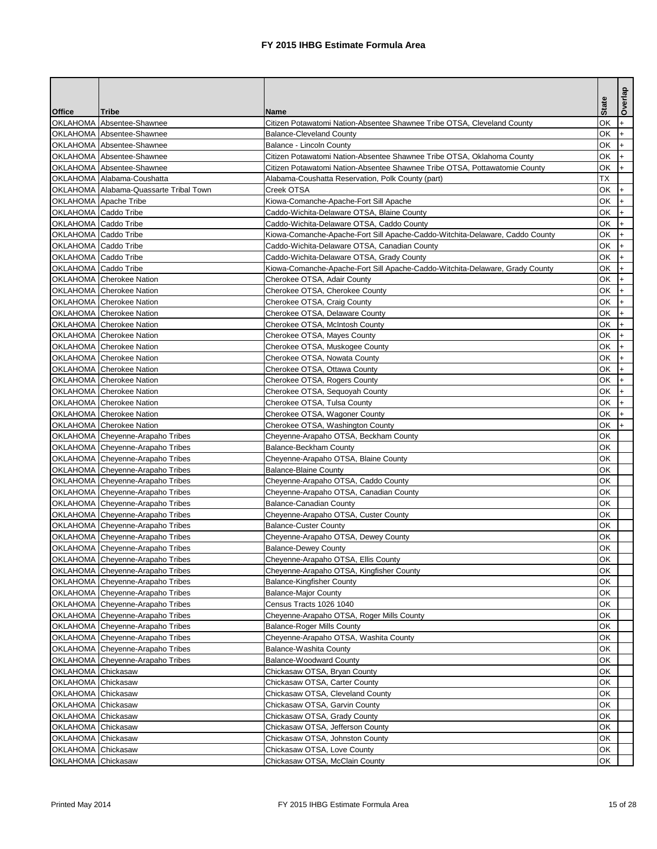|                             |                                         |                                                                              |              | Overlap        |
|-----------------------------|-----------------------------------------|------------------------------------------------------------------------------|--------------|----------------|
| <b>Office</b>               | lTribe                                  | <b>Name</b>                                                                  | <b>State</b> |                |
|                             | OKLAHOMA Absentee-Shawnee               | Citizen Potawatomi Nation-Absentee Shawnee Tribe OTSA, Cleveland County      | OK           |                |
|                             | OKLAHOMA Absentee-Shawnee               | <b>Balance-Cleveland County</b>                                              | OK           |                |
|                             | OKLAHOMA Absentee-Shawnee               | <b>Balance - Lincoln County</b>                                              | OK           | $+$            |
|                             | OKLAHOMA Absentee-Shawnee               | Citizen Potawatomi Nation-Absentee Shawnee Tribe OTSA, Oklahoma County       | <b>OK</b>    |                |
|                             | OKLAHOMA Absentee-Shawnee               | Citizen Potawatomi Nation-Absentee Shawnee Tribe OTSA, Pottawatomie County   | <b>OK</b>    | $+$            |
|                             | OKLAHOMA Alabama-Coushatta              | Alabama-Coushatta Reservation, Polk County (part)                            | <b>TX</b>    |                |
|                             | OKLAHOMA Alabama-Quassarte Tribal Town  | Creek OTSA                                                                   | <b>OK</b>    |                |
|                             | <b>OKLAHOMA</b> Apache Tribe            | Kiowa-Comanche-Apache-Fort Sill Apache                                       | <b>OK</b>    | $\ddot{}$      |
| OKLAHOMA Caddo Tribe        |                                         | Caddo-Wichita-Delaware OTSA, Blaine County                                   | OK           |                |
| <b>OKLAHOMA</b> Caddo Tribe |                                         | Caddo-Wichita-Delaware OTSA, Caddo County                                    | <b>OK</b>    | $+$            |
| OKLAHOMA Caddo Tribe        |                                         | Kiowa-Comanche-Apache-Fort Sill Apache-Caddo-Witchita-Delaware, Caddo County | OK           |                |
| <b>OKLAHOMA</b> Caddo Tribe |                                         | Caddo-Wichita-Delaware OTSA, Canadian County                                 | <b>OK</b>    |                |
| OKLAHOMA Caddo Tribe        |                                         | Caddo-Wichita-Delaware OTSA, Grady County                                    | <b>OK</b>    | $\ddot{}$      |
| OKLAHOMA Caddo Tribe        |                                         | Kiowa-Comanche-Apache-Fort Sill Apache-Caddo-Witchita-Delaware, Grady County | OK           |                |
|                             | <b>OKLAHOMA</b> Cherokee Nation         | Cherokee OTSA, Adair County                                                  | OK           |                |
|                             | <b>OKLAHOMA</b> Cherokee Nation         | Cherokee OTSA, Cherokee County                                               | <b>OK</b>    |                |
|                             | <b>OKLAHOMA</b> Cherokee Nation         | Cherokee OTSA, Craig County                                                  | <b>OK</b>    |                |
|                             |                                         |                                                                              | <b>OK</b>    | $+$            |
|                             | OKLAHOMA Cherokee Nation                | Cherokee OTSA, Delaware County                                               |              |                |
|                             | OKLAHOMA Cherokee Nation                | Cherokee OTSA, McIntosh County                                               | <b>OK</b>    |                |
|                             | <b>OKLAHOMA</b> Cherokee Nation         | Cherokee OTSA, Mayes County                                                  | <b>OK</b>    |                |
|                             | <b>OKLAHOMA</b> Cherokee Nation         | Cherokee OTSA, Muskogee County                                               | OK           |                |
|                             | <b>OKLAHOMA</b> Cherokee Nation         | Cherokee OTSA, Nowata County                                                 | OK           | $+$            |
|                             | <b>OKLAHOMA</b> Cherokee Nation         | Cherokee OTSA, Ottawa County                                                 | <b>OK</b>    |                |
|                             | <b>OKLAHOMA Cherokee Nation</b>         | Cherokee OTSA, Rogers County                                                 | <b>OK</b>    |                |
|                             | OKLAHOMA Cherokee Nation                | Cherokee OTSA, Sequoyah County                                               | <b>OK</b>    |                |
|                             | <b>OKLAHOMA</b> Cherokee Nation         | Cherokee OTSA, Tulsa County                                                  | OK           |                |
|                             | <b>OKLAHOMA</b> Cherokee Nation         | Cherokee OTSA, Wagoner County                                                | OK           |                |
|                             | OKLAHOMA Cherokee Nation                | Cherokee OTSA, Washington County                                             | OK           | $\mathsf{H}^+$ |
|                             | OKLAHOMA Cheyenne-Arapaho Tribes        | Cheyenne-Arapaho OTSA, Beckham County                                        | OK           |                |
|                             | OKLAHOMA Cheyenne-Arapaho Tribes        | <b>Balance-Beckham County</b>                                                | <b>OK</b>    |                |
|                             | OKLAHOMA Cheyenne-Arapaho Tribes        | Cheyenne-Arapaho OTSA, Blaine County                                         | <b>OK</b>    |                |
|                             | OKLAHOMA Cheyenne-Arapaho Tribes        | <b>Balance-Blaine County</b>                                                 | OK           |                |
|                             | <b>OKLAHOMA</b> Cheyenne-Arapaho Tribes | Cheyenne-Arapaho OTSA, Caddo County                                          | OK           |                |
|                             | OKLAHOMA Cheyenne-Arapaho Tribes        | Cheyenne-Arapaho OTSA, Canadian County                                       | OK           |                |
|                             | OKLAHOMA Cheyenne-Arapaho Tribes        | <b>Balance-Canadian County</b>                                               | <b>OK</b>    |                |
|                             | OKLAHOMA Cheyenne-Arapaho Tribes        | Cheyenne-Arapaho OTSA, Custer County                                         | <b>OK</b>    |                |
|                             | OKLAHOMA Cheyenne-Arapaho Tribes        | <b>Balance-Custer County</b>                                                 | <b>OK</b>    |                |
|                             | OKLAHOMA Cheyenne-Arapaho Tribes        | Cheyenne-Arapaho OTSA, Dewey County                                          | <b>OK</b>    |                |
|                             | OKLAHOMA Cheyenne-Arapaho Tribes        | <b>Balance-Dewey County</b>                                                  | OK           |                |
|                             | OKLAHOMA Cheyenne-Arapaho Tribes        | Cheyenne-Arapaho OTSA, Ellis County                                          | <b>OK</b>    |                |
|                             | OKLAHOMA Cheyenne-Arapaho Tribes        | Cheyenne-Arapaho OTSA, Kingfisher County                                     | OK           |                |
|                             | OKLAHOMA Cheyenne-Arapaho Tribes        | <b>Balance-Kingfisher County</b>                                             | OK           |                |
|                             | OKLAHOMA Cheyenne-Arapaho Tribes        | <b>Balance-Major County</b>                                                  | <b>OK</b>    |                |
|                             | <b>OKLAHOMA</b> Cheyenne-Arapaho Tribes | Census Tracts 1026 1040                                                      | OK           |                |
|                             |                                         |                                                                              | OK           |                |
|                             | OKLAHOMA Cheyenne-Arapaho Tribes        | Cheyenne-Arapaho OTSA, Roger Mills County                                    |              |                |
|                             | OKLAHOMA Cheyenne-Arapaho Tribes        | <b>Balance-Roger Mills County</b>                                            | OK           |                |
|                             | OKLAHOMA Cheyenne-Arapaho Tribes        | Cheyenne-Arapaho OTSA, Washita County                                        | OK           |                |
|                             | OKLAHOMA Cheyenne-Arapaho Tribes        | <b>Balance-Washita County</b>                                                | OK           |                |
|                             | OKLAHOMA Cheyenne-Arapaho Tribes        | <b>Balance-Woodward County</b>                                               | OK           |                |
| OKLAHOMA Chickasaw          |                                         | Chickasaw OTSA, Bryan County                                                 | <b>OK</b>    |                |
| OKLAHOMA Chickasaw          |                                         | Chickasaw OTSA, Carter County                                                | OK           |                |
| OKLAHOMA Chickasaw          |                                         | Chickasaw OTSA, Cleveland County                                             | OK           |                |
| <b>OKLAHOMA</b> Chickasaw   |                                         | Chickasaw OTSA, Garvin County                                                | OK           |                |
| OKLAHOMA Chickasaw          |                                         | Chickasaw OTSA, Grady County                                                 | OK           |                |
| OKLAHOMA Chickasaw          |                                         | Chickasaw OTSA, Jefferson County                                             | OK           |                |
| OKLAHOMA Chickasaw          |                                         | Chickasaw OTSA, Johnston County                                              | <b>OK</b>    |                |
| <b>OKLAHOMA</b> Chickasaw   |                                         | Chickasaw OTSA, Love County                                                  | OK           |                |
| <b>OKLAHOMA</b> Chickasaw   |                                         | Chickasaw OTSA, McClain County                                               | OK           |                |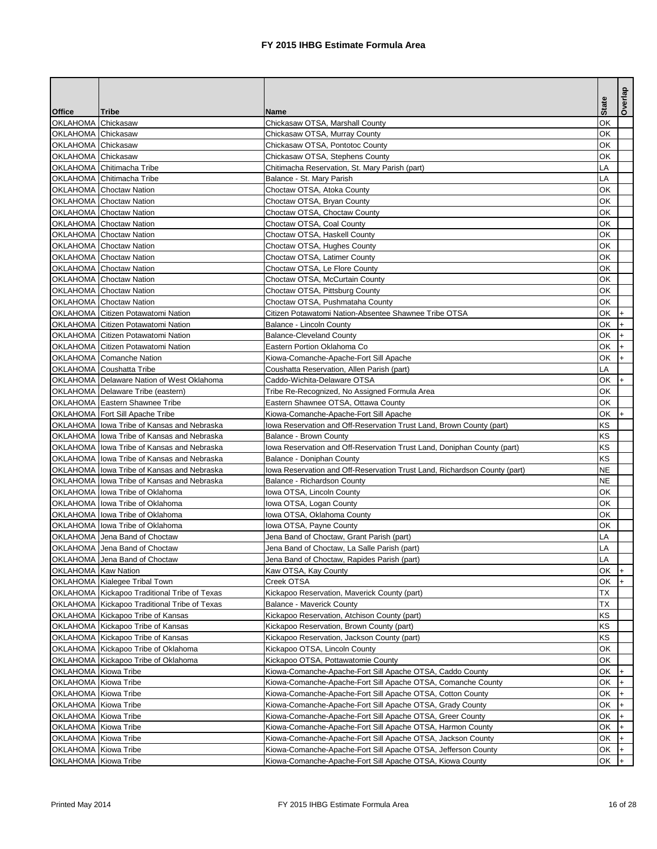|                      |                                                             |                                                                           | <b>State</b> | Overlap |
|----------------------|-------------------------------------------------------------|---------------------------------------------------------------------------|--------------|---------|
| <b>Office</b>        | Tribe                                                       | <b>Name</b>                                                               |              |         |
| OKLAHOMA Chickasaw   |                                                             | Chickasaw OTSA, Marshall County                                           | OK           |         |
| OKLAHOMA Chickasaw   |                                                             | Chickasaw OTSA, Murray County                                             | OK           |         |
| OKLAHOMA Chickasaw   |                                                             | Chickasaw OTSA, Pontotoc County                                           | OK           |         |
| OKLAHOMA Chickasaw   | OKLAHOMA Chitimacha Tribe                                   | Chickasaw OTSA, Stephens County                                           | OK           |         |
|                      |                                                             | Chitimacha Reservation, St. Mary Parish (part)                            | LA<br>LA     |         |
|                      | OKLAHOMA Chitimacha Tribe<br><b>OKLAHOMA</b> Choctaw Nation | Balance - St. Mary Parish<br>Choctaw OTSA, Atoka County                   | OK           |         |
|                      | OKLAHOMA Choctaw Nation                                     | Choctaw OTSA, Bryan County                                                | OK           |         |
|                      | <b>OKLAHOMA</b> Choctaw Nation                              | Choctaw OTSA, Choctaw County                                              | OK           |         |
|                      | <b>OKLAHOMA</b> Choctaw Nation                              | Choctaw OTSA, Coal County                                                 | OK           |         |
|                      | <b>OKLAHOMA</b> Choctaw Nation                              | Choctaw OTSA, Haskell County                                              | OK           |         |
|                      | <b>OKLAHOMA</b> Choctaw Nation                              | Choctaw OTSA, Hughes County                                               | OK           |         |
|                      | <b>OKLAHOMA</b> Choctaw Nation                              | Choctaw OTSA, Latimer County                                              | OK           |         |
|                      | <b>OKLAHOMA</b> Choctaw Nation                              | Choctaw OTSA, Le Flore County                                             | OK           |         |
|                      | OKLAHOMA Choctaw Nation                                     | Choctaw OTSA, McCurtain County                                            | OK           |         |
|                      | <b>OKLAHOMA</b> Choctaw Nation                              | Choctaw OTSA, Pittsburg County                                            | OK           |         |
|                      | <b>OKLAHOMA</b> Choctaw Nation                              | Choctaw OTSA, Pushmataha County                                           | OK           |         |
|                      | <b>OKLAHOMA Citizen Potawatomi Nation</b>                   | Citizen Potawatomi Nation-Absentee Shawnee Tribe OTSA                     | OK           | $+$     |
|                      | <b>OKLAHOMA Citizen Potawatomi Nation</b>                   | <b>Balance - Lincoln County</b>                                           | OK           | $+$     |
|                      | OKLAHOMA Citizen Potawatomi Nation                          | <b>Balance-Cleveland County</b>                                           | OK           |         |
|                      | OKLAHOMA Citizen Potawatomi Nation                          | Eastern Portion Oklahoma Co                                               | <b>OK</b>    |         |
|                      | OKLAHOMA Comanche Nation                                    | Kiowa-Comanche-Apache-Fort Sill Apache                                    | OK           | $ + $   |
|                      | <b>OKLAHOMA</b> Coushatta Tribe                             | Coushatta Reservation, Allen Parish (part)                                | LA           |         |
|                      | OKLAHOMA Delaware Nation of West Oklahoma                   | Caddo-Wichita-Delaware OTSA                                               | <b>OK</b>    | $ + $   |
|                      | OKLAHOMA Delaware Tribe (eastern)                           | Tribe Re-Recognized, No Assigned Formula Area                             | OK           |         |
|                      | OKLAHOMA Eastern Shawnee Tribe                              | Eastern Shawnee OTSA, Ottawa County                                       | OK           |         |
|                      | OKLAHOMA   Fort Sill Apache Tribe                           | Kiowa-Comanche-Apache-Fort Sill Apache                                    | OK           | $+$     |
|                      | OKLAHOMA lowa Tribe of Kansas and Nebraska                  | lowa Reservation and Off-Reservation Trust Land, Brown County (part)      | <b>KS</b>    |         |
|                      | OKLAHOMA Iowa Tribe of Kansas and Nebraska                  | <b>Balance - Brown County</b>                                             | <b>KS</b>    |         |
|                      | OKLAHOMA Ilowa Tribe of Kansas and Nebraska                 | lowa Reservation and Off-Reservation Trust Land, Doniphan County (part)   | <b>KS</b>    |         |
|                      | OKLAHOMA I lowa Tribe of Kansas and Nebraska                | Balance - Doniphan County                                                 | <b>KS</b>    |         |
|                      | OKLAHOMA Iowa Tribe of Kansas and Nebraska                  | lowa Reservation and Off-Reservation Trust Land, Richardson County (part) | <b>NE</b>    |         |
|                      | OKLAHOMA Ilowa Tribe of Kansas and Nebraska                 | <b>Balance - Richardson County</b>                                        | <b>NE</b>    |         |
|                      | OKLAHOMA Iowa Tribe of Oklahoma                             | Iowa OTSA, Lincoln County                                                 | OK           |         |
|                      | OKLAHOMA Iowa Tribe of Oklahoma                             | Iowa OTSA, Logan County                                                   | OK           |         |
|                      | OKLAHOMA   lowa Tribe of Oklahoma                           | lowa OTSA, Oklahoma County                                                | OK           |         |
|                      | OKLAHOMA Iowa Tribe of Oklahoma                             | lowa OTSA, Payne County                                                   | OK           |         |
|                      | OKLAHOMA Jena Band of Choctaw                               | Jena Band of Choctaw, Grant Parish (part)                                 | LA           |         |
|                      | OKLAHOMA Jena Band of Choctaw                               | Jena Band of Choctaw, La Salle Parish (part)                              | LA           |         |
|                      | OKLAHOMA Jena Band of Choctaw                               | Jena Band of Choctaw, Rapides Parish (part)                               | LA           |         |
| OKLAHOMA Kaw Nation  |                                                             | Kaw OTSA, Kay County                                                      | OK           |         |
|                      | OKLAHOMA Kialegee Tribal Town                               | Creek OTSA                                                                | OK           |         |
|                      | OKLAHOMA Kickapoo Traditional Tribe of Texas                | Kickapoo Reservation, Maverick County (part)                              | <b>TX</b>    |         |
|                      | OKLAHOMA Kickapoo Traditional Tribe of Texas                | <b>Balance - Maverick County</b>                                          | <b>TX</b>    |         |
|                      | OKLAHOMA Kickapoo Tribe of Kansas                           | Kickapoo Reservation, Atchison County (part)                              | <b>KS</b>    |         |
|                      | OKLAHOMA Kickapoo Tribe of Kansas                           | Kickapoo Reservation, Brown County (part)                                 | <b>KS</b>    |         |
|                      | OKLAHOMA Kickapoo Tribe of Kansas                           | Kickapoo Reservation, Jackson County (part)                               | <b>KS</b>    |         |
|                      | OKLAHOMA Kickapoo Tribe of Oklahoma                         | Kickapoo OTSA, Lincoln County                                             | OK           |         |
|                      | OKLAHOMA Kickapoo Tribe of Oklahoma                         | Kickapoo OTSA, Pottawatomie County                                        | OK           |         |
| OKLAHOMA Kiowa Tribe |                                                             | Kiowa-Comanche-Apache-Fort Sill Apache OTSA, Caddo County                 | OK           |         |
| OKLAHOMA Kiowa Tribe |                                                             | Kiowa-Comanche-Apache-Fort Sill Apache OTSA, Comanche County              | OK           |         |
| OKLAHOMA Kiowa Tribe |                                                             | Kiowa-Comanche-Apache-Fort Sill Apache OTSA, Cotton County                | OK           |         |
| OKLAHOMA Kiowa Tribe |                                                             | Kiowa-Comanche-Apache-Fort Sill Apache OTSA, Grady County                 | OK           | $+$     |
| OKLAHOMA Kiowa Tribe |                                                             | Kiowa-Comanche-Apache-Fort Sill Apache OTSA, Greer County                 | OK           |         |
| OKLAHOMA Kiowa Tribe |                                                             | Kiowa-Comanche-Apache-Fort Sill Apache OTSA, Harmon County                | OK           |         |
| OKLAHOMA Kiowa Tribe |                                                             | Kiowa-Comanche-Apache-Fort Sill Apache OTSA, Jackson County               | OK           |         |
| OKLAHOMA Kiowa Tribe |                                                             | Kiowa-Comanche-Apache-Fort Sill Apache OTSA, Jefferson County             | OK           |         |
| OKLAHOMA Kiowa Tribe |                                                             | Kiowa-Comanche-Apache-Fort Sill Apache OTSA, Kiowa County                 | OK           |         |
|                      |                                                             |                                                                           |              |         |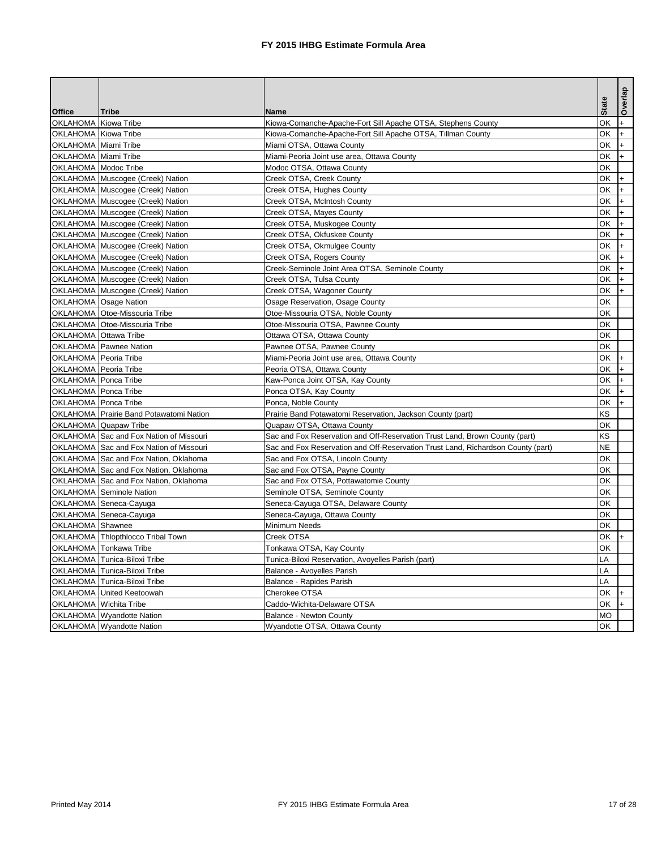|                                                            |                                                |                                                                                  | <b>State</b>    | Overlap |
|------------------------------------------------------------|------------------------------------------------|----------------------------------------------------------------------------------|-----------------|---------|
| <b>Office</b><br>OKLAHOMA Kiowa Tribe                      | Tribe                                          | <b>Name</b>                                                                      | <b>OK</b>       |         |
| OKLAHOMA Kiowa Tribe                                       |                                                | Kiowa-Comanche-Apache-Fort Sill Apache OTSA, Stephens County                     | OK              | $+$     |
|                                                            |                                                | Kiowa-Comanche-Apache-Fort Sill Apache OTSA, Tillman County                      | <b>OK</b>       | I+      |
| <b>OKLAHOMA</b> Miami Tribe<br><b>OKLAHOMA</b> Miami Tribe |                                                | Miami OTSA, Ottawa County                                                        | <b>OK</b>       | I÷.     |
| OKLAHOMA Modoc Tribe                                       |                                                | Miami-Peoria Joint use area, Ottawa County                                       | <b>OK</b>       | $+$     |
|                                                            |                                                | Modoc OTSA, Ottawa County                                                        | <b>OK</b>       |         |
|                                                            | OKLAHOMA Muscogee (Creek) Nation               | Creek OTSA, Creek County                                                         |                 | $ + $   |
|                                                            | OKLAHOMA Muscogee (Creek) Nation               | Creek OTSA, Hughes County                                                        | OK              |         |
|                                                            | OKLAHOMA Muscogee (Creek) Nation               | Creek OTSA, McIntosh County                                                      | OK<br><b>OK</b> |         |
|                                                            | OKLAHOMA Muscogee (Creek) Nation               | Creek OTSA, Mayes County                                                         | OK              | I+      |
|                                                            | OKLAHOMA Muscogee (Creek) Nation               | Creek OTSA, Muskogee County                                                      | <b>OK</b>       |         |
|                                                            | OKLAHOMA Muscogee (Creek) Nation               | Creek OTSA, Okfuskee County                                                      |                 |         |
|                                                            | OKLAHOMA Muscogee (Creek) Nation               | Creek OTSA, Okmulgee County                                                      | <b>OK</b>       |         |
|                                                            | OKLAHOMA Muscogee (Creek) Nation               | Creek OTSA, Rogers County                                                        | OK              | $+$     |
|                                                            | OKLAHOMA Muscogee (Creek) Nation               | Creek-Seminole Joint Area OTSA, Seminole County                                  | OK              |         |
|                                                            | OKLAHOMA Muscogee (Creek) Nation               | Creek OTSA, Tulsa County                                                         | <b>OK</b>       |         |
|                                                            | OKLAHOMA Muscogee (Creek) Nation               | Creek OTSA, Wagoner County                                                       | <b>OK</b>       |         |
|                                                            | OKLAHOMA Osage Nation                          | Osage Reservation, Osage County                                                  | OK              |         |
|                                                            | OKLAHOMA Otoe-Missouria Tribe                  | Otoe-Missouria OTSA, Noble County                                                | <b>OK</b>       |         |
|                                                            | <b>OKLAHOMA Otoe-Missouria Tribe</b>           | Otoe-Missouria OTSA, Pawnee County                                               | <b>OK</b>       |         |
|                                                            | <b>OKLAHOMA</b> Ottawa Tribe                   | Ottawa OTSA, Ottawa County                                                       | OK              |         |
|                                                            | <b>OKLAHOMA</b> Pawnee Nation                  | Pawnee OTSA, Pawnee County                                                       | <b>OK</b>       |         |
| <b>OKLAHOMA</b> Peoria Tribe                               |                                                | Miami-Peoria Joint use area, Ottawa County                                       | <b>OK</b>       | l+.     |
| <b>OKLAHOMA</b> Peoria Tribe                               |                                                | Peoria OTSA, Ottawa County                                                       | <b>OK</b>       |         |
| OKLAHOMA Ponca Tribe                                       |                                                | Kaw-Ponca Joint OTSA, Kay County                                                 | <b>OK</b>       |         |
| OKLAHOMA Ponca Tribe                                       |                                                | Ponca OTSA, Kay County                                                           | <b>OK</b>       |         |
| <b>OKLAHOMA</b> Ponca Tribe                                |                                                | Ponca, Noble County                                                              | <b>OK</b>       |         |
|                                                            | <b>OKLAHOMA</b> Prairie Band Potawatomi Nation | Prairie Band Potawatomi Reservation, Jackson County (part)                       | KS              |         |
|                                                            | OKLAHOMA Quapaw Tribe                          | Quapaw OTSA, Ottawa County                                                       | OK              |         |
|                                                            | <b>OKLAHOMA Sac and Fox Nation of Missouri</b> | Sac and Fox Reservation and Off-Reservation Trust Land, Brown County (part)      | <b>KS</b>       |         |
|                                                            | OKLAHOMA Sac and Fox Nation of Missouri        | Sac and Fox Reservation and Off-Reservation Trust Land, Richardson County (part) | <b>NE</b>       |         |
|                                                            | OKLAHOMA Sac and Fox Nation, Oklahoma          | Sac and Fox OTSA, Lincoln County                                                 | OK              |         |
|                                                            | OKLAHOMA Sac and Fox Nation, Oklahoma          | Sac and Fox OTSA, Payne County                                                   | OK              |         |
|                                                            | OKLAHOMA Sac and Fox Nation, Oklahoma          | Sac and Fox OTSA, Pottawatomie County                                            | OK              |         |
|                                                            | <b>OKLAHOMA</b> Seminole Nation                | Seminole OTSA, Seminole County                                                   | OK              |         |
|                                                            | OKLAHOMA Seneca-Cayuga                         | Seneca-Cayuga OTSA, Delaware County                                              | <b>OK</b>       |         |
|                                                            | OKLAHOMA Seneca-Cayuga                         | Seneca-Cayuga, Ottawa County                                                     | <b>OK</b>       |         |
| OKLAHOMA Shawnee                                           |                                                | Minimum Needs                                                                    | <b>OK</b>       |         |
|                                                            | <b>OKLAHOMA</b> Thlopthlocco Tribal Town       | Creek OTSA                                                                       | OK              |         |
|                                                            | OKLAHOMA Tonkawa Tribe                         | Tonkawa OTSA, Kay County                                                         | OK              |         |
|                                                            | OKLAHOMA Tunica-Biloxi Tribe                   | Tunica-Biloxi Reservation, Avoyelles Parish (part)                               | LA              |         |
|                                                            | OKLAHOMA Tunica-Biloxi Tribe                   | Balance - Avoyelles Parish                                                       | LA              |         |
|                                                            | OKLAHOMA Tunica-Biloxi Tribe                   | Balance - Rapides Parish                                                         | LA              |         |
|                                                            | OKLAHOMA United Keetoowah                      | Cherokee OTSA                                                                    | OK              |         |
|                                                            | OKLAHOMA Wichita Tribe                         | Caddo-Wichita-Delaware OTSA                                                      | OK              |         |
|                                                            | OKLAHOMA   Wyandotte Nation                    | <b>Balance - Newton County</b>                                                   | <b>MO</b>       |         |
|                                                            | OKLAHOMA Wyandotte Nation                      | Wyandotte OTSA, Ottawa County                                                    | OK              |         |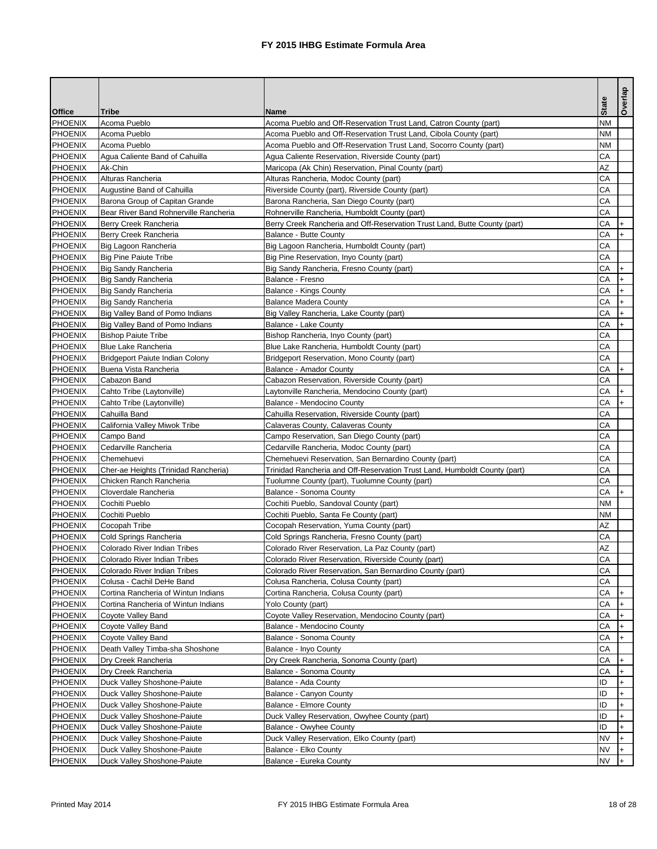|                |                                        |                                                                           |              | Overlap |
|----------------|----------------------------------------|---------------------------------------------------------------------------|--------------|---------|
| <b>Office</b>  | <b>Tribe</b>                           | <b>Name</b>                                                               | <b>State</b> |         |
| <b>PHOENIX</b> | Acoma Pueblo                           | Acoma Pueblo and Off-Reservation Trust Land, Catron County (part)         | <b>NM</b>    |         |
| <b>PHOENIX</b> | Acoma Pueblo                           | Acoma Pueblo and Off-Reservation Trust Land, Cibola County (part)         | <b>NM</b>    |         |
| PHOENIX        | Acoma Pueblo                           | Acoma Pueblo and Off-Reservation Trust Land, Socorro County (part)        | <b>NM</b>    |         |
| PHOENIX        | Agua Caliente Band of Cahuilla         | Agua Caliente Reservation, Riverside County (part)                        | <b>CA</b>    |         |
| PHOENIX        | Ak-Chin                                | Maricopa (Ak Chin) Reservation, Pinal County (part)                       | <b>AZ</b>    |         |
| PHOENIX        | Alturas Rancheria                      | Alturas Rancheria, Modoc County (part)                                    | CA           |         |
| PHOENIX        | Augustine Band of Cahuilla             | Riverside County (part), Riverside County (part)                          | CA           |         |
| <b>PHOENIX</b> | Barona Group of Capitan Grande         | Barona Rancheria, San Diego County (part)                                 | CA           |         |
| <b>PHOENIX</b> | Bear River Band Rohnerville Rancheria  | Rohnerville Rancheria, Humboldt County (part)                             | CA           |         |
| PHOENIX        | Berry Creek Rancheria                  | Berry Creek Rancheria and Off-Reservation Trust Land, Butte County (part) | CA           |         |
| PHOENIX        | Berry Creek Rancheria                  | <b>Balance - Butte County</b>                                             | CA           |         |
| PHOENIX        | Big Lagoon Rancheria                   | Big Lagoon Rancheria, Humboldt County (part)                              | CA           |         |
| PHOENIX        | <b>Big Pine Paiute Tribe</b>           | Big Pine Reservation, Inyo County (part)                                  | CA           |         |
| PHOENIX        | <b>Big Sandy Rancheria</b>             | Big Sandy Rancheria, Fresno County (part)                                 | CA           |         |
| PHOENIX        | <b>Big Sandy Rancheria</b>             | Balance - Fresno                                                          | CA           |         |
| <b>PHOENIX</b> | <b>Big Sandy Rancheria</b>             | <b>Balance - Kings County</b>                                             | CA           |         |
| PHOENIX        | <b>Big Sandy Rancheria</b>             | <b>Balance Madera County</b>                                              | CA           |         |
| PHOENIX        | Big Valley Band of Pomo Indians        | Big Valley Rancheria, Lake County (part)                                  | CA           | $+$     |
| PHOENIX        | Big Valley Band of Pomo Indians        | <b>Balance - Lake County</b>                                              | CA           |         |
| PHOENIX        | <b>Bishop Paiute Tribe</b>             | Bishop Rancheria, Inyo County (part)                                      | CA           |         |
| <b>PHOENIX</b> | <b>Blue Lake Rancheria</b>             | Blue Lake Rancheria, Humboldt County (part)                               | CA           |         |
| PHOENIX        | <b>Bridgeport Paiute Indian Colony</b> | Bridgeport Reservation, Mono County (part)                                | CA           |         |
| PHOENIX        | Buena Vista Rancheria                  | <b>Balance - Amador County</b>                                            | <b>CA</b>    | l+      |
| PHOENIX        | Cabazon Band                           | Cabazon Reservation, Riverside County (part)                              | CA           |         |
| PHOENIX        | Cahto Tribe (Laytonville)              | Laytonville Rancheria, Mendocino County (part)                            | CA           |         |
| PHOENIX        | Cahto Tribe (Laytonville)              | Balance - Mendocino County                                                | CA           |         |
| <b>PHOENIX</b> | Cahuilla Band                          | Cahuilla Reservation, Riverside County (part)                             | CA           |         |
| PHOENIX        | California Valley Miwok Tribe          | Calaveras County, Calaveras County                                        | CA           |         |
| PHOENIX        | Campo Band                             | Campo Reservation, San Diego County (part)                                | CA           |         |
| PHOENIX        | Cedarville Rancheria                   | Cedarville Rancheria, Modoc County (part)                                 | CA           |         |
| PHOENIX        | Chemehuevi                             | Chemehuevi Reservation, San Bernardino County (part)                      | CA           |         |
| <b>PHOENIX</b> | Cher-ae Heights (Trinidad Rancheria)   | Trinidad Rancheria and Off-Reservation Trust Land, Humboldt County (part) | CA           |         |
| <b>PHOENIX</b> | Chicken Ranch Rancheria                | Tuolumne County (part), Tuolumne County (part)                            | CA           |         |
| <b>PHOENIX</b> | Cloverdale Rancheria                   | Balance - Sonoma County                                                   | CA           |         |
| PHOENIX        | Cochiti Pueblo                         | Cochiti Pueblo, Sandoval County (part)                                    | <b>NM</b>    |         |
| PHOENIX        | Cochiti Pueblo                         | Cochiti Pueblo, Santa Fe County (part)                                    | <b>NM</b>    |         |
| PHOENIX        | Cocopah Tribe                          | Cocopah Reservation, Yuma County (part)                                   | <b>AZ</b>    |         |
| PHOENIX        | Cold Springs Rancheria                 | Cold Springs Rancheria, Fresno County (part)                              | CA           |         |
| <b>PHOENIX</b> | Colorado River Indian Tribes           | Colorado River Reservation, La Paz County (part)                          | AZ           |         |
| <b>PHOENIX</b> | <b>Colorado River Indian Tribes</b>    | Colorado River Reservation, Riverside County (part)                       | CA           |         |
| PHOENIX        | <b>Colorado River Indian Tribes</b>    | Colorado River Reservation, San Bernardino County (part)                  | CA           |         |
| PHOENIX        | Colusa - Cachil DeHe Band              | Colusa Rancheria, Colusa County (part)                                    | <b>CA</b>    |         |
| PHOENIX        | Cortina Rancheria of Wintun Indians    | Cortina Rancheria, Colusa County (part)                                   | CA           | $+$     |
| <b>PHOENIX</b> | Cortina Rancheria of Wintun Indians    | Yolo County (part)                                                        | CA           |         |
| <b>PHOENIX</b> | Coyote Valley Band                     | Coyote Valley Reservation, Mendocino County (part)                        | CA           |         |
| <b>PHOENIX</b> | Coyote Valley Band                     | Balance - Mendocino County                                                | CA           |         |
| <b>PHOENIX</b> | <b>Coyote Valley Band</b>              | Balance - Sonoma County                                                   | CA           |         |
| PHOENIX        | Death Valley Timba-sha Shoshone        | Balance - Inyo County                                                     | <b>CA</b>    |         |
| PHOENIX        | Dry Creek Rancheria                    | Dry Creek Rancheria, Sonoma County (part)                                 | CA           |         |
| <b>PHOENIX</b> | Dry Creek Rancheria                    | <b>Balance - Sonoma County</b>                                            | CA           |         |
| <b>PHOENIX</b> | Duck Valley Shoshone-Paiute            | Balance - Ada County                                                      | ID           |         |
| <b>PHOENIX</b> | Duck Valley Shoshone-Paiute            | Balance - Canyon County                                                   | ID           |         |
| PHOENIX        | Duck Valley Shoshone-Paiute            | <b>Balance - Elmore County</b>                                            | ID           |         |
| PHOENIX        | Duck Valley Shoshone-Paiute            | Duck Valley Reservation, Owyhee County (part)                             | ID           |         |
| PHOENIX        | Duck Valley Shoshone-Paiute            | <b>Balance - Owyhee County</b>                                            | ID           |         |
| <b>PHOENIX</b> | Duck Valley Shoshone-Paiute            | Duck Valley Reservation, Elko County (part)                               | <b>NV</b>    |         |
| <b>PHOENIX</b> | Duck Valley Shoshone-Paiute            | Balance - Elko County                                                     | <b>NV</b>    |         |
| PHOENIX        | Duck Valley Shoshone-Paiute            | Balance - Eureka County                                                   | <b>NV</b>    |         |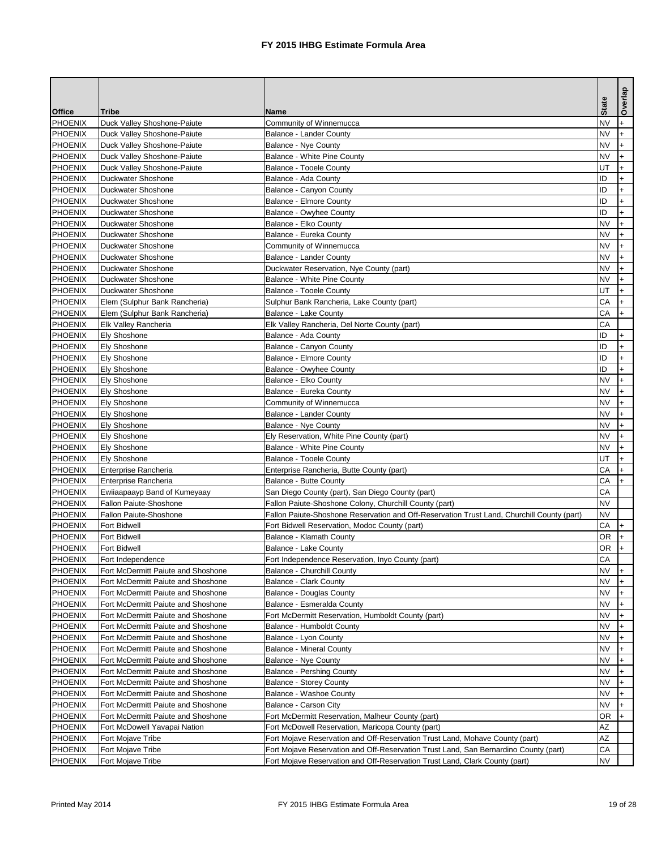|                |                                    |                                                                                            | <b>State</b> | Overlap   |
|----------------|------------------------------------|--------------------------------------------------------------------------------------------|--------------|-----------|
| <b>Office</b>  | <b>Tribe</b>                       | <b>Name</b>                                                                                |              |           |
| <b>PHOENIX</b> | Duck Valley Shoshone-Paiute        | Community of Winnemucca                                                                    | <b>NV</b>    |           |
| PHOENIX        | Duck Valley Shoshone-Paiute        | <b>Balance - Lander County</b>                                                             | <b>NV</b>    |           |
| PHOENIX        | Duck Valley Shoshone-Paiute        | <b>Balance - Nye County</b>                                                                | <b>NV</b>    |           |
| PHOENIX        | Duck Valley Shoshone-Paiute        | <b>Balance - White Pine County</b>                                                         | <b>NV</b>    |           |
| PHOENIX        | Duck Valley Shoshone-Paiute        | <b>Balance - Tooele County</b>                                                             | UT           |           |
| PHOENIX        | <b>Duckwater Shoshone</b>          | Balance - Ada County                                                                       | ID           |           |
| PHOENIX        | <b>Duckwater Shoshone</b>          | <b>Balance - Canyon County</b>                                                             | ID           |           |
| PHOENIX        | <b>Duckwater Shoshone</b>          | <b>Balance - Elmore County</b>                                                             | ID           |           |
| PHOENIX        | <b>Duckwater Shoshone</b>          | <b>Balance - Owyhee County</b>                                                             | ID           |           |
| PHOENIX        | <b>Duckwater Shoshone</b>          | Balance - Elko County                                                                      | <b>NV</b>    | $+$       |
| PHOENIX        | <b>Duckwater Shoshone</b>          | Balance - Eureka County                                                                    | <b>NV</b>    |           |
| PHOENIX        | <b>Duckwater Shoshone</b>          | Community of Winnemucca                                                                    | <b>NV</b>    |           |
| <b>PHOENIX</b> | <b>Duckwater Shoshone</b>          | <b>Balance - Lander County</b>                                                             | <b>NV</b>    |           |
| PHOENIX        | <b>Duckwater Shoshone</b>          | Duckwater Reservation, Nye County (part)                                                   | <b>NV</b>    |           |
| PHOENIX        | <b>Duckwater Shoshone</b>          | <b>Balance - White Pine County</b>                                                         | <b>NV</b>    |           |
| PHOENIX        | <b>Duckwater Shoshone</b>          | <b>Balance - Tooele County</b>                                                             | UT           |           |
| PHOENIX        | Elem (Sulphur Bank Rancheria)      | Sulphur Bank Rancheria, Lake County (part)                                                 | CA           | $+$       |
| PHOENIX        | Elem (Sulphur Bank Rancheria)      | <b>Balance - Lake County</b>                                                               | CA           | $\ddot{}$ |
| PHOENIX        | Elk Valley Rancheria               | Elk Valley Rancheria, Del Norte County (part)                                              | CA           |           |
| PHOENIX        | <b>Ely Shoshone</b>                | Balance - Ada County                                                                       | ID           |           |
| PHOENIX        | <b>Ely Shoshone</b>                | <b>Balance - Canyon County</b>                                                             | ID           |           |
| PHOENIX        | <b>Ely Shoshone</b>                | <b>Balance - Elmore County</b>                                                             | ID           |           |
| PHOENIX        | <b>Ely Shoshone</b>                | Balance - Owyhee County                                                                    | ID           |           |
| PHOENIX        | <b>Ely Shoshone</b>                | Balance - Elko County                                                                      | <b>NV</b>    |           |
| <b>PHOENIX</b> | <b>Ely Shoshone</b>                | Balance - Eureka County                                                                    | <b>NV</b>    |           |
| <b>PHOENIX</b> | <b>Ely Shoshone</b>                | Community of Winnemucca                                                                    | <b>NV</b>    |           |
| <b>PHOENIX</b> | <b>Ely Shoshone</b>                | <b>Balance - Lander County</b>                                                             | <b>NV</b>    |           |
| PHOENIX        | Ely Shoshone                       | Balance - Nye County                                                                       | <b>NV</b>    | I+        |
| PHOENIX        | <b>Ely Shoshone</b>                | Ely Reservation, White Pine County (part)                                                  | <b>NV</b>    |           |
| PHOENIX        | <b>Ely Shoshone</b>                | <b>Balance - White Pine County</b>                                                         | <b>NV</b>    |           |
| PHOENIX        | <b>Ely Shoshone</b>                | <b>Balance - Tooele County</b>                                                             | UT           |           |
| PHOENIX        | Enterprise Rancheria               | Enterprise Rancheria, Butte County (part)                                                  | CA           |           |
| PHOENIX        | Enterprise Rancheria               | <b>Balance - Butte County</b>                                                              | CA           |           |
| PHOENIX        | Ewiiaapaayp Band of Kumeyaay       | San Diego County (part), San Diego County (part)                                           | CA           |           |
| PHOENIX        | Fallon Paiute-Shoshone             | Fallon Paiute-Shoshone Colony, Churchill County (part)                                     | <b>NV</b>    |           |
| PHOENIX        | Fallon Paiute-Shoshone             | Fallon Paiute-Shoshone Reservation and Off-Reservation Trust Land, Churchill County (part) | <b>NV</b>    |           |
| PHOENIX        | <b>Fort Bidwell</b>                | Fort Bidwell Reservation, Modoc County (part)                                              | CA           |           |
| PHOENIX        | <b>Fort Bidwell</b>                | Balance - Klamath County                                                                   | <b>OR</b>    |           |
| PHOENIX        | <b>Fort Bidwell</b>                | <b>Balance - Lake County</b>                                                               | <b>OR</b>    |           |
| PHOENIX        | Fort Independence                  | Fort Independence Reservation, Inyo County (part)                                          | CA           |           |
| PHOENIX        | Fort McDermitt Paiute and Shoshone | <b>Balance - Churchill County</b>                                                          | <b>NV</b>    |           |
| PHOENIX        | Fort McDermitt Paiute and Shoshone | <b>Balance - Clark County</b>                                                              | <b>NV</b>    |           |
| PHOENIX        | Fort McDermitt Paiute and Shoshone | <b>Balance - Douglas County</b>                                                            | <b>NV</b>    |           |
| <b>PHOENIX</b> | Fort McDermitt Paiute and Shoshone | Balance - Esmeralda County                                                                 | <b>NV</b>    |           |
| PHOENIX        | Fort McDermitt Paiute and Shoshone | Fort McDermitt Reservation, Humboldt County (part)                                         | <b>NV</b>    |           |
| PHOENIX        | Fort McDermitt Paiute and Shoshone | <b>Balance - Humboldt County</b>                                                           | <b>NV</b>    |           |
| PHOENIX        | Fort McDermitt Paiute and Shoshone | Balance - Lyon County                                                                      | <b>NV</b>    |           |
| PHOENIX        | Fort McDermitt Paiute and Shoshone | <b>Balance - Mineral County</b>                                                            | <b>NV</b>    |           |
| PHOENIX        | Fort McDermitt Paiute and Shoshone | <b>Balance - Nye County</b>                                                                | <b>NV</b>    |           |
| PHOENIX        | Fort McDermitt Paiute and Shoshone | <b>Balance - Pershing County</b>                                                           | <b>NV</b>    |           |
| PHOENIX        | Fort McDermitt Paiute and Shoshone | <b>Balance - Storey County</b>                                                             | <b>NV</b>    |           |
| PHOENIX        | Fort McDermitt Paiute and Shoshone | <b>Balance - Washoe County</b>                                                             | <b>NV</b>    |           |
| PHOENIX        | Fort McDermitt Paiute and Shoshone | <b>Balance - Carson City</b>                                                               | <b>NV</b>    |           |
| PHOENIX        | Fort McDermitt Paiute and Shoshone | Fort McDermitt Reservation, Malheur County (part)                                          | <b>OR</b>    |           |
| PHOENIX        | Fort McDowell Yavapai Nation       | Fort McDowell Reservation, Maricopa County (part)                                          | AΖ           |           |
| <b>PHOENIX</b> | Fort Mojave Tribe                  | Fort Mojave Reservation and Off-Reservation Trust Land, Mohave County (part)               | <b>AZ</b>    |           |
| PHOENIX        | Fort Mojave Tribe                  | Fort Mojave Reservation and Off-Reservation Trust Land, San Bernardino County (part)       | CA           |           |
| PHOENIX        | Fort Mojave Tribe                  | Fort Mojave Reservation and Off-Reservation Trust Land, Clark County (part)                | <b>NV</b>    |           |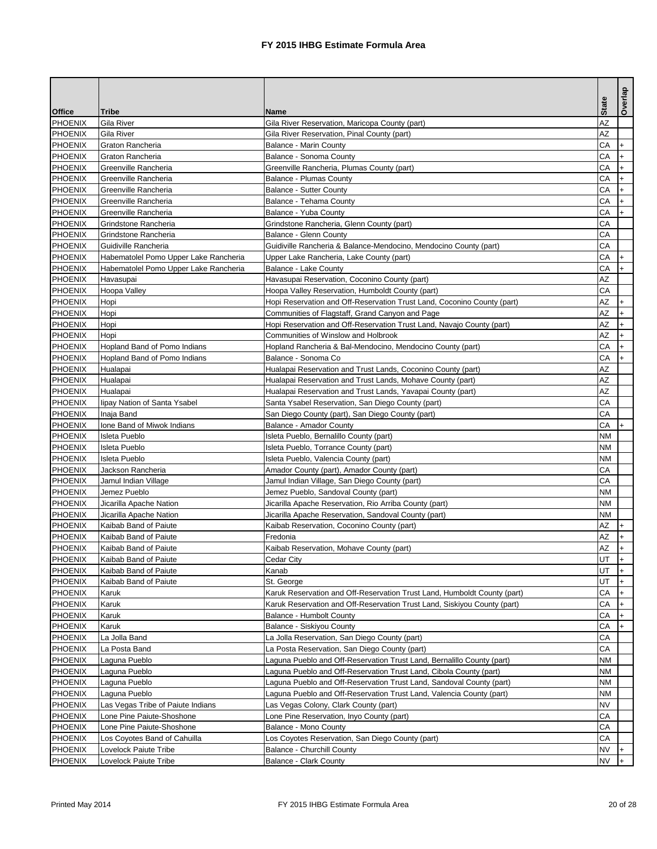|                |                                       |                                                                          |              | Overlap        |
|----------------|---------------------------------------|--------------------------------------------------------------------------|--------------|----------------|
| <b>Office</b>  | <b>Tribe</b>                          | <b>Name</b>                                                              | <b>State</b> |                |
| PHOENIX        | <b>Gila River</b>                     | Gila River Reservation, Maricopa County (part)                           | <b>AZ</b>    |                |
| <b>PHOENIX</b> | Gila River                            | Gila River Reservation, Pinal County (part)                              | <b>AZ</b>    |                |
| PHOENIX        | Graton Rancheria                      | <b>Balance - Marin County</b>                                            | CA           | $\ddot{}$      |
| PHOENIX        | Graton Rancheria                      | Balance - Sonoma County                                                  | CA           |                |
| PHOENIX        | Greenville Rancheria                  | Greenville Rancheria, Plumas County (part)                               | CA           |                |
| PHOENIX        | Greenville Rancheria                  | <b>Balance - Plumas County</b>                                           | CA           |                |
| <b>PHOENIX</b> | Greenville Rancheria                  | <b>Balance - Sutter County</b>                                           | CA           |                |
| PHOENIX        | Greenville Rancheria                  | Balance - Tehama County                                                  | CA           |                |
| PHOENIX        | Greenville Rancheria                  | Balance - Yuba County                                                    | CA           |                |
| PHOENIX        | Grindstone Rancheria                  | Grindstone Rancheria, Glenn County (part)                                | CA           |                |
| PHOENIX        | Grindstone Rancheria                  | <b>Balance - Glenn County</b>                                            | CA           |                |
| PHOENIX        | Guidiville Rancheria                  | Guidiville Rancheria & Balance-Mendocino, Mendocino County (part)        | CA           |                |
| PHOENIX        | Habematolel Pomo Upper Lake Rancheria | Upper Lake Rancheria, Lake County (part)                                 | CA           |                |
| PHOENIX        | Habematolel Pomo Upper Lake Rancheria | <b>Balance - Lake County</b>                                             | CA           |                |
| PHOENIX        | Havasupai                             | Havasupai Reservation, Coconino County (part)                            | <b>AZ</b>    |                |
| PHOENIX        | Hoopa Valley                          | Hoopa Valley Reservation, Humboldt County (part)                         | CA           |                |
| PHOENIX        | Hopi                                  | Hopi Reservation and Off-Reservation Trust Land, Coconino County (part)  | <b>AZ</b>    | $+$            |
| PHOENIX        | Hopi                                  | Communities of Flagstaff, Grand Canyon and Page                          | <b>AZ</b>    |                |
| <b>PHOENIX</b> | Hopi                                  | Hopi Reservation and Off-Reservation Trust Land, Navajo County (part)    | <b>AZ</b>    |                |
| PHOENIX        | Hopi                                  | Communities of Winslow and Holbrook                                      | <b>AZ</b>    |                |
| PHOENIX        | Hopland Band of Pomo Indians          | Hopland Rancheria & Bal-Mendocino, Mendocino County (part)               | CA           |                |
| PHOENIX        | Hopland Band of Pomo Indians          | Balance - Sonoma Co                                                      | CA           |                |
| PHOENIX        | Hualapai                              | Hualapai Reservation and Trust Lands, Coconino County (part)             | <b>AZ</b>    |                |
| PHOENIX        | Hualapai                              | Hualapai Reservation and Trust Lands, Mohave County (part)               | <b>AZ</b>    |                |
| PHOENIX        | Hualapai                              | Hualapai Reservation and Trust Lands, Yavapai County (part)              | AΖ           |                |
| PHOENIX        | lipay Nation of Santa Ysabel          | Santa Ysabel Reservation, San Diego County (part)                        | CA           |                |
| PHOENIX        | Inaja Band                            | San Diego County (part), San Diego County (part)                         | CA           |                |
| PHOENIX        | Ione Band of Miwok Indians            | Balance - Amador County                                                  | CA           | $\mathsf{H}^+$ |
| PHOENIX        | Isleta Pueblo                         | Isleta Pueblo, Bernalillo County (part)                                  | <b>NM</b>    |                |
| <b>PHOENIX</b> | Isleta Pueblo                         | Isleta Pueblo, Torrance County (part)                                    | <b>NM</b>    |                |
| <b>PHOENIX</b> | Isleta Pueblo                         | Isleta Pueblo, Valencia County (part)                                    | <b>NM</b>    |                |
| PHOENIX        | Jackson Rancheria                     | Amador County (part), Amador County (part)                               | CA           |                |
| <b>PHOENIX</b> | Jamul Indian Village                  | Jamul Indian Village, San Diego County (part)                            | CA           |                |
| PHOENIX        | Jemez Pueblo                          | Jemez Pueblo, Sandoval County (part)                                     | <b>NM</b>    |                |
| PHOENIX        | Jicarilla Apache Nation               | Jicarilla Apache Reservation, Rio Arriba County (part)                   | <b>NM</b>    |                |
| <b>PHOENIX</b> | Jicarilla Apache Nation               | Jicarilla Apache Reservation, Sandoval County (part)                     | <b>NM</b>    |                |
| <b>PHOENIX</b> | Kaibab Band of Paiute                 | Kaibab Reservation, Coconino County (part)                               | <b>AZ</b>    |                |
| <b>PHOENIX</b> | Kaibab Band of Paiute                 | Fredonia                                                                 | AZ           |                |
| <b>PHOENIX</b> | Kaibab Band of Paiute                 | Kaibab Reservation, Mohave County (part)                                 | <b>AZ</b>    |                |
| PHOENIX        | Kaibab Band of Paiute                 | Cedar City                                                               | UT           |                |
| PHOENIX        | Kaibab Band of Paiute                 | Kanab                                                                    | UT           |                |
| PHOENIX        | Kaibab Band of Paiute                 | St. George                                                               | UT           |                |
| <b>PHOENIX</b> | Karuk                                 | Karuk Reservation and Off-Reservation Trust Land, Humboldt County (part) | CA           |                |
| PHOENIX        | Karuk                                 | Karuk Reservation and Off-Reservation Trust Land, Siskiyou County (part) | CA           |                |
| PHOENIX        | Karuk                                 | <b>Balance - Humbolt County</b>                                          | CA           |                |
| PHOENIX        | Karuk                                 | Balance - Siskiyou County                                                | CA           |                |
| <b>PHOENIX</b> | La Jolla Band                         | La Jolla Reservation, San Diego County (part)                            | CA           |                |
| <b>PHOENIX</b> | La Posta Band                         | La Posta Reservation, San Diego County (part)                            | CA           |                |
| <b>PHOENIX</b> | Laguna Pueblo                         | Laguna Pueblo and Off-Reservation Trust Land, Bernalillo County (part)   | <b>NM</b>    |                |
| <b>PHOENIX</b> | Laguna Pueblo                         | Laguna Pueblo and Off-Reservation Trust Land, Cibola County (part)       | <b>NM</b>    |                |
| PHOENIX        | Laguna Pueblo                         | Laguna Pueblo and Off-Reservation Trust Land, Sandoval County (part)     | <b>NM</b>    |                |
| <b>PHOENIX</b> | Laguna Pueblo                         | Laguna Pueblo and Off-Reservation Trust Land, Valencia County (part)     | <b>NM</b>    |                |
| PHOENIX        | Las Vegas Tribe of Paiute Indians     | Las Vegas Colony, Clark County (part)                                    | <b>NV</b>    |                |
| PHOENIX        | Lone Pine Paiute-Shoshone             | Lone Pine Reservation, Inyo County (part)                                | CA           |                |
| <b>PHOENIX</b> | Lone Pine Paiute-Shoshone             | <b>Balance - Mono County</b>                                             | CA           |                |
| PHOENIX        | Los Coyotes Band of Cahuilla          | Los Coyotes Reservation, San Diego County (part)                         | CA           |                |
| <b>PHOENIX</b> | Lovelock Paiute Tribe                 | <b>Balance - Churchill County</b>                                        | <b>NV</b>    |                |
| PHOENIX        | Lovelock Paiute Tribe                 | <b>Balance - Clark County</b>                                            | <b>NV</b>    |                |
|                |                                       |                                                                          |              |                |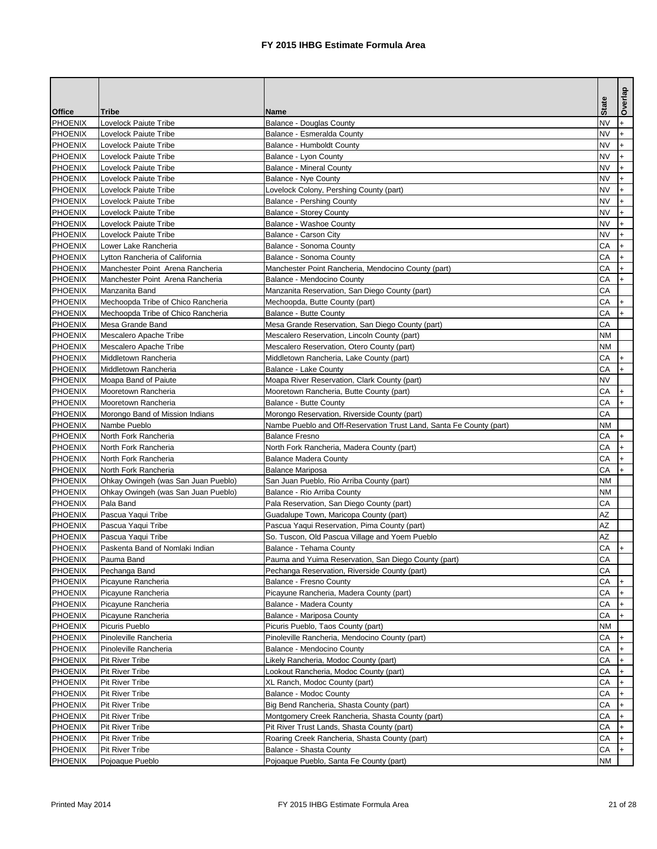|                |                                                 |                                                                                                                     |              | Overlap   |
|----------------|-------------------------------------------------|---------------------------------------------------------------------------------------------------------------------|--------------|-----------|
| <b>Office</b>  | <b>Tribe</b>                                    | <b>Name</b>                                                                                                         | <b>State</b> |           |
| PHOENIX        | Lovelock Paiute Tribe                           | <b>Balance - Douglas County</b>                                                                                     | <b>NV</b>    | $\ddot{}$ |
| PHOENIX        | Lovelock Paiute Tribe                           | Balance - Esmeralda County                                                                                          | <b>NV</b>    |           |
| PHOENIX        | Lovelock Paiute Tribe                           | <b>Balance - Humboldt County</b>                                                                                    | <b>NV</b>    |           |
| PHOENIX        | <b>Lovelock Paiute Tribe</b>                    | Balance - Lyon County                                                                                               | <b>NV</b>    |           |
| PHOENIX        | Lovelock Paiute Tribe                           | <b>Balance - Mineral County</b>                                                                                     | <b>NV</b>    |           |
| PHOENIX        | Lovelock Paiute Tribe                           | <b>Balance - Nye County</b>                                                                                         | <b>NV</b>    |           |
| PHOENIX        | <b>Lovelock Paiute Tribe</b>                    | Lovelock Colony, Pershing County (part)                                                                             | <b>NV</b>    |           |
| <b>PHOENIX</b> | Lovelock Paiute Tribe                           | <b>Balance - Pershing County</b>                                                                                    | <b>NV</b>    |           |
| PHOENIX        | <b>Lovelock Paiute Tribe</b>                    | <b>Balance - Storey County</b>                                                                                      | <b>NV</b>    |           |
| PHOENIX        | Lovelock Paiute Tribe                           | <b>Balance - Washoe County</b>                                                                                      | <b>NV</b>    |           |
| PHOENIX        | Lovelock Paiute Tribe                           | Balance - Carson City                                                                                               | <b>NV</b>    |           |
| PHOENIX        | Lower Lake Rancheria                            | Balance - Sonoma County                                                                                             | CA           | $+$       |
| <b>PHOENIX</b> | Lytton Rancheria of California                  | Balance - Sonoma County                                                                                             | CA           | $\ddot{}$ |
| PHOENIX        | Manchester Point Arena Rancheria                | Manchester Point Rancheria, Mendocino County (part)                                                                 | CA           |           |
| PHOENIX        | Manchester Point Arena Rancheria                | Balance - Mendocino County                                                                                          | CA           |           |
| PHOENIX        | Manzanita Band                                  | Manzanita Reservation, San Diego County (part)                                                                      | CA           |           |
| PHOENIX        | Mechoopda Tribe of Chico Rancheria              | Mechoopda, Butte County (part)                                                                                      | CA           | $+$       |
| PHOENIX        | Mechoopda Tribe of Chico Rancheria              | <b>Balance - Butte County</b>                                                                                       | CA           |           |
| PHOENIX        | Mesa Grande Band                                | Mesa Grande Reservation, San Diego County (part)                                                                    | CA           |           |
| <b>PHOENIX</b> | Mescalero Apache Tribe                          | Mescalero Reservation, Lincoln County (part)                                                                        | <b>NM</b>    |           |
| PHOENIX        | Mescalero Apache Tribe                          | Mescalero Reservation, Otero County (part)                                                                          | <b>NM</b>    |           |
| PHOENIX        | Middletown Rancheria                            | Middletown Rancheria, Lake County (part)                                                                            | CA           | $\ddot{}$ |
| PHOENIX        | Middletown Rancheria                            | <b>Balance - Lake County</b>                                                                                        | CA           |           |
| PHOENIX        | Moapa Band of Paiute                            | Moapa River Reservation, Clark County (part)                                                                        | <b>NV</b>    |           |
| <b>PHOENIX</b> | Mooretown Rancheria                             | Mooretown Rancheria, Butte County (part)                                                                            | CA           |           |
| PHOENIX        | Mooretown Rancheria                             | <b>Balance - Butte County</b>                                                                                       | CA           |           |
| <b>PHOENIX</b> |                                                 |                                                                                                                     | CA           |           |
|                | Morongo Band of Mission Indians<br>Nambe Pueblo | Morongo Reservation, Riverside County (part)<br>Nambe Pueblo and Off-Reservation Trust Land, Santa Fe County (part) | <b>NM</b>    |           |
| PHOENIX        | North Fork Rancheria                            |                                                                                                                     | CA           |           |
| PHOENIX        |                                                 | <b>Balance Fresno</b>                                                                                               | CA           | $\ddot{}$ |
| PHOENIX        | North Fork Rancheria                            | North Fork Rancheria, Madera County (part)                                                                          |              |           |
| PHOENIX        | North Fork Rancheria                            | <b>Balance Madera County</b>                                                                                        | CA           |           |
| <b>PHOENIX</b> | North Fork Rancheria                            | <b>Balance Mariposa</b>                                                                                             | CA           |           |
| PHOENIX        | Ohkay Owingeh (was San Juan Pueblo)             | San Juan Pueblo, Rio Arriba County (part)                                                                           | <b>NM</b>    |           |
| PHOENIX        | Ohkay Owingeh (was San Juan Pueblo)             | Balance - Rio Arriba County                                                                                         | <b>NM</b>    |           |
| <b>PHOENIX</b> | Pala Band                                       | Pala Reservation, San Diego County (part)                                                                           | CA           |           |
| <b>PHOENIX</b> | Pascua Yaqui Tribe                              | Guadalupe Town, Maricopa County (part)                                                                              | <b>AZ</b>    |           |
| <b>PHOENIX</b> | Pascua Yaqui Tribe                              | Pascua Yaqui Reservation, Pima County (part)                                                                        | <b>AZ</b>    |           |
| <b>PHOENIX</b> | Pascua Yaqui Tribe                              | So. Tuscon, Old Pascua Village and Yoem Pueblo                                                                      | AZ           |           |
| PHOENIX        | Paskenta Band of Nomlaki Indian                 | Balance - Tehama County                                                                                             | CA           |           |
| PHOENIX        | Pauma Band                                      | Pauma and Yuima Reservation, San Diego County (part)                                                                | CA           |           |
| <b>PHOENIX</b> | Pechanga Band                                   | Pechanga Reservation, Riverside County (part)                                                                       | CA           |           |
| PHOENIX        | Picayune Rancheria                              | <b>Balance - Fresno County</b>                                                                                      | CA           |           |
| PHOENIX        | Picayune Rancheria                              | Picayune Rancheria, Madera County (part)                                                                            | CA           |           |
| <b>PHOENIX</b> | Picayune Rancheria                              | Balance - Madera County                                                                                             | CA           |           |
| <b>PHOENIX</b> | Picayune Rancheria                              | Balance - Mariposa County                                                                                           | CA           |           |
| PHOENIX        | Picuris Pueblo                                  | Picuris Pueblo, Taos County (part)                                                                                  | <b>NM</b>    |           |
| PHOENIX        | Pinoleville Rancheria                           | Pinoleville Rancheria, Mendocino County (part)                                                                      | CA           |           |
| PHOENIX        | Pinoleville Rancheria                           | Balance - Mendocino County                                                                                          | CA           | $\ddot{}$ |
| <b>PHOENIX</b> | <b>Pit River Tribe</b>                          | Likely Rancheria, Modoc County (part)                                                                               | CA           |           |
| <b>PHOENIX</b> | <b>Pit River Tribe</b>                          | Lookout Rancheria, Modoc County (part)                                                                              | CA           |           |
| <b>PHOENIX</b> | Pit River Tribe                                 | XL Ranch, Modoc County (part)                                                                                       | CA           |           |
| PHOENIX        | <b>Pit River Tribe</b>                          | <b>Balance - Modoc County</b>                                                                                       | CA           |           |
| PHOENIX        | <b>Pit River Tribe</b>                          | Big Bend Rancheria, Shasta County (part)                                                                            | CA           |           |
| <b>PHOENIX</b> | <b>Pit River Tribe</b>                          | Montgomery Creek Rancheria, Shasta County (part)                                                                    | CA           |           |
| <b>PHOENIX</b> | <b>Pit River Tribe</b>                          | Pit River Trust Lands, Shasta County (part)                                                                         | CA           |           |
| <b>PHOENIX</b> | <b>Pit River Tribe</b>                          | Roaring Creek Rancheria, Shasta County (part)                                                                       | CA           |           |
| PHOENIX        | <b>Pit River Tribe</b>                          | <b>Balance - Shasta County</b>                                                                                      | CA           |           |
| <b>PHOENIX</b> | Pojoaque Pueblo                                 | Pojoaque Pueblo, Santa Fe County (part)                                                                             | <b>NM</b>    |           |
|                |                                                 |                                                                                                                     |              |           |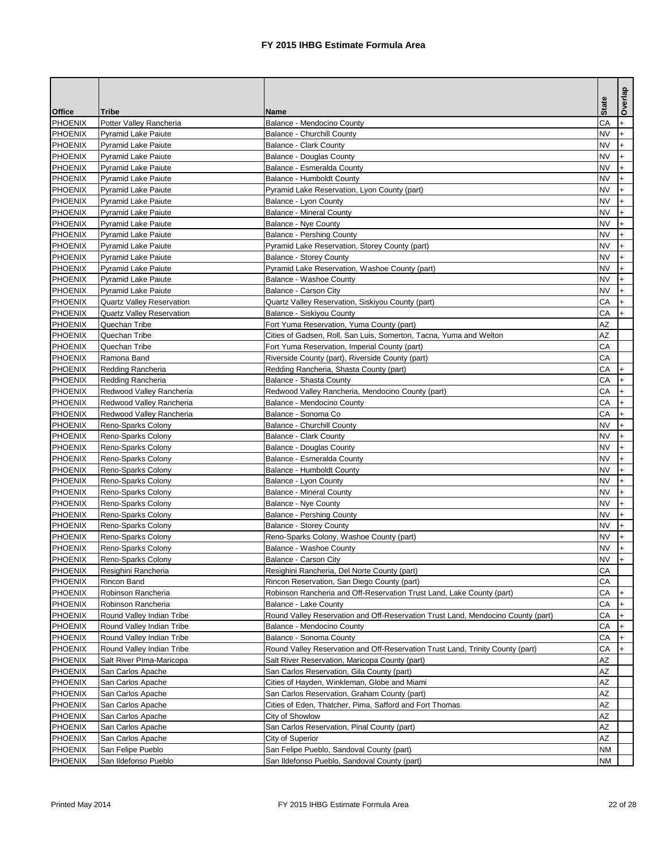|                |                                  |                                                                                  |              | Overlap |
|----------------|----------------------------------|----------------------------------------------------------------------------------|--------------|---------|
| <b>Office</b>  | <b>Tribe</b>                     | <b>Name</b>                                                                      | <b>State</b> |         |
| PHOENIX        | Potter Valley Rancheria          | Balance - Mendocino County                                                       | CA           |         |
| <b>PHOENIX</b> | <b>Pyramid Lake Paiute</b>       | <b>Balance - Churchill County</b>                                                | <b>NV</b>    |         |
| PHOENIX        | <b>Pyramid Lake Paiute</b>       | <b>Balance - Clark County</b>                                                    | <b>NV</b>    |         |
| <b>PHOENIX</b> | <b>Pyramid Lake Paiute</b>       | <b>Balance - Douglas County</b>                                                  | <b>NV</b>    |         |
| PHOENIX        | <b>Pyramid Lake Paiute</b>       | Balance - Esmeralda County                                                       | <b>NV</b>    |         |
| PHOENIX        | <b>Pyramid Lake Paiute</b>       | <b>Balance - Humboldt County</b>                                                 | <b>NV</b>    |         |
| <b>PHOENIX</b> | <b>Pyramid Lake Paiute</b>       | Pyramid Lake Reservation, Lyon County (part)                                     | <b>NV</b>    |         |
| PHOENIX        | <b>Pyramid Lake Paiute</b>       | Balance - Lyon County                                                            | <b>NV</b>    |         |
| PHOENIX        | <b>Pyramid Lake Paiute</b>       | <b>Balance - Mineral County</b>                                                  | <b>NV</b>    |         |
| PHOENIX        | <b>Pyramid Lake Paiute</b>       | <b>Balance - Nye County</b>                                                      | <b>NV</b>    |         |
| PHOENIX        | <b>Pyramid Lake Paiute</b>       | <b>Balance - Pershing County</b>                                                 | <b>NV</b>    |         |
| PHOENIX        | <b>Pyramid Lake Paiute</b>       | Pyramid Lake Reservation, Storey County (part)                                   | <b>NV</b>    |         |
| PHOENIX        | <b>Pyramid Lake Paiute</b>       | <b>Balance - Storey County</b>                                                   | <b>NV</b>    |         |
| PHOENIX        | <b>Pyramid Lake Paiute</b>       | Pyramid Lake Reservation, Washoe County (part)                                   | <b>NV</b>    |         |
| PHOENIX        | <b>Pyramid Lake Paiute</b>       | <b>Balance - Washoe County</b>                                                   | <b>NV</b>    |         |
| PHOENIX        | <b>Pyramid Lake Paiute</b>       | <b>Balance - Carson City</b>                                                     | <b>NV</b>    |         |
| PHOENIX        | <b>Quartz Valley Reservation</b> | Quartz Valley Reservation, Siskiyou County (part)                                | CA           | $+$     |
| PHOENIX        | <b>Quartz Valley Reservation</b> | <b>Balance - Siskiyou County</b>                                                 | CA           |         |
| PHOENIX        | Quechan Tribe                    | Fort Yuma Reservation, Yuma County (part)                                        | <b>AZ</b>    |         |
| PHOENIX        | Quechan Tribe                    | Cities of Gadsen, Roll, San Luis, Somerton, Tacna, Yuma and Welton               | <b>AZ</b>    |         |
| PHOENIX        | Quechan Tribe                    | Fort Yuma Reservation, Imperial County (part)                                    | CA           |         |
| PHOENIX        | Ramona Band                      | Riverside County (part), Riverside County (part)                                 | CA           |         |
| PHOENIX        | Redding Rancheria                | Redding Rancheria, Shasta County (part)                                          | CA           |         |
| PHOENIX        | Redding Rancheria                | <b>Balance - Shasta County</b>                                                   | CA           |         |
| PHOENIX        | Redwood Valley Rancheria         | Redwood Valley Rancheria, Mendocino County (part)                                | CA           |         |
| PHOENIX        | Redwood Valley Rancheria         | Balance - Mendocino County                                                       | CA           |         |
| <b>PHOENIX</b> | Redwood Valley Rancheria         | Balance - Sonoma Co                                                              | CA           |         |
| PHOENIX        | Reno-Sparks Colony               | <b>Balance - Churchill County</b>                                                | <b>NV</b>    |         |
| <b>PHOENIX</b> | Reno-Sparks Colony               | <b>Balance - Clark County</b>                                                    | <b>NV</b>    |         |
| <b>PHOENIX</b> | Reno-Sparks Colony               | <b>Balance - Douglas County</b>                                                  | <b>NV</b>    |         |
| <b>PHOENIX</b> | Reno-Sparks Colony               | Balance - Esmeralda County                                                       | <b>NV</b>    |         |
| <b>PHOENIX</b> | Reno-Sparks Colony               | <b>Balance - Humboldt County</b>                                                 | <b>NV</b>    |         |
| <b>PHOENIX</b> | Reno-Sparks Colony               | Balance - Lyon County                                                            | <b>NV</b>    |         |
| PHOENIX        | Reno-Sparks Colony               | <b>Balance - Mineral County</b>                                                  | <b>NV</b>    |         |
| PHOENIX        | Reno-Sparks Colony               | <b>Balance - Nye County</b>                                                      | <b>NV</b>    |         |
| <b>PHOENIX</b> | Reno-Sparks Colony               | <b>Balance - Pershing County</b>                                                 | <b>NV</b>    |         |
| <b>PHOENIX</b> | Reno-Sparks Colony               | <b>Balance - Storey County</b>                                                   | <b>NV</b>    |         |
| <b>PHOENIX</b> | Reno-Sparks Colony               | Reno-Sparks Colony, Washoe County (part)                                         | <b>NV</b>    |         |
| <b>PHOENIX</b> | Reno-Sparks Colony               | <b>Balance - Washoe County</b>                                                   | <b>NV</b>    |         |
| PHOENIX        | Reno-Sparks Colony               | <b>Balance - Carson City</b>                                                     | <b>NV</b>    |         |
| PHOENIX        | Resighini Rancheria              | Resighini Rancheria, Del Norte County (part)                                     | CA           |         |
| <b>PHOENIX</b> | Rincon Band                      | Rincon Reservation, San Diego County (part)                                      | CA           |         |
| <b>PHOENIX</b> | Robinson Rancheria               | Robinson Rancheria and Off-Reservation Trust Land, Lake County (part)            | CA           |         |
| <b>PHOENIX</b> | Robinson Rancheria               | <b>Balance - Lake County</b>                                                     | CA           |         |
| PHOENIX        | Round Valley Indian Tribe        | Round Valley Reservation and Off-Reservation Trust Land, Mendocino County (part) | CA           |         |
| PHOENIX        | Round Valley Indian Tribe        | Balance - Mendocino County                                                       | CA           |         |
| PHOENIX        | Round Valley Indian Tribe        | Balance - Sonoma County                                                          | CA           |         |
| <b>PHOENIX</b> | Round Valley Indian Tribe        | Round Valley Reservation and Off-Reservation Trust Land, Trinity County (part)   | CA           | $+$     |
| <b>PHOENIX</b> | Salt River PIma-Maricopa         | Salt River Reservation, Maricopa County (part)                                   | AΖ           |         |
| <b>PHOENIX</b> | San Carlos Apache                | San Carlos Reservation, Gila County (part)                                       | <b>AZ</b>    |         |
| <b>PHOENIX</b> | San Carlos Apache                | Cities of Hayden, Winkleman, Globe and Miami                                     | <b>AZ</b>    |         |
| PHOENIX        | San Carlos Apache                | San Carlos Reservation, Graham County (part)                                     | <b>AZ</b>    |         |
| PHOENIX        | San Carlos Apache                | Cities of Eden, Thatcher, Pima, Safford and Fort Thomas                          | <b>AZ</b>    |         |
| PHOENIX        | San Carlos Apache                | City of Showlow                                                                  | <b>AZ</b>    |         |
| <b>PHOENIX</b> | San Carlos Apache                | San Carlos Reservation, Pinal County (part)                                      | <b>AZ</b>    |         |
| <b>PHOENIX</b> | San Carlos Apache                | City of Superior                                                                 | <b>AZ</b>    |         |
| <b>PHOENIX</b> | San Felipe Pueblo                | San Felipe Pueblo, Sandoval County (part)                                        | <b>NM</b>    |         |
| PHOENIX        | San Ildefonso Pueblo             | San Ildefonso Pueblo, Sandoval County (part)                                     | <b>NM</b>    |         |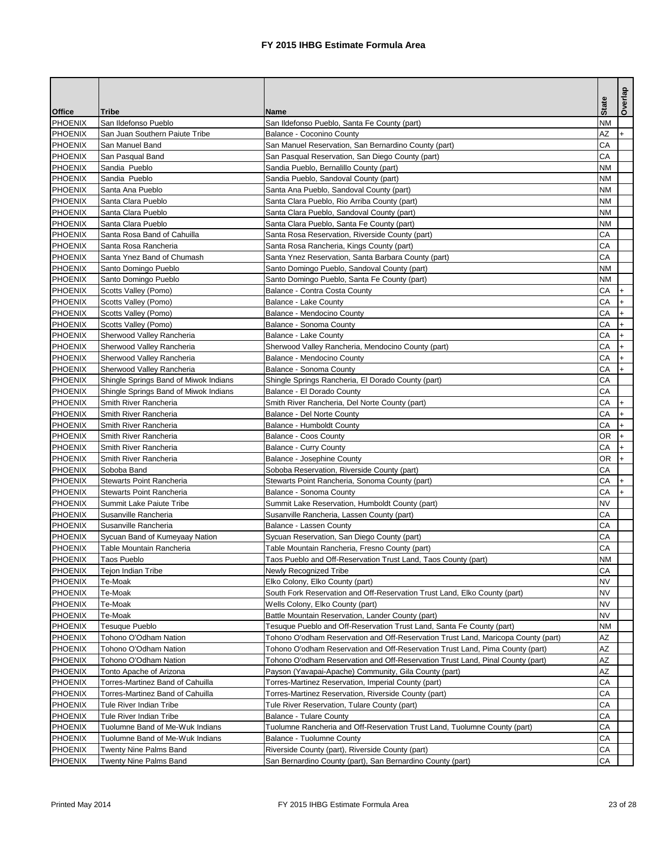|                                  |                                                  |                                                                                               |                 | Overlap   |
|----------------------------------|--------------------------------------------------|-----------------------------------------------------------------------------------------------|-----------------|-----------|
| <b>Office</b>                    | <b>Tribe</b>                                     | <b>Name</b>                                                                                   | <b>State</b>    |           |
| <b>PHOENIX</b>                   | San Ildefonso Pueblo                             | San Ildefonso Pueblo, Santa Fe County (part)                                                  | <b>NM</b>       |           |
| <b>PHOENIX</b>                   | San Juan Southern Paiute Tribe                   | Balance - Coconino County                                                                     | AΖ              | +         |
| <b>PHOENIX</b>                   | San Manuel Band                                  | San Manuel Reservation, San Bernardino County (part)                                          | CA              |           |
| PHOENIX                          | San Pasqual Band                                 | San Pasqual Reservation, San Diego County (part)                                              | CA              |           |
| PHOENIX                          | Sandia Pueblo                                    | Sandia Pueblo, Bernalillo County (part)                                                       | <b>NM</b>       |           |
| PHOENIX                          | Sandia Pueblo                                    | Sandia Pueblo, Sandoval County (part)                                                         | <b>NM</b>       |           |
| <b>PHOENIX</b>                   | Santa Ana Pueblo                                 | Santa Ana Pueblo, Sandoval County (part)                                                      | <b>NM</b>       |           |
| <b>PHOENIX</b>                   | Santa Clara Pueblo                               | Santa Clara Pueblo, Rio Arriba County (part)                                                  | <b>NM</b>       |           |
| PHOENIX                          | Santa Clara Pueblo                               | Santa Clara Pueblo, Sandoval County (part)                                                    | <b>NM</b>       |           |
| PHOENIX                          | Santa Clara Pueblo                               | Santa Clara Pueblo, Santa Fe County (part)                                                    | <b>NM</b>       |           |
| PHOENIX                          | Santa Rosa Band of Cahuilla                      | Santa Rosa Reservation, Riverside County (part)                                               | CA              |           |
| PHOENIX                          | Santa Rosa Rancheria                             | Santa Rosa Rancheria, Kings County (part)                                                     | CA              |           |
| <b>PHOENIX</b>                   | Santa Ynez Band of Chumash                       | Santa Ynez Reservation, Santa Barbara County (part)                                           | CA              |           |
| <b>PHOENIX</b>                   | Santo Domingo Pueblo                             | Santo Domingo Pueblo, Sandoval County (part)                                                  | <b>NM</b>       |           |
| <b>PHOENIX</b>                   | Santo Domingo Pueblo                             | Santo Domingo Pueblo, Santa Fe County (part)                                                  | <b>NM</b>       |           |
| PHOENIX                          | Scotts Valley (Pomo)                             | Balance - Contra Costa County                                                                 | CA              |           |
| PHOENIX                          | Scotts Valley (Pomo)                             | <b>Balance - Lake County</b>                                                                  | CA              | $\ddot{}$ |
| PHOENIX                          | Scotts Valley (Pomo)                             | Balance - Mendocino County                                                                    | CA              |           |
| PHOENIX                          | Scotts Valley (Pomo)                             | <b>Balance - Sonoma County</b>                                                                | CA              |           |
| <b>PHOENIX</b>                   | Sherwood Valley Rancheria                        | <b>Balance - Lake County</b>                                                                  | CA              |           |
| PHOENIX                          | Sherwood Valley Rancheria                        | Sherwood Valley Rancheria, Mendocino County (part)                                            | CA              |           |
| <b>PHOENIX</b>                   | Sherwood Valley Rancheria                        | <b>Balance - Mendocino County</b>                                                             | CA              |           |
| PHOENIX                          | Sherwood Valley Rancheria                        | <b>Balance - Sonoma County</b>                                                                | CA              |           |
| PHOENIX                          | Shingle Springs Band of Miwok Indians            | Shingle Springs Rancheria, El Dorado County (part)                                            | CA              |           |
| <b>PHOENIX</b>                   | Shingle Springs Band of Miwok Indians            | Balance - El Dorado County                                                                    | CA              |           |
| PHOENIX                          | Smith River Rancheria                            | Smith River Rancheria, Del Norte County (part)                                                | CA              | $+$       |
| <b>PHOENIX</b>                   | Smith River Rancheria                            | <b>Balance - Del Norte County</b>                                                             | CA              |           |
| <b>PHOENIX</b><br><b>PHOENIX</b> | Smith River Rancheria                            | <b>Balance - Humboldt County</b>                                                              | CA<br><b>OR</b> | $ + $     |
|                                  | Smith River Rancheria                            | <b>Balance - Coos County</b>                                                                  | CA              |           |
| PHOENIX                          | Smith River Rancheria                            | <b>Balance - Curry County</b>                                                                 | <b>OR</b>       |           |
| <b>PHOENIX</b><br><b>PHOENIX</b> | Smith River Rancheria<br>Soboba Band             | Balance - Josephine County                                                                    | CA              | $+$       |
| <b>PHOENIX</b>                   | <b>Stewarts Point Rancheria</b>                  | Soboba Reservation, Riverside County (part)<br>Stewarts Point Rancheria, Sonoma County (part) | CA              |           |
| PHOENIX                          | <b>Stewarts Point Rancheria</b>                  | Balance - Sonoma County                                                                       | CA              |           |
|                                  |                                                  | Summit Lake Reservation, Humboldt County (part)                                               | <b>NV</b>       |           |
| <b>PHOENIX</b><br>PHOENIX        | Summit Lake Paiute Tribe<br>Susanville Rancheria | Susanville Rancheria, Lassen County (part)                                                    | CA              |           |
| <b>PHOENIX</b>                   | Susanville Rancheria                             | <b>Balance - Lassen County</b>                                                                | CA              |           |
| <b>PHOENIX</b>                   | Sycuan Band of Kumeyaay Nation                   | Sycuan Reservation, San Diego County (part)                                                   | CA              |           |
| PHOENIX                          | Table Mountain Rancheria                         | Table Mountain Rancheria, Fresno County (part)                                                | CA              |           |
| PHOENIX                          | <b>Taos Pueblo</b>                               | Taos Pueblo and Off-Reservation Trust Land, Taos County (part)                                | <b>NM</b>       |           |
| PHOENIX                          | Tejon Indian Tribe                               | Newly Recognized Tribe                                                                        | CA              |           |
| PHOENIX                          | Te-Moak                                          | Elko Colony, Elko County (part)                                                               | <b>NV</b>       |           |
| <b>PHOENIX</b>                   | Te-Moak                                          | South Fork Reservation and Off-Reservation Trust Land, Elko County (part)                     | <b>NV</b>       |           |
| <b>PHOENIX</b>                   | Te-Moak                                          | Wells Colony, Elko County (part)                                                              | <b>NV</b>       |           |
| <b>PHOENIX</b>                   | Te-Moak                                          | Battle Mountain Reservation, Lander County (part)                                             | <b>NV</b>       |           |
| PHOENIX                          | Tesuque Pueblo                                   | Tesuque Pueblo and Off-Reservation Trust Land, Santa Fe County (part)                         | <b>NM</b>       |           |
| PHOENIX                          | Tohono O'Odham Nation                            | Tohono O'odham Reservation and Off-Reservation Trust Land, Maricopa County (part)             | <b>AZ</b>       |           |
| PHOENIX                          | Tohono O'Odham Nation                            | Tohono O'odham Reservation and Off-Reservation Trust Land, Pima County (part)                 | <b>AZ</b>       |           |
| <b>PHOENIX</b>                   | Tohono O'Odham Nation                            | Tohono O'odham Reservation and Off-Reservation Trust Land, Pinal County (part)                | <b>AZ</b>       |           |
| <b>PHOENIX</b>                   | Tonto Apache of Arizona                          | Payson (Yavapai-Apache) Community, Gila County (part)                                         | <b>AZ</b>       |           |
| PHOENIX                          | Torres-Martinez Band of Cahuilla                 | Torres-Martinez Reservation, Imperial County (part)                                           | CA              |           |
| PHOENIX                          | <b>Torres-Martinez Band of Cahuilla</b>          | Torres-Martinez Reservation, Riverside County (part)                                          | CA              |           |
| PHOENIX                          | Tule River Indian Tribe                          | Tule River Reservation, Tulare County (part)                                                  | CA              |           |
| PHOENIX                          | <b>Tule River Indian Tribe</b>                   | <b>Balance - Tulare County</b>                                                                | CA              |           |
| <b>PHOENIX</b>                   | Tuolumne Band of Me-Wuk Indians                  | Tuolumne Rancheria and Off-Reservation Trust Land, Tuolumne County (part)                     | CA              |           |
| <b>PHOENIX</b>                   | Tuolumne Band of Me-Wuk Indians                  | <b>Balance - Tuolumne County</b>                                                              | CA              |           |
| <b>PHOENIX</b>                   | <b>Twenty Nine Palms Band</b>                    | Riverside County (part), Riverside County (part)                                              | CA              |           |
| PHOENIX                          | <b>Twenty Nine Palms Band</b>                    | San Bernardino County (part), San Bernardino County (part)                                    | CA              |           |
|                                  |                                                  |                                                                                               |                 |           |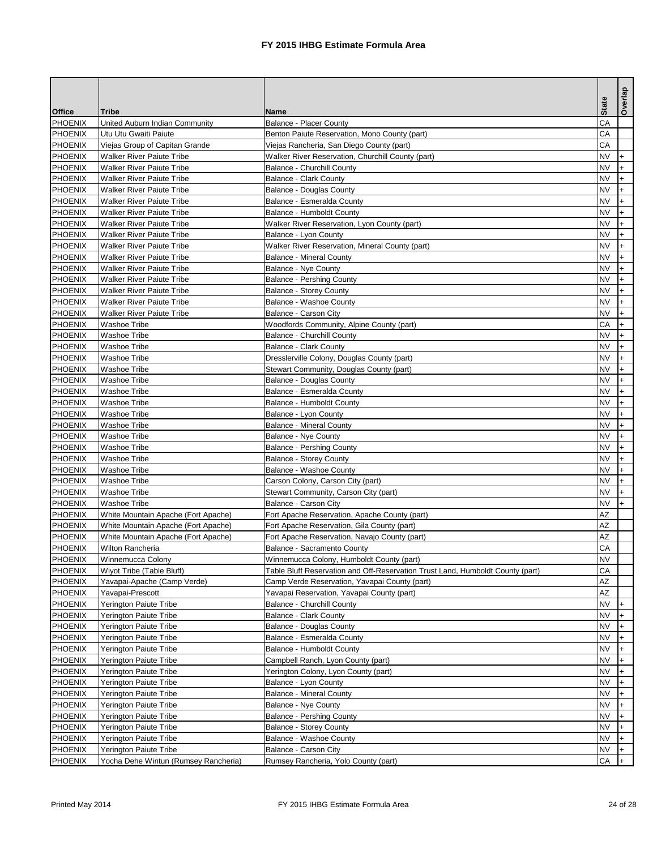|                           |                                                                      |                                                                                | <b>State</b>           | <b>Overlap</b> |
|---------------------------|----------------------------------------------------------------------|--------------------------------------------------------------------------------|------------------------|----------------|
| <b>Office</b>             | <b>Tribe</b>                                                         | <b>Name</b>                                                                    |                        |                |
| PHOENIX                   | United Auburn Indian Community                                       | <b>Balance - Placer County</b>                                                 | CA                     |                |
| <b>PHOENIX</b>            | Utu Utu Gwaiti Paiute                                                | Benton Paiute Reservation, Mono County (part)                                  | <b>CA</b>              |                |
| PHOENIX                   | Viejas Group of Capitan Grande                                       | Viejas Rancheria, San Diego County (part)                                      | <b>CA</b>              |                |
| PHOENIX                   | <b>Walker River Paiute Tribe</b>                                     | Walker River Reservation, Churchill County (part)                              | <b>NV</b>              | l+             |
| PHOENIX                   | <b>Walker River Paiute Tribe</b>                                     | <b>Balance - Churchill County</b>                                              | <b>NV</b>              |                |
| PHOENIX<br><b>PHOENIX</b> | <b>Walker River Paiute Tribe</b><br><b>Walker River Paiute Tribe</b> | <b>Balance - Clark County</b>                                                  | <b>NV</b><br><b>NV</b> |                |
| PHOENIX                   | <b>Walker River Paiute Tribe</b>                                     | <b>Balance - Douglas County</b>                                                | <b>NV</b>              |                |
|                           |                                                                      | Balance - Esmeralda County                                                     |                        |                |
| PHOENIX                   | <b>Walker River Paiute Tribe</b><br><b>Walker River Paiute Tribe</b> | <b>Balance - Humboldt County</b>                                               | <b>NV</b><br><b>NV</b> |                |
| PHOENIX                   |                                                                      | Walker River Reservation, Lyon County (part)                                   | <b>NV</b>              |                |
| PHOENIX                   | <b>Walker River Paiute Tribe</b>                                     | Balance - Lyon County                                                          | <b>NV</b>              |                |
| PHOENIX                   | <b>Walker River Paiute Tribe</b>                                     | Walker River Reservation, Mineral County (part)                                |                        |                |
| PHOENIX                   | <b>Walker River Paiute Tribe</b><br><b>Walker River Paiute Tribe</b> | <b>Balance - Mineral County</b>                                                | <b>NV</b>              |                |
| PHOENIX                   |                                                                      | <b>Balance - Nye County</b>                                                    | <b>NV</b>              |                |
| PHOENIX                   | <b>Walker River Paiute Tribe</b>                                     | <b>Balance - Pershing County</b>                                               | <b>NV</b>              |                |
| PHOENIX                   | <b>Walker River Paiute Tribe</b>                                     | <b>Balance - Storey County</b>                                                 | <b>NV</b>              |                |
| PHOENIX                   | <b>Walker River Paiute Tribe</b>                                     | <b>Balance - Washoe County</b>                                                 | <b>NV</b>              |                |
| PHOENIX                   | <b>Walker River Paiute Tribe</b>                                     | <b>Balance - Carson City</b>                                                   | <b>NV</b>              | $+$            |
| <b>PHOENIX</b>            | <b>Washoe Tribe</b>                                                  | Woodfords Community, Alpine County (part)                                      | CA                     |                |
| PHOENIX                   | <b>Washoe Tribe</b>                                                  | <b>Balance - Churchill County</b>                                              | <b>NV</b>              |                |
| PHOENIX                   | <b>Washoe Tribe</b>                                                  | <b>Balance - Clark County</b>                                                  | <b>NV</b>              |                |
| PHOENIX                   | <b>Washoe Tribe</b>                                                  | Dresslerville Colony, Douglas County (part)                                    | <b>NV</b>              |                |
| PHOENIX                   | <b>Washoe Tribe</b>                                                  | Stewart Community, Douglas County (part)                                       | <b>NV</b>              |                |
| PHOENIX                   | <b>Washoe Tribe</b>                                                  | <b>Balance - Douglas County</b>                                                | <b>NV</b>              |                |
| PHOENIX                   | <b>Washoe Tribe</b>                                                  | Balance - Esmeralda County                                                     | <b>NV</b>              |                |
| PHOENIX                   | <b>Washoe Tribe</b>                                                  | <b>Balance - Humboldt County</b>                                               | <b>NV</b>              |                |
| PHOENIX                   | <b>Washoe Tribe</b>                                                  | Balance - Lyon County                                                          | <b>NV</b>              |                |
| PHOENIX                   | <b>Washoe Tribe</b>                                                  | <b>Balance - Mineral County</b>                                                | <b>NV</b>              | $^{+}$         |
| PHOENIX                   | <b>Washoe Tribe</b>                                                  | <b>Balance - Nye County</b>                                                    | <b>NV</b>              |                |
| <b>PHOENIX</b>            | <b>Washoe Tribe</b>                                                  | <b>Balance - Pershing County</b>                                               | <b>NV</b>              |                |
| <b>PHOENIX</b>            | <b>Washoe Tribe</b>                                                  | <b>Balance - Storey County</b>                                                 | <b>NV</b>              |                |
| PHOENIX                   | <b>Washoe Tribe</b>                                                  | <b>Balance - Washoe County</b>                                                 | <b>NV</b>              |                |
| <b>PHOENIX</b>            | <b>Washoe Tribe</b>                                                  | Carson Colony, Carson City (part)                                              | <b>NV</b>              |                |
| PHOENIX                   | <b>Washoe Tribe</b>                                                  | Stewart Community, Carson City (part)                                          | <b>NV</b>              |                |
| PHOENIX                   | <b>Washoe Tribe</b>                                                  | <b>Balance - Carson City</b>                                                   | <b>NV</b>              |                |
| <b>PHOENIX</b>            | White Mountain Apache (Fort Apache)                                  | Fort Apache Reservation, Apache County (part)                                  | <b>AZ</b>              |                |
| <b>PHOENIX</b>            | White Mountain Apache (Fort Apache)                                  | Fort Apache Reservation, Gila County (part)                                    | <b>AZ</b>              |                |
| <b>PHOENIX</b>            | White Mountain Apache (Fort Apache)                                  | Fort Apache Reservation, Navajo County (part)                                  | AZ                     |                |
| PHOENIX                   | Wilton Rancheria                                                     | <b>Balance - Sacramento County</b>                                             | CA                     |                |
| <b>PHOENIX</b>            | Winnemucca Colony                                                    | Winnemucca Colony, Humboldt County (part)                                      | <b>NV</b>              |                |
| PHOENIX                   | Wiyot Tribe (Table Bluff)                                            | Table Bluff Reservation and Off-Reservation Trust Land, Humboldt County (part) | CA                     |                |
| PHOENIX                   | Yavapai-Apache (Camp Verde)                                          | Camp Verde Reservation, Yavapai County (part)                                  | <b>AZ</b>              |                |
| <b>PHOENIX</b>            | Yavapai-Prescott                                                     | Yavapai Reservation, Yavapai County (part)                                     | AZ                     |                |
| PHOENIX                   | Yerington Paiute Tribe                                               | <b>Balance - Churchill County</b>                                              | <b>NV</b>              |                |
| PHOENIX                   | Yerington Paiute Tribe                                               | <b>Balance - Clark County</b>                                                  | <b>NV</b>              |                |
| PHOENIX                   | Yerington Paiute Tribe                                               | <b>Balance - Douglas County</b>                                                | <b>NV</b>              |                |
| PHOENIX                   | Yerington Paiute Tribe                                               | Balance - Esmeralda County                                                     | <b>NV</b>              |                |
| <b>PHOENIX</b>            | Yerington Paiute Tribe                                               | <b>Balance - Humboldt County</b>                                               | <b>NV</b>              |                |
| PHOENIX                   | Yerington Paiute Tribe                                               | Campbell Ranch, Lyon County (part)                                             | <b>NV</b>              |                |
| <b>PHOENIX</b>            | Yerington Paiute Tribe                                               | Yerington Colony, Lyon County (part)                                           | <b>NV</b>              |                |
| PHOENIX                   | Yerington Paiute Tribe                                               | Balance - Lyon County                                                          | <b>NV</b>              |                |
| <b>PHOENIX</b>            | Yerington Paiute Tribe                                               | <b>Balance - Mineral County</b>                                                | <b>NV</b>              |                |
| PHOENIX                   | Yerington Paiute Tribe                                               | <b>Balance - Nye County</b>                                                    | <b>NV</b>              |                |
| PHOENIX                   | Yerington Paiute Tribe                                               | <b>Balance - Pershing County</b>                                               | <b>NV</b>              |                |
| <b>PHOENIX</b>            | Yerington Paiute Tribe                                               | <b>Balance - Storey County</b>                                                 | <b>NV</b>              |                |
| <b>PHOENIX</b>            | Yerington Paiute Tribe                                               | <b>Balance - Washoe County</b>                                                 | <b>NV</b>              |                |
| <b>PHOENIX</b>            | Yerington Paiute Tribe                                               | Balance - Carson City                                                          | <b>NV</b>              |                |
| PHOENIX                   | Yocha Dehe Wintun (Rumsey Rancheria)                                 | Rumsey Rancheria, Yolo County (part)                                           | CA                     | $+$            |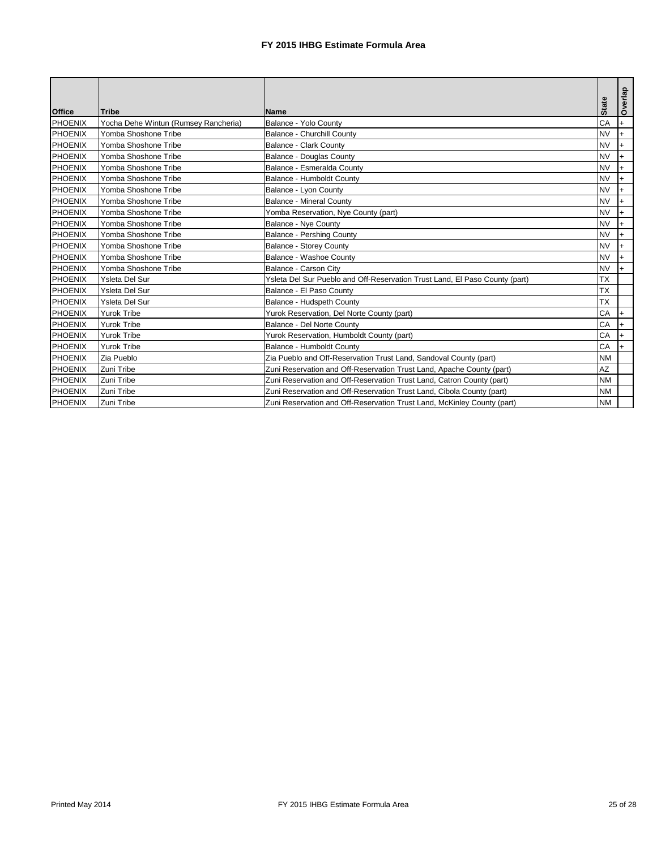| <b>Office</b>  | Tribe                                | <b>Name</b>                                                                 | <b>State</b> |           | Overlap |
|----------------|--------------------------------------|-----------------------------------------------------------------------------|--------------|-----------|---------|
| <b>PHOENIX</b> | Yocha Dehe Wintun (Rumsey Rancheria) | Balance - Yolo County                                                       |              | CA        | $+$     |
| PHOENIX        | Yomba Shoshone Tribe                 | <b>Balance - Churchill County</b>                                           | <b>NV</b>    |           |         |
| <b>PHOENIX</b> | Yomba Shoshone Tribe                 | <b>Balance - Clark County</b>                                               | <b>NV</b>    |           |         |
| PHOENIX        | Yomba Shoshone Tribe                 | <b>Balance - Douglas County</b>                                             | <b>NV</b>    |           |         |
| PHOENIX        | Yomba Shoshone Tribe                 | Balance - Esmeralda County                                                  | <b>NV</b>    |           |         |
| <b>PHOENIX</b> | Yomba Shoshone Tribe                 | <b>Balance - Humboldt County</b>                                            | <b>NV</b>    |           |         |
| <b>PHOENIX</b> | Yomba Shoshone Tribe                 | Balance - Lyon County                                                       | <b>NV</b>    |           |         |
| <b>PHOENIX</b> | Yomba Shoshone Tribe                 | <b>Balance - Mineral County</b>                                             | <b>NV</b>    |           |         |
| <b>PHOENIX</b> | Yomba Shoshone Tribe                 | Yomba Reservation, Nye County (part)                                        | <b>NV</b>    |           |         |
| <b>PHOENIX</b> | Yomba Shoshone Tribe                 | <b>Balance - Nye County</b>                                                 | <b>NV</b>    |           |         |
| <b>PHOENIX</b> | Yomba Shoshone Tribe                 | <b>Balance - Pershing County</b>                                            | <b>NV</b>    |           |         |
| <b>PHOENIX</b> | Yomba Shoshone Tribe                 | <b>Balance - Storey County</b>                                              | <b>NV</b>    |           |         |
| PHOENIX        | Yomba Shoshone Tribe                 | <b>Balance - Washoe County</b>                                              | <b>NV</b>    |           |         |
| <b>PHOENIX</b> | Yomba Shoshone Tribe                 | <b>Balance - Carson City</b>                                                | <b>NV</b>    |           |         |
| PHOENIX        | Ysleta Del Sur                       | Ysleta Del Sur Pueblo and Off-Reservation Trust Land, El Paso County (part) | <b>TX</b>    |           |         |
| PHOENIX        | Ysleta Del Sur                       | Balance - El Paso County                                                    | <b>TX</b>    |           |         |
| <b>PHOENIX</b> | Ysleta Del Sur                       | Balance - Hudspeth County                                                   | <b>TX</b>    |           |         |
| PHOENIX        | <b>Yurok Tribe</b>                   | Yurok Reservation, Del Norte County (part)                                  |              | CA        |         |
| <b>PHOENIX</b> | <b>Yurok Tribe</b>                   | <b>Balance - Del Norte County</b>                                           |              | CA        |         |
| <b>PHOENIX</b> | <b>Yurok Tribe</b>                   | Yurok Reservation, Humboldt County (part)                                   |              | CA        |         |
| <b>PHOENIX</b> | <b>Yurok Tribe</b>                   | <b>Balance - Humboldt County</b>                                            |              | CA        | $+$     |
| PHOENIX        | Zia Pueblo                           | Zia Pueblo and Off-Reservation Trust Land, Sandoval County (part)           |              | <b>NM</b> |         |
| <b>PHOENIX</b> | Zuni Tribe                           | Zuni Reservation and Off-Reservation Trust Land, Apache County (part)       | <b>AZ</b>    |           |         |
| PHOENIX        | Zuni Tribe                           | Zuni Reservation and Off-Reservation Trust Land, Catron County (part)       |              | <b>NM</b> |         |
| PHOENIX        | Zuni Tribe                           | Zuni Reservation and Off-Reservation Trust Land, Cibola County (part)       |              | <b>NM</b> |         |
| PHOENIX        | Zuni Tribe                           | Zuni Reservation and Off-Reservation Trust Land, McKinley County (part)     |              | <b>NM</b> |         |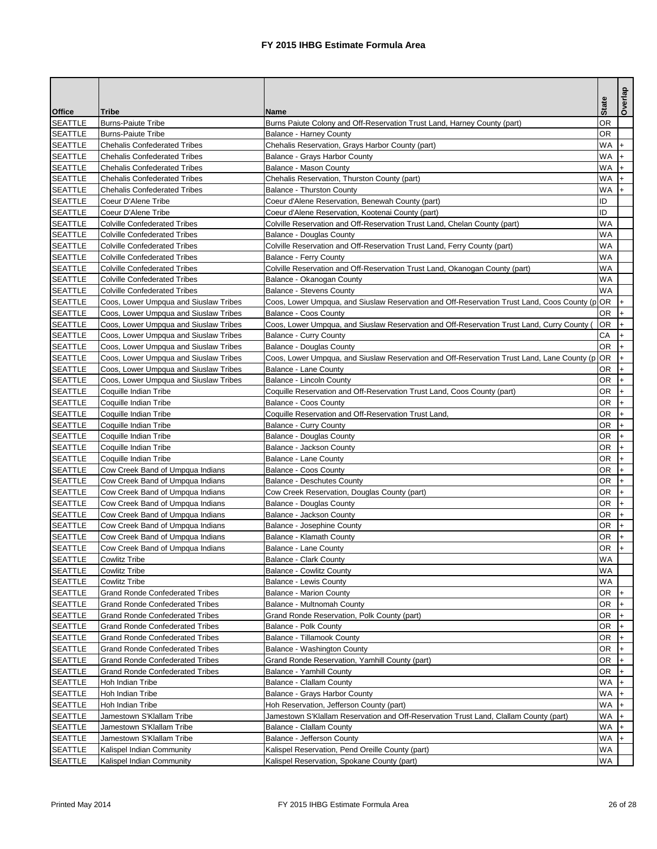|                                  |                                                                            |                                                                                               | <b>State</b>           | Overlap        |
|----------------------------------|----------------------------------------------------------------------------|-----------------------------------------------------------------------------------------------|------------------------|----------------|
| <b>Office</b>                    | <b>Tribe</b>                                                               | <b>Name</b>                                                                                   |                        |                |
| <b>SEATTLE</b>                   | <b>Burns-Paiute Tribe</b>                                                  | Burns Paiute Colony and Off-Reservation Trust Land, Harney County (part)                      | <b>OR</b>              |                |
| <b>SEATTLE</b>                   | <b>Burns-Paiute Tribe</b>                                                  | <b>Balance - Harney County</b>                                                                | <b>OR</b>              |                |
| <b>SEATTLE</b>                   | <b>Chehalis Confederated Tribes</b>                                        | Chehalis Reservation, Grays Harbor County (part)                                              | <b>WA</b>              | $+$            |
| <b>SEATTLE</b>                   | <b>Chehalis Confederated Tribes</b>                                        | Balance - Grays Harbor County                                                                 | <b>WA</b>              | $+$            |
| <b>SEATTLE</b>                   | <b>Chehalis Confederated Tribes</b>                                        | Balance - Mason County                                                                        | <b>WA</b>              |                |
| <b>SEATTLE</b>                   | <b>Chehalis Confederated Tribes</b>                                        | Chehalis Reservation, Thurston County (part)                                                  | <b>WA</b><br><b>WA</b> |                |
| <b>SEATTLE</b><br><b>SEATTLE</b> | <b>Chehalis Confederated Tribes</b>                                        | <b>Balance - Thurston County</b>                                                              | ID                     |                |
|                                  | Coeur D'Alene Tribe                                                        | Coeur d'Alene Reservation, Benewah County (part)                                              | ID                     |                |
| <b>SEATTLE</b>                   | Coeur D'Alene Tribe                                                        | Coeur d'Alene Reservation, Kootenai County (part)                                             |                        |                |
| <b>SEATTLE</b>                   | <b>Colville Confederated Tribes</b>                                        | Colville Reservation and Off-Reservation Trust Land, Chelan County (part)                     | <b>WA</b><br><b>WA</b> |                |
| <b>SEATTLE</b>                   | <b>Colville Confederated Tribes</b><br><b>Colville Confederated Tribes</b> | <b>Balance - Douglas County</b>                                                               | <b>WA</b>              |                |
| <b>SEATTLE</b>                   |                                                                            | Colville Reservation and Off-Reservation Trust Land, Ferry County (part)                      |                        |                |
| <b>SEATTLE</b>                   | <b>Colville Confederated Tribes</b>                                        | <b>Balance - Ferry County</b>                                                                 | <b>WA</b><br><b>WA</b> |                |
| <b>SEATTLE</b>                   | <b>Colville Confederated Tribes</b>                                        | Colville Reservation and Off-Reservation Trust Land, Okanogan County (part)                   |                        |                |
| <b>SEATTLE</b>                   | <b>Colville Confederated Tribes</b>                                        | Balance - Okanogan County                                                                     | <b>WA</b>              |                |
| <b>SEATTLE</b>                   | <b>Colville Confederated Tribes</b>                                        | <b>Balance - Stevens County</b>                                                               | <b>WA</b>              |                |
| <b>SEATTLE</b>                   | Coos, Lower Umpqua and Siuslaw Tribes                                      | Coos, Lower Umpqua, and Siuslaw Reservation and Off-Reservation Trust Land, Coos County (p OR |                        |                |
| <b>SEATTLE</b>                   | Coos, Lower Umpqua and Siuslaw Tribes                                      | <b>Balance - Coos County</b>                                                                  | <b>OR</b>              |                |
| <b>SEATTLE</b>                   | Coos, Lower Umpqua and Siuslaw Tribes                                      | Coos, Lower Umpqua, and Siuslaw Reservation and Off-Reservation Trust Land, Curry County (    | <b>OR</b>              |                |
| <b>SEATTLE</b>                   | Coos, Lower Umpqua and Siuslaw Tribes                                      | <b>Balance - Curry County</b>                                                                 | CA                     |                |
| <b>SEATTLE</b>                   | Coos, Lower Umpqua and Siuslaw Tribes                                      | <b>Balance - Douglas County</b>                                                               | <b>OR</b>              |                |
| <b>SEATTLE</b>                   | Coos, Lower Umpqua and Siuslaw Tribes                                      | Coos, Lower Umpqua, and Siuslaw Reservation and Off-Reservation Trust Land, Lane County (p    | <b>OR</b>              | $\ddot{}$      |
| <b>SEATTLE</b>                   | Coos, Lower Umpqua and Siuslaw Tribes                                      | <b>Balance - Lane County</b>                                                                  | <b>OR</b>              |                |
| <b>SEATTLE</b>                   | Coos, Lower Umpqua and Siuslaw Tribes                                      | <b>Balance - Lincoln County</b>                                                               | <b>OR</b>              |                |
| <b>SEATTLE</b>                   | Coquille Indian Tribe                                                      | Coquille Reservation and Off-Reservation Trust Land, Coos County (part)                       | <b>OR</b>              |                |
| <b>SEATTLE</b>                   | Coquille Indian Tribe                                                      | <b>Balance - Coos County</b>                                                                  | <b>OR</b>              |                |
| <b>SEATTLE</b>                   | Coquille Indian Tribe                                                      | Coquille Reservation and Off-Reservation Trust Land,                                          | <b>OR</b>              | $\ddot{}$      |
| <b>SEATTLE</b>                   | Coquille Indian Tribe                                                      | <b>Balance - Curry County</b>                                                                 | <b>OR</b>              | $^{\dagger +}$ |
| <b>SEATTLE</b>                   | Coquille Indian Tribe                                                      | <b>Balance - Douglas County</b>                                                               | <b>OR</b>              | $\ddot{}$      |
| <b>SEATTLE</b>                   | Coquille Indian Tribe                                                      | <b>Balance - Jackson County</b>                                                               | <b>OR</b>              |                |
| <b>SEATTLE</b>                   | Coquille Indian Tribe                                                      | <b>Balance - Lane County</b>                                                                  | <b>OR</b>              |                |
| <b>SEATTLE</b>                   | Cow Creek Band of Umpqua Indians                                           | <b>Balance - Coos County</b>                                                                  | <b>OR</b>              |                |
| <b>SEATTLE</b>                   | Cow Creek Band of Umpqua Indians                                           | <b>Balance - Deschutes County</b>                                                             | <b>OR</b>              |                |
| <b>SEATTLE</b>                   | Cow Creek Band of Umpqua Indians                                           | Cow Creek Reservation, Douglas County (part)                                                  | <b>OR</b>              |                |
| <b>SEATTLE</b>                   | Cow Creek Band of Umpqua Indians                                           | <b>Balance - Douglas County</b>                                                               | <b>OR</b>              |                |
| <b>SEATTLE</b>                   | Cow Creek Band of Umpqua Indians                                           | Balance - Jackson County                                                                      | <b>OR</b>              |                |
| <b>SEATTLE</b>                   | Cow Creek Band of Umpqua Indians                                           | <b>Balance - Josephine County</b>                                                             | <b>OR</b>              |                |
| <b>SEATTLE</b>                   | Cow Creek Band of Umpqua Indians                                           | <b>Balance - Klamath County</b>                                                               | <b>OR</b>              |                |
| <b>SEATTLE</b>                   | Cow Creek Band of Umpqua Indians                                           | <b>Balance - Lane County</b>                                                                  | <b>OR</b>              | $+$            |
| <b>SEATTLE</b>                   | <b>Cowlitz Tribe</b>                                                       | <b>Balance - Clark County</b>                                                                 | <b>WA</b>              |                |
| <b>SEATTLE</b>                   | <b>Cowlitz Tribe</b>                                                       | <b>Balance - Cowlitz County</b>                                                               | <b>WA</b>              |                |
| <b>SEATTLE</b>                   | <b>Cowlitz Tribe</b>                                                       | <b>Balance - Lewis County</b>                                                                 | <b>WA</b>              |                |
| <b>SEATTLE</b>                   | <b>Grand Ronde Confederated Tribes</b>                                     | <b>Balance - Marion County</b>                                                                | <b>OR</b>              |                |
| <b>SEATTLE</b>                   | <b>Grand Ronde Confederated Tribes</b>                                     | <b>Balance - Multnomah County</b>                                                             | <b>OR</b>              |                |
| <b>SEATTLE</b>                   | <b>Grand Ronde Confederated Tribes</b>                                     | Grand Ronde Reservation, Polk County (part)                                                   | <b>OR</b>              |                |
| <b>SEATTLE</b>                   | <b>Grand Ronde Confederated Tribes</b>                                     | <b>Balance - Polk County</b>                                                                  | <b>OR</b>              |                |
| <b>SEATTLE</b>                   | <b>Grand Ronde Confederated Tribes</b>                                     | <b>Balance - Tillamook County</b>                                                             | <b>OR</b>              |                |
| <b>SEATTLE</b>                   | <b>Grand Ronde Confederated Tribes</b>                                     | Balance - Washington County                                                                   | <b>OR</b>              |                |
| <b>SEATTLE</b>                   | <b>Grand Ronde Confederated Tribes</b>                                     | Grand Ronde Reservation, Yamhill County (part)                                                | <b>OR</b>              |                |
| <b>SEATTLE</b>                   | <b>Grand Ronde Confederated Tribes</b>                                     | <b>Balance - Yamhill County</b>                                                               | <b>OR</b>              |                |
| <b>SEATTLE</b>                   | Hoh Indian Tribe                                                           | <b>Balance - Clallam County</b>                                                               | <b>WA</b>              |                |
| <b>SEATTLE</b>                   | Hoh Indian Tribe                                                           | Balance - Grays Harbor County                                                                 | <b>WA</b>              |                |
| <b>SEATTLE</b>                   | Hoh Indian Tribe                                                           | Hoh Reservation, Jefferson County (part)                                                      | <b>WA</b>              |                |
| <b>SEATTLE</b>                   | Jamestown S'Klallam Tribe                                                  | Jamestown S'Klallam Reservation and Off-Reservation Trust Land, Clallam County (part)         | <b>WA</b>              |                |
| <b>SEATTLE</b>                   | Jamestown S'Klallam Tribe                                                  | <b>Balance - Clallam County</b>                                                               | <b>WA</b>              |                |
| <b>SEATTLE</b>                   | Jamestown S'Klallam Tribe                                                  | <b>Balance - Jefferson County</b>                                                             | <b>WA</b>              |                |
| <b>SEATTLE</b>                   | Kalispel Indian Community                                                  | Kalispel Reservation, Pend Oreille County (part)                                              | <b>WA</b>              |                |
| <b>SEATTLE</b>                   | Kalispel Indian Community                                                  | Kalispel Reservation, Spokane County (part)                                                   | WA                     |                |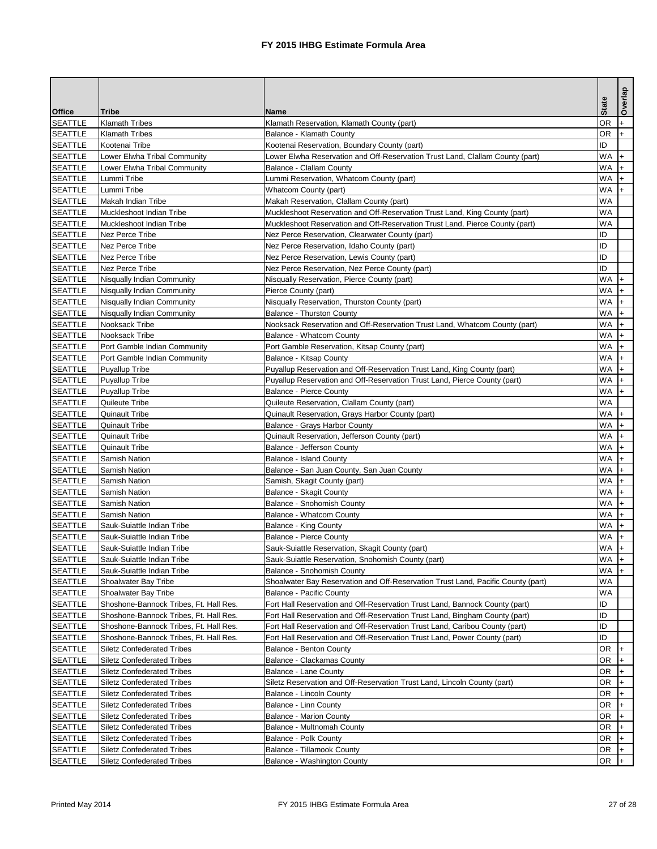|                                  |                                                |                                                                                  | <b>State</b>       | Overlap |
|----------------------------------|------------------------------------------------|----------------------------------------------------------------------------------|--------------------|---------|
| <b>Office</b>                    | <b>Tribe</b>                                   | <b>Name</b>                                                                      |                    |         |
| <b>SEATTLE</b>                   | <b>Klamath Tribes</b>                          | Klamath Reservation, Klamath County (part)                                       | <b>OR</b>          |         |
| <b>SEATTLE</b>                   | <b>Klamath Tribes</b>                          | <b>Balance - Klamath County</b>                                                  | <b>OR</b>          | ∣+      |
| <b>SEATTLE</b>                   | Kootenai Tribe                                 | Kootenai Reservation, Boundary County (part)                                     | ID                 |         |
| <b>SEATTLE</b>                   | Lower Elwha Tribal Community                   | Lower Elwha Reservation and Off-Reservation Trust Land, Clallam County (part)    | <b>WA</b>          |         |
| <b>SEATTLE</b>                   | Lower Elwha Tribal Community                   | <b>Balance - Clallam County</b>                                                  | $WA$ +             |         |
| <b>SEATTLE</b>                   | Lummi Tribe                                    | Lummi Reservation, Whatcom County (part)                                         | $WA$ +             |         |
| <b>SEATTLE</b>                   | Lummi Tribe                                    | <b>Whatcom County (part)</b>                                                     | <b>WA</b>          | $+$     |
| <b>SEATTLE</b>                   | Makah Indian Tribe                             | Makah Reservation, Clallam County (part)                                         | <b>WA</b>          |         |
| <b>SEATTLE</b>                   | Muckleshoot Indian Tribe                       | Muckleshoot Reservation and Off-Reservation Trust Land, King County (part)       | WA                 |         |
| <b>SEATTLE</b>                   | Muckleshoot Indian Tribe                       | Muckleshoot Reservation and Off-Reservation Trust Land, Pierce County (part)     | <b>WA</b>          |         |
| <b>SEATTLE</b>                   | Nez Perce Tribe                                | Nez Perce Reservation, Clearwater County (part)                                  | ID                 |         |
| <b>SEATTLE</b>                   | Nez Perce Tribe                                | Nez Perce Reservation, Idaho County (part)                                       | ID<br>ID           |         |
| <b>SEATTLE</b>                   | Nez Perce Tribe                                | Nez Perce Reservation, Lewis County (part)                                       | ID                 |         |
| <b>SEATTLE</b>                   | Nez Perce Tribe                                | Nez Perce Reservation, Nez Perce County (part)                                   |                    |         |
| <b>SEATTLE</b>                   | Nisqually Indian Community                     | Nisqually Reservation, Pierce County (part)                                      | $WA$ +             |         |
| <b>SEATTLE</b>                   | <b>Nisqually Indian Community</b>              | Pierce County (part)                                                             | $WA$ +             |         |
| <b>SEATTLE</b>                   | Nisqually Indian Community                     | Nisqually Reservation, Thurston County (part)                                    | $WA$ +             |         |
| <b>SEATTLE</b>                   | Nisqually Indian Community                     | <b>Balance - Thurston County</b>                                                 | $WA$ +             |         |
| <b>SEATTLE</b>                   | Nooksack Tribe                                 | Nooksack Reservation and Off-Reservation Trust Land, Whatcom County (part)       | WA                 | $+$     |
| <b>SEATTLE</b>                   | Nooksack Tribe                                 | <b>Balance - Whatcom County</b>                                                  | $WA$ +             |         |
| <b>SEATTLE</b>                   | Port Gamble Indian Community                   | Port Gamble Reservation, Kitsap County (part)                                    | $WA$ +             |         |
| <b>SEATTLE</b>                   | Port Gamble Indian Community                   | <b>Balance - Kitsap County</b>                                                   | $WA$ +             |         |
| <b>SEATTLE</b>                   | <b>Puyallup Tribe</b>                          | Puyallup Reservation and Off-Reservation Trust Land, King County (part)          | $WA$ +             |         |
| <b>SEATTLE</b>                   | Puyallup Tribe                                 | Puyallup Reservation and Off-Reservation Trust Land, Pierce County (part)        | $WA$ +             |         |
| <b>SEATTLE</b>                   | Puyallup Tribe                                 | <b>Balance - Pierce County</b>                                                   | $WA$ +             |         |
| <b>SEATTLE</b>                   | Quileute Tribe                                 | Quileute Reservation, Clallam County (part)                                      | <b>WA</b>          |         |
| <b>SEATTLE</b>                   | <b>Quinault Tribe</b>                          | Quinault Reservation, Grays Harbor County (part)                                 | $WA$ +             |         |
| <b>SEATTLE</b>                   | <b>Quinault Tribe</b>                          | <b>Balance - Grays Harbor County</b>                                             | $WA +$             |         |
| <b>SEATTLE</b><br><b>SEATTLE</b> | <b>Quinault Tribe</b><br><b>Quinault Tribe</b> | Quinault Reservation, Jefferson County (part)                                    | $WA$ +<br>$WA$ $+$ |         |
|                                  |                                                | <b>Balance - Jefferson County</b>                                                | WA                 |         |
| <b>SEATTLE</b>                   | Samish Nation<br>Samish Nation                 | <b>Balance - Island County</b>                                                   | $WA$ +             |         |
| <b>SEATTLE</b>                   |                                                | Balance - San Juan County, San Juan County                                       | $WA$ +             |         |
| <b>SEATTLE</b><br><b>SEATTLE</b> | Samish Nation<br>Samish Nation                 | Samish, Skagit County (part)                                                     | $WA$ +             |         |
|                                  | Samish Nation                                  | <b>Balance - Skagit County</b><br><b>Balance - Snohomish County</b>              | $WA$ +             |         |
| <b>SEATTLE</b><br><b>SEATTLE</b> | Samish Nation                                  | Balance - Whatcom County                                                         | $WA$ +             |         |
|                                  | Sauk-Suiattle Indian Tribe                     |                                                                                  | WA                 |         |
| <b>SEATTLE</b><br><b>SEATTLE</b> | Sauk-Suiattle Indian Tribe                     | <b>Balance - King County</b><br><b>Balance - Pierce County</b>                   | <b>WA</b>          |         |
| <b>SEATTLE</b>                   | Sauk-Suiattle Indian Tribe                     | Sauk-Suiattle Reservation, Skagit County (part)                                  | $WA$ +             | I+      |
| <b>SEATTLE</b>                   | Sauk-Suiattle Indian Tribe                     | Sauk-Suiattle Reservation, Snohomish County (part)                               | $WA$ +             |         |
| <b>SEATTLE</b>                   | Sauk-Suiattle Indian Tribe                     | <b>Balance - Snohomish County</b>                                                | $WA$ +             |         |
| <b>SEATTLE</b>                   | Shoalwater Bay Tribe                           | Shoalwater Bay Reservation and Off-Reservation Trust Land, Pacific County (part) | <b>WA</b>          |         |
| <b>SEATTLE</b>                   | Shoalwater Bay Tribe                           | <b>Balance - Pacific County</b>                                                  | <b>WA</b>          |         |
| <b>SEATTLE</b>                   | Shoshone-Bannock Tribes, Ft. Hall Res.         | Fort Hall Reservation and Off-Reservation Trust Land, Bannock County (part)      | ID                 |         |
| <b>SEATTLE</b>                   | Shoshone-Bannock Tribes, Ft. Hall Res.         | Fort Hall Reservation and Off-Reservation Trust Land, Bingham County (part)      | ID                 |         |
| <b>SEATTLE</b>                   | Shoshone-Bannock Tribes, Ft. Hall Res.         | Fort Hall Reservation and Off-Reservation Trust Land, Caribou County (part)      | ID                 |         |
| <b>SEATTLE</b>                   | Shoshone-Bannock Tribes, Ft. Hall Res.         | Fort Hall Reservation and Off-Reservation Trust Land, Power County (part)        | ID                 |         |
| <b>SEATTLE</b>                   | <b>Siletz Confederated Tribes</b>              | <b>Balance - Benton County</b>                                                   | <b>OR</b>          | l+      |
| <b>SEATTLE</b>                   | <b>Siletz Confederated Tribes</b>              | Balance - Clackamas County                                                       | <b>OR</b>          |         |
| <b>SEATTLE</b>                   | <b>Siletz Confederated Tribes</b>              | <b>Balance - Lane County</b>                                                     | <b>OR</b>          |         |
| <b>SEATTLE</b>                   | <b>Siletz Confederated Tribes</b>              | Siletz Reservation and Off-Reservation Trust Land, Lincoln County (part)         | <b>OR</b>          |         |
| <b>SEATTLE</b>                   | <b>Siletz Confederated Tribes</b>              | Balance - Lincoln County                                                         | <b>OR</b>          |         |
| <b>SEATTLE</b>                   | <b>Siletz Confederated Tribes</b>              | <b>Balance - Linn County</b>                                                     | <b>OR</b>          | l+      |
| <b>SEATTLE</b>                   | <b>Siletz Confederated Tribes</b>              | <b>Balance - Marion County</b>                                                   | <b>OR</b>          | I+      |
| <b>SEATTLE</b>                   | <b>Siletz Confederated Tribes</b>              | Balance - Multnomah County                                                       | <b>OR</b>          | I+      |
| <b>SEATTLE</b>                   | <b>Siletz Confederated Tribes</b>              | <b>Balance - Polk County</b>                                                     | <b>OR</b>          |         |
| <b>SEATTLE</b>                   | <b>Siletz Confederated Tribes</b>              | <b>Balance - Tillamook County</b>                                                | <b>OR</b>          |         |
| <b>SEATTLE</b>                   | <b>Siletz Confederated Tribes</b>              | Balance - Washington County                                                      | <b>OR</b>          |         |
|                                  |                                                |                                                                                  |                    |         |